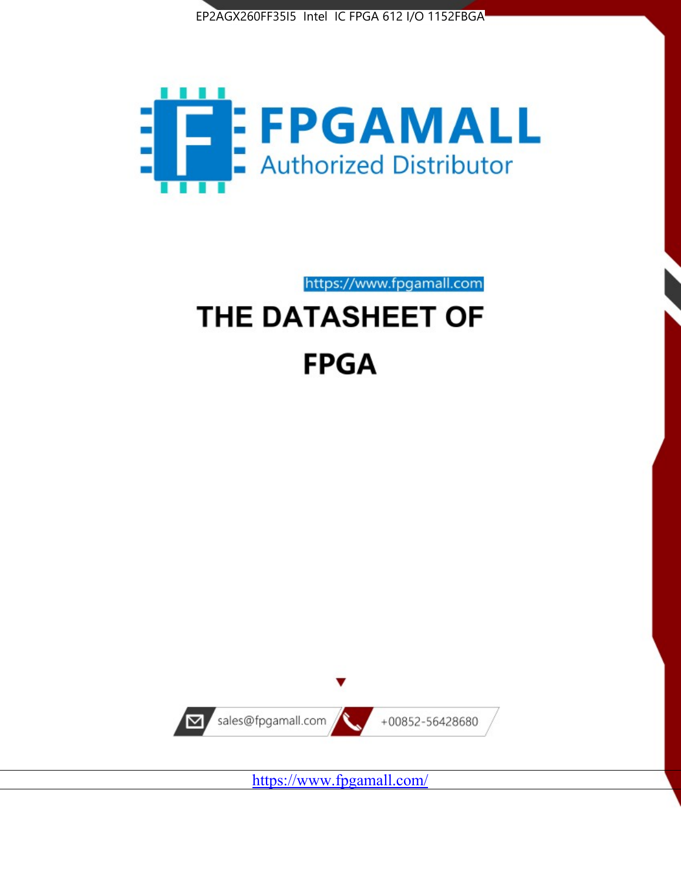



https://www.fpgamall.com

# THE DATASHEET OF **FPGA**



<https://www.fpgamall.com/>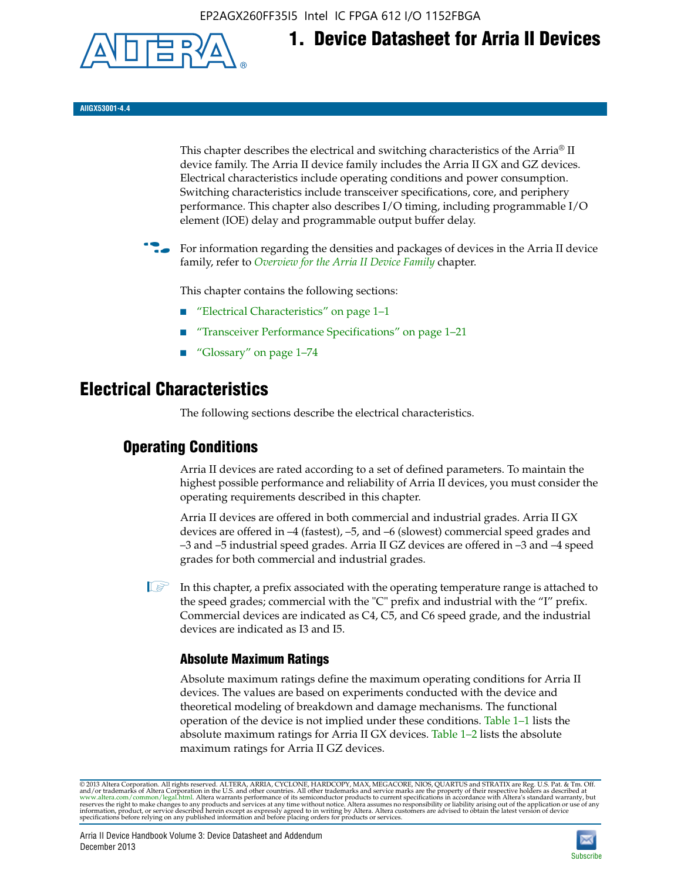EP2AGX260FF35I5 Intel IC FPGA 612 I/O 1152FBGA



**AIIGX53001-4.4**

This chapter describes the electrical and switching characteristics of the Arria® II device family. The Arria II device family includes the Arria II GX and GZ devices. Electrical characteristics include operating conditions and power consumption. Switching characteristics include transceiver specifications, core, and periphery performance. This chapter also describes I/O timing, including programmable I/O element (IOE) delay and programmable output buffer delay.

**1. Device Datasheet for Arria II Devices**

For information regarding the densities and packages of devices in the Arria II device family, refer to *[Overview for the Arria II Device Family](http://www.altera.com/literature/hb/arria-ii-gx/aiigx_51001.pdf)* chapter.

This chapter contains the following sections:

- *"Electrical Characteristics"* on page 1–1
- "Transceiver Performance Specifications" on page 1–21
- "Glossary" on page 1–74

# **Electrical Characteristics**

The following sections describe the electrical characteristics.

# **Operating Conditions**

Arria II devices are rated according to a set of defined parameters. To maintain the highest possible performance and reliability of Arria II devices, you must consider the operating requirements described in this chapter.

Arria II devices are offered in both commercial and industrial grades. Arria II GX devices are offered in –4 (fastest), –5, and –6 (slowest) commercial speed grades and –3 and –5 industrial speed grades. Arria II GZ devices are offered in –3 and –4 speed grades for both commercial and industrial grades.

 $\Box$  In this chapter, a prefix associated with the operating temperature range is attached to the speed grades; commercial with the "C" prefix and industrial with the "I" prefix. Commercial devices are indicated as C4, C5, and C6 speed grade, and the industrial devices are indicated as I3 and I5.

# **Absolute Maximum Ratings**

Absolute maximum ratings define the maximum operating conditions for Arria II devices. The values are based on experiments conducted with the device and theoretical modeling of breakdown and damage mechanisms. The functional operation of the device is not implied under these conditions. Table 1–1 lists the absolute maximum ratings for Arria II GX devices. Table 1–2 lists the absolute maximum ratings for Arria II GZ devices.

© 2013 Altera Corporation. All rights reserved. ALTERA, ARRIA, CYCLONE, HARDCOPY, MAX, MEGACORE, NIOS, QUARTUS and STRATIX are Reg. U.S. Pat. & Tm. Off. [and/or trademarks of Altera Corporat](http://www.altera.com/common/legal.html)ion in the U.S. and other countri

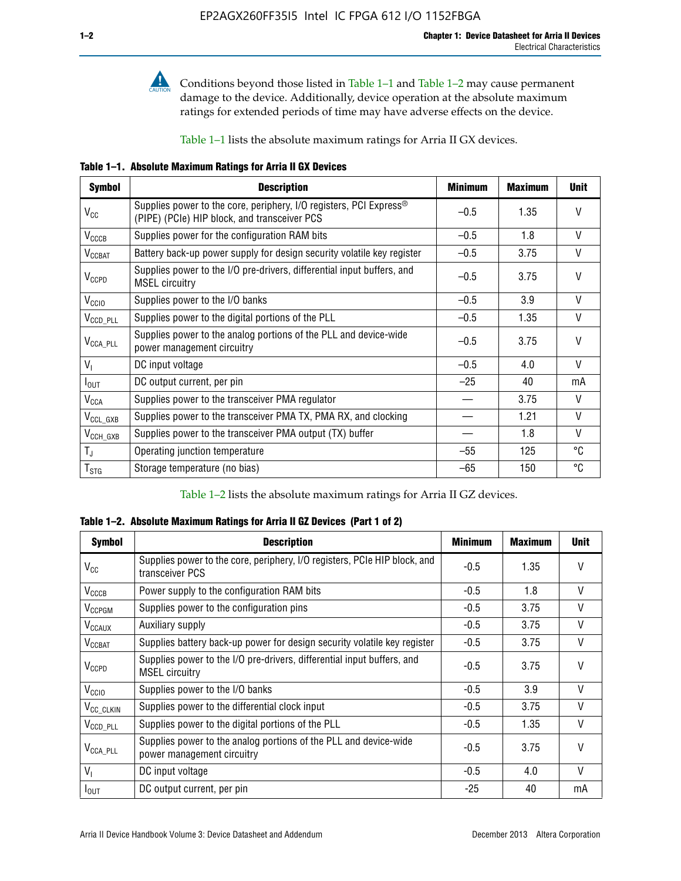

**Conditions beyond those listed in Table 1–1 and Table 1–2 may cause permanent** damage to the device. Additionally, device operation at the absolute maximum ratings for extended periods of time may have adverse effects on the device.

Table 1–1 lists the absolute maximum ratings for Arria II GX devices.

**Table 1–1. Absolute Maximum Ratings for Arria II GX Devices** 

| <b>Symbol</b>         | <b>Description</b>                                                                                                 | <b>Minimum</b> | <b>Maximum</b> | <b>Unit</b>  |
|-----------------------|--------------------------------------------------------------------------------------------------------------------|----------------|----------------|--------------|
| $V_{CC}$              | Supplies power to the core, periphery, I/O registers, PCI Express®<br>(PIPE) (PCIe) HIP block, and transceiver PCS | $-0.5$         | 1.35           | $\vee$       |
| $V_{CCCB}$            | Supplies power for the configuration RAM bits                                                                      | $-0.5$         | 1.8            | V            |
| $V_{\text{CCBAT}}$    | Battery back-up power supply for design security volatile key register                                             | $-0.5$         | 3.75           | V            |
| $V_{CCPD}$            | Supplies power to the I/O pre-drivers, differential input buffers, and<br><b>MSEL circuitry</b>                    | $-0.5$         | 3.75           | $\vee$       |
| V <sub>CCIO</sub>     | Supplies power to the I/O banks                                                                                    | $-0.5$         | 3.9            | $\mathsf{V}$ |
| $V_{\text{CCD\_PLL}}$ | Supplies power to the digital portions of the PLL                                                                  | $-0.5$         | 1.35           | V            |
| $V_{\text{CCA\_PLL}}$ | Supplies power to the analog portions of the PLL and device-wide<br>power management circuitry                     | $-0.5$         | 3.75           | $\mathsf{V}$ |
| $V_{1}$               | DC input voltage                                                                                                   | $-0.5$         | 4.0            | V            |
| $I_{\text{OUT}}$      | DC output current, per pin                                                                                         | $-25$          | 40             | mA           |
| $V_{\text{CCA}}$      | Supplies power to the transceiver PMA regulator                                                                    |                | 3.75           | V            |
| $V_{CCL_GXB}$         | Supplies power to the transceiver PMA TX, PMA RX, and clocking                                                     |                | 1.21           | $\vee$       |
| $V_{\text{CCH_GXB}}$  | Supplies power to the transceiver PMA output (TX) buffer                                                           |                | 1.8            | V            |
| $T_{\rm J}$           | Operating junction temperature                                                                                     | $-55$          | 125            | °C           |
| $T_{\tt STG}$         | Storage temperature (no bias)                                                                                      | -65            | 150            | ℃            |

Table 1–2 lists the absolute maximum ratings for Arria II GZ devices.

**Table 1–2. Absolute Maximum Ratings for Arria II GZ Devices (Part 1 of 2)**

| <b>Symbol</b>            | <b>Description</b>                                                                              | <b>Minimum</b> | <b>Maximum</b> | <b>Unit</b>  |
|--------------------------|-------------------------------------------------------------------------------------------------|----------------|----------------|--------------|
| $V_{CC}$                 | Supplies power to the core, periphery, I/O registers, PCIe HIP block, and<br>transceiver PCS    | -0.5           | 1.35           | $\mathsf{V}$ |
| $V_{CCCB}$               | Power supply to the configuration RAM bits                                                      | $-0.5$         | 1.8            | $\vee$       |
| V <sub>CCPGM</sub>       | Supplies power to the configuration pins                                                        | $-0.5$         | 3.75           | $\vee$       |
| <b>V<sub>CCAUX</sub></b> | Auxiliary supply                                                                                | $-0.5$         | 3.75           | $\vee$       |
| $V_{\text{CGBAT}}$       | Supplies battery back-up power for design security volatile key register                        | -0.5           | 3.75           | $\vee$       |
| $V_{CCPD}$               | Supplies power to the I/O pre-drivers, differential input buffers, and<br><b>MSEL circuitry</b> | -0.5           | 3.75           | $\mathsf{V}$ |
| V <sub>CCIO</sub>        | Supplies power to the I/O banks                                                                 | $-0.5$         | 3.9            | $\mathsf{V}$ |
| $V_{\rm CC\_CLKIN}$      | Supplies power to the differential clock input                                                  | $-0.5$         | 3.75           | $\vee$       |
| $V_{\text{CCD\_PLL}}$    | Supplies power to the digital portions of the PLL                                               | $-0.5$         | 1.35           | V            |
| $V_{\text{CCA\_PLL}}$    | Supplies power to the analog portions of the PLL and device-wide<br>power management circuitry  | $-0.5$         | 3.75           | $\mathsf{V}$ |
| V <sub>1</sub>           | DC input voltage                                                                                | $-0.5$         | 4.0            | $\vee$       |
| $I_{\text{OUT}}$         | DC output current, per pin                                                                      | $-25$          | 40             | mA           |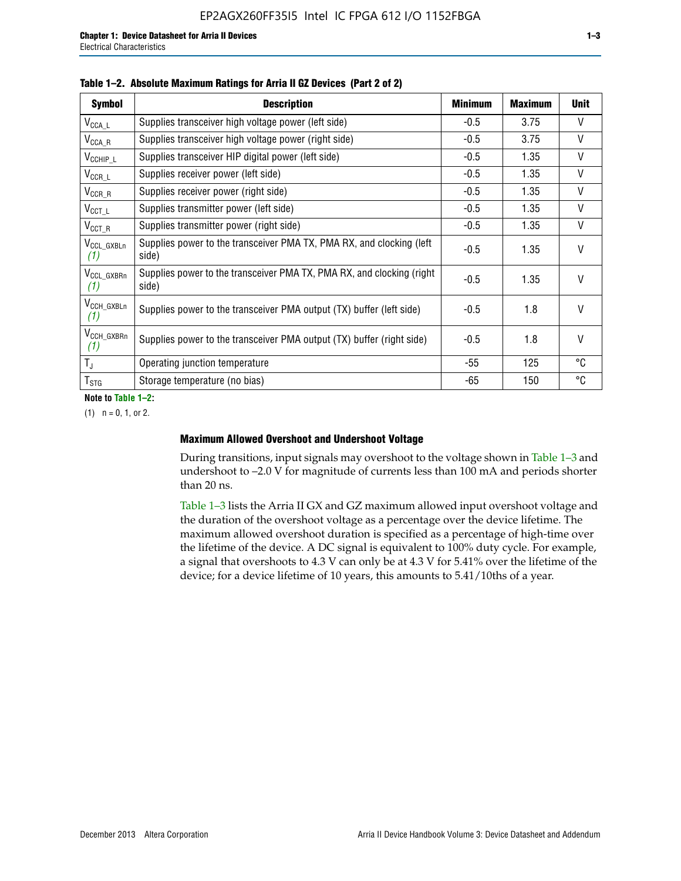| <b>Symbol</b>                  | <b>Description</b>                                                              | <b>Minimum</b> | <b>Maximum</b> | <b>Unit</b>  |
|--------------------------------|---------------------------------------------------------------------------------|----------------|----------------|--------------|
| $V_{\texttt{CCA}\_\textsf{L}}$ | Supplies transceiver high voltage power (left side)                             | $-0.5$         | 3.75           | V            |
| $V_{\mathsf{CCA}\_R}$          | Supplies transceiver high voltage power (right side)                            | $-0.5$         | 3.75           | V            |
| $V_{CCHIP\_L}$                 | Supplies transceiver HIP digital power (left side)                              | $-0.5$         | 1.35           | $\vee$       |
| $V_{CCR\_L}$                   | Supplies receiver power (left side)                                             | $-0.5$         | 1.35           | $\mathsf{V}$ |
| $V_{CCR\_R}$                   | Supplies receiver power (right side)                                            | $-0.5$         | 1.35           | $\mathsf{V}$ |
| $V_{CCT\_L}$                   | Supplies transmitter power (left side)                                          | $-0.5$         | 1.35           | $\vee$       |
| $V_{CCT_R}$                    | Supplies transmitter power (right side)                                         | $-0.5$         | 1.35           | V            |
| V <sub>CCL</sub> GXBLn<br>(1)  | Supplies power to the transceiver PMA TX, PMA RX, and clocking (left<br>side)   | $-0.5$         | 1.35           | $\vee$       |
| V <sub>CCL_GXBRn</sub><br>(1)  | Supplies power to the transceiver PMA TX, PMA RX, and clocking (right)<br>side) | $-0.5$         | 1.35           | $\mathsf{V}$ |
| V <sub>CCH_GXBLn</sub><br>(1)  | Supplies power to the transceiver PMA output (TX) buffer (left side)            | -0.5           | 1.8            | $\mathsf{V}$ |
| $V_{CCH_GXBRn}$<br>(1)         | Supplies power to the transceiver PMA output (TX) buffer (right side)           | -0.5           | 1.8            | $\mathsf{V}$ |
| $T_{\rm J}$                    | Operating junction temperature                                                  | -55            | 125            | °C           |
| $T_{STG}$                      | Storage temperature (no bias)                                                   | -65            | 150            | °C           |

|  |  | Table 1-2. Absolute Maximum Ratings for Arria II GZ Devices (Part 2 of 2) |  |  |  |
|--|--|---------------------------------------------------------------------------|--|--|--|
|--|--|---------------------------------------------------------------------------|--|--|--|

**Note to Table 1–2:**

 $(1)$   $n = 0, 1,$  or 2.

### **Maximum Allowed Overshoot and Undershoot Voltage**

During transitions, input signals may overshoot to the voltage shown in Table 1–3 and undershoot to –2.0 V for magnitude of currents less than 100 mA and periods shorter than 20 ns.

Table 1–3 lists the Arria II GX and GZ maximum allowed input overshoot voltage and the duration of the overshoot voltage as a percentage over the device lifetime. The maximum allowed overshoot duration is specified as a percentage of high-time over the lifetime of the device. A DC signal is equivalent to 100% duty cycle. For example, a signal that overshoots to 4.3 V can only be at 4.3 V for 5.41% over the lifetime of the device; for a device lifetime of 10 years, this amounts to 5.41/10ths of a year.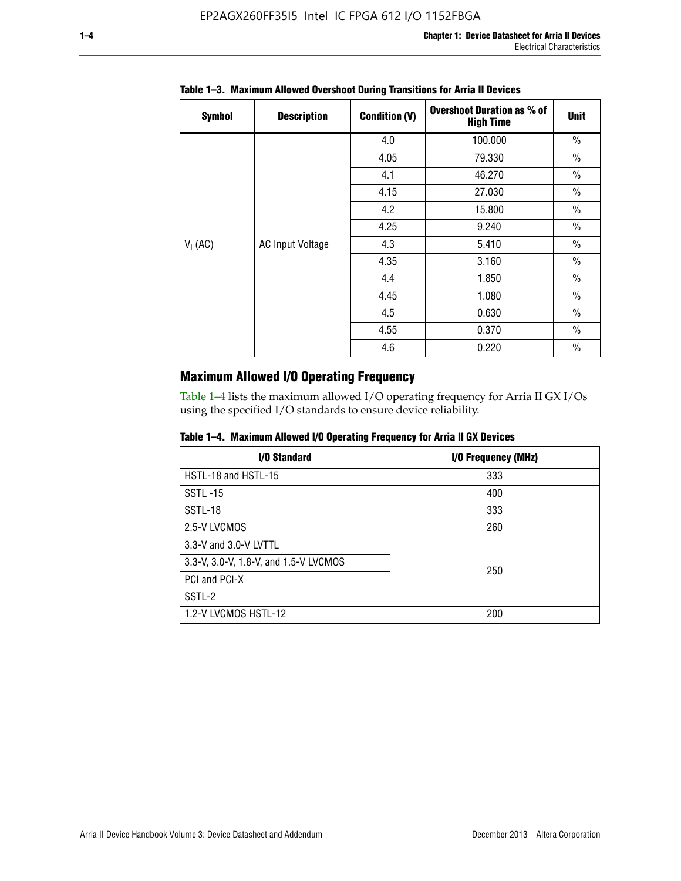| <b>Symbol</b> | <b>Description</b>      | <b>Condition (V)</b> | <b>Overshoot Duration as % of</b><br><b>High Time</b> | <b>Unit</b>   |
|---------------|-------------------------|----------------------|-------------------------------------------------------|---------------|
|               |                         | 4.0                  | 100.000                                               | $\frac{0}{0}$ |
|               |                         | 4.05                 | 79.330                                                | $\frac{0}{0}$ |
|               |                         | 4.1                  | 46.270                                                | $\frac{0}{0}$ |
|               |                         | 4.15                 | 27.030                                                | $\frac{0}{0}$ |
|               | <b>AC Input Voltage</b> | 4.2                  | 15.800                                                | $\frac{0}{0}$ |
|               |                         | 4.25                 | 9.240                                                 | $\frac{0}{0}$ |
| $V_1$ (AC)    |                         | 4.3                  | 5.410                                                 | $\frac{0}{0}$ |
|               |                         | 4.35                 | 3.160                                                 | $\frac{0}{0}$ |
|               |                         | 4.4                  | 1.850                                                 | $\frac{0}{0}$ |
|               |                         | 4.45                 | 1.080                                                 | $\frac{0}{0}$ |
|               |                         | 4.5                  | 0.630                                                 | $\frac{0}{0}$ |
|               |                         | 4.55                 | 0.370                                                 | $\frac{0}{0}$ |
|               |                         | 4.6                  | 0.220                                                 | $\frac{0}{0}$ |

## **Table 1–3. Maximum Allowed Overshoot During Transitions for Arria II Devices**

# **Maximum Allowed I/O Operating Frequency**

Table 1–4 lists the maximum allowed I/O operating frequency for Arria II GX I/Os using the specified I/O standards to ensure device reliability.

|  | Table 1–4. Maximum Allowed I/O Operating Frequency for Arria II GX Devices |  |  |  |  |
|--|----------------------------------------------------------------------------|--|--|--|--|
|--|----------------------------------------------------------------------------|--|--|--|--|

| I/O Standard                          | I/O Frequency (MHz) |
|---------------------------------------|---------------------|
| HSTL-18 and HSTL-15                   | 333                 |
| <b>SSTL-15</b>                        | 400                 |
| SSTL-18                               | 333                 |
| 2.5-V LVCMOS                          | 260                 |
| 3.3-V and 3.0-V LVTTL                 |                     |
| 3.3-V, 3.0-V, 1.8-V, and 1.5-V LVCMOS | 250                 |
| PCI and PCI-X                         |                     |
| SSTL-2                                |                     |
| 1.2-V LVCMOS HSTL-12                  | 200                 |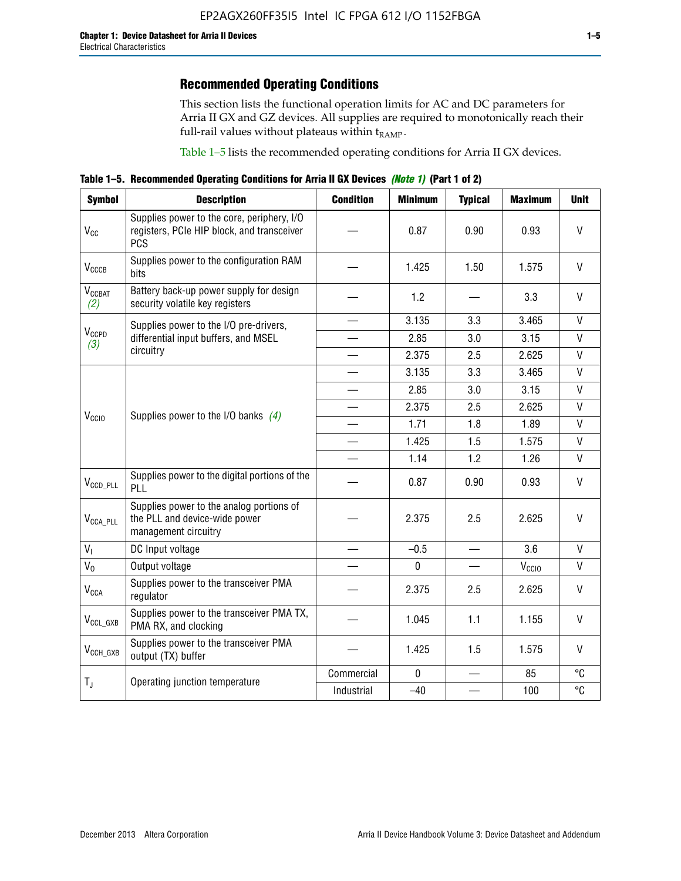# **Recommended Operating Conditions**

This section lists the functional operation limits for AC and DC parameters for Arria II GX and GZ devices. All supplies are required to monotonically reach their full-rail values without plateaus within  $t_{RAMP}$ .

Table 1–5 lists the recommended operating conditions for Arria II GX devices.

**Table 1–5. Recommended Operating Conditions for Arria II GX Devices** *(Note 1)* **(Part 1 of 2)**

| <b>Symbol</b>             | <b>Description</b>                                                                                     | <b>Condition</b>         | <b>Minimum</b> | <b>Typical</b> | <b>Maximum</b>    | <b>Unit</b>  |
|---------------------------|--------------------------------------------------------------------------------------------------------|--------------------------|----------------|----------------|-------------------|--------------|
| $V_{CC}$                  | Supplies power to the core, periphery, I/O<br>registers, PCIe HIP block, and transceiver<br><b>PCS</b> |                          | 0.87           | 0.90           | 0.93              | V            |
| V <sub>CCCB</sub>         | Supplies power to the configuration RAM<br>bits                                                        |                          | 1.425          | 1.50           | 1.575             | $\mathsf{V}$ |
| $V_{\text{CGBAT}}$<br>(2) | Battery back-up power supply for design<br>security volatile key registers                             |                          | 1.2            |                | 3.3               | V            |
|                           | Supplies power to the I/O pre-drivers,                                                                 |                          | 3.135          | 3.3            | 3.465             | $\mathsf{V}$ |
| $V_{CCPD}$<br>(3)         | differential input buffers, and MSEL                                                                   |                          | 2.85           | 3.0            | 3.15              | V            |
|                           | circuitry                                                                                              | $\overline{\phantom{a}}$ | 2.375          | 2.5            | 2.625             | $\mathsf{V}$ |
|                           |                                                                                                        |                          | 3.135          | 3.3            | 3.465             | $\mathsf{V}$ |
|                           | Supplies power to the I/O banks $(4)$                                                                  |                          | 2.85           | 3.0            | 3.15              | $\mathsf{V}$ |
|                           |                                                                                                        |                          | 2.375          | 2.5            | 2.625             | $\mathsf{V}$ |
| V <sub>CCIO</sub>         |                                                                                                        |                          | 1.71           | 1.8            | 1.89              | $\mathsf{V}$ |
|                           |                                                                                                        |                          | 1.425          | 1.5            | 1.575             | $\mathsf{V}$ |
|                           |                                                                                                        |                          | 1.14           | 1.2            | 1.26              | $\mathsf{V}$ |
| $V_{CCD\_PLL}$            | Supplies power to the digital portions of the<br>PLL                                                   |                          | 0.87           | 0.90           | 0.93              | V            |
| $V_{\text{CCA\_PLL}}$     | Supplies power to the analog portions of<br>the PLL and device-wide power<br>management circuitry      |                          | 2.375          | 2.5            | 2.625             | $\mathsf{V}$ |
| $V_{1}$                   | DC Input voltage                                                                                       |                          | $-0.5$         | $\equiv$       | 3.6               | V            |
| $V_0$                     | Output voltage                                                                                         |                          | 0              |                | V <sub>CCIO</sub> | V            |
| <b>V<sub>CCA</sub></b>    | Supplies power to the transceiver PMA<br>regulator                                                     |                          | 2.375          | 2.5            | 2.625             | $\mathsf{V}$ |
| $V_{CCL_GXB}$             | Supplies power to the transceiver PMA TX,<br>PMA RX, and clocking                                      |                          | 1.045          | 1.1            | 1.155             | V            |
| $V_{CCH_GXB}$             | Supplies power to the transceiver PMA<br>output (TX) buffer                                            |                          | 1.425          | 1.5            | 1.575             | V            |
|                           |                                                                                                        | Commercial               | $\mathbf 0$    |                | 85                | °C           |
| $T_{J}$                   | Operating junction temperature                                                                         | Industrial               | $-40$          |                | 100               | °C           |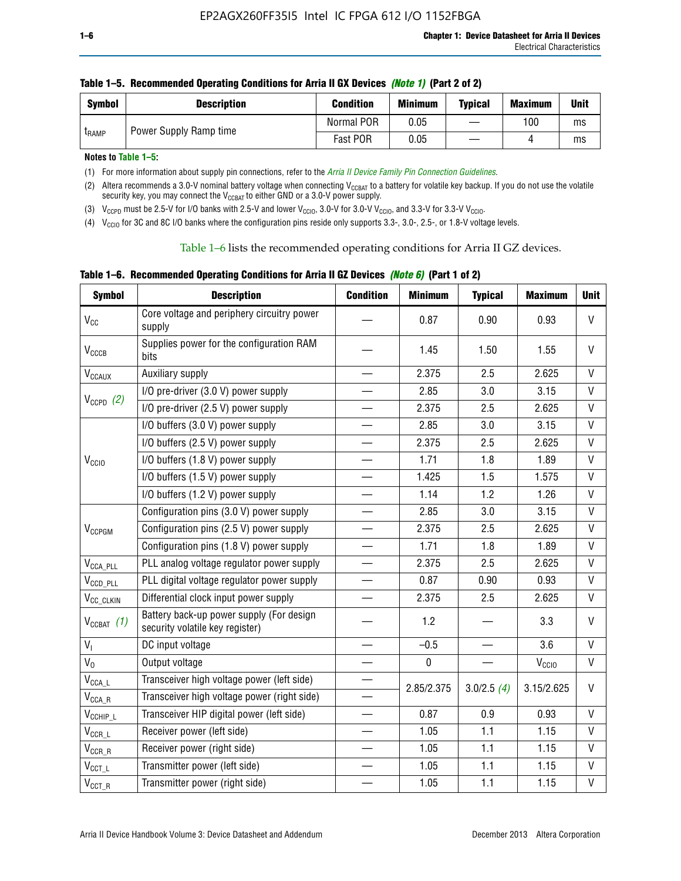| <b>Symbol</b> | <b>Description</b>     | <b>Condition</b> | <b>Minimum</b> | <b>Typical</b> | <b>Maximum</b> | <b>Unit</b> |
|---------------|------------------------|------------------|----------------|----------------|----------------|-------------|
| <b>LRAMP</b>  | Power Supply Ramp time | Normal POR       | 0.05           |                | 100            | ms          |
|               |                        | Fast POR         | 0.05           |                |                | ms          |

**Notes to Table 1–5:** 

(1) For more information about supply pin connections, refer to the *[Arria II Device Family Pin Connection Guidelines](http://www.altera.com/literature/dp/arria-ii-gx/PCG-01007.pdf)*.

(2) Altera recommends a 3.0-V nominal battery voltage when connecting V<sub>CCBAT</sub> to a battery for volatile key backup. If you do not use the volatile security key, you may connect the V<sub>CCBAT</sub> to either GND or a 3.0-V power supply.

(3)  $V_{CCPD}$  must be 2.5-V for I/O banks with 2.5-V and lower  $V_{CCIO}$ , 3.0-V for 3.0-V  $V_{CCIO}$ , and 3.3-V for 3.3-V  $V_{CCIO}$ .

(4)  $V_{\text{CCIO}}$  for 3C and 8C I/O banks where the configuration pins reside only supports 3.3-, 3.0-, 2.5-, or 1.8-V voltage levels.

Table 1–6 lists the recommended operating conditions for Arria II GZ devices.

**Table 1–6. Recommended Operating Conditions for Arria II GZ Devices** *(Note 6)* **(Part 1 of 2)**

| <b>Symbol</b>                           | <b>Description</b>                                                          | <b>Condition</b> | <b>Minimum</b> | <b>Typical</b> | <b>Maximum</b>    | <b>Unit</b>  |
|-----------------------------------------|-----------------------------------------------------------------------------|------------------|----------------|----------------|-------------------|--------------|
| V <sub>CC</sub>                         | Core voltage and periphery circuitry power<br>supply                        |                  | 0.87           | 0.90           | 0.93              | $\mathsf{V}$ |
| $V_{CCCB}$                              | Supplies power for the configuration RAM<br>bits                            |                  | 1.45           | 1.50           | 1.55              | $\vee$       |
| $V_{\text{CCAUX}}$                      | Auxiliary supply                                                            |                  | 2.375          | 2.5            | 2.625             | V            |
|                                         | I/O pre-driver (3.0 V) power supply                                         |                  | 2.85           | 3.0            | 3.15              | $\mathsf{V}$ |
| $V_{CCPD}$ (2)                          | I/O pre-driver (2.5 V) power supply                                         |                  | 2.375          | 2.5            | 2.625             | $\vee$       |
|                                         | I/O buffers (3.0 V) power supply                                            |                  | 2.85           | 3.0            | 3.15              | $\mathsf{V}$ |
|                                         | I/O buffers (2.5 V) power supply                                            |                  | 2.375          | 2.5            | 2.625             | V            |
| V <sub>CCIO</sub>                       | I/O buffers (1.8 V) power supply                                            |                  | 1.71           | 1.8            | 1.89              | $\mathsf{V}$ |
|                                         | I/O buffers (1.5 V) power supply                                            |                  | 1.425          | 1.5            | 1.575             | $\mathsf{V}$ |
|                                         | I/O buffers (1.2 V) power supply                                            |                  | 1.14           | 1.2            | 1.26              | V            |
|                                         | Configuration pins (3.0 V) power supply                                     |                  | 2.85           | 3.0            | 3.15              | V            |
| V <sub>CCPGM</sub>                      | Configuration pins (2.5 V) power supply                                     |                  | 2.375          | 2.5            | 2.625             | $\vee$       |
|                                         | Configuration pins (1.8 V) power supply                                     |                  | 1.71           | 1.8            | 1.89              | V            |
| $V_{\text{CCA\_PLL}}$                   | PLL analog voltage regulator power supply                                   |                  | 2.375          | 2.5            | 2.625             | $\mathsf{V}$ |
| $V_{CCD\_PLL}$                          | PLL digital voltage regulator power supply                                  |                  | 0.87           | 0.90           | 0.93              | $\mathsf{V}$ |
| V <sub>CC_CLKIN</sub>                   | Differential clock input power supply                                       |                  | 2.375          | 2.5            | 2.625             | V            |
| $V_{CCBAT}$ (1)                         | Battery back-up power supply (For design<br>security volatile key register) |                  | 1.2            |                | 3.3               | $\vee$       |
| V <sub>I</sub>                          | DC input voltage                                                            |                  | $-0.5$         |                | 3.6               | $\mathsf{V}$ |
| $V_0$                                   | Output voltage                                                              |                  | $\pmb{0}$      |                | V <sub>CCIO</sub> | V            |
| $\mathsf{V}_{\mathsf{CCA}\_\mathsf{L}}$ | Transceiver high voltage power (left side)                                  |                  | 2.85/2.375     | 3.0/2.5(4)     | 3.15/2.625        | V            |
| $V_{\text{CCA\_R}}$                     | Transceiver high voltage power (right side)                                 |                  |                |                |                   |              |
| $V_{CCHIP\_L}$                          | Transceiver HIP digital power (left side)                                   |                  | 0.87           | 0.9            | 0.93              | $\vee$       |
| $\mathsf{V}_{\mathsf{CCR\_L}}$          | Receiver power (left side)                                                  |                  | 1.05           | 1.1            | 1.15              | $\mathsf{V}$ |
| $\mathsf{V}_{\mathsf{CCR\_R}}$          | Receiver power (right side)                                                 |                  | 1.05           | 1.1            | 1.15              | V            |
| $V_{CCT_l}$                             | Transmitter power (left side)                                               |                  | 1.05           | 1.1            | 1.15              | $\vee$       |
| $\mathsf{V}_{\mathsf{CCT\_R}}$          | Transmitter power (right side)                                              |                  | 1.05           | 1.1            | 1.15              | $\mathsf{V}$ |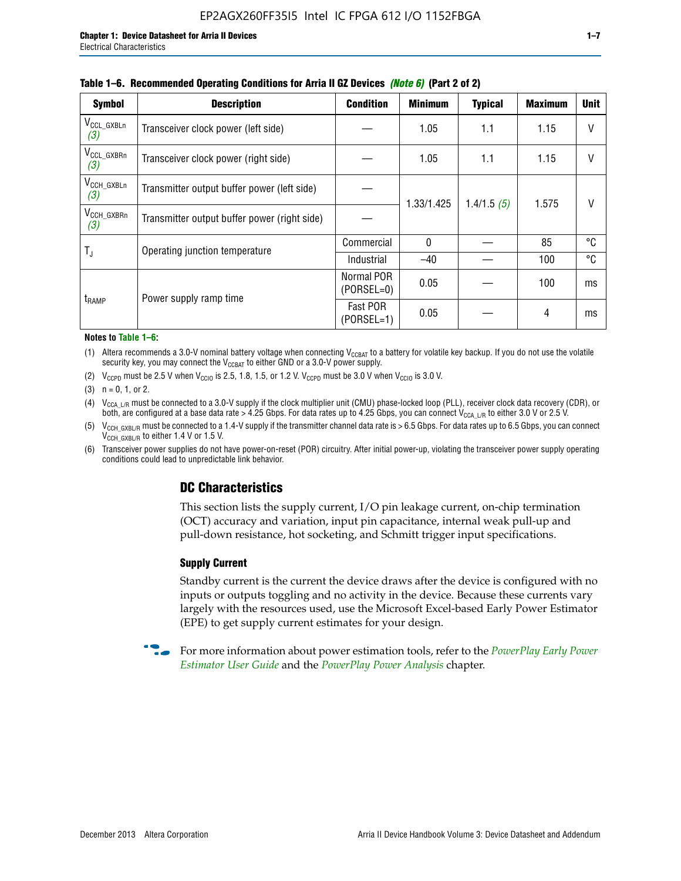| <b>Symbol</b>                 | <b>Description</b>                           | <b>Condition</b>           | <b>Minimum</b> | <b>Typical</b> | <b>Maximum</b> | <b>Unit</b>  |
|-------------------------------|----------------------------------------------|----------------------------|----------------|----------------|----------------|--------------|
| $V_{\rm CCL_GXBLn}$<br>(3)    | Transceiver clock power (left side)          |                            | 1.05           | 1.1            | 1.15           | $\vee$       |
| V <sub>CCL_GXBRn</sub><br>(3) | Transceiver clock power (right side)         |                            | 1.05           | 1.1            | 1.15           | $\mathsf{V}$ |
| $V_{\text{CCH_GXBLn}}$<br>(3) | Transmitter output buffer power (left side)  |                            |                | 1.4/1.5(5)     | 1.575          | V            |
| V <sub>CCH_GXBRn</sub><br>(3) | Transmitter output buffer power (right side) |                            | 1.33/1.425     |                |                |              |
| T,                            | Operating junction temperature               | Commercial                 | $\mathbf{0}$   |                | 85             | °C           |
|                               |                                              | Industrial                 | $-40$          |                | 100            | °C           |
| t <sub>RAMP</sub>             | Power supply ramp time                       | Normal POR<br>$(PORSEL=0)$ | 0.05           |                | 100            | ms           |
|                               |                                              | Fast POR<br>$(PORSEL=1)$   | 0.05           |                | 4              | ms           |

#### **Table 1–6. Recommended Operating Conditions for Arria II GZ Devices** *(Note 6)* **(Part 2 of 2)**

#### **Notes to Table 1–6:**

(1) Altera recommends a 3.0-V nominal battery voltage when connecting  $V_{CCBAT}$  to a battery for volatile key backup. If you do not use the volatile security key, you may connect the  $V_{\text{CCBAT}}$  to either GND or a 3.0-V power supply.

(2)  $V_{CCPD}$  must be 2.5 V when  $V_{CCIO}$  is 2.5, 1.8, 1.5, or 1.2 V.  $V_{CCPD}$  must be 3.0 V when  $V_{CCIO}$  is 3.0 V.

(3)  $n = 0, 1, or 2$ .

(4)  $V_{CCA~LR}$  must be connected to a 3.0-V supply if the clock multiplier unit (CMU) phase-locked loop (PLL), receiver clock data recovery (CDR), or both, are configured at a base data rate > 4.25 Gbps. For data rates up to 4.25 Gbps, you can connect V<sub>CCA L/R</sub> to either 3.0 V or 2.5 V.

(5)  $V_{\text{CCH\_GXBL/R}}$  must be connected to a 1.4-V supply if the transmitter channel data rate is > 6.5 Gbps. For data rates up to 6.5 Gbps, you can connect V<sub>CCH\_GXBL/R</sub> to either 1.4 V or 1.5 V.

(6) Transceiver power supplies do not have power-on-reset (POR) circuitry. After initial power-up, violating the transceiver power supply operating conditions could lead to unpredictable link behavior.

# **DC Characteristics**

This section lists the supply current, I/O pin leakage current, on-chip termination (OCT) accuracy and variation, input pin capacitance, internal weak pull-up and pull-down resistance, hot socketing, and Schmitt trigger input specifications.

### **Supply Current**

Standby current is the current the device draws after the device is configured with no inputs or outputs toggling and no activity in the device. Because these currents vary largely with the resources used, use the Microsoft Excel-based Early Power Estimator (EPE) to get supply current estimates for your design.

**For more information about power estimation tools, refer to the** *PowerPlay Early Power* **<b>Formation** *[Estimator User Guide](http://www.altera.com/literature/ug/ug_epe.pdf
)* and the *[PowerPlay Power Analysis](http://www.altera.com/literature/hb/qts/qts_qii53013.pdf)* chapter.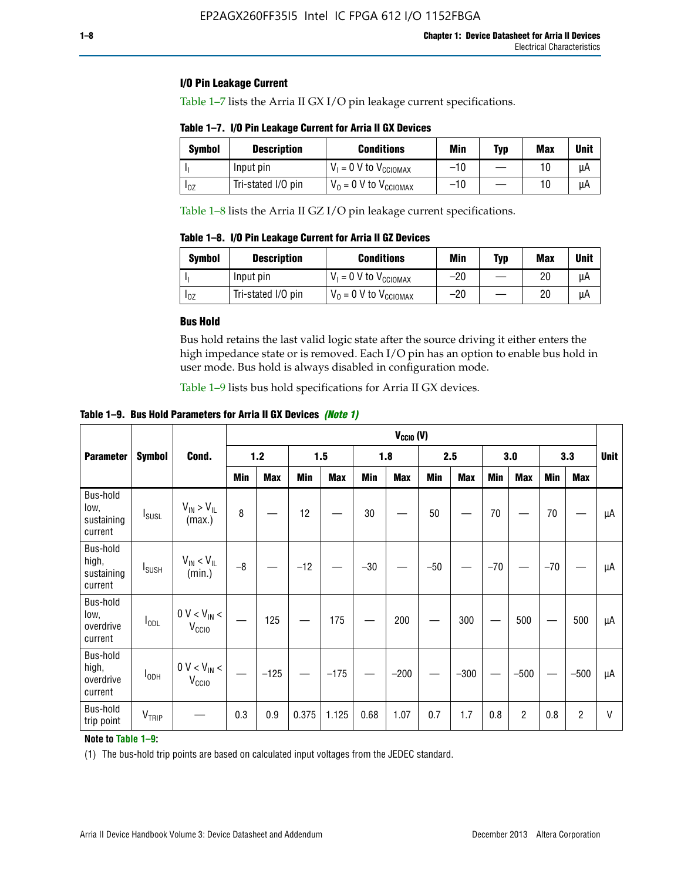### **I/O Pin Leakage Current**

Table 1–7 lists the Arria II GX I/O pin leakage current specifications.

# **Table 1–7. I/O Pin Leakage Current for Arria II GX Devices**

| Symbol   | <b>Description</b> | <b>Conditions</b>                   | <b>Min</b> | <b>Typ</b> | <b>Max</b> | <b>Unit</b> |
|----------|--------------------|-------------------------------------|------------|------------|------------|-------------|
|          | Input pin          | $V_1 = 0$ V to $V_{\text{CCIOMAX}}$ | $-10$      |            |            | uА          |
| $I_{0Z}$ | Tri-stated I/O pin | $V_0 = 0$ V to $V_{\text{CCIOMAX}}$ | $-10$      |            | 10         | uА          |

Table 1–8 lists the Arria II GZ I/O pin leakage current specifications.

**Table 1–8. I/O Pin Leakage Current for Arria II GZ Devices**

| <b>Symbol</b> | <b>Description</b> | <b>Conditions</b>                   | Min   | <b>Typ</b> | Max | <b>Unit</b> |
|---------------|--------------------|-------------------------------------|-------|------------|-----|-------------|
|               | Input pin          | $V_1 = 0$ V to $V_{\text{CCIOMAX}}$ | $-20$ |            | 20  | uА          |
| 10Z           | Tri-stated I/O pin | $V_0 = 0$ V to $V_{\text{CCIOMAX}}$ | $-20$ |            | 20  | uА          |

### **Bus Hold**

Bus hold retains the last valid logic state after the source driving it either enters the high impedance state or is removed. Each I/O pin has an option to enable bus hold in user mode. Bus hold is always disabled in configuration mode.

Table 1–9 lists bus hold specifications for Arria II GX devices.

**Table 1–9. Bus Hold Parameters for Arria II GX Devices** *(Note 1)*

|                                            |                          |                                                  |       | $V_{CClO}$ (V) |       |            |       |            |       |            |       |                |       |            |    |
|--------------------------------------------|--------------------------|--------------------------------------------------|-------|----------------|-------|------------|-------|------------|-------|------------|-------|----------------|-------|------------|----|
| <b>Parameter</b>                           | <b>Symbol</b>            | Cond.                                            | $1.2$ |                |       | 1.5        |       | 1.8        |       | 2.5        |       | 3.0            |       | 3.3        |    |
|                                            |                          |                                                  | Min   | <b>Max</b>     | Min   | <b>Max</b> | Min   | <b>Max</b> | Min   | <b>Max</b> | Min   | <b>Max</b>     | Min   | <b>Max</b> |    |
| Bus-hold<br>low,<br>sustaining<br>current  | <b>I</b> <sub>SUSL</sub> | $V_{IN}$ > $V_{IL}$<br>(max.)                    | 8     |                | 12    |            | 30    |            | 50    |            | 70    |                | 70    |            | μA |
| Bus-hold<br>high,<br>sustaining<br>current | I <sub>SUSH</sub>        | $V_{IN}$ < $V_{IL}$<br>(min.)                    | $-8$  |                | $-12$ |            | $-30$ |            | $-50$ |            | $-70$ |                | $-70$ |            | μA |
| Bus-hold<br>low,<br>overdrive<br>current   | $I_{ODL}$                | $0 V < V_{IN} <$<br>V <sub>CCIO</sub>            |       | 125            |       | 175        |       | 200        |       | 300        |       | 500            |       | 500        | μA |
| Bus-hold<br>high,<br>overdrive<br>current  | $I_{ODH}$                | $0$ V $<$ V $_{\rm IN}$ $<$<br>V <sub>CCIO</sub> |       | $-125$         |       | $-175$     |       | $-200$     |       | $-300$     |       | $-500$         |       | $-500$     | μA |
| Bus-hold<br>trip point                     | VTRIP                    |                                                  | 0.3   | 0.9            | 0.375 | 1.125      | 0.68  | 1.07       | 0.7   | 1.7        | 0.8   | $\overline{c}$ | 0.8   | 2          | V  |

### **Note to Table 1–9:**

(1) The bus-hold trip points are based on calculated input voltages from the JEDEC standard.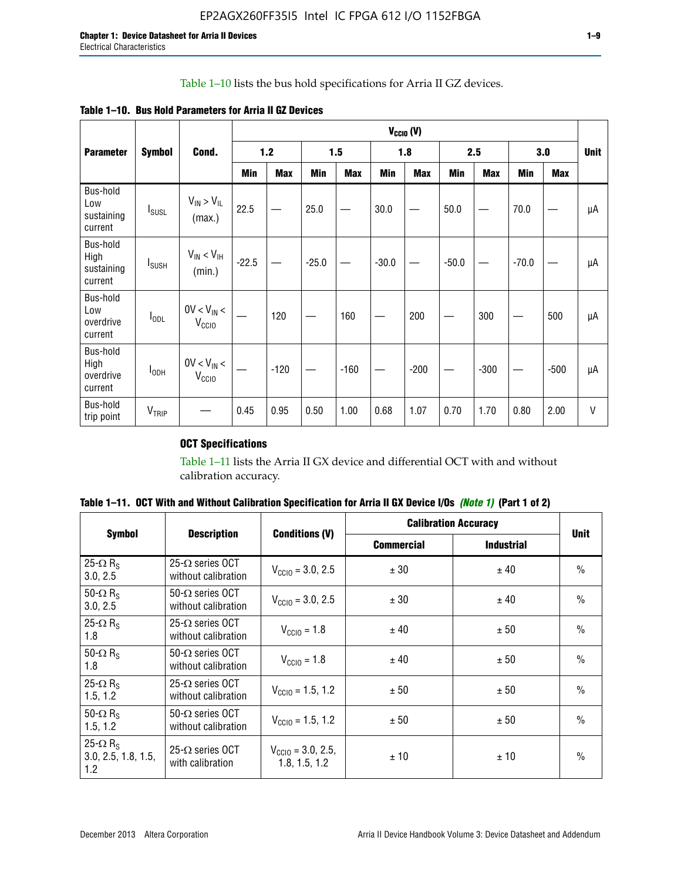# Table 1–10 lists the bus hold specifications for Arria II GZ devices.

**Table 1–10. Bus Hold Parameters for Arria II GZ Devices**

|                                           | <b>Symbol</b>            | Cond.                                |         | $V_{\text{CCIO}}(V)$ |         |            |         |            |         |            |         |            |        |
|-------------------------------------------|--------------------------|--------------------------------------|---------|----------------------|---------|------------|---------|------------|---------|------------|---------|------------|--------|
| <b>Parameter</b>                          |                          |                                      | 1.2     |                      |         | 1.5        |         | 1.8        |         | 2.5        |         | 3.0        |        |
|                                           |                          |                                      | Min     | <b>Max</b>           | Min     | <b>Max</b> | Min     | <b>Max</b> | Min     | <b>Max</b> | Min     | <b>Max</b> |        |
| Bus-hold<br>Low<br>sustaining<br>current  | $I_{SUSL}$               | $V_{IN} > V_{IL}$<br>(max.)          | 22.5    |                      | 25.0    |            | 30.0    |            | 50.0    |            | 70.0    |            | μA     |
| Bus-hold<br>High<br>sustaining<br>current | <b>I</b> <sub>SUSH</sub> | $V_{IN}$ < $V_{IH}$<br>(min.)        | $-22.5$ |                      | $-25.0$ |            | $-30.0$ |            | $-50.0$ |            | $-70.0$ |            | μA     |
| Bus-hold<br>Low<br>overdrive<br>current   | $I_{ODL}$                | $0V < V_{IN}$<br>V <sub>CCIO</sub>   |         | 120                  |         | 160        |         | 200        |         | 300        |         | 500        | μA     |
| Bus-hold<br>High<br>overdrive<br>current  | I <sub>ODH</sub>         | $0V < V_{IN} <$<br>V <sub>CCIO</sub> |         | $-120$               |         | $-160$     |         | $-200$     |         | $-300$     |         | $-500$     | μA     |
| Bus-hold<br>trip point                    | V <sub>TRIP</sub>        |                                      | 0.45    | 0.95                 | 0.50    | 1.00       | 0.68    | 1.07       | 0.70    | 1.70       | 0.80    | 2.00       | $\vee$ |

# **OCT Specifications**

Table 1–11 lists the Arria II GX device and differential OCT with and without calibration accuracy.

|                                                           |                                                |                                                |                   | <b>Calibration Accuracy</b> |               |
|-----------------------------------------------------------|------------------------------------------------|------------------------------------------------|-------------------|-----------------------------|---------------|
| <b>Symbol</b>                                             | <b>Description</b>                             | <b>Conditions (V)</b>                          | <b>Commercial</b> | <b>Industrial</b>           | <b>Unit</b>   |
| 25- $\Omega$ R <sub>s</sub><br>3.0, 2.5                   | $25-\Omega$ series OCT<br>without calibration  | $V_{\text{CC10}} = 3.0, 2.5$                   | ± 30              | ± 40                        | $\frac{0}{0}$ |
| 50- $\Omega$ R <sub>S</sub><br>3.0, 2.5                   | $50-\Omega$ series OCT<br>without calibration  | $V_{\text{CC10}} = 3.0, 2.5$                   | ± 30              | ± 40                        | $\frac{0}{0}$ |
| 25- $\Omega$ R <sub>S</sub><br>1.8                        | 25- $\Omega$ series OCT<br>without calibration | $V_{\text{CCI0}} = 1.8$                        | ± 40              | ± 50                        | $\frac{0}{0}$ |
| 50- $\Omega$ R <sub>s</sub><br>1.8                        | $50-\Omega$ series OCT<br>without calibration  | $V_{\text{CC10}} = 1.8$                        | ± 40              | ± 50                        | $\frac{0}{0}$ |
| 25- $\Omega$ R <sub>S</sub><br>1.5, 1.2                   | $25-\Omega$ series OCT<br>without calibration  | $V_{\text{CC10}} = 1.5, 1.2$                   | ± 50              | ± 50                        | $\frac{0}{0}$ |
| 50- $\Omega$ R <sub>s</sub><br>1.5, 1.2                   | $50-\Omega$ series OCT<br>without calibration  | $V_{\text{CC10}} = 1.5, 1.2$                   | ± 50              | ± 50                        | $\frac{0}{0}$ |
| 25- $\Omega$ R <sub>s</sub><br>3.0, 2.5, 1.8, 1.5,<br>1.2 | 25- $\Omega$ series OCT<br>with calibration    | $V_{\text{CC10}} = 3.0, 2.5,$<br>1.8, 1.5, 1.2 | ±10               | ± 10                        | $\frac{0}{0}$ |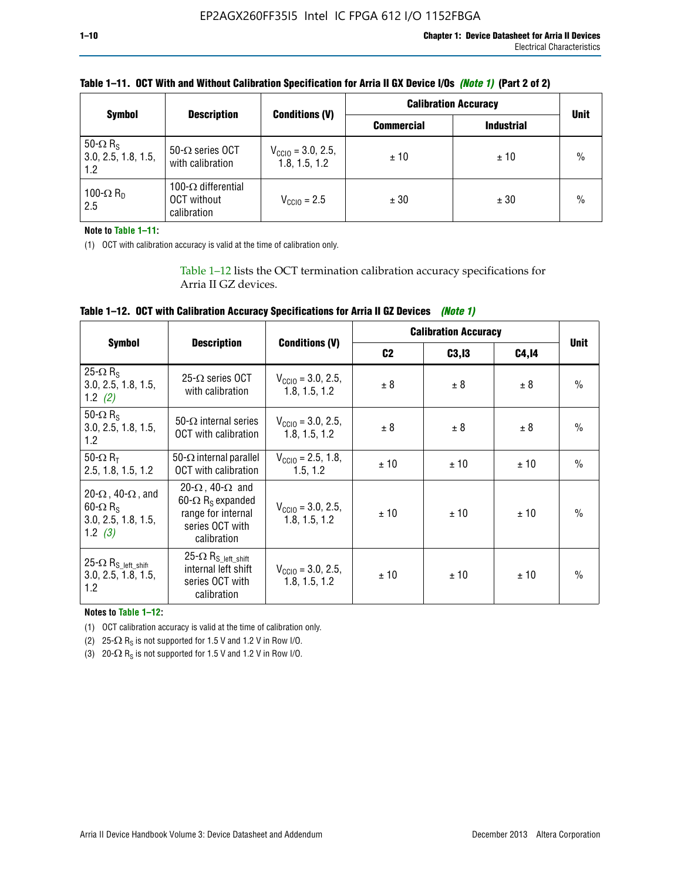| <b>Symbol</b>                                             | <b>Description</b>                                              |                                                | <b>Calibration Accuracy</b> | <b>Unit</b>       |               |
|-----------------------------------------------------------|-----------------------------------------------------------------|------------------------------------------------|-----------------------------|-------------------|---------------|
|                                                           |                                                                 | <b>Conditions (V)</b>                          | <b>Commercial</b>           | <b>Industrial</b> |               |
| 50- $\Omega$ R <sub>S</sub><br>3.0, 2.5, 1.8, 1.5,<br>1.2 | $50-\Omega$ series OCT<br>with calibration                      | $V_{\text{CC10}} = 3.0, 2.5,$<br>1.8, 1.5, 1.2 | ±10                         | ± 10              | $\frac{0}{0}$ |
| 100- $\Omega$ R <sub>D</sub><br>2.5                       | 100- $\Omega$ differential<br><b>OCT</b> without<br>calibration | $V_{\text{CC10}} = 2.5$                        | ± 30                        | ± 30              | $\%$          |

## **Table 1–11. OCT With and Without Calibration Specification for Arria II GX Device I/Os** *(Note 1)* **(Part 2 of 2)**

**Note to Table 1–11:**

(1) OCT with calibration accuracy is valid at the time of calibration only.

Table 1–12 lists the OCT termination calibration accuracy specifications for Arria II GZ devices.

| Table 1–12. OCT with Calibration Accuracy Specifications for Arria II GZ Devices (Note 1) |  |  |  |  |
|-------------------------------------------------------------------------------------------|--|--|--|--|
|-------------------------------------------------------------------------------------------|--|--|--|--|

|                                                                                                       |                                                                                                                                 |                                                | <b>Calibration Accuracy</b> |        |       |               |
|-------------------------------------------------------------------------------------------------------|---------------------------------------------------------------------------------------------------------------------------------|------------------------------------------------|-----------------------------|--------|-------|---------------|
| <b>Symbol</b>                                                                                         | <b>Description</b>                                                                                                              | <b>Conditions (V)</b>                          | C <sub>2</sub>              | C3, I3 | C4,14 | <b>Unit</b>   |
| 25- $\Omega$ R <sub>s</sub><br>3.0, 2.5, 1.8, 1.5,<br>1.2 $(2)$                                       | $25-\Omega$ series OCT<br>with calibration                                                                                      | $V_{CGI0} = 3.0, 2.5,$<br>1.8, 1.5, 1.2        | ± 8                         | ± 8    | ± 8   | $\frac{0}{0}$ |
| 50- $\Omega$ R <sub>s</sub><br>3.0, 2.5, 1.8, 1.5,<br>1.2                                             | 50- $\Omega$ internal series<br>OCT with calibration                                                                            | $V_{\text{CC10}} = 3.0, 2.5,$<br>1.8, 1.5, 1.2 | ± 8                         | ± 8    | ± 8   | $\frac{0}{0}$ |
| 50- $\Omega$ R <sub>T</sub><br>2.5, 1.8, 1.5, 1.2                                                     | 50- $\Omega$ internal parallel<br><b>OCT</b> with calibration                                                                   | $V_{\text{CC10}} = 2.5, 1.8,$<br>1.5.1.2       | ± 10                        | ± 10   | ± 10  | $\frac{0}{0}$ |
| 20- $\Omega$ , 40- $\Omega$ , and<br>$60 - \Omega$ R <sub>S</sub><br>3.0, 2.5, 1.8, 1.5,<br>1.2 $(3)$ | 20- $\Omega$ , 40- $\Omega$ and<br>60- $\Omega$ R <sub>s</sub> expanded<br>range for internal<br>series OCT with<br>calibration | $V_{\text{CC10}} = 3.0, 2.5,$<br>1.8, 1.5, 1.2 | ± 10                        | ± 10   | ± 10  | $\frac{0}{0}$ |
| 25- $\Omega$ R <sub>S</sub> left_shift<br>3.0, 2.5, 1.8, 1.5,<br>1.2                                  | $25-\Omega R_{S\_left\_shift}$<br>internal left shift<br>series OCT with<br>calibration                                         | $V_{\text{CC10}} = 3.0, 2.5,$<br>1.8, 1.5, 1.2 | ± 10                        | ± 10   | ± 10  | $\frac{0}{0}$ |

**Notes to Table 1–12:**

(1) OCT calibration accuracy is valid at the time of calibration only.

(2) 25- $\Omega$  R<sub>S</sub> is not supported for 1.5 V and 1.2 V in Row I/O.

(3)  $20-\Omega$  R<sub>S</sub> is not supported for 1.5 V and 1.2 V in Row I/O.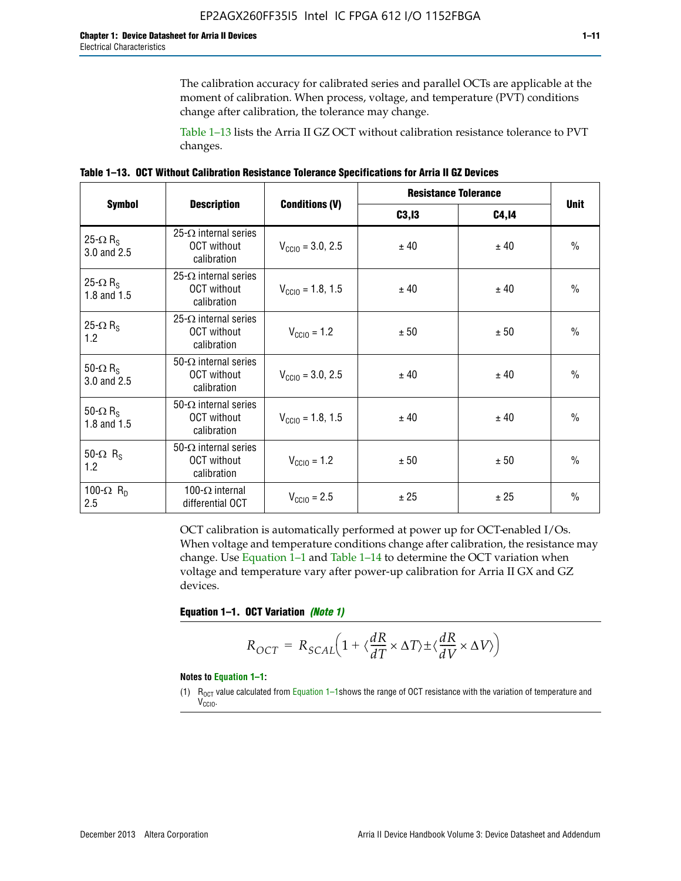The calibration accuracy for calibrated series and parallel OCTs are applicable at the moment of calibration. When process, voltage, and temperature (PVT) conditions change after calibration, the tolerance may change.

Table 1–13 lists the Arria II GZ OCT without calibration resistance tolerance to PVT changes.

|  | Table 1–13. OCT Without Calibration Resistance Tolerance Specifications for Arria II GZ Devices |  |  |  |
|--|-------------------------------------------------------------------------------------------------|--|--|--|
|--|-------------------------------------------------------------------------------------------------|--|--|--|

|                                            |                                                                   |                              | <b>Resistance Tolerance</b> |              |               |
|--------------------------------------------|-------------------------------------------------------------------|------------------------------|-----------------------------|--------------|---------------|
| <b>Symbol</b>                              | <b>Description</b>                                                | <b>Conditions (V)</b>        | C3, I3                      | <b>C4,14</b> | <b>Unit</b>   |
| 25- $\Omega$ R <sub>S</sub><br>3.0 and 2.5 | $25-\Omega$ internal series<br><b>OCT</b> without<br>calibration  | $V_{\text{CC10}} = 3.0, 2.5$ | ± 40                        | ± 40         | $\frac{0}{0}$ |
| 25- $\Omega$ R <sub>S</sub><br>1.8 and 1.5 | 25- $\Omega$ internal series<br><b>OCT</b> without<br>calibration | $V_{CGI0} = 1.8, 1.5$        | ± 40                        | ± 40         | $\frac{0}{0}$ |
| 25- $\Omega$ R <sub>S</sub><br>1.2         | 25- $\Omega$ internal series<br><b>OCT</b> without<br>calibration | $V_{\text{CC10}} = 1.2$      | ± 50                        | ± 50         | $\frac{0}{0}$ |
| 50- $\Omega$ R <sub>S</sub><br>3.0 and 2.5 | $50-\Omega$ internal series<br><b>OCT</b> without<br>calibration  | $V_{\text{CC10}} = 3.0, 2.5$ | ± 40                        | ± 40         | $\frac{0}{0}$ |
| 50- $\Omega$ R <sub>S</sub><br>1.8 and 1.5 | 50- $\Omega$ internal series<br><b>OCT</b> without<br>calibration | $V_{\text{CC10}} = 1.8, 1.5$ | ± 40                        | ± 40         | $\frac{0}{0}$ |
| 50- $\Omega$ R <sub>s</sub><br>1.2         | 50- $\Omega$ internal series<br><b>OCT</b> without<br>calibration | $V_{\text{CC10}} = 1.2$      | ± 50                        | ± 50         | $\frac{0}{0}$ |
| 100- $\Omega$ R <sub>D</sub><br>2.5        | 100- $\Omega$ internal<br>differential OCT                        | $V_{\text{CC10}} = 2.5$      | ± 25                        | ± 25         | $\frac{0}{0}$ |

OCT calibration is automatically performed at power up for OCT-enabled I/Os. When voltage and temperature conditions change after calibration, the resistance may change. Use Equation 1–1 and Table 1–14 to determine the OCT variation when voltage and temperature vary after power-up calibration for Arria II GX and GZ devices.

**Equation 1–1. OCT Variation** *(Note 1)*

$$
R_{OCT} = R_{SCAL} \Big( 1 + \langle \frac{dR}{dT} \times \Delta T \rangle \pm \langle \frac{dR}{dV} \times \Delta V \rangle \Big)
$$

#### **Notes to Equation 1–1:**

(1)  $R_{OCT}$  value calculated from Equation 1–1shows the range of OCT resistance with the variation of temperature and V<sub>CCIO</sub>.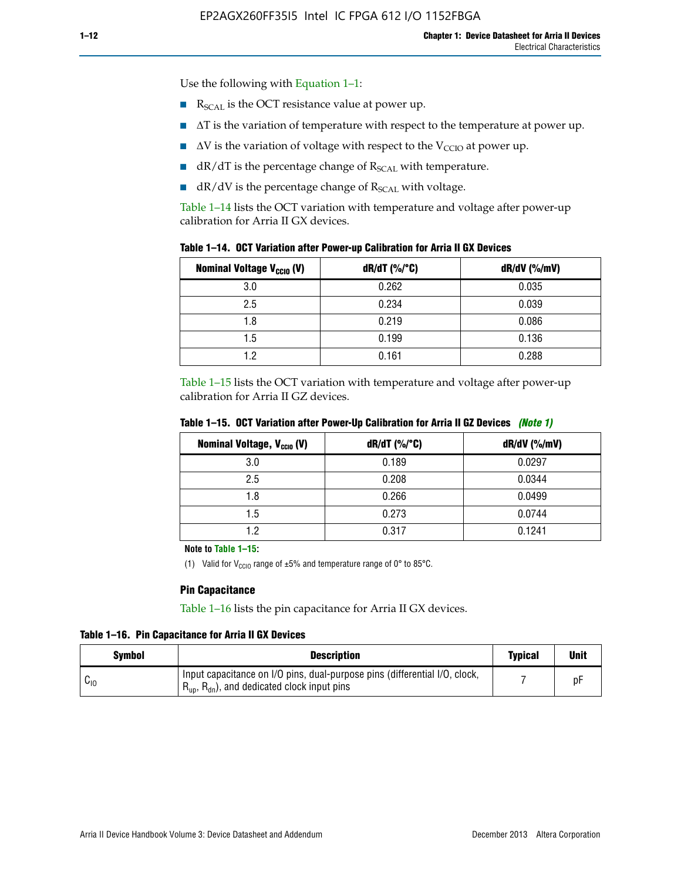Use the following with Equation 1–1:

- $\blacksquare$  R<sub>SCAL</sub> is the OCT resistance value at power up.
- $\blacksquare$   $\Delta T$  is the variation of temperature with respect to the temperature at power up.
- $\blacksquare$   $\Delta V$  is the variation of voltage with respect to the V<sub>CCIO</sub> at power up.
- $\blacksquare$  dR/dT is the percentage change of  $R_{\text{SCAL}}$  with temperature.
- $\blacksquare$  dR/dV is the percentage change of R<sub>SCAL</sub> with voltage.

Table 1–14 lists the OCT variation with temperature and voltage after power-up calibration for Arria II GX devices.

| Table 1-14. OCT Variation after Power-up Calibration for Arria II GX Devices |  |  |  |  |  |  |  |  |  |
|------------------------------------------------------------------------------|--|--|--|--|--|--|--|--|--|
|------------------------------------------------------------------------------|--|--|--|--|--|--|--|--|--|

| <b>Nominal Voltage V<sub>CCIO</sub> (V)</b> | $dR/dT$ (%/°C) | $dR/dV$ (%/mV) |
|---------------------------------------------|----------------|----------------|
| 3.0                                         | 0.262          | 0.035          |
| 2.5                                         | 0.234          | 0.039          |
| 1.8                                         | 0.219          | 0.086          |
| 1.5                                         | 0.199          | 0.136          |
| 1.2                                         | 0.161          | 0.288          |

Table 1–15 lists the OCT variation with temperature and voltage after power-up calibration for Arria II GZ devices.

| <b>Nominal Voltage, V<sub>ccio</sub> (V)</b> | $dR/dT$ (%/°C) | dR/dV (%/mV) |
|----------------------------------------------|----------------|--------------|
| 3.0                                          | 0.189          | 0.0297       |
| 2.5                                          | 0.208          | 0.0344       |
| 1.8                                          | 0.266          | 0.0499       |
| 1.5                                          | 0.273          | 0.0744       |
| 19                                           | 0.317          | 0.1241       |

**Table 1–15. OCT Variation after Power-Up Calibration for Arria II GZ Devices** *(Note 1)*

**Note to Table 1–15:**

(1) Valid for V<sub>CCIO</sub> range of  $\pm 5\%$  and temperature range of 0° to 85°C.

### **Pin Capacitance**

Table 1–16 lists the pin capacitance for Arria II GX devices.

**Table 1–16. Pin Capacitance for Arria II GX Devices**

| Symbol   | <b>Description</b>                                                                                                                               | <b>Typical</b> | <b>Unit</b> |
|----------|--------------------------------------------------------------------------------------------------------------------------------------------------|----------------|-------------|
| $v_{10}$ | Input capacitance on I/O pins, dual-purpose pins (differential I/O, clock,<br>$R_{\text{up}}$ , $R_{\text{dn}}$ , and dedicated clock input pins |                | D۲          |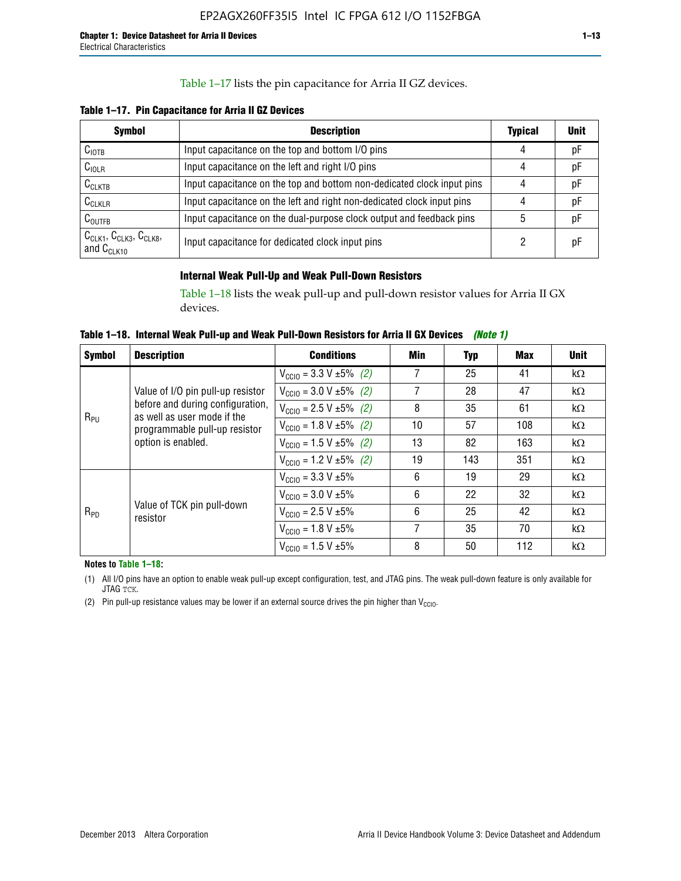### Table 1–17 lists the pin capacitance for Arria II GZ devices.

**Table 1–17. Pin Capacitance for Arria II GZ Devices** 

| <b>Symbol</b>                                    | <b>Description</b>                                                     | <b>Typical</b> | <b>Unit</b> |
|--------------------------------------------------|------------------------------------------------------------------------|----------------|-------------|
| C <sub>IOTB</sub>                                | Input capacitance on the top and bottom I/O pins                       | 4              | pF          |
| C <sub>IOLR</sub>                                | Input capacitance on the left and right I/O pins                       | 4              | pF          |
| $C_{CLKTB}$                                      | Input capacitance on the top and bottom non-dedicated clock input pins |                | рF          |
| $C_{CLKLR}$                                      | Input capacitance on the left and right non-dedicated clock input pins |                | pF          |
| $C_{\text{OUTFB}}$                               | Input capacitance on the dual-purpose clock output and feedback pins   | 5              | pF          |
| $CCLK1$ , $CCLK3$ , $CCLK8$ ,<br>and $C_{CLK10}$ | Input capacitance for dedicated clock input pins                       |                | рF          |

### **Internal Weak Pull-Up and Weak Pull-Down Resistors**

Table 1–18 lists the weak pull-up and pull-down resistor values for Arria II GX devices.

**Table 1–18. Internal Weak Pull-up and Weak Pull-Down Resistors for Arria II GX Devices** *(Note 1)* 

| <b>Symbol</b> | <b>Description</b>                                                                                                                                                                                                                                                                                                                                                                            | <b>Conditions</b>                             | Min | Typ       | Max | <b>Unit</b> |
|---------------|-----------------------------------------------------------------------------------------------------------------------------------------------------------------------------------------------------------------------------------------------------------------------------------------------------------------------------------------------------------------------------------------------|-----------------------------------------------|-----|-----------|-----|-------------|
|               |                                                                                                                                                                                                                                                                                                                                                                                               | $V_{\text{CC10}} = 3.3 \text{ V} \pm 5\%$ (2) | 7   | 25        | 41  | $k\Omega$   |
|               | 7<br>28<br>$V_{\text{CC10}} = 3.0 V \pm 5\%$ (2)<br>Value of I/O pin pull-up resistor<br>before and during configuration,<br>8<br>35<br>$V_{\text{CC10}} = 2.5 V \pm 5\%$ (2)<br>as well as user mode if the<br>57<br>10<br>$V_{\text{CC10}} = 1.8 \text{ V} \pm 5\%$ (2)<br>programmable pull-up resistor<br>13<br>82<br>option is enabled.<br>$V_{\text{CC10}} = 1.5 \text{ V} \pm 5\%$ (2) |                                               |     |           | 47  | $k\Omega$   |
|               |                                                                                                                                                                                                                                                                                                                                                                                               |                                               | 61  | $k\Omega$ |     |             |
|               |                                                                                                                                                                                                                                                                                                                                                                                               |                                               |     |           | 108 | $k\Omega$   |
|               |                                                                                                                                                                                                                                                                                                                                                                                               |                                               |     |           | 163 | $k\Omega$   |
|               |                                                                                                                                                                                                                                                                                                                                                                                               | $V_{\text{CC10}} = 1.2 V \pm 5\%$ (2)         | 19  | 143       | 351 | $k\Omega$   |
|               |                                                                                                                                                                                                                                                                                                                                                                                               | $V_{\text{CC10}} = 3.3 \text{ V} \pm 5\%$     | 6   | 19        | 29  | $k\Omega$   |
|               |                                                                                                                                                                                                                                                                                                                                                                                               | $V_{\text{CC10}} = 3.0 V \pm 5\%$             | 6   | 22        | 32  | $k\Omega$   |
| $R_{PD}$      | Value of TCK pin pull-down<br>resistor                                                                                                                                                                                                                                                                                                                                                        | $V_{\text{CC10}} = 2.5 V \pm 5\%$             | 6   | 25        | 42  | $k\Omega$   |
|               |                                                                                                                                                                                                                                                                                                                                                                                               | $V_{\text{CC10}} = 1.8 V \pm 5\%$             | 7   | 35        | 70  | $k\Omega$   |
| $R_{PU}$      |                                                                                                                                                                                                                                                                                                                                                                                               | $V_{\text{CC10}} = 1.5 V \pm 5\%$             | 8   | 50        | 112 | $k\Omega$   |

**Notes to Table 1–18:**

(1) All I/O pins have an option to enable weak pull-up except configuration, test, and JTAG pins. The weak pull-down feature is only available for JTAG TCK.

(2) Pin pull-up resistance values may be lower if an external source drives the pin higher than  $V_{\text{CCIO}}$ .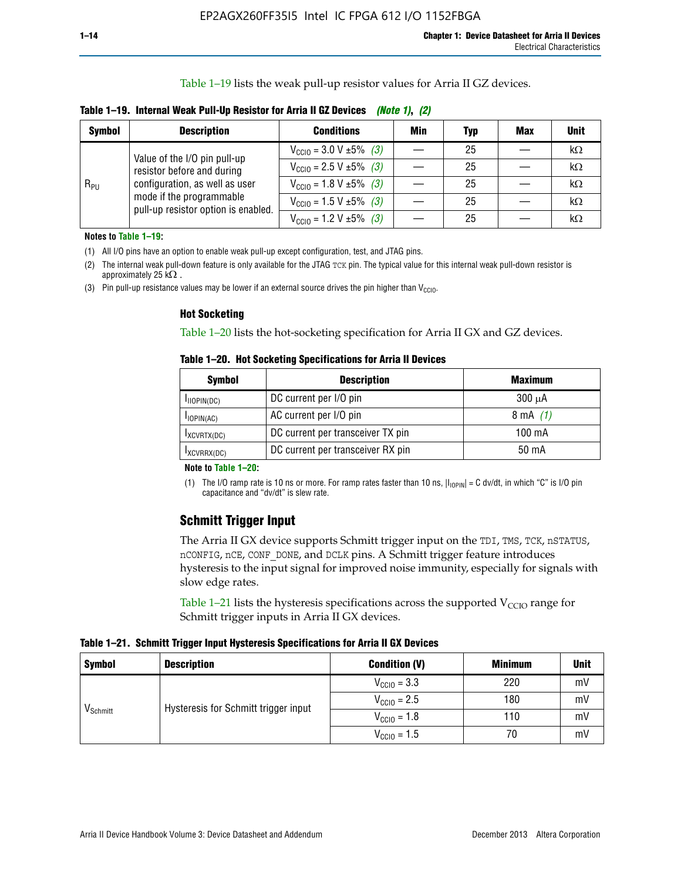Table 1–19 lists the weak pull-up resistor values for Arria II GZ devices.

**Table 1–19. Internal Weak Pull-Up Resistor for Arria II GZ Devices** *(Note 1)***,** *(2)*

| <b>Symbol</b> | <b>Description</b>                                                                                                              | <b>Conditions</b>                                    | Min | Typ | <b>Max</b> | <b>Unit</b> |
|---------------|---------------------------------------------------------------------------------------------------------------------------------|------------------------------------------------------|-----|-----|------------|-------------|
|               | Value of the I/O pin pull-up                                                                                                    | $V_{\text{CC10}} = 3.0 V \pm 5\%$ (3)                |     | 25  |            | kΩ          |
| $R_{PU}$      | resistor before and during<br>configuration, as well as user<br>mode if the programmable<br>pull-up resistor option is enabled. | $V_{\text{CC10}} = 2.5 V \pm 5\%$ (3)                |     | 25  |            | kΩ          |
|               |                                                                                                                                 | $V_{\text{CC10}} = 1.8 \text{ V } \pm 5\% \quad (3)$ |     | 25  |            | kΩ          |
|               |                                                                                                                                 | $V_{\text{CC10}} = 1.5 \text{ V} \pm 5\%$ (3)        |     | 25  |            | kΩ          |
|               |                                                                                                                                 | $V_{\text{CC10}} = 1.2 V \pm 5\%$ (3)                |     | 25  |            | kΩ          |

**Notes to Table 1–19:**

(1) All I/O pins have an option to enable weak pull-up except configuration, test, and JTAG pins.

(2) The internal weak pull-down feature is only available for the JTAG TCK pin. The typical value for this internal weak pull-down resistor is approximately 25 k $\Omega$ .

(3) Pin pull-up resistance values may be lower if an external source drives the pin higher than  $V_{\text{CCIO}}$ .

#### **Hot Socketing**

Table 1–20 lists the hot-socketing specification for Arria II GX and GZ devices.

**Table 1–20. Hot Socketing Specifications for Arria II Devices** 

| <b>Symbol</b> | <b>Description</b>                | <b>Maximum</b>     |
|---------------|-----------------------------------|--------------------|
| IIOPIN(DC)    | DC current per I/O pin            | $300 \mu A$        |
| $I$ IOPIN(AC) | AC current per I/O pin            | $8 \text{ mA}$ (1) |
| IXCVRTX(DC)   | DC current per transceiver TX pin | 100 mA             |
| IXCVRRX(DC)   | DC current per transceiver RX pin | 50 mA              |

#### **Note to Table 1–20:**

(1) The I/O ramp rate is 10 ns or more. For ramp rates faster than 10 ns,  $|I_{10\text{PIN}}| = C$  dv/dt, in which "C" is I/O pin capacitance and "dv/dt" is slew rate.

# **Schmitt Trigger Input**

The Arria II GX device supports Schmitt trigger input on the TDI, TMS, TCK, nSTATUS, nCONFIG, nCE, CONF\_DONE, and DCLK pins. A Schmitt trigger feature introduces hysteresis to the input signal for improved noise immunity, especially for signals with slow edge rates.

Table 1–21 lists the hysteresis specifications across the supported  $V<sub>CCIO</sub>$  range for Schmitt trigger inputs in Arria II GX devices.

**Table 1–21. Schmitt Trigger Input Hysteresis Specifications for Arria II GX Devices**

| <b>Symbol</b>        | <b>Description</b>                   | <b>Condition (V)</b>    | <b>Minimum</b> | <b>Unit</b> |
|----------------------|--------------------------------------|-------------------------|----------------|-------------|
|                      |                                      | $V_{\text{CGI0}} = 3.3$ | 220            | mV          |
|                      | Hysteresis for Schmitt trigger input | $V_{\text{CCIO}} = 2.5$ | 180            | mV          |
| V <sub>Schmitt</sub> |                                      | $V_{\text{CCIO}} = 1.8$ | 110            | mV          |
|                      |                                      | $V_{\text{CCIO}} = 1.5$ | 70             | mV          |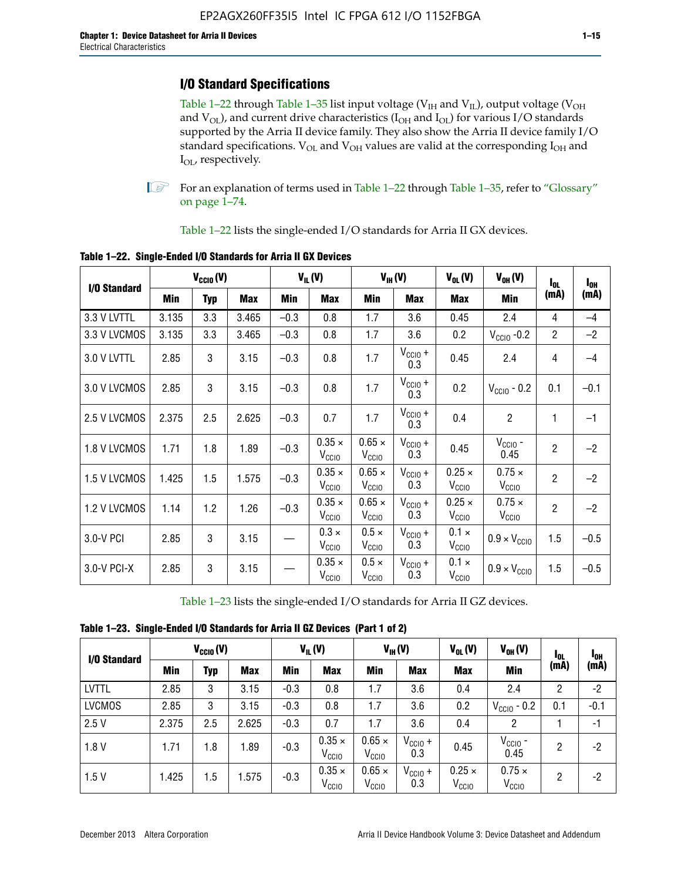# **I/O Standard Specifications**

Table 1–22 through Table 1–35 list input voltage ( $V_{IH}$  and  $V_{IL}$ ), output voltage ( $V_{OH}$ and  $V_{OL}$ ), and current drive characteristics ( $I_{OH}$  and  $I_{OL}$ ) for various I/O standards supported by the Arria II device family. They also show the Arria II device family I/O standard specifications.  $V_{OL}$  and  $V_{OH}$  values are valid at the corresponding  $I_{OH}$  and I<sub>OL</sub>, respectively.

**1.** For an explanation of terms used in Table 1–22 through Table 1–35, refer to "Glossary" on page 1–74.

Table 1–22 lists the single-ended I/O standards for Arria II GX devices.

| I/O Standard |            | $V_{CCl0} (V)$ |            |        | $V_{IL}(V)$                        |                                    | $V_{IH}(V)$                | $V_{OL}(V)$                        | $V_{OH} (V)$                       | $I_{0L}$       | $I_{0H}$ |
|--------------|------------|----------------|------------|--------|------------------------------------|------------------------------------|----------------------------|------------------------------------|------------------------------------|----------------|----------|
|              | <b>Min</b> | <b>Typ</b>     | <b>Max</b> | Min    | <b>Max</b>                         | Min                                | <b>Max</b>                 | Max                                | Min                                | (mA)           | (mA)     |
| 3.3 V LVTTL  | 3.135      | 3.3            | 3.465      | $-0.3$ | 0.8                                | 1.7                                | 3.6                        | 0.45                               | 2.4                                | 4              | $-4$     |
| 3.3 V LVCMOS | 3.135      | 3.3            | 3.465      | $-0.3$ | 0.8                                | 1.7                                | 3.6                        | 0.2                                | $V_{\text{CCIO}}$ -0.2             | $\overline{2}$ | $-2$     |
| 3.0 V LVTTL  | 2.85       | 3              | 3.15       | $-0.3$ | 0.8                                | 1.7                                | $V_{\text{CCIO}} +$<br>0.3 | 0.45                               | 2.4                                | 4              | $-4$     |
| 3.0 V LVCMOS | 2.85       | 3              | 3.15       | $-0.3$ | 0.8                                | 1.7                                | $V_{\text{CCIO}} +$<br>0.3 | 0.2                                | $V_{\text{CGIO}}$ - 0.2            | 0.1            | $-0.1$   |
| 2.5 V LVCMOS | 2.375      | 2.5            | 2.625      | $-0.3$ | 0.7                                | 1.7                                | $V_{\text{CCIO}} +$<br>0.3 | 0.4                                | $\overline{2}$                     | 1              | $-1$     |
| 1.8 V LVCMOS | 1.71       | 1.8            | 1.89       | $-0.3$ | $0.35 \times$<br>V <sub>CCIO</sub> | $0.65 \times$<br>V <sub>CClO</sub> | $V_{CC10} +$<br>0.3        | 0.45                               | $V_{CGIO}$ -<br>0.45               | $\overline{2}$ | $-2$     |
| 1.5 V LVCMOS | 1.425      | 1.5            | 1.575      | $-0.3$ | $0.35 \times$<br>V <sub>CCIO</sub> | $0.65 \times$<br>V <sub>CClO</sub> | $V_{CClO}$ +<br>0.3        | $0.25 \times$<br>V <sub>CCIO</sub> | $0.75 \times$<br>V <sub>CCIO</sub> | $\overline{2}$ | $-2$     |
| 1.2 V LVCMOS | 1.14       | 1.2            | 1.26       | $-0.3$ | $0.35 \times$<br>V <sub>CCIO</sub> | $0.65 \times$<br>V <sub>CClO</sub> | $V_{CC10} +$<br>0.3        | $0.25 \times$<br>V <sub>CCIO</sub> | $0.75 \times$<br>V <sub>CCIO</sub> | $\overline{2}$ | $-2$     |
| 3.0-V PCI    | 2.85       | 3              | 3.15       |        | $0.3 \times$<br>V <sub>CCIO</sub>  | $0.5 \times$<br>V <sub>CCIO</sub>  | $V_{CC10} +$<br>0.3        | $0.1 \times$<br>V <sub>CCIO</sub>  | $0.9 \times V_{\text{CC10}}$       | 1.5            | $-0.5$   |
| 3.0-V PCI-X  | 2.85       | 3              | 3.15       |        | $0.35 \times$<br>V <sub>CCIO</sub> | $0.5 \times$<br>$V_{\rm CClO}$     | $V_{CCIO} +$<br>0.3        | $0.1 \times$<br>V <sub>CCIO</sub>  | $0.9 \times V_{\text{CC10}}$       | 1.5            | $-0.5$   |

**Table 1–22. Single-Ended I/O Standards for Arria II GX Devices**

Table 1–23 lists the single-ended I/O standards for Arria II GZ devices.

|  |  |  | Table 1-23. Single-Ended I/O Standards for Arria II GZ Devices (Part 1 of 2) |  |
|--|--|--|------------------------------------------------------------------------------|--|
|--|--|--|------------------------------------------------------------------------------|--|

|               |       | $V_{\text{CCIO}}(V)$ |            |            | $V_{IL}(V)$                        |                                    | $V_{IH} (V)$               | $V_{OL}(V)$                        | $V_{OH} (V)$                       | l <sub>ol</sub> | 1 <sub>0H</sub> |
|---------------|-------|----------------------|------------|------------|------------------------------------|------------------------------------|----------------------------|------------------------------------|------------------------------------|-----------------|-----------------|
| I/O Standard  | Min   | Typ                  | <b>Max</b> | <b>Min</b> | <b>Max</b>                         | Min                                | <b>Max</b>                 | <b>Max</b>                         | <b>Min</b>                         | (mA)            | (mA)            |
| <b>LVTTL</b>  | 2.85  | 3                    | 3.15       | $-0.3$     | 0.8                                | 1.7                                | 3.6                        | 0.4                                | 2.4                                | 2               | $-2$            |
| <b>LVCMOS</b> | 2.85  | 3                    | 3.15       | $-0.3$     | 0.8                                | 1.7                                | 3.6                        | 0.2                                | $V_{\text{CCIO}}$ - 0.2            | 0.1             | $-0.1$          |
| 2.5V          | 2.375 | 2.5                  | 2.625      | $-0.3$     | 0.7                                | 1.7                                | 3.6                        | 0.4                                | 2                                  |                 | $-1$            |
| 1.8V          | 1.71  | 1.8                  | 1.89       | $-0.3$     | $0.35 \times$<br>V <sub>CCIO</sub> | $0.65 \times$<br>V <sub>CCIO</sub> | $V_{\text{CC1O}} +$<br>0.3 | 0.45                               | $V_{CGIO}$ -<br>0.45               | 2               | -2              |
| 1.5V          | 1.425 | 1.5                  | .575       | $-0.3$     | $0.35 \times$<br>V <sub>CCIO</sub> | $0.65 \times$<br>V <sub>CCIO</sub> | $V_{\text{CC10}} +$<br>0.3 | $0.25 \times$<br>V <sub>CCIO</sub> | $0.75 \times$<br>V <sub>CCIO</sub> | 2               | -2              |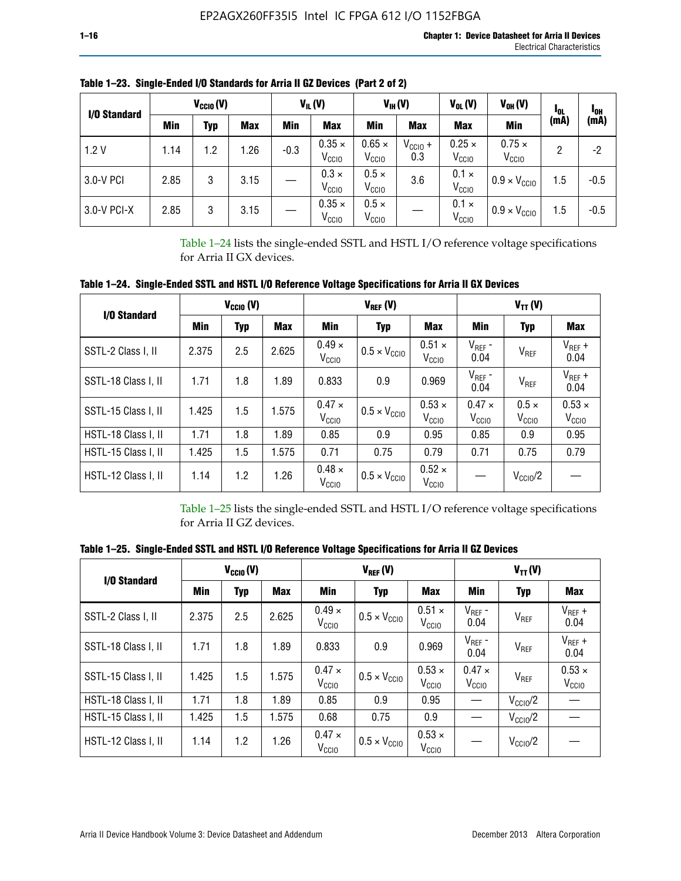| I/O Standard |      | $V_{\text{CCIO}}(V)$ |            |        | $V_{IL}(V)$                        |                                    | $V_{IH} (V)$        | $V_{OL}(V)$                        | $V_{OH} (V)$                       | <sup>1</sup> OL |                         |
|--------------|------|----------------------|------------|--------|------------------------------------|------------------------------------|---------------------|------------------------------------|------------------------------------|-----------------|-------------------------|
|              | Min  | Typ                  | <b>Max</b> | Min    | <b>Max</b>                         | Min                                | <b>Max</b>          | <b>Max</b>                         | <b>Min</b>                         | (mA)            | <sup>1</sup> OH<br>(mA) |
| 1.2V         | 1.14 | 1.2                  | 1.26       | $-0.3$ | $0.35 \times$<br>V <sub>CCIO</sub> | $0.65 \times$<br>V <sub>CCIO</sub> | $V_{CC10}$ +<br>0.3 | $0.25 \times$<br>V <sub>CCIO</sub> | $0.75 \times$<br>V <sub>CCIO</sub> | 2               | -2                      |
| 3.0-V PCI    | 2.85 | 3                    | 3.15       |        | $0.3 \times$<br>V <sub>CCIO</sub>  | $0.5 \times$<br>V <sub>CCIO</sub>  | 3.6                 | $0.1 \times$<br>V <sub>CCIO</sub>  | $0.9 \times V_{\text{CC10}}$       | 1.5             | $-0.5$                  |
| 3.0-V PCI-X  | 2.85 | 3                    | 3.15       |        | $0.35 \times$<br>V <sub>CCIO</sub> | $0.5 \times$<br>V <sub>CCIO</sub>  |                     | $0.1 \times$<br>V <sub>CCIO</sub>  | $0.9 \times V_{\text{CC10}}$       | 1.5             | $-0.5$                  |

**Table 1–23. Single-Ended I/O Standards for Arria II GZ Devices (Part 2 of 2)**

Table 1–24 lists the single-ended SSTL and HSTL I/O reference voltage specifications for Arria II GX devices.

**Table 1–24. Single-Ended SSTL and HSTL I/O Reference Voltage Specifications for Arria II GX Devices**

| I/O Standard        |       | $V_{\text{CCIO}}(V)$ |            |                                    | $V_{REF}(V)$                 |                                    |                                    | $V_{TT} (V)$                      |                                    |
|---------------------|-------|----------------------|------------|------------------------------------|------------------------------|------------------------------------|------------------------------------|-----------------------------------|------------------------------------|
|                     | Min   | <b>Typ</b>           | <b>Max</b> | Min                                | <b>Typ</b>                   | <b>Max</b>                         | Min                                | <b>Typ</b>                        | Max                                |
| SSTL-2 Class I, II  | 2.375 | 2.5                  | 2.625      | $0.49 \times$<br>V <sub>CCIO</sub> | $0.5 \times V_{\text{CCIO}}$ |                                    | $V_{REF}$ -<br>0.04                | $V_{REF}$                         | $V_{REF}$ +<br>0.04                |
| SSTL-18 Class I, II | 1.71  | 1.8                  | 1.89       | 0.833                              | 0.9                          | 0.969                              | $V_{REF}$ -<br>0.04                | $V_{REF}$                         | $V_{REF}$ +<br>0.04                |
| SSTL-15 Class I, II | 1.425 | 1.5                  | 1.575      | $0.47 \times$<br>V <sub>CCIO</sub> | $0.5 \times V_{\text{CCIO}}$ | $0.53 \times$<br>V <sub>CClO</sub> | $0.47 \times$<br>V <sub>CCIO</sub> | $0.5 \times$<br>V <sub>CCIO</sub> | $0.53 \times$<br>V <sub>CCIO</sub> |
| HSTL-18 Class I, II | 1.71  | 1.8                  | 1.89       | 0.85                               | 0.9                          | 0.95                               | 0.85                               | 0.9                               | 0.95                               |
| HSTL-15 Class I, II | 1.425 | 1.5                  | 1.575      | 0.71                               | 0.75                         | 0.79                               | 0.71                               | 0.75                              | 0.79                               |
| HSTL-12 Class I, II | 1.14  | 1.2                  | 1.26       | $0.48 \times$<br>V <sub>CCIO</sub> | $0.5 \times V_{\text{CC10}}$ | $0.52 \times$<br>V <sub>CCIO</sub> |                                    | $V_{\text{CCIO}}/2$               |                                    |

Table 1–25 lists the single-ended SSTL and HSTL I/O reference voltage specifications for Arria II GZ devices.

**Table 1–25. Single-Ended SSTL and HSTL I/O Reference Voltage Specifications for Arria II GZ Devices** 

| I/O Standard        |       | $V_{\text{CCIO}}(V)$ |            |                                    | $V_{REF}(V)$                 |                                    |                                   | $V_{TT}(V)$         |                                    |
|---------------------|-------|----------------------|------------|------------------------------------|------------------------------|------------------------------------|-----------------------------------|---------------------|------------------------------------|
|                     | Min   | <b>Typ</b>           | <b>Max</b> | Min                                | Typ                          | <b>Max</b>                         | Min                               | Typ                 | Max                                |
| SSTL-2 Class I, II  | 2.375 | 2.5                  | 2.625      | $0.49 \times$<br>V <sub>CCIO</sub> | $0.5 \times V_{\text{CC10}}$ | $0.51 \times$<br>V <sub>CCIO</sub> | $V_{REF}$ -<br>0.04               | V <sub>REF</sub>    | $V_{REF}$ +<br>0.04                |
| SSTL-18 Class I, II | 1.71  | 1.8                  | 1.89       | 0.833                              | 0.9                          | 0.969                              | $V_{REF}$ -<br>0.04               | V <sub>REF</sub>    | $V_{REF}$ +<br>0.04                |
| SSTL-15 Class I, II | 1.425 | 1.5                  | 1.575      | $0.47 \times$<br>V <sub>CCIO</sub> | $0.5 \times V_{\text{CC10}}$ | $0.53 \times$<br>V <sub>CCIO</sub> | $0.47 \times$<br>V <sub>CCD</sub> | V <sub>REF</sub>    | $0.53 \times$<br>V <sub>CCIO</sub> |
| HSTL-18 Class I, II | 1.71  | 1.8                  | 1.89       | 0.85                               | 0.9                          | 0.95                               |                                   | $V_{\text{CC10}}/2$ |                                    |
| HSTL-15 Class I, II | 1.425 | 1.5                  | 1.575      | 0.68                               | 0.75                         | 0.9                                |                                   | $V_{\rm CC10}$ /2   |                                    |
| HSTL-12 Class I, II | 1.14  | 1.2                  | 1.26       | $0.47 \times$<br>V <sub>CCIO</sub> | $0.5 \times V_{\text{CC10}}$ | $0.53 \times$<br>V <sub>CCIO</sub> |                                   | $V_{\text{CC10}}/2$ |                                    |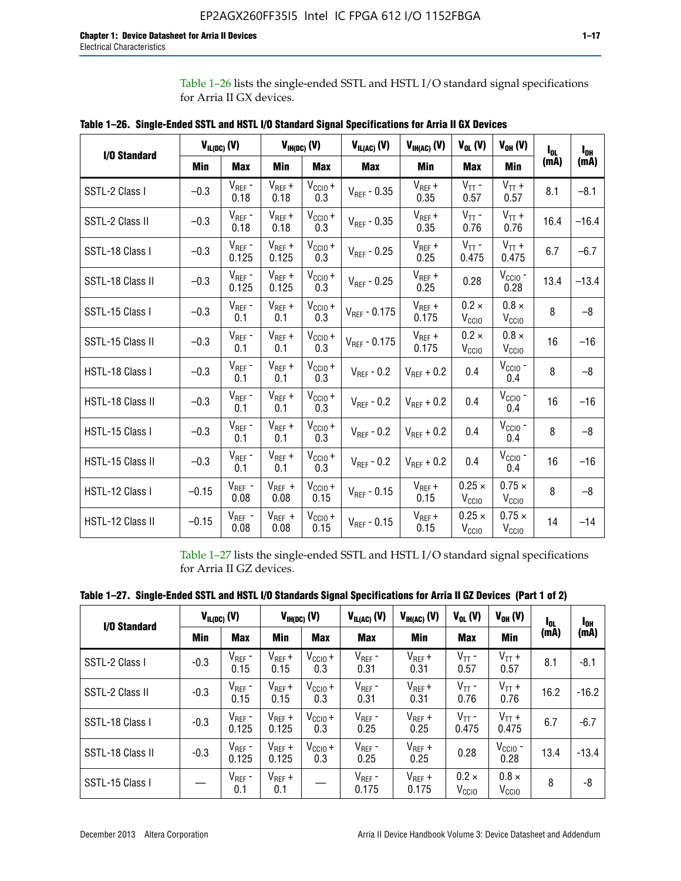Table 1–26 lists the single-ended SSTL and HSTL I/O standard signal specifications for Arria II GX devices.

| <b>I/O Standard</b> | $V_{IL(DC)}(V)$ |                                      |                      | $V_{IH(DC)}(V)$             | $V_{IL(AC)}(V)$   | $V_{IH(AC)}$ (V)     | $V_{OL}$ (V)                       | $V_{OH} (V)$                       | l <sub>ol.</sub> | $I_{0H}$ |
|---------------------|-----------------|--------------------------------------|----------------------|-----------------------------|-------------------|----------------------|------------------------------------|------------------------------------|------------------|----------|
|                     | Min             | <b>Max</b>                           | Min                  | <b>Max</b>                  | <b>Max</b>        | Min                  | <b>Max</b>                         | <b>Min</b>                         | (mA)             | (mA)     |
| SSTL-2 Class I      | $-0.3$          | $V_{REF}$ -<br>0.18                  | $V_{REF} +$<br>0.18  | $V_{\text{CCIO}} +$<br>0.3  | $V_{REF}$ - 0.35  | $V_{REF} +$<br>0.35  | $V_{TT}$ -<br>0.57                 | $V_{TT}$ +<br>0.57                 | 8.1              | $-8.1$   |
| SSTL-2 Class II     | $-0.3$          | $V_{REF}$ -<br>0.18                  | $V_{REF} +$<br>0.18  | $V_{CCIO} +$<br>0.3         | $V_{REF} - 0.35$  | $V_{REF} +$<br>0.35  | $V_{TT}$ -<br>0.76                 | $V_{TT}$ +<br>0.76                 | 16.4             | $-16.4$  |
| SSTL-18 Class I     | $-0.3$          | $V_{REF}$ -<br>0.125                 | $V_{REF}$ +<br>0.125 | $V_{\text{CC1O}} +$<br>0.3  | $V_{REF}$ - 0.25  | $V_{REF}$ +<br>0.25  | $V_{TT}$ -<br>0.475                | $V_{TT}$ +<br>0.475                | 6.7              | $-6.7$   |
| SSTL-18 Class II    | $-0.3$          | $V_{REF}$ -<br>0.125                 | $V_{REF}$ +<br>0.125 | $V_{\text{CCIO}} +$<br>0.3  | $V_{REF}$ - 0.25  | $V_{REF}$ +<br>0.25  | 0.28                               | $V_{CGIO}$ -<br>0.28               | 13.4             | $-13.4$  |
| SSTL-15 Class I     | $-0.3$          | $V_{REF}$ -<br>0.1                   | $V_{REF}$ +<br>0.1   | $V_{\text{CCIO}} +$<br>0.3  | $V_{REF}$ - 0.175 | $V_{REF}$ +<br>0.175 | $0.2 \times$<br>V <sub>CCIO</sub>  | $0.8 \times$<br>V <sub>CCIO</sub>  | 8                | $-8$     |
| SSTL-15 Class II    | $-0.3$          | $V_{REF}$ -<br>0.1                   | $V_{REF}$ +<br>0.1   | $V_{\text{CCIO}} +$<br>0.3  | $V_{REF} - 0.175$ | $V_{REF}$ +<br>0.175 | $0.2 \times$<br>V <sub>CCIO</sub>  | $0.8 \times$<br>V <sub>CCIO</sub>  | 16               | $-16$    |
| HSTL-18 Class I     | $-0.3$          | $V_{REF}$ -<br>0.1                   | $V_{REF}$ +<br>0.1   | $V_{\text{CCIO}} +$<br>0.3  | $V_{REF} - 0.2$   | $V_{REF}$ + 0.2      | 0.4                                | $V_{CGIO}$ -<br>0.4                | 8                | $-8$     |
| HSTL-18 Class II    | $-0.3$          | $V_{REF}$ -<br>0.1                   | $V_{REF}$ +<br>0.1   | $V_{\text{CC1O}} +$<br>0.3  | $V_{REF}$ - 0.2   | $V_{REF}$ + 0.2      | 0.4                                | $V_{\text{CCIO}}$ -<br>0.4         | 16               | $-16$    |
| HSTL-15 Class I     | $-0.3$          | $V_{REF}$ -<br>0.1                   | $V_{REF}$ +<br>0.1   | $V_{\text{CC1O}} +$<br>0.3  | $V_{REF} - 0.2$   | $V_{REF}$ + 0.2      | 0.4                                | $V_{\text{CCIO}}$ -<br>0.4         | 8                | $-8$     |
| HSTL-15 Class II    | $-0.3$          | $\mathsf{V}_{\mathsf{REF}}$ -<br>0.1 | $V_{REF}$ +<br>0.1   | $V_{\text{CCIO}} +$<br>0.3  | $V_{REF}$ - 0.2   | $V_{REF}$ + 0.2      | 0.4                                | $V_{CCIO}$ -<br>0.4                | 16               | $-16$    |
| HSTL-12 Class I     | $-0.15$         | $V_{REF}$ -<br>0.08                  | $V_{REF}$ +<br>0.08  | $V_{CClO} +$<br>0.15        | $V_{REF} - 0.15$  | $V_{REF} +$<br>0.15  | $0.25 \times$<br>V <sub>CCIO</sub> | $0.75 \times$<br>V <sub>CCIO</sub> | 8                | $-8$     |
| HSTL-12 Class II    | $-0.15$         | $V_{REF}$ -<br>0.08                  | $V_{REF}$ +<br>0.08  | $V_{\text{CCIO}} +$<br>0.15 | $V_{REF}$ - 0.15  | $V_{REF} +$<br>0.15  | $0.25 \times$<br>V <sub>CCIO</sub> | $0.75 \times$<br>V <sub>CCIO</sub> | 14               | $-14$    |

**Table 1–26. Single-Ended SSTL and HSTL I/O Standard Signal Specifications for Arria II GX Devices** 

Table 1–27 lists the single-ended SSTL and HSTL I/O standard signal specifications for Arria II GZ devices.

| Table 1–27. Single-Ended SSTL and HSTL I/O Standards Signal Specifications for Arria II GZ Devices (Part 1 of 2) |  |  |  |  |
|------------------------------------------------------------------------------------------------------------------|--|--|--|--|
|                                                                                                                  |  |  |  |  |

| I/O Standard     |        | $V_{IL(DC)}$ (V)     |                      | $V_{IH(DC)}$ (V)           | $V_{IL(AC)}$ (V)     | $V_{IH(AC)}(V)$      | $V_{OL}$ (V)                      | $V_{OH} (V)$                   | l <sub>OL</sub> | 1 <sub>0H</sub> |
|------------------|--------|----------------------|----------------------|----------------------------|----------------------|----------------------|-----------------------------------|--------------------------------|-----------------|-----------------|
|                  | Min    | <b>Max</b>           | Min                  | <b>Max</b>                 | <b>Max</b>           | Min                  | <b>Max</b>                        | Min                            | (mA)            | (mA)            |
| SSTL-2 Class I   | $-0.3$ | $V_{REF}$ -<br>0.15  | $V_{REF} +$<br>0.15  | $V_{CCIO} +$<br>0.3        | $V_{REF}$ -<br>0.31  | $V_{REF} +$<br>0.31  | $V_{TT}$ -<br>0.57                | $V_{TT}$ +<br>0.57             | 8.1             | $-8.1$          |
| SSTL-2 Class II  | $-0.3$ | $V_{REF}$ -<br>0.15  | $V_{REF} +$<br>0.15  | $V_{\text{CC1O}} +$<br>0.3 | $V_{REF}$ -<br>0.31  | $V_{REF} +$<br>0.31  | $V_{TT}$ -<br>0.76                | $V_{TT}$ +<br>0.76             | 16.2            | $-16.2$         |
| SSTL-18 Class I  | $-0.3$ | $V_{REF}$ -<br>0.125 | $V_{REF}$ +<br>0.125 | $V_{\text{CC1O}} +$<br>0.3 | $V_{REF}$ -<br>0.25  | $V_{REF}$ +<br>0.25  | $V_{TT}$ -<br>0.475               | $V_{TT}$ +<br>0.475            | 6.7             | $-6.7$          |
| SSTL-18 Class II | $-0.3$ | $V_{REF}$ -<br>0.125 | $V_{REF}$ +<br>0.125 | $V_{\text{CC1O}} +$<br>0.3 | $V_{REF}$ -<br>0.25  | $V_{REF}$ +<br>0.25  | 0.28                              | $V_{\rm CCIO}$ -<br>0.28       | 13.4            | $-13.4$         |
| SSTL-15 Class I  |        | $V_{REF}$ -<br>0.1   | $V_{REF}$ +<br>0.1   |                            | $V_{REF}$ -<br>0.175 | $V_{REF}$ +<br>0.175 | $0.2 \times$<br>V <sub>CCIO</sub> | $0.8 \times$<br>$V_{\rm CClO}$ | 8               | -8              |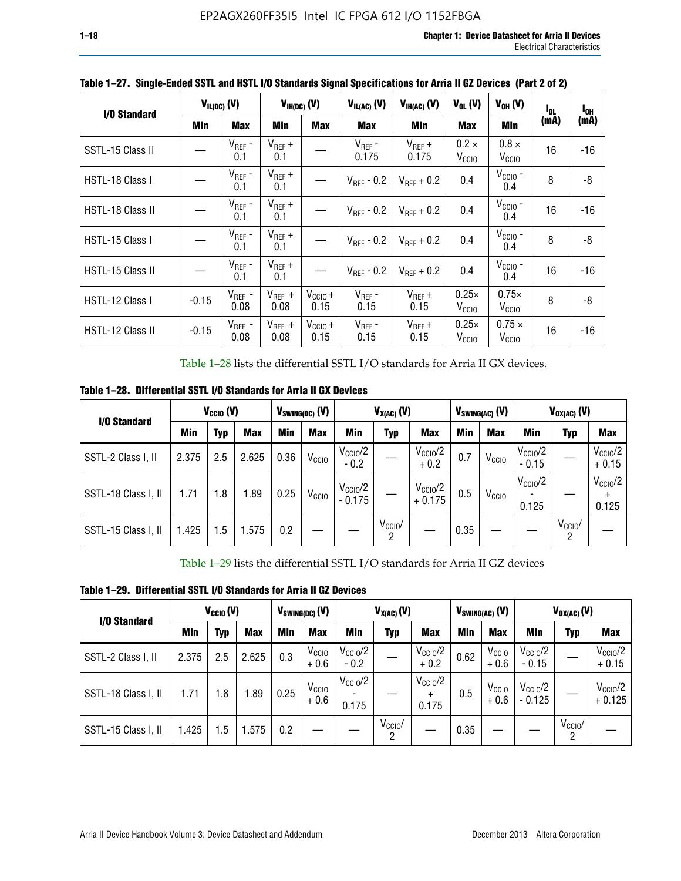| I/O Standard     |            | $V_{IL(DC)}$ (V)    |                     | $V_{IH(DC)}$ (V)            | $V_{IL(AC)}$ (V)       | $V_{IH(AC)}(V)$        | $V_{OL}$ (V)                      | $V_{OH} (V)$                       | l <sub>ol</sub> | $I_{0H}$ |
|------------------|------------|---------------------|---------------------|-----------------------------|------------------------|------------------------|-----------------------------------|------------------------------------|-----------------|----------|
|                  | <b>Min</b> | <b>Max</b>          | Min                 | <b>Max</b>                  | <b>Max</b>             | <b>Min</b>             | <b>Max</b>                        | Min                                | (mA)            | (mA)     |
| SSTL-15 Class II |            | $V_{REF}$ -<br>0.1  | $V_{REF}$ +<br>0.1  |                             | $V_{REF}$ -<br>0.175   | $V_{REF}$ +<br>0.175   | $0.2 \times$<br>V <sub>CCIO</sub> | $0.8 \times$<br>V <sub>CCIO</sub>  | 16              | -16      |
| HSTL-18 Class I  |            | $V_{REF}$ -<br>0.1  | $V_{REF}$ +<br>0.1  |                             | $V_{\text{RFF}}$ - 0.2 | $V_{RFF}$ + 0.2        | 0.4                               | $V_{\text{CCIO}}$ -<br>0.4         | 8               | -8       |
| HSTL-18 Class II |            | $V_{REF}$ -<br>0.1  | $V_{REF}$ +<br>0.1  |                             | $V_{\text{RFF}}$ - 0.2 | $V_{RFF}$ + 0.2        | 0.4                               | $V_{\text{CCIO}}$ -<br>0.4         | 16              | $-16$    |
| HSTL-15 Class I  |            | $V_{REF}$ -<br>0.1  | $V_{REF}$ +<br>0.1  |                             | $V_{BFF}$ - 0.2        | $V_{\text{RFF}} + 0.2$ | 0.4                               | $V_{CCIO}$ -<br>0.4                | 8               | -8       |
| HSTL-15 Class II |            | $V_{REF}$ -<br>0.1  | $V_{REF}$ +<br>0.1  |                             | $V_{REF}$ - 0.2        | $V_{REF}$ + 0.2        | 0.4                               | $V_{\text{CCIO}}$ -<br>0.4         | 16              | $-16$    |
| HSTL-12 Class I  | $-0.15$    | $V_{REF}$ -<br>0.08 | $V_{REF}$ +<br>0.08 | $V_{CCIO} +$<br>0.15        | $V_{REF}$ -<br>0.15    | $V_{REF} +$<br>0.15    | $0.25\times$<br>V <sub>CCIO</sub> | $0.75\times$<br>V <sub>CCIO</sub>  | 8               | -8       |
| HSTL-12 Class II | $-0.15$    | $V_{REF}$ -<br>0.08 | $V_{REF}$ +<br>0.08 | $V_{\text{CC1O}} +$<br>0.15 | $V_{REF}$ -<br>0.15    | $V_{REF}$ +<br>0.15    | $0.25\times$<br>V <sub>CCIO</sub> | $0.75 \times$<br>V <sub>CCIO</sub> | 16              | -16      |

**Table 1–27. Single-Ended SSTL and HSTL I/O Standards Signal Specifications for Arria II GZ Devices (Part 2 of 2)**

Table 1–28 lists the differential SSTL I/O standards for Arria II GX devices.

**Table 1–28. Differential SSTL I/O Standards for Arria II GX Devices**

| I/O Standard        |       | $V_{\text{CCIO}}(V)$ |            |            | $V_{SWING(DC)}$ (V) |                                 | $V_{X(AC)}(V)$  |                                 |      | $V_{SWING(AC)}$ (V) |                              | $V_{OX(AC)}$ (V) |                                |
|---------------------|-------|----------------------|------------|------------|---------------------|---------------------------------|-----------------|---------------------------------|------|---------------------|------------------------------|------------------|--------------------------------|
|                     | Min   | Typ                  | <b>Max</b> | <b>Min</b> | <b>Max</b>          | Min                             | Typ             | <b>Max</b>                      | Min  | <b>Max</b>          | Min                          | Typ              | <b>Max</b>                     |
| SSTL-2 Class I, II  | 2.375 | 2.5                  | 2.625      | 0.36       | V <sub>CCIO</sub>   | $V_{\text{CC10}}/2$<br>$-0.2$   |                 | $V_{\rm CC10}$ /2<br>$+0.2$     | 0.7  | V <sub>CCIO</sub>   | $V_{\rm CC10}$ /2<br>$-0.15$ |                  | $V_{\text{CCIO}}/2$<br>$+0.15$ |
| SSTL-18 Class I, II | 1.71  | 1.8                  | l.89       | 0.25       | V <sub>CCIO</sub>   | $V_{\text{CCIO}}/2$<br>$-0.175$ |                 | $V_{\text{CC10}}/2$<br>$+0.175$ | 0.5  | V <sub>CCIO</sub>   | $V_{\text{CC10}}/2$<br>0.125 |                  | $V_{\text{CCIO}}/2$<br>0.125   |
| SSTL-15 Class I, II | 1.425 | 1.5                  | .575       | 0.2        |                     |                                 | $V_{CCIO}$<br>2 |                                 | 0.35 |                     |                              | $V_{CCIO}$<br>റ  |                                |

Table 1–29 lists the differential SSTL I/O standards for Arria II GZ devices

**Table 1–29. Differential SSTL I/O Standards for Arria II GZ Devices**

| I/O Standard        |       | $V_{\text{CCIO}}(V)$ |            |      | $V_{SWING(DC)}(V)$          |                               | $V_{X(AC)}(V)$      |                                   |      | $V_{SWING(AC)}$ (V)         |                                | $V_{OX(AC)}(V)$ |                                 |
|---------------------|-------|----------------------|------------|------|-----------------------------|-------------------------------|---------------------|-----------------------------------|------|-----------------------------|--------------------------------|-----------------|---------------------------------|
|                     | Min   | Typ                  | <b>Max</b> | Min  | <b>Max</b>                  | Min                           | Typ                 | <b>Max</b>                        | Min  | <b>Max</b>                  | Min                            | Typ             | <b>Max</b>                      |
| SSTL-2 Class I, II  | 2.375 | 2.5                  | 2.625      | 0.3  | V <sub>CCIO</sub><br>$+0.6$ | $V_{\text{CC1O}}/2$<br>$-0.2$ |                     | $V_{\text{CCIO}}/2$<br>$+0.2$     | 0.62 | V <sub>CCIO</sub><br>$+0.6$ | $V_{\text{CC10}}/2$<br>$-0.15$ |                 | $V_{\text{CC10}}/2$<br>$+0.15$  |
| SSTL-18 Class I, II | 1.71  | 1.8                  | 1.89       | 0.25 | V <sub>CCIO</sub><br>$+0.6$ | $V_{\text{CCIO}}/2$<br>0.175  |                     | $V_{\text{CCIO}}/2$<br>÷<br>0.175 | 0.5  | V <sub>CCIO</sub><br>$+0.6$ | $V_{\text{CC10}}/2$<br>- 0.125 |                 | $V_{\text{CC10}}/2$<br>$+0.125$ |
| SSTL-15 Class I, II | 1.425 | 1.5                  | .575       | 0.2  |                             |                               | $V_{\rm CCIO}$<br>2 |                                   | 0.35 |                             |                                | $V_{CClO}$<br>2 |                                 |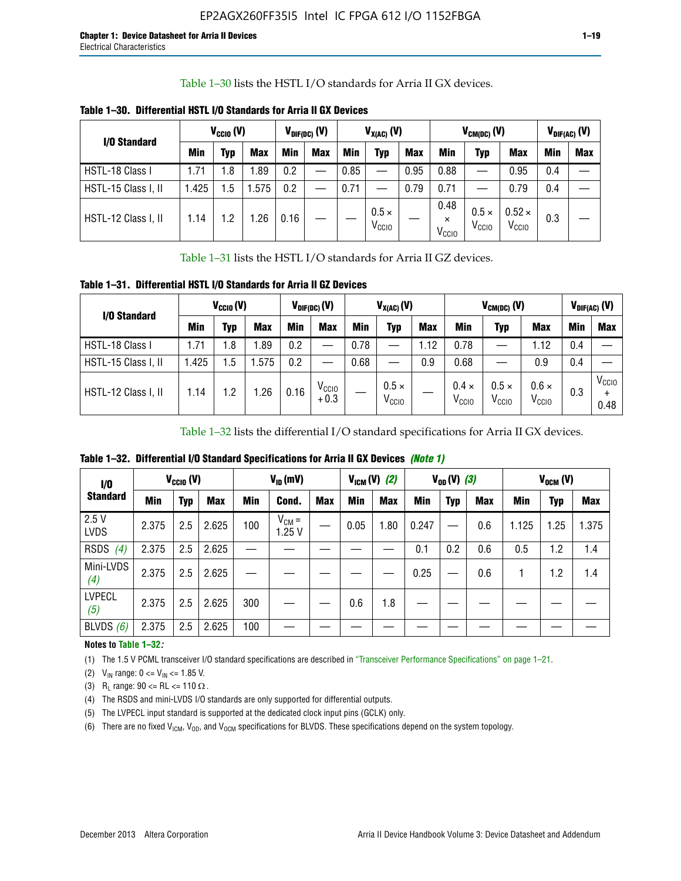Table 1–30 lists the HSTL I/O standards for Arria II GX devices.

| I/O Standard        |            | $V_{\text{CCIO}}(V)$ |            |      | $V_{\text{DIF(DC)}}$ (V) |            | $V_{X(AC)}(V)$                    |            |                                       | $V_{CM(DC)}(V)$                   |                                    |     | $V_{DIF(AC)}(V)$ |
|---------------------|------------|----------------------|------------|------|--------------------------|------------|-----------------------------------|------------|---------------------------------------|-----------------------------------|------------------------------------|-----|------------------|
|                     | <b>Min</b> | Typ                  | <b>Max</b> | Min  | <b>Max</b>               | <b>Min</b> | Typ                               | <b>Max</b> | Min                                   | Typ                               | <b>Max</b>                         | Min | <b>Max</b>       |
| HSTL-18 Class I     | 1.71       | . 8                  | l.89       | 0.2  |                          | 0.85       |                                   | 0.95       | 0.88                                  |                                   | 0.95                               | 0.4 |                  |
| HSTL-15 Class I, II | l.425      | .5                   | .575       | 0.2  |                          | 0.71       |                                   | 0.79       | 0.71                                  |                                   | 0.79                               | 0.4 |                  |
| HSTL-12 Class I, II | 1.14       | . .2                 | 1.26       | 0.16 |                          |            | $0.5 \times$<br>V <sub>CCIO</sub> |            | 0.48<br>$\times$<br>V <sub>CCIO</sub> | $0.5 \times$<br>V <sub>CCIO</sub> | $0.52 \times$<br>V <sub>CCIO</sub> | 0.3 |                  |

**Table 1–30. Differential HSTL I/O Standards for Arria II GX Devices**

Table 1–31 lists the HSTL I/O standards for Arria II GZ devices.

**Table 1–31. Differential HSTL I/O Standards for Arria II GZ Devices**

| I/O Standard        |       | $V_{\text{CCIO}}(V)$ |            |            | $V_{\text{DIF(DC)}}(V)$     |      | $V_{X(AC)}(V)$                    |            |                                   | $V_{CM(DC)}$ (V)                  |                                   |     | $V_{DIF(AC)}$ (V)         |
|---------------------|-------|----------------------|------------|------------|-----------------------------|------|-----------------------------------|------------|-----------------------------------|-----------------------------------|-----------------------------------|-----|---------------------------|
|                     | Min   | Typ                  | <b>Max</b> | <b>Min</b> | <b>Max</b>                  | Min  | Typ                               | <b>Max</b> | <b>Min</b>                        | Typ                               | <b>Max</b>                        | Min | <b>Max</b>                |
| HSTL-18 Class I     | 71، ، | 1.8                  | .89        | 0.2        | —                           | 0.78 |                                   | 1.12       | 0.78                              |                                   | 1.12                              | 0.4 |                           |
| HSTL-15 Class I, II | .425  | $1.5\,$              | .575       | 0.2        | —                           | 0.68 |                                   | 0.9        | 0.68                              |                                   | 0.9                               | 0.4 |                           |
| HSTL-12 Class I, II | l.14  | 1.2                  | .26        | 0.16       | V <sub>CCIO</sub><br>$+0.3$ |      | $0.5 \times$<br>V <sub>CCIO</sub> |            | $0.4 \times$<br>V <sub>CCIO</sub> | $0.5 \times$<br>V <sub>CCIO</sub> | $0.6 \times$<br>V <sub>CCIO</sub> | 0.3 | V <sub>CCIO</sub><br>0.48 |

Table 1–32 lists the differential I/O standard specifications for Arria II GX devices.

**Table 1–32. Differential I/O Standard Specifications for Arria II GX Devices** *(Note 1)*

| I/O                  |       | $V_{CGI0} (V)$ |            |     | $V_{ID}$ (mV)       |            |      | $V_{IGM} (V)$ (2) |       | $V_{OD} (V)$ (3) |            |       | $V_{OCM}$ (V) |            |
|----------------------|-------|----------------|------------|-----|---------------------|------------|------|-------------------|-------|------------------|------------|-------|---------------|------------|
| <b>Standard</b>      | Min   | Typ            | <b>Max</b> | Min | Cond.               | <b>Max</b> | Min  | <b>Max</b>        | Min   | <b>Typ</b>       | <b>Max</b> | Min   | Typ           | <b>Max</b> |
| 2.5V<br><b>LVDS</b>  | 2.375 | 2.5            | 2.625      | 100 | $V_{CM} =$<br>1.25V |            | 0.05 | 1.80              | 0.247 |                  | 0.6        | 1.125 | 1.25          | 1.375      |
| <b>RSDS</b><br>(4)   | 2.375 | 2.5            | 2.625      |     |                     |            |      |                   | 0.1   | 0.2              | 0.6        | 0.5   | 1.2           | 1.4        |
| Mini-LVDS<br>(4)     | 2.375 | 2.5            | 2.625      |     |                     |            |      |                   | 0.25  |                  | 0.6        |       | 1.2           | 1.4        |
| <b>LVPECL</b><br>(5) | 2.375 | 2.5            | 2.625      | 300 |                     |            | 0.6  | 1.8               |       |                  |            |       |               |            |
| BLVDS $(6)$          | 2.375 | 2.5            | 2.625      | 100 |                     |            |      |                   |       |                  |            |       |               |            |

### **Notes to Table 1–32***:*

(1) The 1.5 V PCML transceiver I/O standard specifications are described in "Transceiver Performance Specifications" on page 1–21.

(2)  $V_{IN}$  range:  $0 \le V_{IN} \le 1.85$  V.

(3) R<sub>L</sub> range:  $90 \leq R$ L  $\leq 110 \Omega$ .

- (4) The RSDS and mini-LVDS I/O standards are only supported for differential outputs.
- (5) The LVPECL input standard is supported at the dedicated clock input pins (GCLK) only.
- (6) There are no fixed  $V_{ICM}$ ,  $V_{OD}$ , and  $V_{OCM}$  specifications for BLVDS. These specifications depend on the system topology.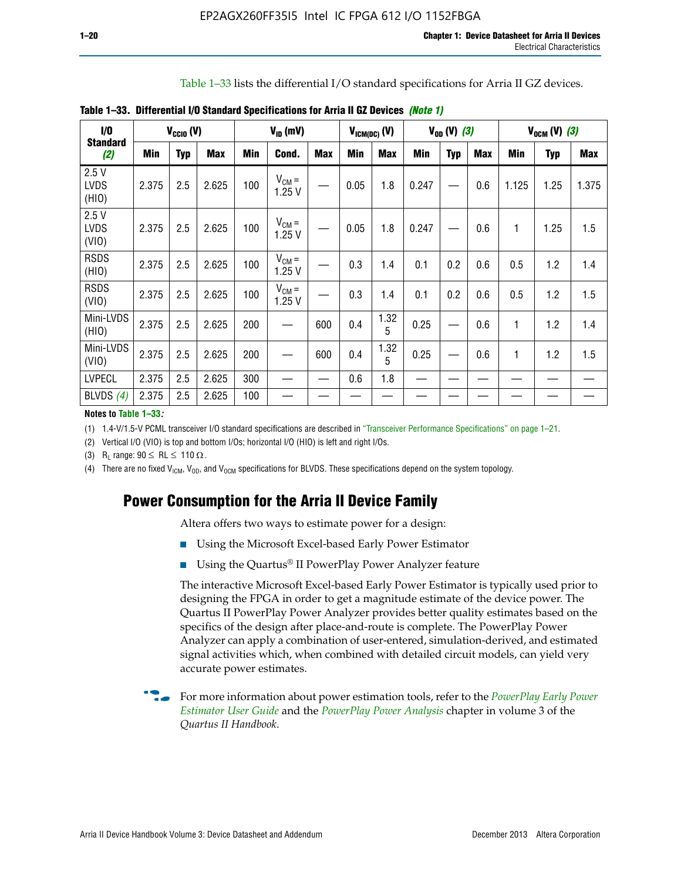Table 1–33 lists the differential I/O standard specifications for Arria II GZ devices.

| $1/0$<br><b>Standard</b>     |       | $V_{\text{CCIO}}(V)$ |            |            | $V_{ID}$ (mV)       |            | $V_{ICM(DC)}(V)$ |            |       | $V_{OD} (V) (3)$ |            |              | $V_{OCM} (V) (3)$ |            |
|------------------------------|-------|----------------------|------------|------------|---------------------|------------|------------------|------------|-------|------------------|------------|--------------|-------------------|------------|
| (2)                          | Min   | <b>Typ</b>           | <b>Max</b> | <b>Min</b> | Cond.               | <b>Max</b> | <b>Min</b>       | <b>Max</b> | Min   | <b>Typ</b>       | <b>Max</b> | <b>Min</b>   | <b>Typ</b>        | <b>Max</b> |
| 2.5V<br><b>LVDS</b><br>(HIO) | 2.375 | 2.5                  | 2.625      | 100        | $V_{CM} =$<br>1.25V |            | 0.05             | 1.8        | 0.247 |                  | 0.6        | 1.125        | 1.25              | 1.375      |
| 2.5V<br><b>LVDS</b><br>(VIO) | 2.375 | 2.5                  | 2.625      | 100        | $V_{CM} =$<br>1.25V |            | 0.05             | 1.8        | 0.247 |                  | 0.6        | 1            | 1.25              | 1.5        |
| <b>RSDS</b><br>(HIO)         | 2.375 | 2.5                  | 2.625      | 100        | $V_{CM} =$<br>1.25V |            | 0.3              | 1.4        | 0.1   | 0.2              | 0.6        | 0.5          | 1.2               | 1.4        |
| <b>RSDS</b><br>(VIO)         | 2.375 | 2.5                  | 2.625      | 100        | $V_{CM} =$<br>1.25V |            | 0.3              | 1.4        | 0.1   | 0.2              | 0.6        | 0.5          | 1.2               | 1.5        |
| Mini-LVDS<br>(HIO)           | 2.375 | 2.5                  | 2.625      | 200        |                     | 600        | 0.4              | 1.32<br>5  | 0.25  |                  | 0.6        | 1            | 1.2               | 1.4        |
| Mini-LVDS<br>(VIO)           | 2.375 | 2.5                  | 2.625      | 200        |                     | 600        | 0.4              | 1.32<br>5  | 0.25  |                  | 0.6        | $\mathbf{1}$ | 1.2               | 1.5        |
| <b>LVPECL</b>                | 2.375 | 2.5                  | 2.625      | 300        |                     |            | 0.6              | 1.8        |       |                  |            |              |                   |            |
| BLVDS $(4)$                  | 2.375 | 2.5                  | 2.625      | 100        |                     |            |                  |            |       |                  |            |              |                   |            |

**Table 1–33. Differential I/O Standard Specifications for Arria II GZ Devices** *(Note 1)*

#### **Notes to Table 1–33***:*

(1) 1.4-V/1.5-V PCML transceiver I/O standard specifications are described in "Transceiver Performance Specifications" on page 1–21.

(2) Vertical I/O (VIO) is top and bottom I/Os; horizontal I/O (HIO) is left and right I/Os.

(3) R<sub>L</sub> range:  $90 \leq R L \leq 110 \Omega$ .

(4) There are no fixed  $V_{ICM}$ ,  $V_{OD}$ , and  $V_{OCM}$  specifications for BLVDS. These specifications depend on the system topology.

# **Power Consumption for the Arria II Device Family**

Altera offers two ways to estimate power for a design:

- Using the Microsoft Excel-based Early Power Estimator
- Using the Quartus<sup>®</sup> II PowerPlay Power Analyzer feature

The interactive Microsoft Excel-based Early Power Estimator is typically used prior to designing the FPGA in order to get a magnitude estimate of the device power. The Quartus II PowerPlay Power Analyzer provides better quality estimates based on the specifics of the design after place-and-route is complete. The PowerPlay Power Analyzer can apply a combination of user-entered, simulation-derived, and estimated signal activities which, when combined with detailed circuit models, can yield very accurate power estimates.

f For more information about power estimation tools, refer to the *[PowerPlay Early Power](http://www.altera.com/literature/ug/ug_epe.pdf?GSA_pos=5&WT.oss_r=1&WT.oss=powerplay early power estimator)  [Estimator User Guide](http://www.altera.com/literature/ug/ug_epe.pdf?GSA_pos=5&WT.oss_r=1&WT.oss=powerplay early power estimator)* and the *[PowerPlay Power Analysis](http://www.altera.com/literature/hb/qts/qts_qii53013.pdf)* chapter in volume 3 of the *Quartus II Handbook*.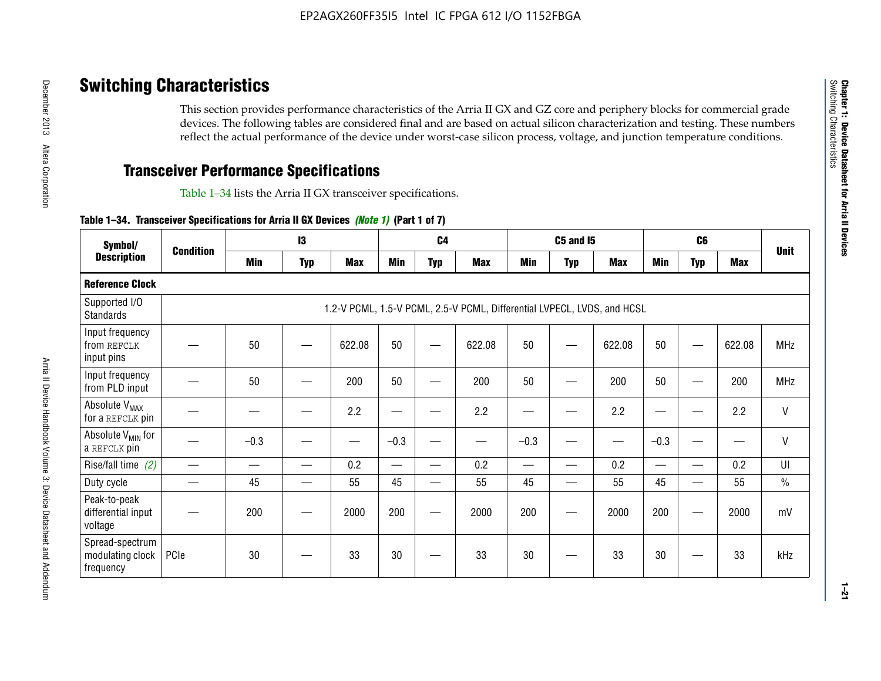# **Switching Characteristics**

This section provides performance characteristics of the Arria II GX and GZ core and periphery blocks for commercial grade devices. The following tables are considered final and are based on actual silicon characterization and testing. These numbers reflect the actual performance of the device under worst-case silicon process, voltage, and junction temperature conditions.

# **Transceiver Performance Specifications**

Table 1–34 lists the Arria II GX transceiver specifications.

### **Table 1–34. Transceiver Specifications for Arria II GX Devices** *(Note 1)* **(Part 1 of 7)**

| Symbol/                                          |                  |            | 13         |            |            | C <sub>4</sub>           |                                                                         |                          | <b>C5 and 15</b> |            |            | C <sub>6</sub>           |            |               |
|--------------------------------------------------|------------------|------------|------------|------------|------------|--------------------------|-------------------------------------------------------------------------|--------------------------|------------------|------------|------------|--------------------------|------------|---------------|
| <b>Description</b>                               | <b>Condition</b> | <b>Min</b> | <b>Typ</b> | <b>Max</b> | <b>Min</b> | <b>Typ</b>               | <b>Max</b>                                                              | <b>Min</b>               | <b>Typ</b>       | <b>Max</b> | <b>Min</b> | <b>Typ</b>               | <b>Max</b> | <b>Unit</b>   |
| <b>Reference Clock</b>                           |                  |            |            |            |            |                          |                                                                         |                          |                  |            |            |                          |            |               |
| Supported I/O<br><b>Standards</b>                |                  |            |            |            |            |                          | 1.2-V PCML, 1.5-V PCML, 2.5-V PCML, Differential LVPECL, LVDS, and HCSL |                          |                  |            |            |                          |            |               |
| Input frequency<br>from REFCLK<br>input pins     |                  | 50         |            | 622.08     | 50         |                          | 622.08                                                                  | 50                       | —                | 622.08     | 50         |                          | 622.08     | <b>MHz</b>    |
| Input frequency<br>from PLD input                |                  | 50         |            | 200        | 50         |                          | 200                                                                     | 50                       |                  | 200        | 50         |                          | 200        | MHz           |
| Absolute V <sub>MAX</sub><br>for a REFCLK pin    |                  |            |            | 2.2        |            |                          | 2.2                                                                     | —                        |                  | 2.2        |            |                          | 2.2        | $\mathsf{V}$  |
| Absolute V <sub>MIN</sub> for<br>a REFCLK pin    |                  | $-0.3$     |            |            | $-0.3$     |                          |                                                                         | $-0.3$                   | -                |            | $-0.3$     |                          | —          | $\mathsf{V}$  |
| Rise/fall time (2)                               |                  |            | —          | 0.2        | —          | —                        | 0.2                                                                     | $\overline{\phantom{0}}$ | —                | 0.2        | —          | $\overline{\phantom{0}}$ | 0.2        | UI            |
| Duty cycle                                       |                  | 45         |            | 55         | 45         | $\overline{\phantom{0}}$ | 55                                                                      | 45                       | —                | 55         | 45         |                          | 55         | $\frac{0}{0}$ |
| Peak-to-peak<br>differential input<br>voltage    |                  | 200        |            | 2000       | 200        |                          | 2000                                                                    | 200                      | —                | 2000       | 200        |                          | 2000       | mV            |
| Spread-spectrum<br>modulating clock<br>frequency | PCIe             | 30         |            | 33         | 30         |                          | 33                                                                      | 30                       |                  | 33         | 30         |                          | 33         | kHz           |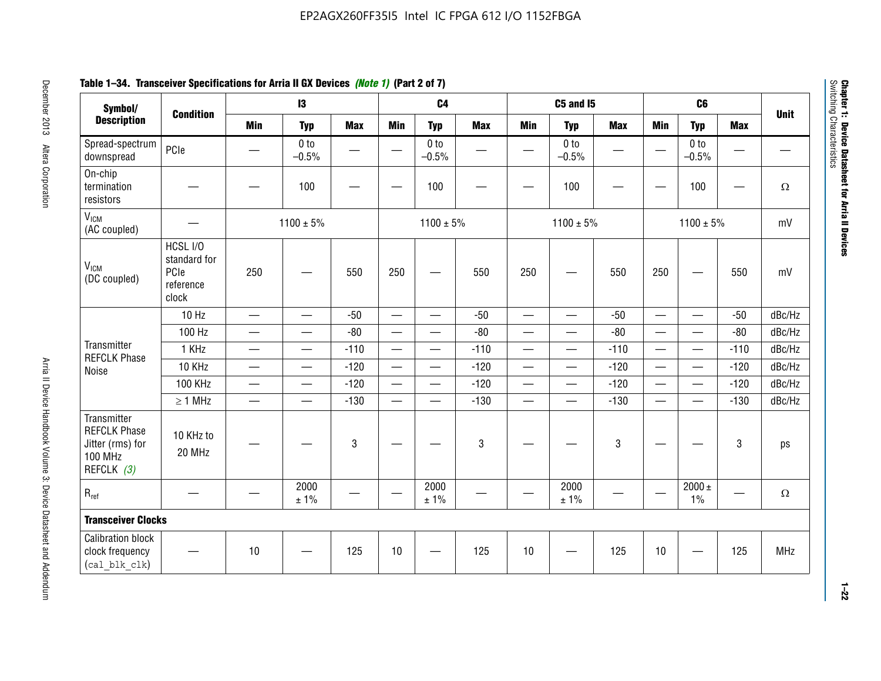# **Table 1–34. Transceiver Specifications for Arria II GX Devices** *(Note 1)* **(Part 2 of 7)**

| Symbol/<br><b>Description</b>                                                          |                                                        |                                  | $\mathbf{13}$              |            |                          | C <sub>4</sub>             |                          |                          | <b>C5 and 15</b>           |            | C <sub>6</sub>           |                            |            |             |
|----------------------------------------------------------------------------------------|--------------------------------------------------------|----------------------------------|----------------------------|------------|--------------------------|----------------------------|--------------------------|--------------------------|----------------------------|------------|--------------------------|----------------------------|------------|-------------|
|                                                                                        | <b>Condition</b>                                       | <b>Min</b>                       | <b>Typ</b>                 | <b>Max</b> | <b>Min</b>               | <b>Typ</b>                 | <b>Max</b>               | <b>Min</b>               | <b>Typ</b>                 | <b>Max</b> | <b>Min</b>               | <b>Typ</b>                 | <b>Max</b> | <b>Unit</b> |
| Spread-spectrum<br>downspread                                                          | PCIe                                                   |                                  | 0 <sub>to</sub><br>$-0.5%$ | —          |                          | 0 <sub>to</sub><br>$-0.5%$ | $\overline{\phantom{0}}$ |                          | 0 <sub>to</sub><br>$-0.5%$ |            |                          | 0 <sub>to</sub><br>$-0.5%$ | —          |             |
| On-chip<br>termination<br>resistors                                                    |                                                        |                                  | 100                        |            | —                        | 100                        |                          |                          | 100                        |            |                          | 100                        |            | $\Omega$    |
| V <sub>ICM</sub><br>(AC coupled)                                                       |                                                        |                                  | $1100 \pm 5\%$             |            |                          | $1100 \pm 5\%$             |                          |                          | $1100 \pm 5\%$             |            |                          | $1100 \pm 5\%$             |            | mV          |
| V <sub>ICM</sub><br>(DC coupled)                                                       | HCSL I/O<br>standard for<br>PCIe<br>reference<br>clock | 250                              |                            | 550        | 250                      | —                          | 550                      | 250                      | —                          | 550        | 250                      |                            | 550        | mV          |
|                                                                                        | 10 Hz                                                  | $\overbrace{\phantom{12322111}}$ | $\overline{\phantom{0}}$   | $-50$      | $\qquad \qquad -$        | $\equiv$                   | $-50$                    | $\overline{\phantom{0}}$ | $\equiv$                   | $-50$      | $\qquad \qquad =$        | $\overline{\phantom{0}}$   | $-50$      | dBc/Hz      |
|                                                                                        | 100 Hz                                                 |                                  | $\overline{\phantom{0}}$   | $-80$      | $\overline{\phantom{0}}$ | $\overline{\phantom{0}}$   | $-80$                    | $\overline{\phantom{0}}$ | $\overline{\phantom{0}}$   | $-80$      |                          | $\overline{\phantom{0}}$   | $-80$      | dBc/Hz      |
| Transmitter<br><b>REFCLK Phase</b>                                                     | 1 KHz                                                  | $\overbrace{\phantom{aaaaa}}$    | $\overline{\phantom{0}}$   | $-110$     | $\qquad \qquad -$        | $\qquad \qquad$            | $-110$                   | $\overline{\phantom{0}}$ |                            | $-110$     |                          | $\overline{\phantom{0}}$   | $-110$     | dBc/Hz      |
| Noise                                                                                  | 10 KHz                                                 |                                  | $\equiv$                   | $-120$     |                          | $\overline{\phantom{0}}$   | $-120$                   | $\overline{\phantom{0}}$ | $\overline{\phantom{0}}$   | $-120$     |                          | $\equiv$                   | $-120$     | dBc/Hz      |
|                                                                                        | <b>100 KHz</b>                                         |                                  | —                          | $-120$     | $\overline{\phantom{0}}$ | —                          | $-120$                   | $\overline{\phantom{0}}$ | $\overline{\phantom{0}}$   | $-120$     | $\overline{\phantom{0}}$ | $\overline{\phantom{0}}$   | $-120$     | dBc/Hz      |
|                                                                                        | $\geq 1$ MHz                                           |                                  | $\overline{\phantom{0}}$   | $-130$     |                          | $\overline{\phantom{0}}$   | $-130$                   | $\overline{\phantom{0}}$ | $\overline{\phantom{0}}$   | $-130$     |                          | $\overline{\phantom{0}}$   | $-130$     | dBc/Hz      |
| Transmitter<br><b>REFCLK Phase</b><br>Jitter (rms) for<br><b>100 MHz</b><br>REFCLK (3) | 10 KHz to<br>20 MHz                                    |                                  |                            | 3          |                          |                            | $\mathbf{3}$             |                          |                            | 3          |                          |                            | 3          | ps          |
| $R_{ref}$                                                                              |                                                        |                                  | 2000<br>± 1%               |            |                          | 2000<br>± 1%               |                          |                          | 2000<br>± 1%               |            |                          | $2000 \pm$<br>1%           |            | $\Omega$    |
| <b>Transceiver Clocks</b>                                                              |                                                        |                                  |                            |            |                          |                            |                          |                          |                            |            |                          |                            |            |             |
| <b>Calibration block</b><br>clock frequency<br>(cal blk clk)                           |                                                        | 10                               |                            | 125        | $10$                     |                            | 125                      | 10                       |                            | 125        | 10                       |                            | 125        | MHz         |

December 2013 Altera Corporation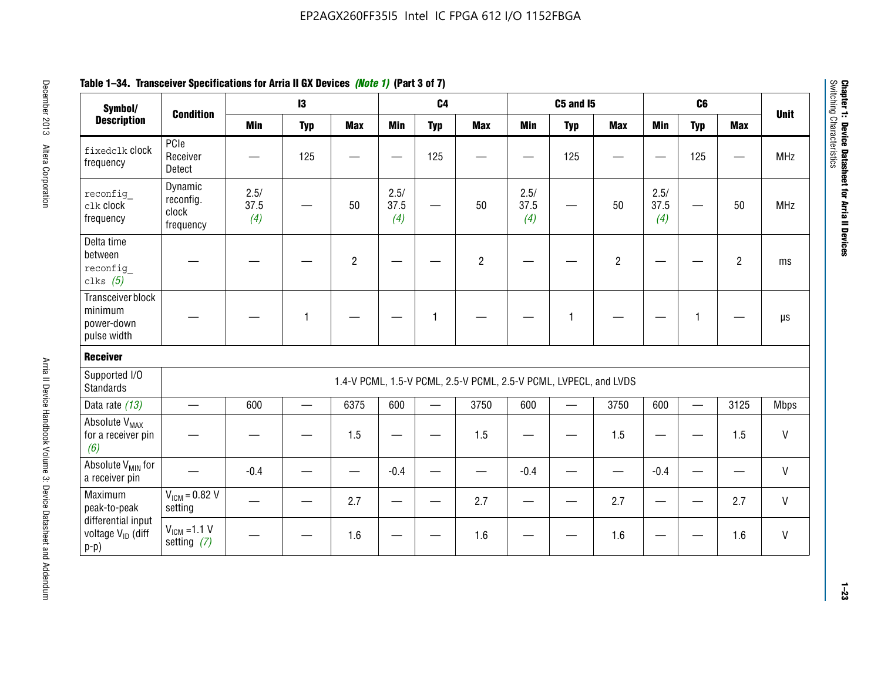# **Table 1–34. Transceiver Specifications for Arria II GX Devices** *(Note 1)* **(Part 3 of 7)**

| Symbol/<br><b>Description</b>                                 |                                            |                     | 13         |                | 7. V                | C <sub>4</sub>           |                                                                  |                     | <b>C5 and 15</b>  |                |                     | C <sub>6</sub> |                |              |
|---------------------------------------------------------------|--------------------------------------------|---------------------|------------|----------------|---------------------|--------------------------|------------------------------------------------------------------|---------------------|-------------------|----------------|---------------------|----------------|----------------|--------------|
|                                                               | <b>Condition</b>                           | <b>Min</b>          | <b>Typ</b> | <b>Max</b>     | <b>Min</b>          | <b>Typ</b>               | <b>Max</b>                                                       | <b>Min</b>          | <b>Typ</b>        | <b>Max</b>     | <b>Min</b>          | <b>Typ</b>     | <b>Max</b>     | <b>Unit</b>  |
| fixedclk Clock<br>frequency                                   | PCIe<br>Receiver<br>Detect                 |                     | 125        |                | —<br>—              | 125                      |                                                                  |                     | 125               |                |                     | 125            |                | <b>MHz</b>   |
| reconfig<br>$c$ lk $c$ lock<br>frequency                      | Dynamic<br>reconfig.<br>clock<br>frequency | 2.5/<br>37.5<br>(4) |            | 50             | 2.5/<br>37.5<br>(4) |                          | 50                                                               | 2.5/<br>37.5<br>(4) |                   | 50             | 2.5/<br>37.5<br>(4) |                | 50             | MHz          |
| Delta time<br>between<br>reconfig<br>clks $(5)$               |                                            |                     |            | $\overline{c}$ |                     |                          | $\overline{2}$                                                   |                     |                   | $\overline{2}$ |                     |                | $\overline{2}$ | ms           |
| Transceiver block<br>minimum<br>power-down<br>pulse width     |                                            |                     | 1          |                |                     | 1                        |                                                                  |                     | 1                 |                |                     | 1              |                | $\mu s$      |
| <b>Receiver</b>                                               |                                            |                     |            |                |                     |                          |                                                                  |                     |                   |                |                     |                |                |              |
| Supported I/O<br><b>Standards</b>                             |                                            |                     |            |                |                     |                          | 1.4-V PCML, 1.5-V PCML, 2.5-V PCML, 2.5-V PCML, LVPECL, and LVDS |                     |                   |                |                     |                |                |              |
| Data rate (13)                                                | $\overline{\phantom{0}}$                   | 600                 | $\equiv$   | 6375           | 600                 | $\overline{\phantom{0}}$ | 3750                                                             | 600                 | $\qquad \qquad =$ | 3750           | 600                 | <u>e a</u>     | 3125           | <b>Mbps</b>  |
| Absolute V <sub>MAX</sub><br>for a receiver pin<br>(6)        |                                            |                     |            | 1.5            | —                   |                          | 1.5                                                              |                     |                   | 1.5            |                     |                | 1.5            | V            |
| Absolute V <sub>MIN</sub> for<br>a receiver pin               |                                            | $-0.4$              |            |                | $-0.4$              |                          |                                                                  | $-0.4$              |                   |                | $-0.4$              |                |                | $\mathsf{V}$ |
| Maximum<br>peak-to-peak                                       | $V_{IGM} = 0.82 V$<br>setting              |                     |            | 2.7            |                     |                          | 2.7                                                              |                     |                   | 2.7            |                     |                | 2.7            | $\mathsf{V}$ |
| differential input<br>voltage V <sub>ID</sub> (diff<br>$p-p)$ | $V_{ICM} = 1.1 V$<br>setting $(7)$         |                     |            | 1.6            |                     |                          | 1.6                                                              |                     |                   | 1.6            |                     |                | 1.6            | V            |

**Chapter 1: Device Datasheet for Arria II Devices**

Chapter 1: Device Datasheet for Arria II Devices<br>Switching Characteristics

Switching Characteristics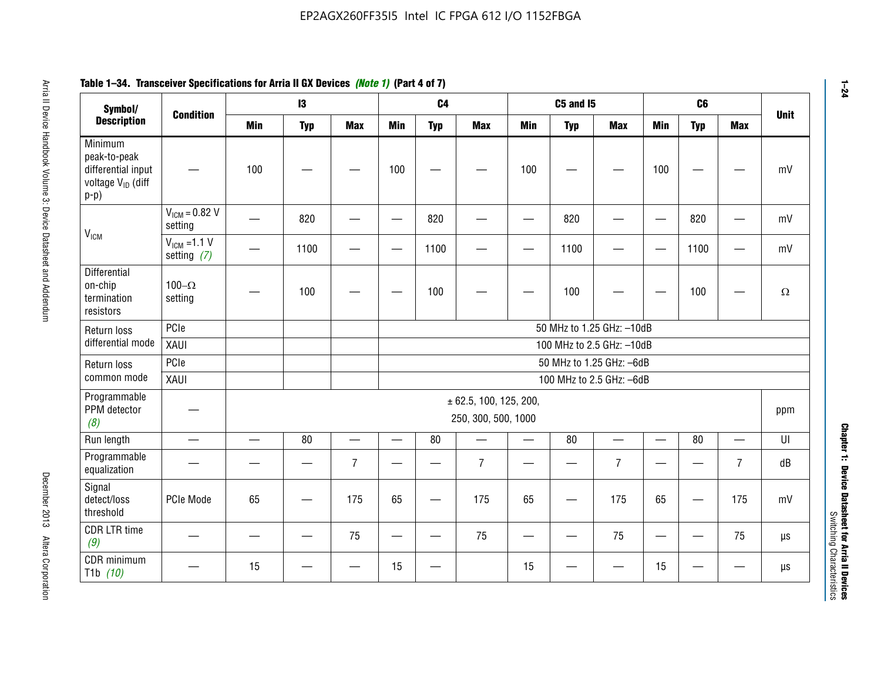| Symbol/                                                                                  | <b>Condition</b>                  |                          | $\mathbf{13}$ |                          |            | C <sub>4</sub> |                                                   |            | <b>C5 and 15</b> |                           |                          | C <sub>6</sub>           |                          | <b>Unit</b>            |
|------------------------------------------------------------------------------------------|-----------------------------------|--------------------------|---------------|--------------------------|------------|----------------|---------------------------------------------------|------------|------------------|---------------------------|--------------------------|--------------------------|--------------------------|------------------------|
| <b>Description</b>                                                                       |                                   | <b>Min</b>               | <b>Typ</b>    | <b>Max</b>               | <b>Min</b> | <b>Typ</b>     | <b>Max</b>                                        | <b>Min</b> | <b>Typ</b>       | <b>Max</b>                | <b>Min</b>               | <b>Typ</b>               | <b>Max</b>               |                        |
| Minimum<br>peak-to-peak<br>differential input<br>voltage V <sub>ID</sub> (diff<br>$p-p)$ |                                   | 100                      |               |                          | 100        |                |                                                   | 100        |                  |                           | 100                      |                          |                          | mV                     |
|                                                                                          | $V_{ICM} = 0.82 V$<br>setting     |                          | 820           |                          |            | 820            |                                                   |            | 820              |                           | —                        | 820                      |                          | mV                     |
| V <sub>ICM</sub>                                                                         | $V_{ICM}$ =1.1 V<br>setting $(7)$ |                          | 1100          |                          |            | 1100           |                                                   |            | 1100             |                           | $\overline{\phantom{0}}$ | 1100                     |                          | mV                     |
| Differential<br>on-chip<br>termination<br>resistors                                      | 100 $-\Omega$<br>setting          |                          | 100           |                          |            | 100            |                                                   |            | 100              |                           |                          | 100                      |                          | $\Omega$               |
| Return loss                                                                              | PCIe                              |                          |               |                          |            |                |                                                   |            |                  | 50 MHz to 1.25 GHz: -10dB |                          |                          |                          |                        |
| differential mode                                                                        | XAUI                              |                          |               |                          |            |                |                                                   |            |                  | 100 MHz to 2.5 GHz: -10dB |                          |                          |                          |                        |
| Return loss                                                                              | PCIe                              |                          |               |                          |            |                |                                                   |            |                  | 50 MHz to 1.25 GHz: -6dB  |                          |                          |                          |                        |
| common mode                                                                              | XAUI                              |                          |               |                          |            |                |                                                   |            |                  | 100 MHz to 2.5 GHz: -6dB  |                          |                          |                          |                        |
| Programmable<br>PPM detector<br>(8)                                                      |                                   |                          |               |                          |            |                | $\pm$ 62.5, 100, 125, 200,<br>250, 300, 500, 1000 |            |                  |                           |                          |                          |                          | ppm                    |
| Run length                                                                               | $\overline{\phantom{0}}$          | $\overline{\phantom{0}}$ | 80            | $\overline{\phantom{0}}$ | $\equiv$   | 80             | $\overline{\phantom{0}}$                          | $\equiv$   | 80               | $\equiv$                  | —                        | 80                       | $\overline{\phantom{0}}$ | $\mathsf{U}\mathsf{I}$ |
| Programmable<br>equalization                                                             |                                   |                          |               | $\overline{7}$           |            |                | $\overline{7}$                                    |            |                  | $\overline{7}$            |                          |                          | $\overline{7}$           | dB                     |
| Signal<br>detect/loss<br>threshold                                                       | PCIe Mode                         | 65                       |               | 175                      | 65         |                | 175                                               | 65         |                  | 175                       | 65                       | $\overline{\phantom{0}}$ | 175                      | mV                     |
| <b>CDR LTR time</b><br>(9)                                                               |                                   |                          |               | 75                       | —          |                | 75                                                |            |                  | 75                        | $\overline{\phantom{0}}$ | -                        | 75                       | $\mu s$                |
| CDR minimum<br>T1b $(10)$                                                                |                                   | 15                       |               |                          | 15         |                |                                                   | 15         |                  |                           | 15                       |                          |                          | $\mu s$                |

# **Table 1–34. Transceiver Specifications for Arria II GX Devices** *(Note 1)* **(Part 4 of 7)**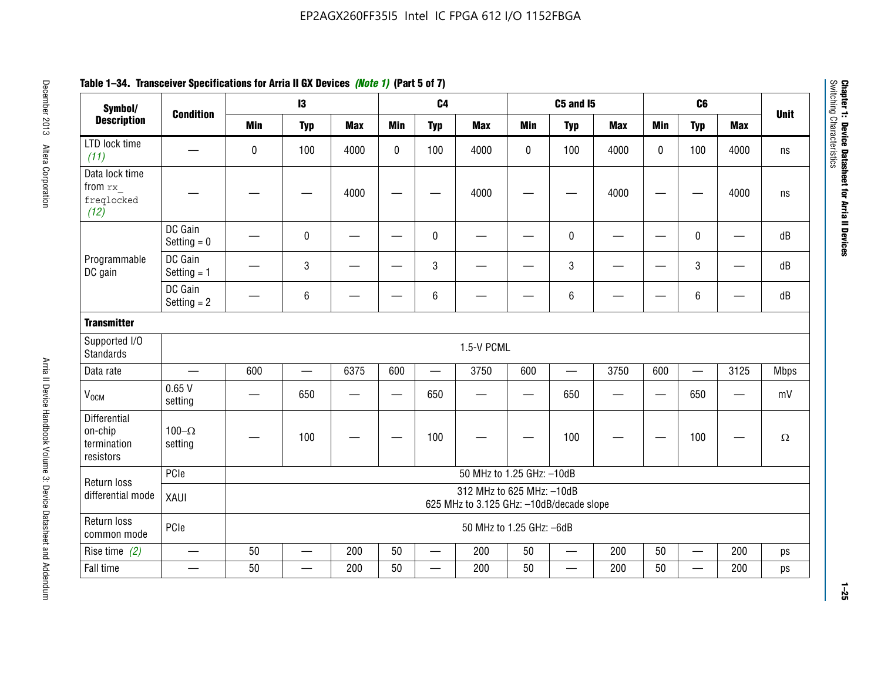| Symbol/                                                    |                          |            | $\mathbf{13}$            |            |             | C <sub>4</sub>           |                           |                                                                       | <b>C5 and 15</b>         |            |            | C <sub>6</sub> |                          |             |  |
|------------------------------------------------------------|--------------------------|------------|--------------------------|------------|-------------|--------------------------|---------------------------|-----------------------------------------------------------------------|--------------------------|------------|------------|----------------|--------------------------|-------------|--|
| <b>Description</b>                                         | <b>Condition</b>         | <b>Min</b> | <b>Typ</b>               | <b>Max</b> | <b>Min</b>  | <b>Typ</b>               | <b>Max</b>                | <b>Min</b>                                                            | <b>Typ</b>               | <b>Max</b> | <b>Min</b> | <b>Typ</b>     | <b>Max</b>               | <b>Unit</b> |  |
| LTD lock time<br>(11)                                      |                          | $\bf{0}$   | 100                      | 4000       | $\mathbf 0$ | 100                      | 4000                      | $\pmb{0}$                                                             | 100                      | 4000       | 0          | 100            | 4000                     | ns          |  |
| Data lock time<br>from rx<br>freqlocked<br>(12)            |                          |            |                          | 4000       |             |                          | 4000                      |                                                                       |                          | 4000       |            |                | 4000                     | ns          |  |
|                                                            | DC Gain<br>Setting $= 0$ |            | $\pmb{0}$                |            |             | $\pmb{0}$                |                           |                                                                       | 0                        |            |            | 0              |                          | dB          |  |
| Programmable<br>DC gain                                    | DC Gain<br>Setting $= 1$ |            | $\mathbf{3}$             |            |             | $\mathbf{3}$             |                           |                                                                       | 3                        |            |            | $\mathbf{3}$   | $\overline{\phantom{m}}$ | dB          |  |
|                                                            | DC Gain<br>Setting $= 2$ |            | $\,6\,$                  |            |             | $\,6\,$                  |                           |                                                                       | 6                        |            |            | $\,6\,$        |                          | dB          |  |
| <b>Transmitter</b>                                         |                          |            |                          |            |             |                          |                           |                                                                       |                          |            |            |                |                          |             |  |
| Supported I/O<br><b>Standards</b>                          |                          |            |                          |            |             |                          | 1.5-V PCML                |                                                                       |                          |            |            |                |                          |             |  |
| Data rate                                                  | $\overline{\phantom{0}}$ | 600        | $\overline{\phantom{0}}$ | 6375       | 600         | $\overline{\phantom{0}}$ | 3750                      | 600                                                                   | $\overline{\phantom{0}}$ | 3750       | 600        |                | 3125                     | <b>Mbps</b> |  |
| V <sub>OCM</sub>                                           | 0.65V<br>setting         |            | 650                      |            |             | 650                      |                           |                                                                       | 650                      |            |            | 650            |                          | mV          |  |
| <b>Differential</b><br>on-chip<br>termination<br>resistors | 100 $-\Omega$<br>setting |            | 100                      |            |             | 100                      |                           |                                                                       | 100                      |            |            | 100            |                          | $\Omega$    |  |
| Return loss                                                | PCle                     |            |                          |            |             |                          | 50 MHz to 1.25 GHz: -10dB |                                                                       |                          |            |            |                |                          |             |  |
| differential mode                                          | XAUI                     |            |                          |            |             |                          |                           | 312 MHz to 625 MHz: -10dB<br>625 MHz to 3.125 GHz: -10dB/decade slope |                          |            |            |                |                          |             |  |
| Return loss<br>common mode                                 | PCle                     |            |                          |            |             |                          | 50 MHz to 1.25 GHz: -6dB  |                                                                       |                          |            |            |                |                          |             |  |
| Rise time $(2)$                                            | $\overline{\phantom{0}}$ | 50         | $\equiv$                 | 200        | 50          | $\overline{\phantom{0}}$ | 200                       | 50                                                                    | $\overline{\phantom{0}}$ | 200        | 50         |                | 200                      | ps          |  |
| Fall time                                                  |                          | 50         |                          | 200        | 50          |                          | 200                       | 50                                                                    |                          | 200        | 50         |                | 200                      | ps          |  |

# **Table 1–34. Transceiver Specifications for Arria II GX Devices** *(Note 1)* **(Part 5 of 7)**

**1–25**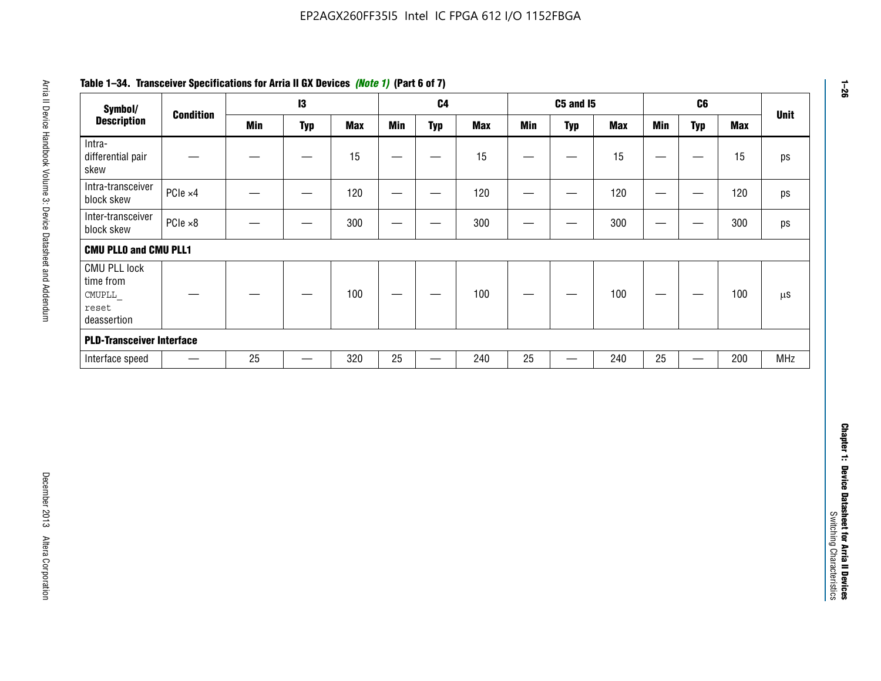| <b>Description</b><br><b>Typ</b><br><b>Typ</b><br><b>Typ</b><br><b>Min</b><br><b>Min</b><br><b>Max</b><br><b>Min</b><br><b>Max</b><br><b>Min</b><br><b>Max</b><br><b>Typ</b><br><b>Max</b><br>15<br>15<br>15<br>15<br>$\overline{\phantom{m}}$<br>$\overbrace{\phantom{13333}}$<br>$\overbrace{\phantom{123221111}}$<br>$\qquad \qquad \qquad$<br>—<br>$\hspace{0.05cm}$<br>PCIe ×4<br>120<br>120<br>120<br>120<br>$\hspace{0.05cm}$<br>$\overline{\phantom{0}}$<br>$\hspace{0.05cm}$<br>$\overline{\phantom{m}}$<br>$\overbrace{\phantom{aaaaa}}$<br>PCIe ×8<br>300<br>300<br>300<br>300<br>$\hspace{0.05cm}$<br>—<br>—<br>—<br>$\overline{\phantom{0}}$<br>—<br>-<br>100<br>100<br>100<br>100<br>—<br>—<br>—<br>$25\,$<br>320<br>25<br>240<br>240<br>25<br>25<br>200<br>MHz<br>$\overline{\phantom{m}}$<br>$\qquad \qquad$<br>$\overline{\phantom{0}}$<br>$\overline{\phantom{0}}$<br>$\equiv$ | Symbol/                             |                  | $\mathsf{I}3$ |  | C <sub>4</sub> |  | <b>C5 and 15</b> |  | C6 | <b>Unit</b> |
|--------------------------------------------------------------------------------------------------------------------------------------------------------------------------------------------------------------------------------------------------------------------------------------------------------------------------------------------------------------------------------------------------------------------------------------------------------------------------------------------------------------------------------------------------------------------------------------------------------------------------------------------------------------------------------------------------------------------------------------------------------------------------------------------------------------------------------------------------------------------------------------------------|-------------------------------------|------------------|---------------|--|----------------|--|------------------|--|----|-------------|
|                                                                                                                                                                                                                                                                                                                                                                                                                                                                                                                                                                                                                                                                                                                                                                                                                                                                                                  |                                     | <b>Condition</b> |               |  |                |  |                  |  |    |             |
| Intra-transceiver<br>block skew<br>Inter-transceiver<br>CMUPLL                                                                                                                                                                                                                                                                                                                                                                                                                                                                                                                                                                                                                                                                                                                                                                                                                                   | Intra-<br>differential pair<br>skew |                  |               |  |                |  |                  |  |    |             |
| block skew<br><b>CMU PLLO and CMU PLL1</b><br><b>CMU PLL lock</b><br>time from<br>reset<br>deassertion<br><b>PLD-Transceiver Interface</b><br>Interface speed                                                                                                                                                                                                                                                                                                                                                                                                                                                                                                                                                                                                                                                                                                                                    |                                     |                  |               |  |                |  |                  |  |    |             |
|                                                                                                                                                                                                                                                                                                                                                                                                                                                                                                                                                                                                                                                                                                                                                                                                                                                                                                  |                                     |                  |               |  |                |  |                  |  |    |             |
|                                                                                                                                                                                                                                                                                                                                                                                                                                                                                                                                                                                                                                                                                                                                                                                                                                                                                                  |                                     |                  |               |  |                |  |                  |  |    |             |
|                                                                                                                                                                                                                                                                                                                                                                                                                                                                                                                                                                                                                                                                                                                                                                                                                                                                                                  |                                     |                  |               |  |                |  |                  |  |    |             |
|                                                                                                                                                                                                                                                                                                                                                                                                                                                                                                                                                                                                                                                                                                                                                                                                                                                                                                  |                                     |                  |               |  |                |  |                  |  |    |             |
|                                                                                                                                                                                                                                                                                                                                                                                                                                                                                                                                                                                                                                                                                                                                                                                                                                                                                                  |                                     |                  |               |  |                |  |                  |  |    |             |
|                                                                                                                                                                                                                                                                                                                                                                                                                                                                                                                                                                                                                                                                                                                                                                                                                                                                                                  |                                     |                  |               |  |                |  |                  |  |    |             |
|                                                                                                                                                                                                                                                                                                                                                                                                                                                                                                                                                                                                                                                                                                                                                                                                                                                                                                  |                                     |                  |               |  |                |  |                  |  |    |             |

# **Table 1–34. Transceiver Specifications for Arria II GX Devices** *(Note 1)* **(Part 6 of 7)**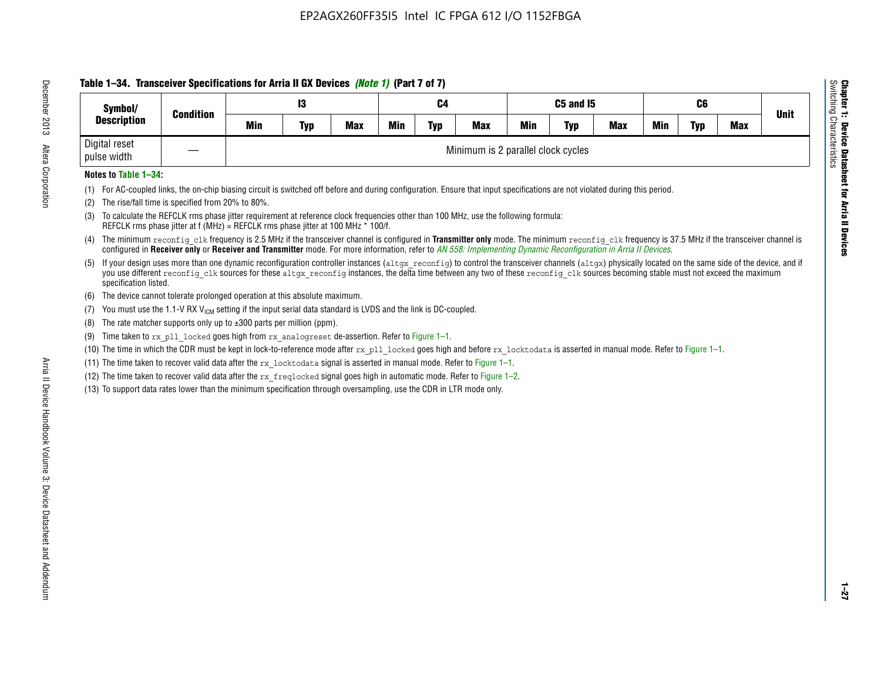# **Table 1–34. Transceiver Specifications for Arria II GX Devices** *(Note 1)* **(Part 7 of 7)**

| Symbol/                      | <b>Condition</b> |            | 13                                 |            |     | C4         |            |            | <b>C5 and 15</b> |            |            | C6         |            | <b>Unit</b> |
|------------------------------|------------------|------------|------------------------------------|------------|-----|------------|------------|------------|------------------|------------|------------|------------|------------|-------------|
| <b>Description</b>           |                  | <b>Min</b> | <b>Typ</b>                         | <b>Max</b> | Min | <b>Typ</b> | <b>Max</b> | <b>Min</b> | <b>Typ</b>       | <b>Max</b> | <b>Min</b> | <b>Typ</b> | <b>Max</b> |             |
| Digital reset<br>pulse width |                  |            | Minimum is 2 parallel clock cycles |            |     |            |            |            |                  |            |            |            |            |             |

### **Notes to Table 1–34:**

- (1) For AC-coupled links, the on-chip biasing circuit is switched off before and during configuration. Ensure that input specifications are not violated during this period.
- (2) The rise/fall time is specified from 20% to 80%.
- (3) To calculate the REFCLK rms phase jitter requirement at reference clock frequencies other than 100 MHz, use the following formula: REFCLK rms phase jitter at f (MHz) = REFCLK rms phase jitter at 100 MHz \* 100/f.
- (4) The minimum reconfig clk frequency is 2.5 MHz if the transceiver channel is configured in **Transmitter only** mode. The minimum reconfig clk frequency is 37.5 MHz if the transceiver channel is configured in **Receiver only** or **Receiver and Transmitter** mode. For more information, refer to *AN [558: Implementing Dynamic Reconfiguration in Arria II Devices](www.altera.com/literature/hb/arria-ii-gx/an558.pdf)*.
- (5) If your design uses more than one dynamic reconfiguration controller instances (altgx reconfig) to control the transceiver channels (altgx) physically located on the same side of the device, and if you use different reconfig clk sources for these altgx reconfig instances, the delta time between any two of these reconfig clk sources becoming stable must not exceed the maximum specification listed.
- (6) The device cannot tolerate prolonged operation at this absolute maximum.
- (7) You must use the 1.1-V RX  $V_{ICM}$  setting if the input serial data standard is LVDS and the link is DC-coupled.
- (8) The rate matcher supports only up to  $\pm 300$  parts per million (ppm).
- (9) Time taken to rx\_pll\_locked goes high from rx\_analogreset de-assertion. Refer to Figure 1–1.
- (10) The time in which the CDR must be kept in lock-to-reference mode after rx pll locked goes high and before rx locktodata is asserted in manual mode. Refer to Figure 1-1.
- (11) The time taken to recover valid data after the  $rx$  locktodata signal is asserted in manual mode. Refer to Figure 1–1.
- (12) The time taken to recover valid data after the  $rx$  freqlocked signal goes high in automatic mode. Refer to Figure 1–2.
- (13) To support data rates lower than the minimum specification through oversampling, use the CDR in LTR mode only.

**Chapter 1: Device Datasheet for Arria II Devices**

**Device Datasheet for Arria II Devices** 

Switching Characteristics

Chapter 1: Device Datas<br>Switching Characteristics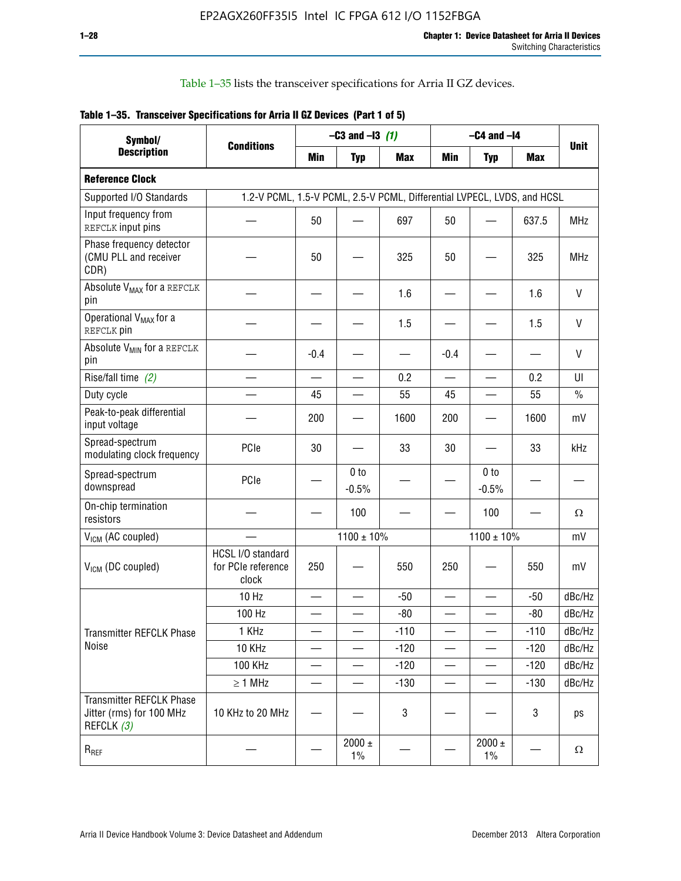Table 1–35 lists the transceiver specifications for Arria II GZ devices.

|  | Table 1-35. Transceiver Specifications for Arria II GZ Devices (Part 1 of 5) |  |
|--|------------------------------------------------------------------------------|--|
|  |                                                                              |  |

| Symbol/                                                                   |                                                                         |                          | $-C3$ and $-13$ (1)        |            |                          | $-C4$ and $-I4$            |            |               |
|---------------------------------------------------------------------------|-------------------------------------------------------------------------|--------------------------|----------------------------|------------|--------------------------|----------------------------|------------|---------------|
| <b>Description</b>                                                        | <b>Conditions</b>                                                       | Min                      | <b>Typ</b>                 | <b>Max</b> | <b>Min</b>               | <b>Typ</b>                 | <b>Max</b> | <b>Unit</b>   |
| <b>Reference Clock</b>                                                    |                                                                         |                          |                            |            |                          |                            |            |               |
| Supported I/O Standards                                                   | 1.2-V PCML, 1.5-V PCML, 2.5-V PCML, Differential LVPECL, LVDS, and HCSL |                          |                            |            |                          |                            |            |               |
| Input frequency from<br>REFCLK input pins                                 |                                                                         | 50                       |                            | 697        | 50                       |                            | 637.5      | <b>MHz</b>    |
| Phase frequency detector<br>(CMU PLL and receiver<br>CDR)                 |                                                                         | 50                       |                            | 325        | 50                       |                            | 325        | <b>MHz</b>    |
| Absolute V <sub>MAX</sub> for a REFCLK<br>pin                             |                                                                         |                          |                            | 1.6        |                          |                            | 1.6        | $\vee$        |
| Operational V <sub>MAX</sub> for a<br>REFCLK pin                          |                                                                         |                          |                            | 1.5        |                          |                            | 1.5        | V             |
| Absolute V <sub>MIN</sub> for a REFCLK<br>pin                             |                                                                         | $-0.4$                   |                            |            | $-0.4$                   |                            |            | V             |
| Rise/fall time (2)                                                        |                                                                         | $\overline{\phantom{0}}$ |                            | 0.2        | $\overline{\phantom{0}}$ | $\overline{\phantom{0}}$   | 0.2        | UI            |
| Duty cycle                                                                |                                                                         | 45                       |                            | 55         | 45                       |                            | 55         | $\frac{0}{0}$ |
| Peak-to-peak differential<br>input voltage                                |                                                                         | 200                      |                            | 1600       | 200                      |                            | 1600       | mV            |
| Spread-spectrum<br>modulating clock frequency                             | PCIe                                                                    | 30                       |                            | 33         | 30                       |                            | 33         | kHz           |
| Spread-spectrum<br>downspread                                             | PCIe                                                                    |                          | 0 <sub>to</sub><br>$-0.5%$ |            |                          | 0 <sub>to</sub><br>$-0.5%$ |            |               |
| On-chip termination<br>resistors                                          |                                                                         |                          | 100                        |            |                          | 100                        |            | Ω             |
| $V_{IGM}$ (AC coupled)                                                    |                                                                         |                          | $1100 \pm 10\%$            |            |                          | $1100 \pm 10\%$            |            | mV            |
| V <sub>ICM</sub> (DC coupled)                                             | HCSL I/O standard<br>for PCIe reference<br>clock                        | 250                      |                            | 550        | 250                      |                            | 550        | mV            |
|                                                                           | 10 Hz                                                                   | $\overline{\phantom{0}}$ |                            | $-50$      | $\sim$                   |                            | $-50$      | dBc/Hz        |
|                                                                           | 100 Hz                                                                  |                          |                            | $-80$      |                          |                            | $-80$      | dBc/Hz        |
| Transmitter REFCLK Phase                                                  | 1 KHz                                                                   |                          | $\overline{\phantom{0}}$   | $-110$     | $\overline{\phantom{0}}$ | —                          | $-110$     | dBc/Hz        |
| Noise                                                                     | 10 KHz                                                                  |                          |                            | $-120$     |                          |                            | $-120$     | dBc/Hz        |
|                                                                           | <b>100 KHz</b>                                                          |                          |                            | $-120$     | $\overline{\phantom{0}}$ |                            | $-120$     | dBc/Hz        |
|                                                                           | $\geq 1$ MHz                                                            |                          |                            | $-130$     | $\overline{\phantom{0}}$ | $\overline{\phantom{0}}$   | $-130$     | dBc/Hz        |
| <b>Transmitter REFCLK Phase</b><br>Jitter (rms) for 100 MHz<br>REFCLK (3) | 10 KHz to 20 MHz                                                        |                          |                            | 3          |                          |                            | 3          | ps            |
| $R_{REF}$                                                                 |                                                                         |                          | $2000 \pm$<br>$1\%$        |            |                          | 2000 $\pm$<br>$1\%$        |            | $\Omega$      |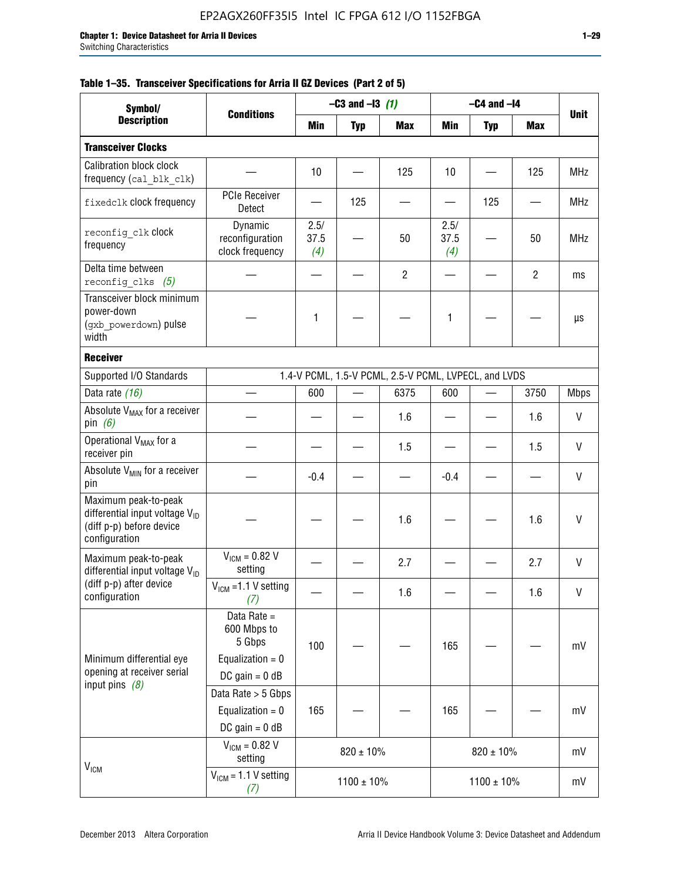|  |  | Table 1–35. Transceiver Specifications for Arria II GZ Devices (Part 2 of 5) |  |  |  |
|--|--|------------------------------------------------------------------------------|--|--|--|
|--|--|------------------------------------------------------------------------------|--|--|--|

| Symbol/                                                                                                         |                                                                                |                     | $-C3$ and $-I3$ (1) |                                                      |                     | $-C4$ and $-I4$ |                |             |
|-----------------------------------------------------------------------------------------------------------------|--------------------------------------------------------------------------------|---------------------|---------------------|------------------------------------------------------|---------------------|-----------------|----------------|-------------|
| <b>Description</b>                                                                                              | <b>Conditions</b>                                                              | Min                 | <b>Typ</b>          | <b>Max</b>                                           | Min                 | <b>Typ</b>      | Max            | <b>Unit</b> |
| <b>Transceiver Clocks</b>                                                                                       |                                                                                |                     |                     |                                                      |                     |                 |                |             |
| <b>Calibration block clock</b><br>frequency (cal_blk_clk)                                                       |                                                                                | 10                  |                     | 125                                                  | 10                  |                 | 125            | <b>MHz</b>  |
| fixedclk clock frequency                                                                                        | <b>PCIe Receiver</b><br>Detect                                                 |                     | 125                 |                                                      |                     | 125             |                | <b>MHz</b>  |
| reconfig clk Clock<br>frequency                                                                                 | Dynamic<br>reconfiguration<br>clock frequency                                  | 2.5/<br>37.5<br>(4) |                     | 50                                                   | 2.5/<br>37.5<br>(4) |                 | 50             | <b>MHz</b>  |
| Delta time between<br>reconfig clks $(5)$                                                                       |                                                                                |                     |                     | $\overline{2}$                                       |                     |                 | $\overline{2}$ | ms          |
| Transceiver block minimum<br>power-down<br>(gxb powerdown) pulse<br>width                                       |                                                                                | 1                   |                     |                                                      | 1                   |                 |                | μs          |
| <b>Receiver</b>                                                                                                 |                                                                                |                     |                     |                                                      |                     |                 |                |             |
| Supported I/O Standards                                                                                         |                                                                                |                     |                     | 1.4-V PCML, 1.5-V PCML, 2.5-V PCML, LVPECL, and LVDS |                     |                 |                |             |
| Data rate (16)                                                                                                  |                                                                                | 600                 |                     | 6375                                                 | 600                 |                 | 3750           | <b>Mbps</b> |
| Absolute V <sub>MAX</sub> for a receiver<br>pin $(6)$                                                           |                                                                                |                     |                     | 1.6                                                  |                     |                 | 1.6            | V           |
| Operational V <sub>MAX</sub> for a<br>receiver pin                                                              |                                                                                |                     |                     | 1.5                                                  |                     |                 | 1.5            | V           |
| Absolute V <sub>MIN</sub> for a receiver<br>pin                                                                 |                                                                                | $-0.4$              |                     |                                                      | $-0.4$              |                 |                | V           |
| Maximum peak-to-peak<br>differential input voltage $V_{\text{ID}}$<br>(diff p-p) before device<br>configuration |                                                                                |                     |                     | 1.6                                                  |                     |                 | 1.6            | V           |
| Maximum peak-to-peak<br>differential input voltage V <sub>ID</sub>                                              | $V_{ICM} = 0.82 V$<br>setting                                                  |                     |                     | 2.7                                                  |                     |                 | 2.7            | V           |
| (diff p-p) after device<br>configuration                                                                        | $V_{ICM}$ =1.1 V setting<br>(7)                                                |                     |                     | 1.6                                                  |                     |                 | 1.6            | V           |
| Minimum differential eye<br>opening at receiver serial<br>input pins $(8)$                                      | Data Rate =<br>600 Mbps to<br>5 Gbps<br>Equalization = $0$<br>DC gain = $0$ dB | 100                 |                     |                                                      | 165                 |                 |                | mV          |
|                                                                                                                 | Data Rate > 5 Gbps<br>Equalization = $0$<br>DC gain = $0$ dB                   | 165                 |                     |                                                      | 165                 |                 |                | mV          |
| $V_{IGM}$                                                                                                       | $V_{ICM} = 0.82 V$<br>setting                                                  |                     | $820 \pm 10\%$      |                                                      |                     | $820 \pm 10\%$  |                | mV          |
|                                                                                                                 | $V_{IGM}$ = 1.1 V setting<br>(7)                                               |                     | $1100 \pm 10\%$     |                                                      |                     | $1100 \pm 10\%$ |                | mV          |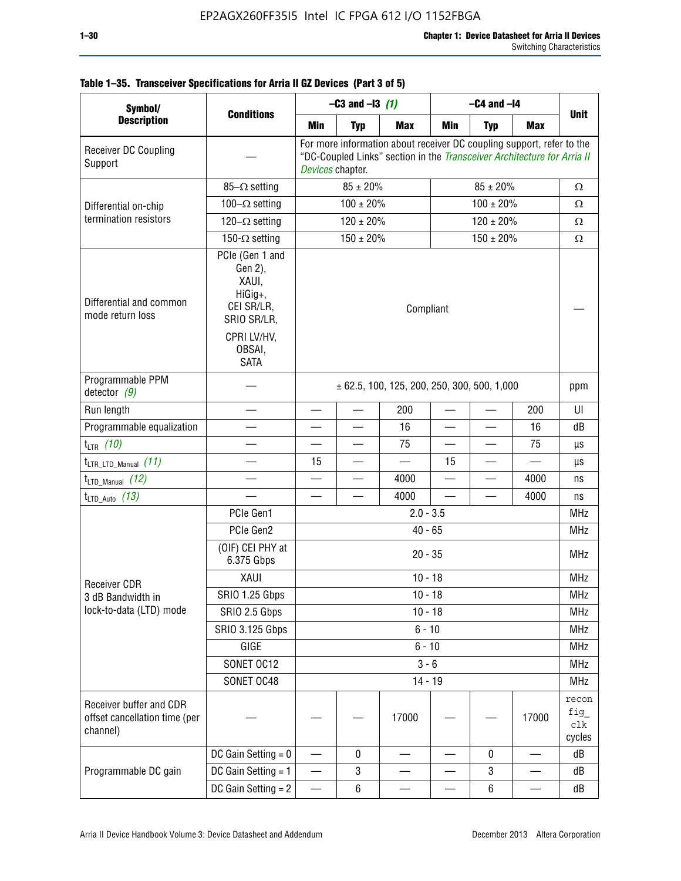| Symbol/                                                              |                                                                                                                     |                  | $-C3$ and $-13$ (1) |                                                                                                                                                  |                          | $-C4$ and $-I4$          |                 |                               |
|----------------------------------------------------------------------|---------------------------------------------------------------------------------------------------------------------|------------------|---------------------|--------------------------------------------------------------------------------------------------------------------------------------------------|--------------------------|--------------------------|-----------------|-------------------------------|
| <b>Description</b>                                                   | <b>Conditions</b>                                                                                                   | Min              | <b>Typ</b>          | <b>Max</b>                                                                                                                                       | Min                      | <b>Typ</b>               | <b>Max</b>      | <b>Unit</b>                   |
| Receiver DC Coupling<br>Support                                      |                                                                                                                     | Devices chapter. |                     | For more information about receiver DC coupling support, refer to the<br>"DC-Coupled Links" section in the Transceiver Architecture for Arria II |                          |                          |                 |                               |
|                                                                      | 85- $\Omega$ setting                                                                                                |                  | $85 \pm 20\%$       |                                                                                                                                                  |                          | $85 \pm 20\%$            |                 | Ω                             |
| Differential on-chip                                                 | $100-\Omega$ setting                                                                                                |                  | $100 \pm 20\%$      |                                                                                                                                                  |                          | $100 \pm 20\%$           |                 | Ω                             |
| termination resistors                                                | $120-\Omega$ setting                                                                                                |                  | $120 \pm 20\%$      |                                                                                                                                                  |                          | $120 \pm 20\%$           |                 | Ω                             |
|                                                                      | 150- $\Omega$ setting                                                                                               |                  | $150 \pm 20\%$      |                                                                                                                                                  |                          | $150 \pm 20\%$           |                 | $\Omega$                      |
| Differential and common<br>mode return loss                          | PCIe (Gen 1 and<br>Gen 2),<br>XAUI,<br>HiGig+,<br>CEI SR/LR,<br>SRIO SR/LR,<br>CPRI LV/HV,<br>OBSAI,<br><b>SATA</b> |                  |                     | Compliant                                                                                                                                        |                          |                          |                 |                               |
| Programmable PPM<br>detector $(9)$                                   |                                                                                                                     |                  |                     | $\pm$ 62.5, 100, 125, 200, 250, 300, 500, 1,000                                                                                                  |                          |                          |                 | ppm                           |
| Run length                                                           |                                                                                                                     |                  |                     | 200                                                                                                                                              |                          |                          | 200             | UI                            |
| Programmable equalization                                            |                                                                                                                     |                  |                     | 16                                                                                                                                               | —                        |                          | 16              | dB                            |
| $t_{LTR}$ (10)                                                       |                                                                                                                     |                  |                     | 75                                                                                                                                               | $\overline{\phantom{0}}$ |                          | 75              | μs                            |
| $t_{\text{LTR\_LTD\_Manual}}$ (11)                                   |                                                                                                                     | 15               |                     | $\overline{\phantom{0}}$                                                                                                                         | 15                       |                          |                 | μs                            |
| $t_{\text{LTD\_Manual}}$ (12)                                        |                                                                                                                     |                  |                     | 4000                                                                                                                                             |                          |                          | 4000            | ns                            |
| $t_{\text{LTD\_Auto}}$ (13)                                          |                                                                                                                     |                  |                     | 4000                                                                                                                                             | $\overline{\phantom{0}}$ | $\overline{\phantom{0}}$ | 4000            | ns                            |
|                                                                      | PCIe Gen1                                                                                                           |                  |                     | $2.0 - 3.5$                                                                                                                                      |                          |                          |                 | <b>MHz</b>                    |
|                                                                      | PCIe Gen2                                                                                                           |                  |                     | $40 - 65$                                                                                                                                        |                          |                          |                 | <b>MHz</b>                    |
|                                                                      | (OIF) CEI PHY at<br>6.375 Gbps                                                                                      |                  |                     | $20 - 35$                                                                                                                                        |                          |                          |                 | <b>MHz</b>                    |
| <b>Receiver CDR</b>                                                  | XAUI                                                                                                                |                  |                     | $10 - 18$                                                                                                                                        |                          |                          |                 | <b>MHz</b>                    |
| 3 dB Bandwidth in                                                    | SRIO 1.25 Gbps                                                                                                      |                  |                     | $10 - 18$                                                                                                                                        |                          |                          |                 | <b>MHz</b>                    |
| lock-to-data (LTD) mode                                              | SRIO 2.5 Gbps                                                                                                       |                  |                     | $10 - 18$                                                                                                                                        |                          |                          |                 | <b>MHz</b>                    |
|                                                                      | SRIO 3.125 Gbps                                                                                                     |                  |                     | $6 - 10$                                                                                                                                         |                          |                          |                 | <b>MHz</b>                    |
|                                                                      | GIGE                                                                                                                |                  |                     | $6 - 10$                                                                                                                                         |                          |                          |                 | <b>MHz</b>                    |
|                                                                      | SONET OC12                                                                                                          |                  |                     | $3 - 6$                                                                                                                                          |                          |                          |                 | <b>MHz</b>                    |
|                                                                      | SONET OC48                                                                                                          |                  |                     | $14 - 19$                                                                                                                                        |                          |                          |                 | <b>MHz</b>                    |
| Receiver buffer and CDR<br>offset cancellation time (per<br>channel) |                                                                                                                     |                  |                     | 17000                                                                                                                                            |                          |                          | 17000           | recon<br>fig<br>clk<br>cycles |
|                                                                      | DC Gain Setting $= 0$                                                                                               | —                | 0                   |                                                                                                                                                  |                          | 0                        | $\qquad \qquad$ | dB                            |
| Programmable DC gain                                                 | DC Gain Setting $= 1$                                                                                               |                  | 3                   |                                                                                                                                                  |                          | $\mathbf 3$              |                 | dB                            |
|                                                                      | DC Gain Setting $= 2$                                                                                               |                  | $\,6\,$             |                                                                                                                                                  |                          | $\,6\,$                  |                 | dB                            |

## **Table 1–35. Transceiver Specifications for Arria II GZ Devices (Part 3 of 5)**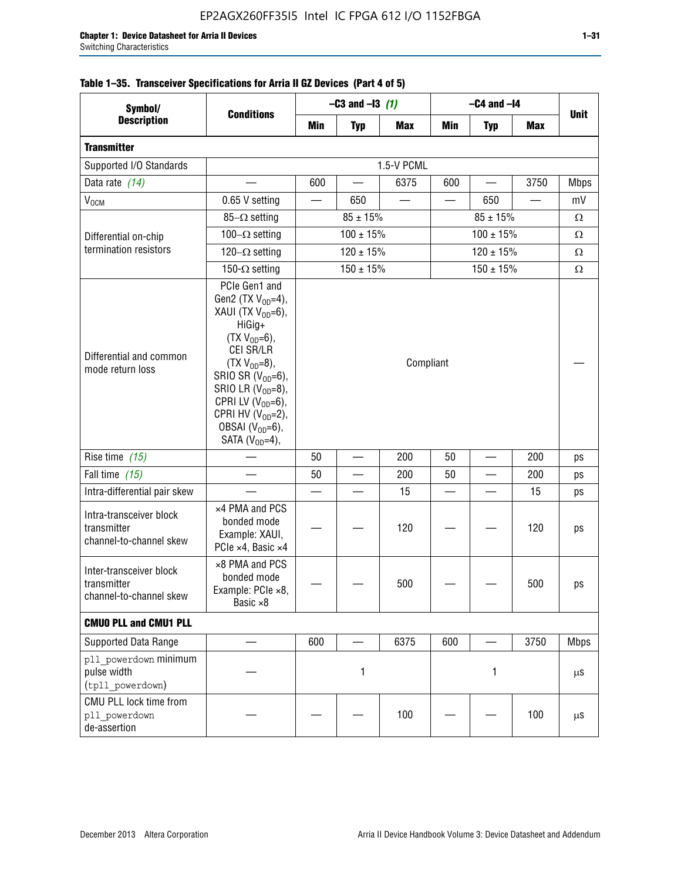| Symbol/                                                           |                                                                                                                                                                                                                                                                                              | $-C3$ and $-13$ (1) |                          |            | $-C4$ and $-I4$ |                |                                                                                       |             |
|-------------------------------------------------------------------|----------------------------------------------------------------------------------------------------------------------------------------------------------------------------------------------------------------------------------------------------------------------------------------------|---------------------|--------------------------|------------|-----------------|----------------|---------------------------------------------------------------------------------------|-------------|
| <b>Description</b>                                                | <b>Conditions</b>                                                                                                                                                                                                                                                                            | Min                 | <b>Typ</b>               | <b>Max</b> | Min             | <b>Typ</b>     | <b>Max</b>                                                                            | <b>Unit</b> |
| <b>Transmitter</b>                                                |                                                                                                                                                                                                                                                                                              |                     |                          |            |                 |                |                                                                                       |             |
| Supported I/O Standards                                           |                                                                                                                                                                                                                                                                                              | 1.5-V PCML          |                          |            |                 |                |                                                                                       |             |
| Data rate (14)                                                    |                                                                                                                                                                                                                                                                                              | 600                 | $\overline{\phantom{0}}$ | 6375       | 600             |                | 3750                                                                                  | <b>Mbps</b> |
| V <sub>OCM</sub>                                                  | 0.65 V setting                                                                                                                                                                                                                                                                               |                     | 650                      |            |                 | 650            | $\overline{\phantom{0}}$                                                              | mV          |
|                                                                   | $85-\Omega$ setting                                                                                                                                                                                                                                                                          |                     | $85 \pm 15\%$            |            |                 | Ω              |                                                                                       |             |
| Differential on-chip                                              | 100 $-\Omega$ setting                                                                                                                                                                                                                                                                        |                     | $100 \pm 15\%$           |            |                 | $100 \pm 15\%$ |                                                                                       | Ω           |
| termination resistors                                             | 120 $-\Omega$ setting                                                                                                                                                                                                                                                                        |                     | $120 \pm 15\%$           |            |                 | Ω              |                                                                                       |             |
|                                                                   | 150- $\Omega$ setting                                                                                                                                                                                                                                                                        |                     | $150 \pm 15%$            |            |                 | $150 \pm 15%$  | $85 \pm 15\%$<br>$120 \pm 15\%$<br>200<br>200<br>15<br>120<br>500<br>3750<br>1<br>100 | Ω           |
| Differential and common<br>mode return loss                       | PCIe Gen1 and<br>Gen2 (TX $V_{OD} = 4$ ),<br>XAUI (TX $V_{OD} = 6$ ),<br>HiGig+<br>$(TX V_{OD} = 6)$ ,<br>CEI SR/LR<br>$(TX V_{OD} = 8),$<br>SRIO SR $(V_{OD}=6)$ ,<br>SRIO LR $(V_{OD} = 8)$ ,<br>CPRI LV $(V_{OD}=6)$ ,<br>CPRI HV $(V_{OD}=2)$ ,<br>OBSAI $(VOD=6)$ ,<br>SATA $(VOD=4)$ , | Compliant           |                          |            |                 |                |                                                                                       |             |
| Rise time $(15)$                                                  |                                                                                                                                                                                                                                                                                              | 50                  |                          | 200        | 50              |                |                                                                                       | ps          |
| Fall time (15)                                                    |                                                                                                                                                                                                                                                                                              | 50                  |                          | 200        | 50              |                |                                                                                       | ps          |
| Intra-differential pair skew                                      |                                                                                                                                                                                                                                                                                              |                     |                          | 15         |                 |                |                                                                                       | ps          |
| Intra-transceiver block<br>transmitter<br>channel-to-channel skew | x4 PMA and PCS<br>bonded mode<br>Example: XAUI,<br>PCIe ×4, Basic ×4                                                                                                                                                                                                                         |                     |                          | 120        |                 |                |                                                                                       | ps          |
| Inter-transceiver block<br>transmitter<br>channel-to-channel skew | ×8 PMA and PCS<br>bonded mode<br>Example: PCle ×8,<br>Basic ×8                                                                                                                                                                                                                               |                     |                          | 500        |                 |                |                                                                                       | ps          |
| <b>CMUO PLL and CMU1 PLL</b>                                      |                                                                                                                                                                                                                                                                                              |                     |                          |            |                 |                |                                                                                       |             |
| Supported Data Range                                              |                                                                                                                                                                                                                                                                                              | 600                 |                          | 6375       | 600             |                |                                                                                       | <b>Mbps</b> |
| pll powerdown minimum<br>pulse width<br>(tpll powerdown)          |                                                                                                                                                                                                                                                                                              |                     | 1                        |            |                 |                |                                                                                       | μS          |
| CMU PLL lock time from<br>pll powerdown<br>de-assertion           |                                                                                                                                                                                                                                                                                              |                     |                          | 100        |                 |                |                                                                                       | μS          |

# **Table 1–35. Transceiver Specifications for Arria II GZ Devices (Part 4 of 5)**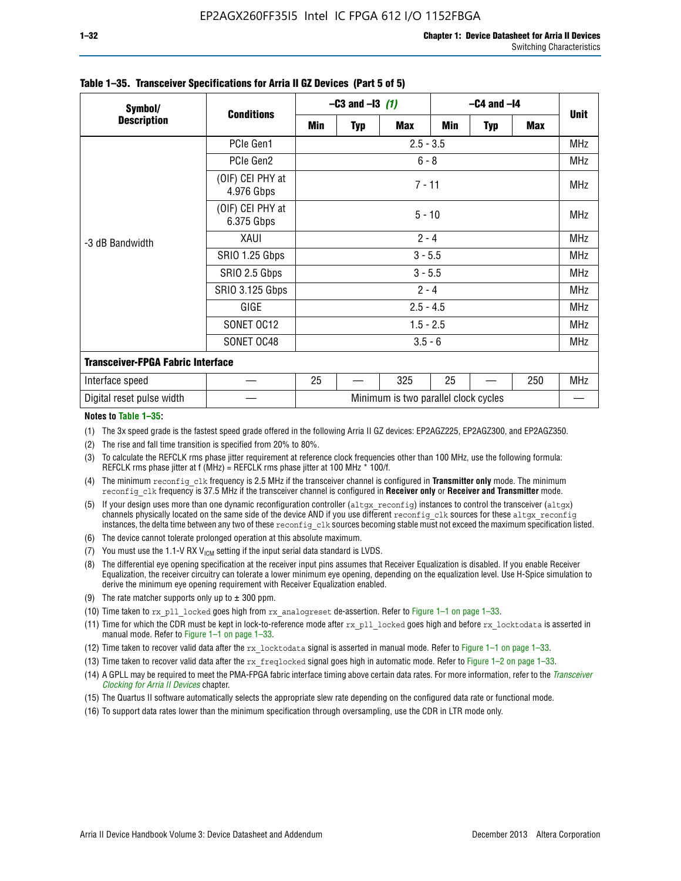| Symbol/                                  | <b>Conditions</b>              | $-C3$ and $-13$ (1)                  |            |            | $-C4$ and $-I4$ |            |            |             |  |
|------------------------------------------|--------------------------------|--------------------------------------|------------|------------|-----------------|------------|------------|-------------|--|
| <b>Description</b>                       |                                | Min                                  | <b>Typ</b> | <b>Max</b> | Min             | <b>Typ</b> | <b>Max</b> | <b>Unit</b> |  |
|                                          | PCIe Gen1                      | $2.5 - 3.5$                          |            |            |                 |            |            | <b>MHz</b>  |  |
| -3 dB Bandwidth                          | PCIe Gen2                      | $6 - 8$                              |            |            |                 |            |            |             |  |
|                                          | (OIF) CEI PHY at<br>4.976 Gbps | $7 - 11$                             |            |            |                 |            |            |             |  |
|                                          | (OIF) CEI PHY at<br>6.375 Gbps | $5 - 10$                             |            |            |                 |            |            |             |  |
|                                          | XAUI                           | $2 - 4$                              |            |            |                 |            |            |             |  |
|                                          | SRIO 1.25 Gbps                 | $3 - 5.5$                            |            |            |                 |            |            |             |  |
|                                          | SRIO 2.5 Gbps                  | $3 - 5.5$                            |            |            |                 |            |            | <b>MHz</b>  |  |
|                                          | <b>SRIO 3.125 Gbps</b>         | $2 - 4$                              |            |            |                 |            |            | <b>MHz</b>  |  |
|                                          | GIGE                           | $2.5 - 4.5$                          |            |            |                 |            |            | <b>MHz</b>  |  |
|                                          | SONET OC12                     | $1.5 - 2.5$                          |            |            |                 |            |            |             |  |
|                                          | SONET OC48                     | $3.5 - 6$                            |            |            |                 |            |            | <b>MHz</b>  |  |
| <b>Transceiver-FPGA Fabric Interface</b> |                                |                                      |            |            |                 |            |            |             |  |
| Interface speed                          |                                | 25                                   |            | 325        | 25              |            | 250        | <b>MHz</b>  |  |
| Digital reset pulse width                |                                | Minimum is two parallel clock cycles |            |            |                 |            |            |             |  |

#### **Table 1–35. Transceiver Specifications for Arria II GZ Devices (Part 5 of 5)**

#### **Notes to Table 1–35:**

(1) The 3x speed grade is the fastest speed grade offered in the following Arria II GZ devices: EP2AGZ225, EP2AGZ300, and EP2AGZ350.

- (2) The rise and fall time transition is specified from 20% to 80%.
- (3) To calculate the REFCLK rms phase jitter requirement at reference clock frequencies other than 100 MHz, use the following formula: REFCLK rms phase jitter at f (MHz) = REFCLK rms phase jitter at 100 MHz  $*$  100/f.
- (4) The minimum reconfig clk frequency is 2.5 MHz if the transceiver channel is configured in **Transmitter only** mode. The minimum reconfig clk frequency is 37.5 MHz if the transceiver channel is configured in **Receiver only** or **Receiver and Transmitter** mode.
- (5) If your design uses more than one dynamic reconfiguration controller ( $\text{altgx\_reconfig}$ ) instances to control the transceiver ( $\text{altgx}$ ) channels physically located on the same side of the device AND if you use different reconfig clk sources for these altgx reconfig instances, the delta time between any two of these reconfig clk sources becoming stable must not exceed the maximum specification listed.
- (6) The device cannot tolerate prolonged operation at this absolute maximum.
- (7) You must use the 1.1-V RX  $V_{ICM}$  setting if the input serial data standard is LVDS.
- (8) The differential eye opening specification at the receiver input pins assumes that Receiver Equalization is disabled. If you enable Receiver Equalization, the receiver circuitry can tolerate a lower minimum eye opening, depending on the equalization level. Use H-Spice simulation to derive the minimum eye opening requirement with Receiver Equalization enabled.
- (9) The rate matcher supports only up to  $\pm$  300 ppm.
- (10) Time taken to rx\_pll\_locked goes high from rx\_analogreset de-assertion. Refer to Figure 1–1 on page 1–33.
- (11) Time for which the CDR must be kept in lock-to-reference mode after rx pll\_locked goes high and before rx\_locktodata is asserted in manual mode. Refer to Figure 1–1 on page 1–33.
- (12) Time taken to recover valid data after the rx locktodata signal is asserted in manual mode. Refer to Figure 1–1 on page 1–33.
- (13) Time taken to recover valid data after the rx\_freqlocked signal goes high in automatic mode. Refer to Figure 1–2 on page 1–33.
- (14) A GPLL may be required to meet the PMA-FPGA fabric interface timing above certain data rates. For more information, refer to the *[Transceiver](http://www.altera.com/literature/hb/arria-ii-gx/aiigx_52002.pdf)  [Clocking for Arria II Devices](http://www.altera.com/literature/hb/arria-ii-gx/aiigx_52002.pdf)* chapter.
- (15) The Quartus II software automatically selects the appropriate slew rate depending on the configured data rate or functional mode.
- (16) To support data rates lower than the minimum specification through oversampling, use the CDR in LTR mode only.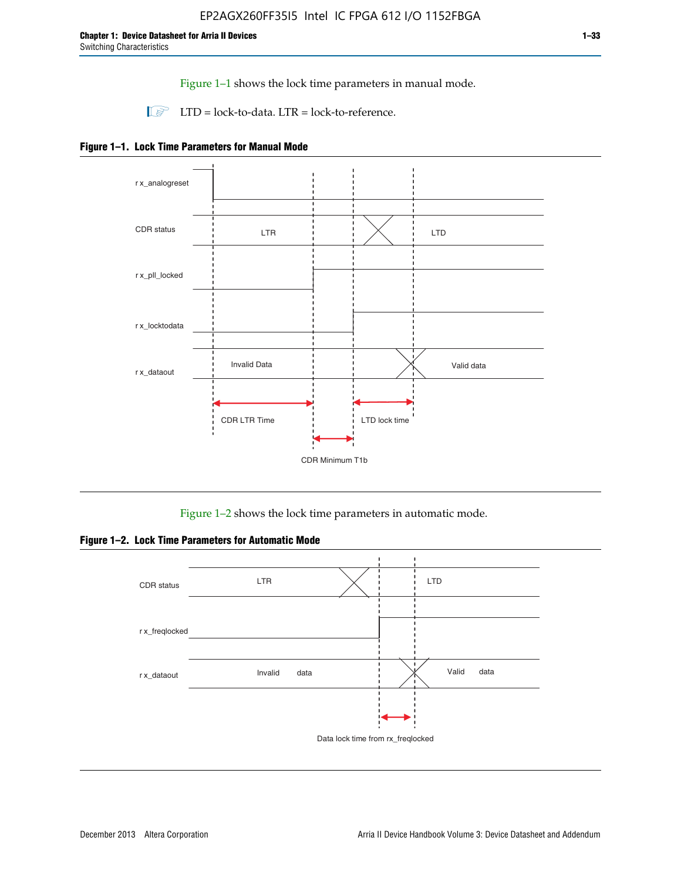Figure 1–1 shows the lock time parameters in manual mode.

 $\Box$  LTD = lock-to-data. LTR = lock-to-reference.





Figure 1–2 shows the lock time parameters in automatic mode.

**Figure 1–2. Lock Time Parameters for Automatic Mode**

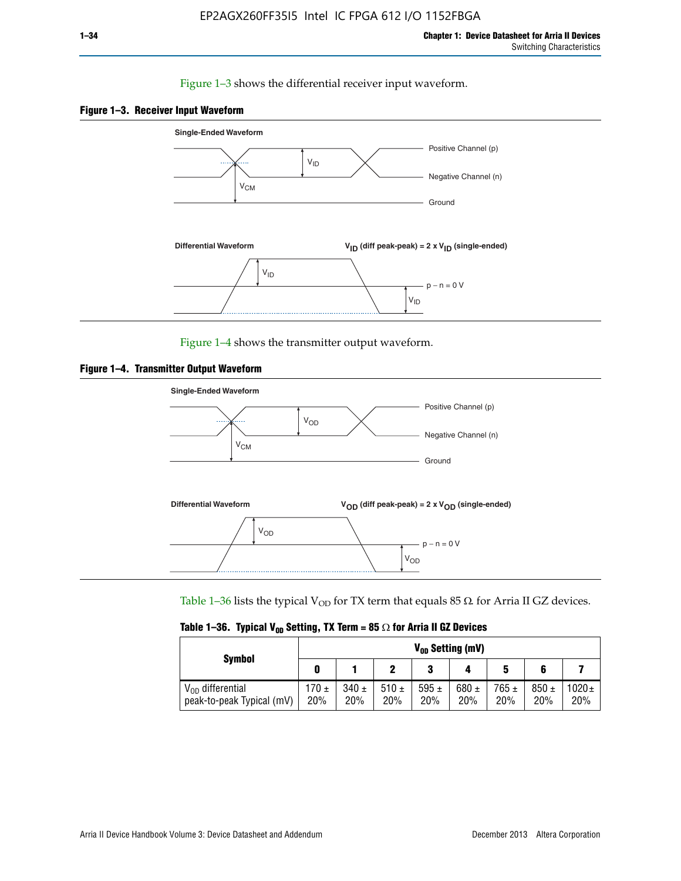### Figure 1–3 shows the differential receiver input waveform.





Figure 1–4 shows the transmitter output waveform.





Table 1–36 lists the typical V<sub>OD</sub> for TX term that equals 85  $\Omega$  for Arria II GZ devices.

|                                                    | $V_{0D}$ Setting (mV) |                  |             |                  |                  |                  |                  |                   |
|----------------------------------------------------|-----------------------|------------------|-------------|------------------|------------------|------------------|------------------|-------------------|
| <b>Symbol</b>                                      |                       |                  |             | 2<br>J           |                  | 5                |                  |                   |
| $V_{OD}$ differential<br>peak-to-peak Typical (mV) | $170 \pm$<br>20%      | $340 \pm$<br>20% | 510±<br>20% | 595 $\pm$<br>20% | 680 $\pm$<br>20% | $765 \pm$<br>20% | $850 \pm$<br>20% | $1020 \pm$<br>20% |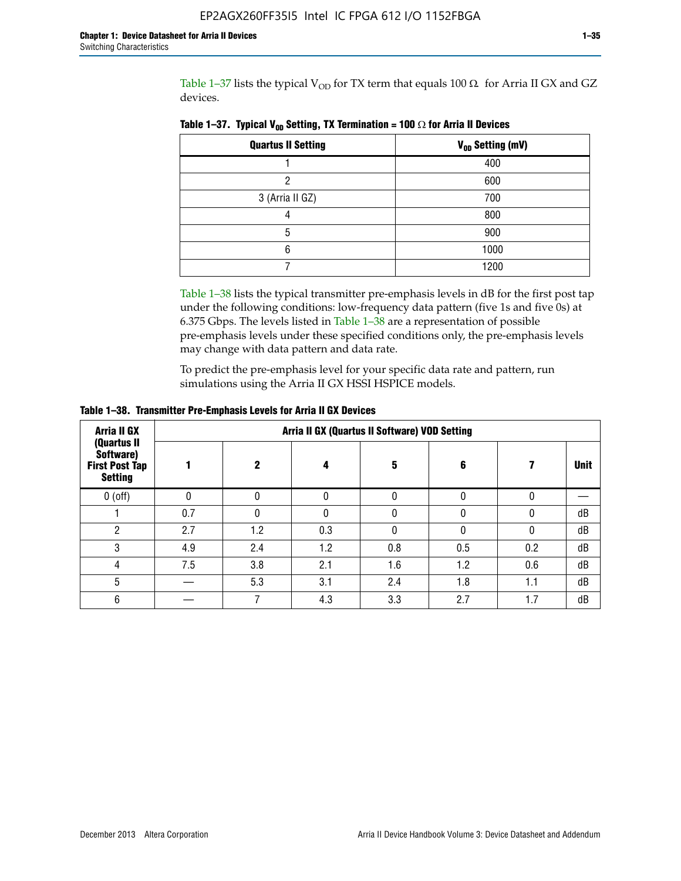Table 1–37 lists the typical  $V_{OD}$  for TX term that equals 100  $\Omega$  for Arria II GX and GZ devices.

| <b>Quartus II Setting</b> | V <sub>OD</sub> Setting (mV) |
|---------------------------|------------------------------|
|                           | 400                          |
|                           | 600                          |
| 3 (Arria II GZ)           | 700                          |
|                           | 800                          |
| 5                         | 900                          |
| հ                         | 1000                         |
|                           | 1200                         |

**Table 1–37. Typical V<sub>OD</sub> Setting, TX Termination = 100**  $\Omega$  for Arria II Devices

Table 1–38 lists the typical transmitter pre-emphasis levels in dB for the first post tap under the following conditions: low-frequency data pattern (five 1s and five 0s) at 6.375 Gbps. The levels listed in Table 1–38 are a representation of possible pre-emphasis levels under these specified conditions only, the pre-emphasis levels may change with data pattern and data rate.

To predict the pre-emphasis level for your specific data rate and pattern, run simulations using the Arria II GX HSSI HSPICE models.

| <b>Arria II GX</b><br>(Quartus II                    | Arria II GX (Quartus II Software) VOD Setting |     |     |     |     |     |             |  |  |  |
|------------------------------------------------------|-----------------------------------------------|-----|-----|-----|-----|-----|-------------|--|--|--|
| Software)<br><b>First Post Tap</b><br><b>Setting</b> |                                               | 2   | 4   | 5   | 6   |     | <b>Unit</b> |  |  |  |
| $0$ (off)                                            | 0                                             |     | U   |     |     |     |             |  |  |  |
|                                                      | 0.7                                           |     | U   |     |     |     | dB          |  |  |  |
| ŋ                                                    | 2.7                                           | 1.2 | 0.3 |     |     |     | dB          |  |  |  |
| 3                                                    | 4.9                                           | 2.4 | 1.2 | 0.8 | 0.5 | 0.2 | dB          |  |  |  |
| 4                                                    | 7.5                                           | 3.8 | 2.1 | 1.6 | 1.2 | 0.6 | dB          |  |  |  |
| 5                                                    |                                               | 5.3 | 3.1 | 2.4 | 1.8 | 1.1 | dB          |  |  |  |
| 6                                                    |                                               |     | 4.3 | 3.3 | 2.7 | 1.7 | dB          |  |  |  |

**Table 1–38. Transmitter Pre-Emphasis Levels for Arria II GX Devices**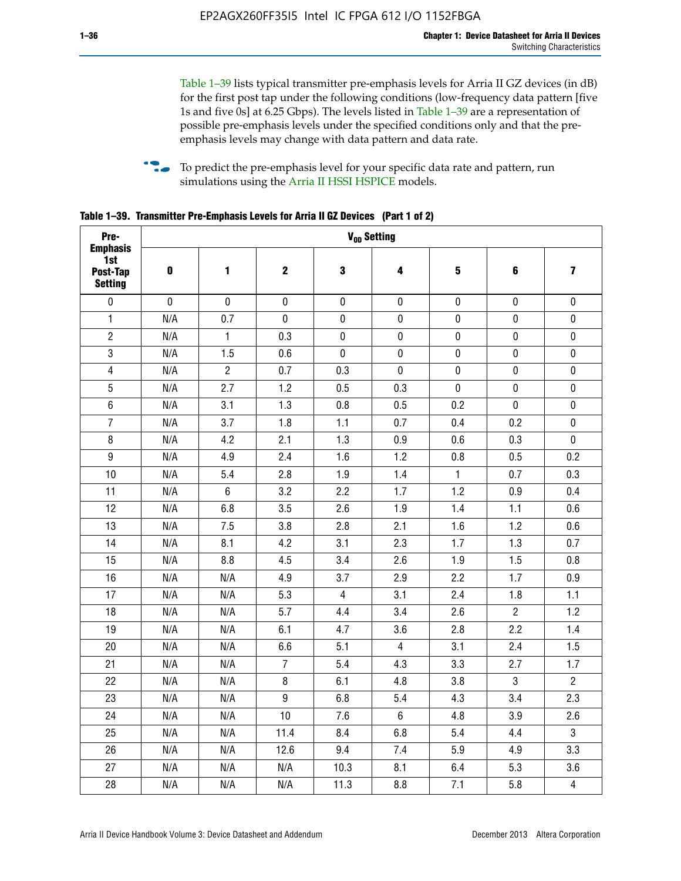Table 1–39 lists typical transmitter pre-emphasis levels for Arria II GZ devices (in dB) for the first post tap under the following conditions (low-frequency data pattern [five 1s and five 0s] at 6.25 Gbps). The levels listed in Table 1–39 are a representation of possible pre-emphasis levels under the specified conditions only and that the preemphasis levels may change with data pattern and data rate.

**follow** To predict the pre-emphasis level for your specific data rate and pattern, run simulations using the [Arria II HSSI HSPICE](http://www.altera.com/support/software/download/hspice/hsp-index.html) models.

| Pre-                                                 |           |                |                  | V <sub>OD</sub> Setting |                |                         |                |                         |
|------------------------------------------------------|-----------|----------------|------------------|-------------------------|----------------|-------------------------|----------------|-------------------------|
| <b>Emphasis</b><br>1st<br>Post-Tap<br><b>Setting</b> | $\pmb{0}$ | 1              | $\mathbf 2$      | $\mathbf 3$             | 4              | $\overline{\mathbf{5}}$ | 6              | $\overline{\mathbf{z}}$ |
| $\pmb{0}$                                            | $\pmb{0}$ | $\pmb{0}$      | $\pmb{0}$        | $\pmb{0}$               | $\pmb{0}$      | $\pmb{0}$               | $\pmb{0}$      | $\pmb{0}$               |
| $\mathbf{1}$                                         | N/A       | 0.7            | $\pmb{0}$        | $\pmb{0}$               | $\pmb{0}$      | $\pmb{0}$               | $\pmb{0}$      | $\pmb{0}$               |
| $\overline{2}$                                       | N/A       | $\mathbf{1}$   | 0.3              | $\pmb{0}$               | $\mathbf 0$    | $\mathbf 0$             | $\mathbf 0$    | $\pmb{0}$               |
| $\mathbf 3$                                          | N/A       | 1.5            | 0.6              | $\mathbf 0$             | $\pmb{0}$      | $\pmb{0}$               | $\pmb{0}$      | $\pmb{0}$               |
| $\overline{\mathbf{4}}$                              | N/A       | $\overline{2}$ | 0.7              | 0.3                     | $\pmb{0}$      | $\pmb{0}$               | $\pmb{0}$      | $\pmb{0}$               |
| $\overline{5}$                                       | N/A       | 2.7            | 1.2              | 0.5                     | 0.3            | $\pmb{0}$               | 0              | $\pmb{0}$               |
| $\,6\,$                                              | N/A       | 3.1            | 1.3              | 0.8                     | 0.5            | 0.2                     | $\mathbf 0$    | $\pmb{0}$               |
| $\overline{7}$                                       | N/A       | 3.7            | 1.8              | 1.1                     | 0.7            | 0.4                     | 0.2            | $\pmb{0}$               |
| $\bf 8$                                              | N/A       | 4.2            | 2.1              | 1.3                     | 0.9            | 0.6                     | 0.3            | $\pmb{0}$               |
| $\boldsymbol{9}$                                     | N/A       | 4.9            | 2.4              | 1.6                     | 1.2            | 0.8                     | 0.5            | 0.2                     |
| 10                                                   | N/A       | 5.4            | 2.8              | 1.9                     | 1.4            | $\mathbf{1}$            | 0.7            | 0.3                     |
| 11                                                   | N/A       | $\,6\,$        | 3.2              | 2.2                     | 1.7            | 1.2                     | 0.9            | 0.4                     |
| 12                                                   | N/A       | 6.8            | 3.5              | 2.6                     | 1.9            | 1.4                     | 1.1            | 0.6                     |
| 13                                                   | N/A       | 7.5            | 3.8              | 2.8                     | 2.1            | 1.6                     | 1.2            | 0.6                     |
| 14                                                   | N/A       | 8.1            | 4.2              | 3.1                     | 2.3            | 1.7                     | 1.3            | 0.7                     |
| 15                                                   | N/A       | 8.8            | 4.5              | 3.4                     | 2.6            | 1.9                     | 1.5            | 0.8                     |
| 16                                                   | N/A       | N/A            | 4.9              | 3.7                     | 2.9            | 2.2                     | 1.7            | 0.9                     |
| 17                                                   | N/A       | N/A            | 5.3              | $\overline{4}$          | 3.1            | 2.4                     | 1.8            | 1.1                     |
| 18                                                   | N/A       | N/A            | 5.7              | 4.4                     | 3.4            | 2.6                     | $\overline{c}$ | 1.2                     |
| 19                                                   | N/A       | N/A            | 6.1              | 4.7                     | 3.6            | 2.8                     | 2.2            | 1.4                     |
| 20                                                   | N/A       | N/A            | 6.6              | 5.1                     | 4              | 3.1                     | 2.4            | 1.5                     |
| 21                                                   | N/A       | N/A            | $\overline{7}$   | 5.4                     | 4.3            | 3.3                     | 2.7            | 1.7                     |
| 22                                                   | N/A       | N/A            | 8                | 6.1                     | 4.8            | 3.8                     | 3              | $\overline{2}$          |
| 23                                                   | N/A       | N/A            | $\boldsymbol{9}$ | 6.8                     | 5.4            | 4.3                     | 3.4            | 2.3                     |
| 24                                                   | N/A       | N/A            | 10               | 7.6                     | $6\phantom{.}$ | 4.8                     | 3.9            | 2.6                     |
| 25                                                   | N/A       | N/A            | 11.4             | 8.4                     | 6.8            | 5.4                     | 4.4            | 3                       |
| 26                                                   | N/A       | N/A            | 12.6             | 9.4                     | 7.4            | 5.9                     | 4.9            | 3.3                     |
| 27                                                   | N/A       | N/A            | N/A              | 10.3                    | 8.1            | 6.4                     | 5.3            | 3.6                     |
| 28                                                   | N/A       | N/A            | N/A              | 11.3                    | 8.8            | 7.1                     | 5.8            | $\overline{4}$          |

**Table 1–39. Transmitter Pre-Emphasis Levels for Arria II GZ Devices (Part 1 of 2)**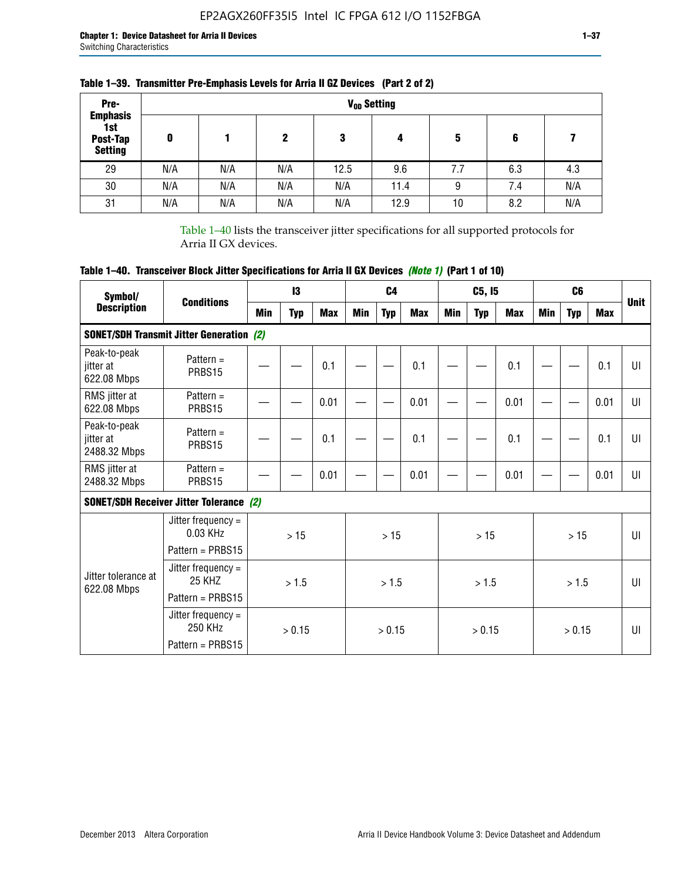| Pre-                                                 |     |     |     |      | V <sub>op</sub> Setting |     |     |     |
|------------------------------------------------------|-----|-----|-----|------|-------------------------|-----|-----|-----|
| <b>Emphasis</b><br>1st<br>Post-Tap<br><b>Setting</b> | 0   |     | 2   | 3    | 4                       | 5   | 6   |     |
| 29                                                   | N/A | N/A | N/A | 12.5 | 9.6                     | 7.7 | 6.3 | 4.3 |
| 30                                                   | N/A | N/A | N/A | N/A  | 11.4                    | 9   | 7.4 | N/A |
| 31                                                   | N/A | N/A | N/A | N/A  | 12.9                    | 10  | 8.2 | N/A |

## **Table 1–39. Transmitter Pre-Emphasis Levels for Arria II GZ Devices (Part 2 of 2)**

Table 1–40 lists the transceiver jitter specifications for all supported protocols for Arria II GX devices.

# **Table 1–40. Transceiver Block Jitter Specifications for Arria II GX Devices** *(Note 1)* **(Part 1 of 10)**

| Symbol/                                   | <b>Conditions</b>                                              |     | $\mathbf{13}$ |            |            | C <sub>4</sub> |            |     | C5, I5     |      |            | C <sub>6</sub> |            | <b>Unit</b>  |
|-------------------------------------------|----------------------------------------------------------------|-----|---------------|------------|------------|----------------|------------|-----|------------|------|------------|----------------|------------|--------------|
| <b>Description</b>                        |                                                                | Min | <b>Typ</b>    | <b>Max</b> | <b>Min</b> | <b>Typ</b>     | <b>Max</b> | Min | <b>Typ</b> | Max  | <b>Min</b> | <b>Typ</b>     | <b>Max</b> |              |
|                                           | <b>SONET/SDH Transmit Jitter Generation (2)</b>                |     |               |            |            |                |            |     |            |      |            |                |            |              |
| Peak-to-peak<br>jitter at<br>622.08 Mbps  | Pattern $=$<br>PRBS15                                          |     |               | 0.1        |            |                | 0.1        |     |            | 0.1  |            |                | 0.1        | UI           |
| RMS jitter at<br>622.08 Mbps              | Pattern $=$<br>PRBS15                                          |     |               | 0.01       |            |                | 0.01       |     |            | 0.01 |            |                | 0.01       | UI           |
| Peak-to-peak<br>iitter at<br>2488.32 Mbps | Pattern $=$<br>PRBS15                                          |     |               | 0.1        |            |                | 0.1        |     |            | 0.1  |            |                | 0.1        | U            |
| RMS jitter at<br>2488.32 Mbps             | Pattern $=$<br>PRBS15                                          |     |               | 0.01       |            |                | 0.01       |     |            | 0.01 |            |                | 0.01       | UI           |
|                                           | <b>SONET/SDH Receiver Jitter Tolerance (2)</b>                 |     |               |            |            |                |            |     |            |      |            |                |            |              |
|                                           | Jitter frequency $=$<br>$0.03$ KHz<br>Pattern = PRBS15         |     | >15           |            |            | >15            |            |     | >15        |      |            | >15            |            | $\mathbf{U}$ |
| Jitter tolerance at<br>622.08 Mbps        | Jitter frequency $=$<br>25 KH <sub>7</sub><br>Pattern = PRBS15 |     | > 1.5         |            |            | > 1.5          |            |     | > 1.5      |      |            | > 1.5          |            | $\mathbf{U}$ |
|                                           | Jitter frequency $=$<br>250 KHz<br>Pattern = PRBS15            |     | > 0.15        |            |            | > 0.15         |            |     | > 0.15     |      |            | > 0.15         |            | UI           |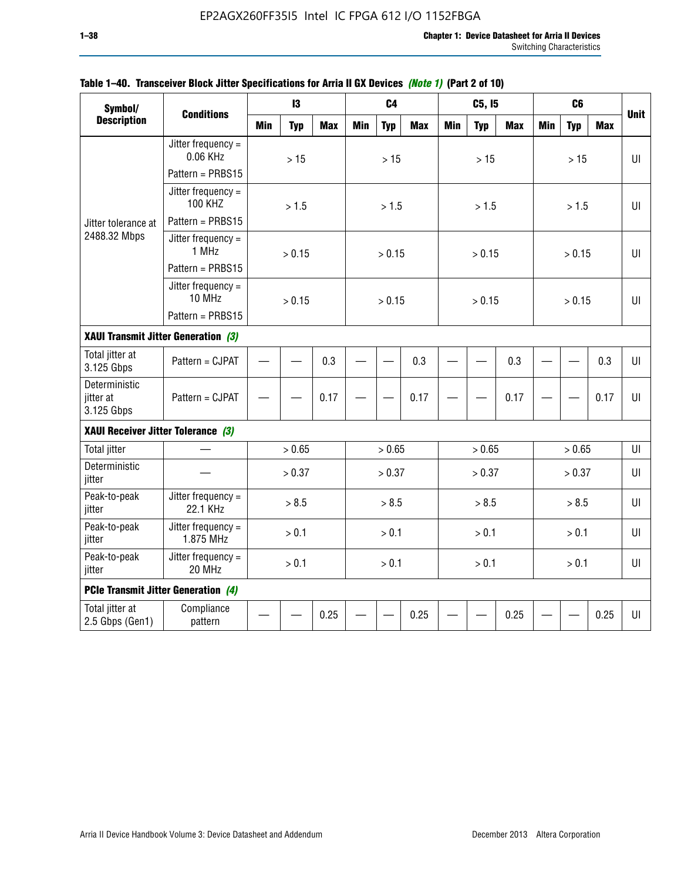| Symbol/                                  |                                      |            | 13         |            |            | C <sub>4</sub> |            |            | C5, I5     |            |            | C <sub>6</sub> |            |              |
|------------------------------------------|--------------------------------------|------------|------------|------------|------------|----------------|------------|------------|------------|------------|------------|----------------|------------|--------------|
| <b>Description</b>                       | <b>Conditions</b>                    | <b>Min</b> | <b>Typ</b> | <b>Max</b> | <b>Min</b> | <b>Typ</b>     | <b>Max</b> | <b>Min</b> | <b>Typ</b> | <b>Max</b> | <b>Min</b> | <b>Typ</b>     | <b>Max</b> | <b>Unit</b>  |
|                                          | Jitter frequency $=$<br>0.06 KHz     |            | $>15$      |            |            | $>15$          |            |            | >15        |            |            | >15            |            | $U\Gamma$    |
|                                          | Pattern = PRBS15                     |            |            |            |            |                |            |            |            |            |            |                |            |              |
|                                          | Jitter frequency =<br><b>100 KHZ</b> |            | > 1.5      |            |            | > 1.5          |            |            | > 1.5      |            |            | > 1.5          |            | $\mathbf{U}$ |
| Jitter tolerance at                      | Pattern = PRBS15                     |            |            |            |            |                |            |            |            |            |            |                |            |              |
| 2488.32 Mbps                             | Jitter frequency =<br>1 MHz          |            | > 0.15     |            |            | > 0.15         |            |            | > 0.15     |            |            | > 0.15         |            | $U\parallel$ |
|                                          | Pattern = PRBS15                     |            |            |            |            |                |            |            |            |            |            |                |            |              |
|                                          | Jitter frequency $=$<br>10 MHz       |            | > 0.15     |            |            | > 0.15         |            |            | > 0.15     |            |            | > 0.15         |            | UI           |
|                                          | Pattern = PRBS15                     |            |            |            |            |                |            |            |            |            |            |                |            |              |
| XAUI Transmit Jitter Generation (3)      |                                      |            |            |            |            |                |            |            |            |            |            |                |            |              |
| Total jitter at<br>3.125 Gbps            | Pattern = CJPAT                      | 0.3        |            |            |            |                | 0.3        |            |            | 0.3        |            |                | 0.3        | UI           |
| Deterministic<br>jitter at<br>3.125 Gbps | Pattern = CJPAT                      |            |            | 0.17       |            |                | 0.17       |            |            | 0.17       |            |                | 0.17       | $U\Gamma$    |
| XAUI Receiver Jitter Tolerance (3)       |                                      |            |            |            |            |                |            |            |            |            |            |                |            |              |
| <b>Total jitter</b>                      |                                      |            | > 0.65     |            |            | > 0.65         |            |            | > 0.65     |            |            | > 0.65         |            | UI           |
| Deterministic<br>jitter                  |                                      |            | > 0.37     |            |            | > 0.37         |            |            | > 0.37     |            |            | > 0.37         |            | UI           |
| Peak-to-peak<br>jitter                   | Jitter frequency =<br>22.1 KHz       |            | > 8.5      |            |            | > 8.5          |            |            | > 8.5      |            |            | > 8.5          |            | $U\Gamma$    |
| Peak-to-peak<br>jitter                   | Jitter frequency =<br>1.875 MHz      |            | > 0.1      |            |            | > 0.1          |            |            | > 0.1      |            |            | > 0.1          |            | Ш            |
| Peak-to-peak<br>jitter                   | Jitter frequency =<br>20 MHz         | > 0.1      |            |            |            | > 0.1          |            |            | > 0.1      |            |            | > 0.1          |            | UI           |
| PCIe Transmit Jitter Generation (4)      |                                      |            |            |            |            |                |            |            |            |            |            |                |            |              |
| Total jitter at<br>2.5 Gbps (Gen1)       | Compliance<br>pattern                |            |            | 0.25       |            |                | 0.25       |            |            | 0.25       |            |                | 0.25       | UI           |

### **Table 1–40. Transceiver Block Jitter Specifications for Arria II GX Devices** *(Note 1)* **(Part 2 of 10)**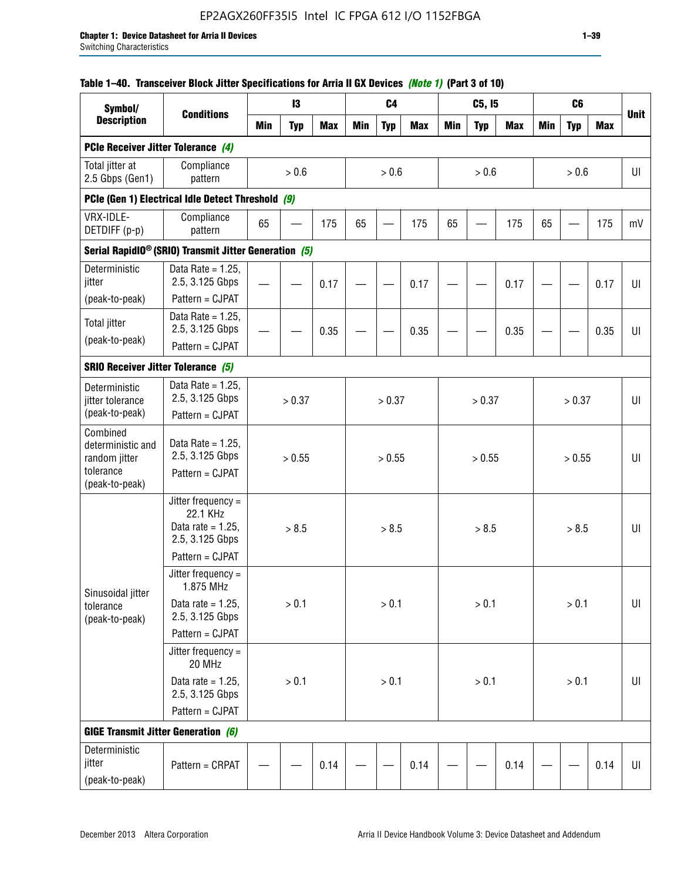## EP2AGX260FF35I5 Intel IC FPGA 612 I/O 1152FBGA

## **Table 1–40. Transceiver Block Jitter Specifications for Arria II GX Devices** *(Note 1)* **(Part 3 of 10)**

| Symbol/<br><b>Description</b>                       |                                                                             |            | 13         |            |     | C <sub>4</sub> |            |            | C5, I5     |            |            | C <sub>6</sub> |            |             |
|-----------------------------------------------------|-----------------------------------------------------------------------------|------------|------------|------------|-----|----------------|------------|------------|------------|------------|------------|----------------|------------|-------------|
|                                                     | <b>Conditions</b>                                                           | <b>Min</b> | <b>Typ</b> | <b>Max</b> | Min | <b>Typ</b>     | <b>Max</b> | <b>Min</b> | <b>Typ</b> | <b>Max</b> | <b>Min</b> | <b>Typ</b>     | <b>Max</b> | <b>Unit</b> |
| PCIe Receiver Jitter Tolerance (4)                  |                                                                             |            |            |            |     |                |            |            |            |            |            |                |            |             |
| Total jitter at<br>2.5 Gbps (Gen1)                  | Compliance<br>pattern                                                       |            | $> 0.6$    |            |     | > 0.6          |            |            | > 0.6      |            |            | > 0.6          |            | UI          |
|                                                     | PCIe (Gen 1) Electrical Idle Detect Threshold (9)                           |            |            |            |     |                |            |            |            |            |            |                |            |             |
| VRX-IDLE-<br>DETDIFF (p-p)                          | Compliance<br>pattern                                                       | 65         |            | 175        | 65  |                | 175        | 65         |            | 175        | 65         |                | 175        | mV          |
|                                                     | Serial RapidIO <sup>®</sup> (SRIO) Transmit Jitter Generation (5)           |            |            |            |     |                |            |            |            |            |            |                |            |             |
| Deterministic<br>jitter                             | Data Rate = $1.25$ ,<br>2.5, 3.125 Gbps                                     |            |            | 0.17       |     |                | 0.17       |            |            | 0.17       |            |                | 0.17       | UI          |
| (peak-to-peak)                                      | Pattern = CJPAT                                                             |            |            |            |     |                |            |            |            |            |            |                |            |             |
| <b>Total jitter</b><br>(peak-to-peak)               | Data Rate = $1.25$ .<br>2.5, 3.125 Gbps                                     |            |            | 0.35       |     |                | 0.35       |            |            | 0.35       |            |                | 0.35       | UI          |
|                                                     | Pattern = CJPAT                                                             |            |            |            |     |                |            |            |            |            |            |                |            |             |
| <b>SRIO Receiver Jitter Tolerance (5)</b>           |                                                                             |            |            |            |     |                |            |            |            |            |            |                |            |             |
| Deterministic<br>jitter tolerance<br>(peak-to-peak) | Data Rate = $1.25$ ,<br>2.5, 3.125 Gbps<br>Pattern = CJPAT                  |            | > 0.37     |            |     | > 0.37         |            |            | > 0.37     |            |            | > 0.37         |            | U           |
| Combined<br>deterministic and<br>random jitter      | Data Rate = $1.25$ ,<br>2.5, 3.125 Gbps                                     | > 0.55     |            |            |     | > 0.55         |            |            | > 0.55     |            |            | > 0.55         |            | U           |
| tolerance<br>(peak-to-peak)                         | Pattern = CJPAT                                                             |            |            |            |     |                |            |            |            |            |            |                |            |             |
|                                                     | Jitter frequency $=$<br>22.1 KHz<br>Data rate = $1.25$ ,<br>2.5, 3.125 Gbps |            | > 8.5      |            |     | > 8.5          |            |            | > 8.5      |            |            | > 8.5          |            | UI          |
|                                                     | Pattern = CJPAT                                                             |            |            |            |     |                |            |            |            |            |            |                |            |             |
| Sinusoidal jitter                                   | Jitter frequency =<br>1.875 MHz                                             |            |            |            |     |                |            |            |            |            |            |                |            |             |
| tolerance<br>(peak-to-peak)                         | Data rate = $1.25$ ,<br>2.5, 3.125 Gbps                                     |            | > 0.1      |            |     | $> 0.1$        |            |            | > 0.1      |            |            | $> 0.1$        |            | UI          |
|                                                     | Pattern = CJPAT                                                             |            |            |            |     |                |            |            |            |            |            |                |            |             |
|                                                     | Jitter frequency $=$<br>20 MHz                                              |            |            |            |     |                |            |            |            |            |            |                |            |             |
|                                                     | Data rate = $1.25$ ,<br>2.5, 3.125 Gbps                                     | > 0.1      |            |            |     | $> 0.1$        |            |            | > 0.1      |            |            | $> 0.1$        |            | UI          |
|                                                     | Pattern = CJPAT                                                             |            |            |            |     |                |            |            |            |            |            |                |            |             |
| <b>GIGE Transmit Jitter Generation (6)</b>          |                                                                             |            |            |            |     |                |            |            |            |            |            |                |            |             |
| Deterministic<br>jitter<br>(peak-to-peak)           | Pattern = CRPAT                                                             |            |            | 0.14       |     |                | 0.14       |            |            | 0.14       |            |                | 0.14       | UI          |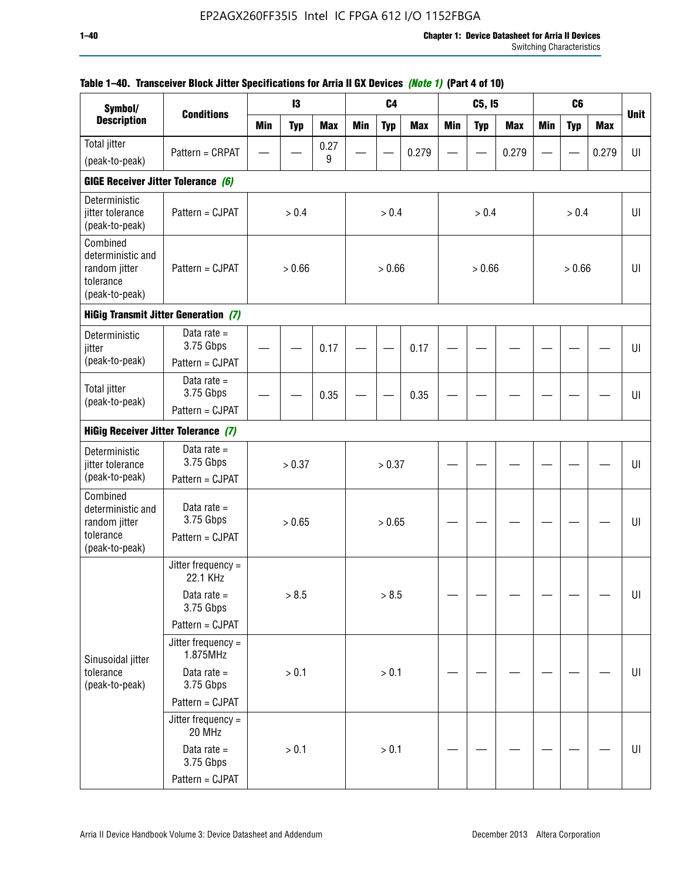| Symbol/                                                                       |                                               |            | 13         |            |     | C <sub>4</sub> |            |            | C5, I5     |            |            | C <sub>6</sub> |            |             |
|-------------------------------------------------------------------------------|-----------------------------------------------|------------|------------|------------|-----|----------------|------------|------------|------------|------------|------------|----------------|------------|-------------|
| <b>Description</b>                                                            | <b>Conditions</b>                             | <b>Min</b> | <b>Typ</b> | <b>Max</b> | Min | <b>Typ</b>     | <b>Max</b> | <b>Min</b> | <b>Typ</b> | <b>Max</b> | <b>Min</b> | <b>Typ</b>     | <b>Max</b> | <b>Unit</b> |
| Total jitter                                                                  | Pattern = CRPAT                               |            |            | 0.27       |     |                | 0.279      |            |            | 0.279      |            |                | 0.279      | UI          |
| (peak-to-peak)                                                                |                                               |            |            | 9          |     |                |            |            |            |            |            |                |            |             |
| GIGE Receiver Jitter Tolerance (6)                                            |                                               |            |            |            |     |                |            |            |            |            |            |                |            |             |
| Deterministic<br>jitter tolerance<br>(peak-to-peak)                           | Pattern = CJPAT                               |            | > 0.4      |            |     | > 0.4          |            |            | > 0.4      |            |            | > 0.4          |            | U           |
| Combined<br>deterministic and<br>random jitter<br>tolerance<br>(peak-to-peak) | Pattern = CJPAT                               |            | > 0.66     |            |     | > 0.66         |            |            | > 0.66     |            |            | > 0.66         |            | U           |
|                                                                               | <b>HiGig Transmit Jitter Generation (7)</b>   |            |            |            |     |                |            |            |            |            |            |                |            |             |
| Deterministic<br>jitter                                                       | Data rate $=$<br>3.75 Gbps                    |            |            | 0.17       |     |                | 0.17       |            |            |            |            |                |            | UI          |
| (peak-to-peak)                                                                | Pattern = CJPAT                               |            |            |            |     |                |            |            |            |            |            |                |            |             |
| <b>Total jitter</b><br>(peak-to-peak)                                         | Data rate $=$<br>3.75 Gbps                    |            |            | 0.35       |     |                | 0.35       |            |            |            |            |                |            | U           |
|                                                                               | Pattern = CJPAT                               |            |            |            |     |                |            |            |            |            |            |                |            |             |
| HiGig Receiver Jitter Tolerance (7)                                           |                                               |            |            |            |     |                |            |            |            |            |            |                |            |             |
| Deterministic<br>jitter tolerance                                             | Data rate $=$<br>3.75 Gbps                    |            | > 0.37     |            |     | > 0.37         |            |            |            |            |            |                |            | U           |
| (peak-to-peak)                                                                | Pattern = CJPAT                               |            |            |            |     |                |            |            |            |            |            |                |            |             |
| Combined<br>deterministic and<br>random jitter<br>tolerance                   | Data rate $=$<br>3.75 Gbps<br>Pattern = CJPAT |            | > 0.65     |            |     | > 0.65         |            |            |            |            |            |                |            | U           |
| (peak-to-peak)                                                                |                                               |            |            |            |     |                |            |            |            |            |            |                |            |             |
|                                                                               | Jitter frequency =<br>22.1 KHz                |            |            |            |     |                |            |            |            |            |            |                |            |             |
|                                                                               | Data rate $=$<br>3.75 Gbps                    |            | > 8.5      |            |     | > 8.5          |            |            |            |            |            |                |            | U           |
|                                                                               | Pattern = CJPAT                               |            |            |            |     |                |            |            |            |            |            |                |            |             |
| Sinusoidal jitter                                                             | Jitter frequency =<br>1.875MHz                |            |            |            |     |                |            |            |            |            |            |                |            |             |
| tolerance<br>(peak-to-peak)                                                   | Data rate $=$<br>3.75 Gbps                    |            | > 0.1      |            |     | > 0.1          |            |            |            |            |            |                |            | UI          |
|                                                                               | Pattern = CJPAT                               |            |            |            |     |                |            |            |            |            |            |                |            |             |
|                                                                               | Jitter frequency $=$<br>20 MHz                |            |            |            |     |                |            |            |            |            |            |                |            |             |
|                                                                               | Data rate $=$<br>3.75 Gbps                    |            | > 0.1      |            |     | > 0.1          |            |            |            |            |            |                |            | $\sf{UI}$   |
|                                                                               | Pattern = CJPAT                               |            |            |            |     |                |            |            |            |            |            |                |            |             |

## **Table 1–40. Transceiver Block Jitter Specifications for Arria II GX Devices** *(Note 1)* **(Part 4 of 10)**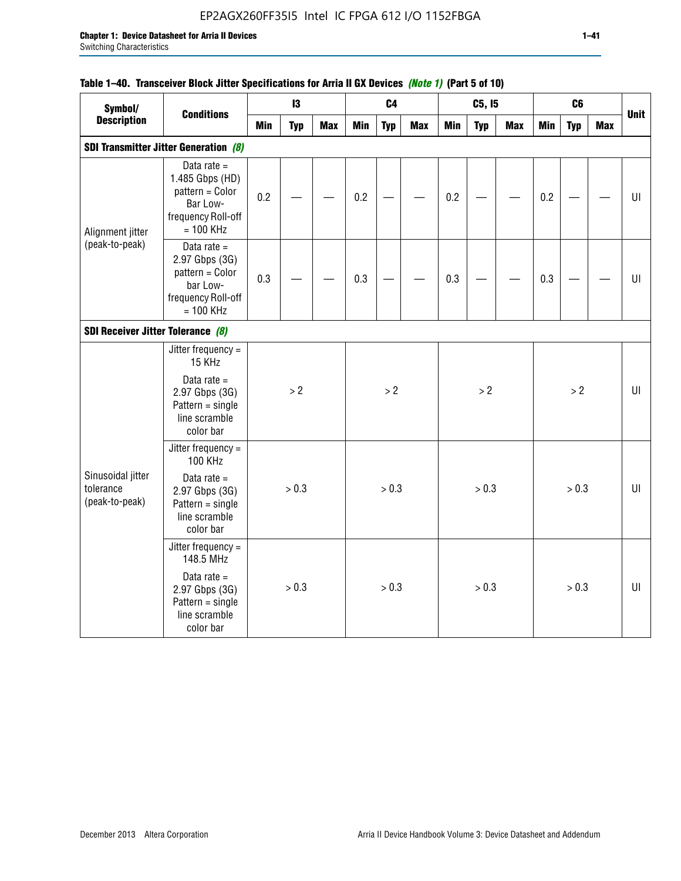## EP2AGX260FF35I5 Intel IC FPGA 612 I/O 1152FBGA

## **Table 1–40. Transceiver Block Jitter Specifications for Arria II GX Devices** *(Note 1)* **(Part 5 of 10)**

| Symbol/                                             |                                                                                                      |     | 13         |            |            | C <sub>4</sub> |            |            | C5, I5     |            |            | C <sub>6</sub> |            |             |
|-----------------------------------------------------|------------------------------------------------------------------------------------------------------|-----|------------|------------|------------|----------------|------------|------------|------------|------------|------------|----------------|------------|-------------|
| <b>Description</b>                                  | <b>Conditions</b>                                                                                    | Min | <b>Typ</b> | <b>Max</b> | <b>Min</b> | <b>Typ</b>     | <b>Max</b> | <b>Min</b> | <b>Typ</b> | <b>Max</b> | <b>Min</b> | <b>Typ</b>     | <b>Max</b> | <b>Unit</b> |
|                                                     | <b>SDI Transmitter Jitter Generation (8)</b>                                                         |     |            |            |            |                |            |            |            |            |            |                |            |             |
| Alignment jitter                                    | Data rate $=$<br>1.485 Gbps (HD)<br>pattern = Color<br>Bar Low-<br>frequency Roll-off<br>$= 100$ KHz | 0.2 |            |            | 0.2        |                |            | 0.2        |            |            | 0.2        |                |            | $U\Gamma$   |
| (peak-to-peak)<br>SDI Receiver Jitter Tolerance (8) | Data rate $=$<br>2.97 Gbps (3G)<br>pattern = Color<br>bar Low-<br>frequency Roll-off<br>$= 100$ KHz  | 0.3 |            |            | 0.3        |                |            | 0.3        |            |            | 0.3        |                |            | $U\vert$    |
|                                                     |                                                                                                      |     |            |            |            |                |            |            |            |            |            |                |            |             |
|                                                     | Jitter frequency =<br>15 KHz<br>Data rate $=$<br>2.97 Gbps (3G)                                      |     | > 2        |            |            | $>2$           |            |            | >2         |            |            | >2             |            | UI          |
|                                                     | $Pattern = single$<br>line scramble<br>color bar                                                     |     |            |            |            |                |            |            |            |            |            |                |            |             |
|                                                     | Jitter frequency =<br>100 KHz                                                                        |     |            |            |            |                |            |            |            |            |            |                |            |             |
| Sinusoidal jitter<br>tolerance<br>(peak-to-peak)    | Data rate $=$<br>2.97 Gbps (3G)<br>$Pattern = single$<br>line scramble<br>color bar                  |     | > 0.3      |            |            | > 0.3          |            |            | > 0.3      |            |            | > 0.3          |            | U           |
|                                                     | Jitter frequency =<br>148.5 MHz                                                                      |     |            |            |            |                |            |            |            |            |            |                |            |             |
|                                                     | Data rate $=$<br>2.97 Gbps (3G)<br>$Pattern = single$<br>line scramble<br>color bar                  |     | > 0.3      |            |            | > 0.3          |            |            | > 0.3      |            |            | > 0.3          |            | $U\Gamma$   |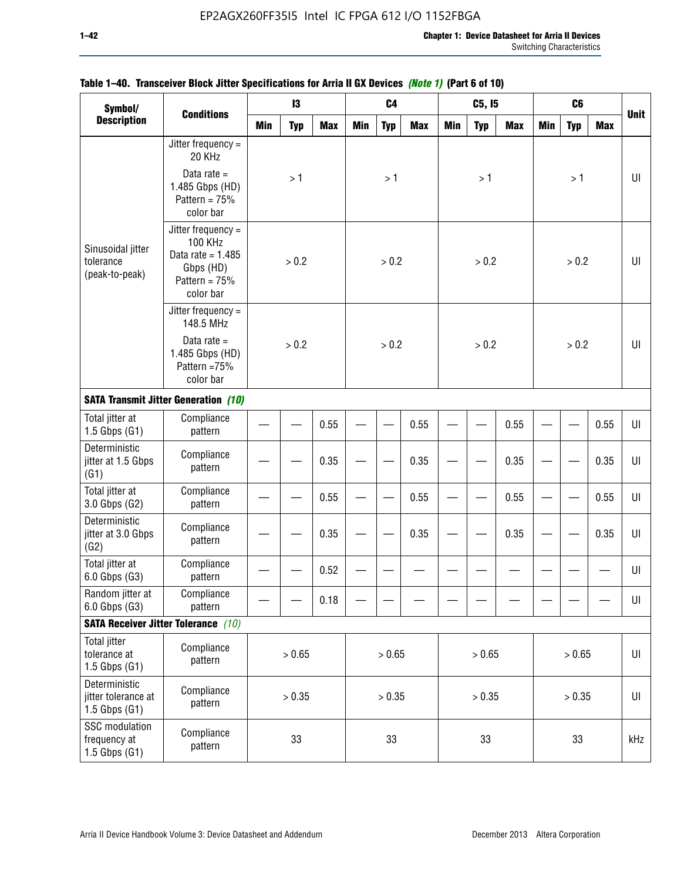| Symbol/                                                   |                                                                                                            |            | 13         |            |            | C <sub>4</sub> |            |            | C5, I5     |            |            | C <sub>6</sub> |            |             |
|-----------------------------------------------------------|------------------------------------------------------------------------------------------------------------|------------|------------|------------|------------|----------------|------------|------------|------------|------------|------------|----------------|------------|-------------|
| <b>Description</b>                                        | <b>Conditions</b>                                                                                          | <b>Min</b> | <b>Typ</b> | <b>Max</b> | <b>Min</b> | <b>Typ</b>     | <b>Max</b> | <b>Min</b> | <b>Typ</b> | <b>Max</b> | <b>Min</b> | <b>Typ</b>     | <b>Max</b> | <b>Unit</b> |
|                                                           | Jitter frequency =<br>20 KHz                                                                               |            |            |            |            |                |            |            |            |            |            |                |            |             |
|                                                           | Data rate $=$<br>1.485 Gbps (HD)<br>Pattern = $75%$<br>color bar                                           |            | >1         |            |            | >1             |            |            | >1         |            |            | >1             |            | UI          |
| Sinusoidal jitter<br>tolerance<br>(peak-to-peak)          | Jitter frequency $=$<br><b>100 KHz</b><br>Data rate = $1.485$<br>Gbps (HD)<br>Pattern = $75%$<br>color bar |            | > 0.2      |            |            | > 0.2          |            |            | > 0.2      |            |            | > 0.2          |            | UI          |
|                                                           | Jitter frequency $=$<br>148.5 MHz                                                                          |            | > 0.2      |            |            |                |            |            |            |            |            |                |            |             |
|                                                           | Data rate $=$<br>1.485 Gbps (HD)<br>Pattern =75%<br>color bar                                              |            | 0.55       |            |            | > 0.2          |            |            | > 0.2      |            |            | > 0.2          |            | U           |
|                                                           | <b>SATA Transmit Jitter Generation (10)</b>                                                                |            |            |            |            |                |            |            |            |            |            |                |            |             |
| Total jitter at<br>$1.5$ Gbps $(G1)$                      | Compliance<br>pattern                                                                                      |            |            |            |            |                | 0.55       |            |            | 0.55       |            |                | 0.55       | UI          |
| Deterministic<br>jitter at 1.5 Gbps<br>(G1)               | Compliance<br>pattern                                                                                      | 0.35       |            |            |            |                | 0.35       |            |            | 0.35       |            |                | 0.35       | UI          |
| Total jitter at<br>3.0 Gbps (G2)                          | Compliance<br>pattern                                                                                      |            |            | 0.55       |            |                | 0.55       |            |            | 0.55       |            |                | 0.55       | UI          |
| Deterministic<br>jitter at 3.0 Gbps<br>(G2)               | Compliance<br>pattern                                                                                      |            |            | 0.35       |            |                | 0.35       |            |            | 0.35       |            |                | 0.35       | UI          |
| Total jitter at<br>6.0 Gbps (G3)                          | Compliance<br>pattern                                                                                      |            |            | 0.52       |            |                |            |            |            |            |            |                |            | UI          |
| Random jitter at<br>6.0 Gbps (G3)                         | Compliance<br>pattern                                                                                      |            |            | 0.18       |            |                |            |            |            |            |            |                |            | UI          |
|                                                           | <b>SATA Receiver Jitter Tolerance</b> (10)                                                                 |            |            |            |            |                |            |            |            |            |            |                |            |             |
| <b>Total jitter</b><br>tolerance at<br>$1.5$ Gbps $(G1)$  | Compliance<br>pattern                                                                                      | > 0.65     |            |            |            | > 0.65         |            |            | > 0.65     |            |            | > 0.65         |            | $U\vert$    |
| Deterministic<br>jitter tolerance at<br>$1.5$ Gbps $(G1)$ | Compliance<br>pattern                                                                                      | > 0.35     |            |            |            | > 0.35         |            |            | > 0.35     |            |            | > 0.35         |            | UI          |
| SSC modulation<br>frequency at<br>$1.5$ Gbps $(G1)$       | Compliance<br>pattern                                                                                      |            | 33         |            |            | 33             |            |            | 33         |            |            | 33             |            | kHz         |

## **Table 1–40. Transceiver Block Jitter Specifications for Arria II GX Devices** *(Note 1)* **(Part 6 of 10)**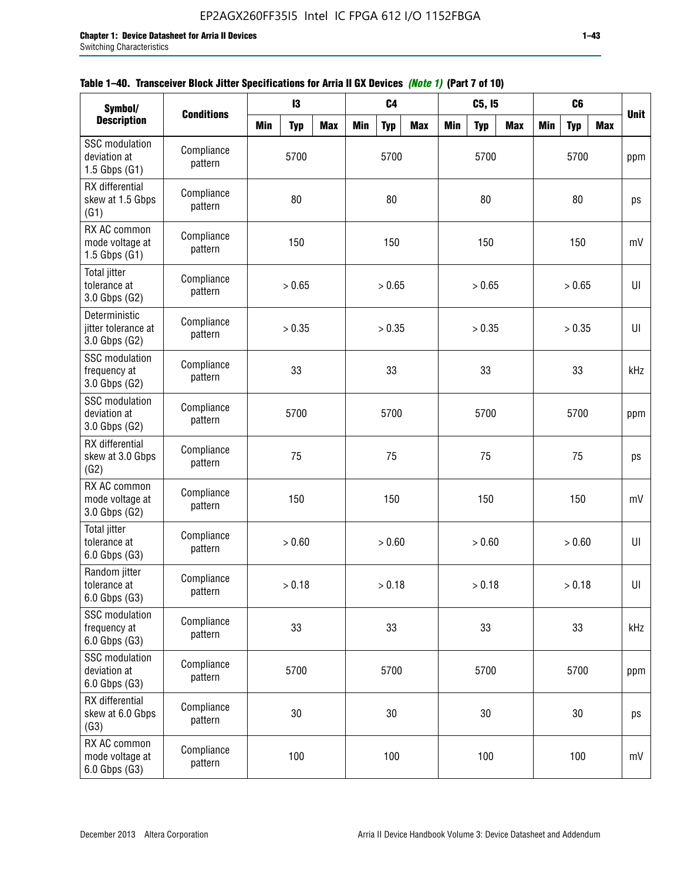| Symbol/                                                    |                       |            | 13         |            |            | C <sub>4</sub> |            |            | C5, I5     |            |            | C <sub>6</sub> |            |             |
|------------------------------------------------------------|-----------------------|------------|------------|------------|------------|----------------|------------|------------|------------|------------|------------|----------------|------------|-------------|
| <b>Description</b>                                         | <b>Conditions</b>     | <b>Min</b> | <b>Typ</b> | <b>Max</b> | <b>Min</b> | <b>Typ</b>     | <b>Max</b> | <b>Min</b> | <b>Typ</b> | <b>Max</b> | <b>Min</b> | <b>Typ</b>     | <b>Max</b> | <b>Unit</b> |
| <b>SSC</b> modulation<br>deviation at<br>$1.5$ Gbps $(G1)$ | Compliance<br>pattern |            | 5700       |            |            | 5700           |            |            | 5700       |            |            | 5700           |            | ppm         |
| RX differential<br>skew at 1.5 Gbps<br>(G1)                | Compliance<br>pattern |            | 80         |            |            | 80             |            |            | 80         |            |            | 80             |            | ps          |
| RX AC common<br>mode voltage at<br>1.5 Gbps $(G1)$         | Compliance<br>pattern |            | 150        |            |            | 150            |            |            | 150        |            |            | 150            |            | mV          |
| Total jitter<br>tolerance at<br>3.0 Gbps (G2)              | Compliance<br>pattern |            | > 0.65     |            |            | > 0.65         |            |            | > 0.65     |            |            | > 0.65         |            | UI          |
| Deterministic<br>jitter tolerance at<br>3.0 Gbps (G2)      | Compliance<br>pattern |            | > 0.35     |            |            | > 0.35         |            |            | $>0.35$    |            |            | > 0.35         |            | UI          |
| <b>SSC</b> modulation<br>frequency at<br>3.0 Gbps (G2)     | Compliance<br>pattern |            | 33         |            |            | 33             |            |            | 33         |            |            | 33             |            | kHz         |
| <b>SSC</b> modulation<br>deviation at<br>3.0 Gbps (G2)     | Compliance<br>pattern |            | 5700       |            |            | 5700           |            |            | 5700       |            |            | 5700           |            | ppm         |
| RX differential<br>skew at 3.0 Gbps<br>(G2)                | Compliance<br>pattern |            | 75         |            |            | 75             |            |            | 75         |            |            | 75             |            | ps          |
| RX AC common<br>mode voltage at<br>3.0 Gbps (G2)           | Compliance<br>pattern |            | 150        |            |            | 150            |            |            | 150        |            |            | 150            |            | mV          |
| <b>Total jitter</b><br>tolerance at<br>6.0 Gbps (G3)       | Compliance<br>pattern |            | > 0.60     |            |            | > 0.60         |            |            | > 0.60     |            |            | > 0.60         |            | UI          |
| Random jitter<br>tolerance at<br>6.0 Gbps (G3)             | Compliance<br>pattern |            | > 0.18     |            |            | > 0.18         |            |            | > 0.18     |            |            | > 0.18         |            | UI          |
| <b>SSC</b> modulation<br>frequency at<br>6.0 Gbps (G3)     | Compliance<br>pattern |            | 33         |            |            | 33             |            |            | 33         |            |            | 33             |            | kHz         |
| <b>SSC</b> modulation<br>deviation at<br>6.0 Gbps (G3)     | Compliance<br>pattern | 5700       |            |            |            | 5700           |            |            | 5700       |            |            | 5700           |            | ppm         |
| RX differential<br>skew at 6.0 Gbps<br>(G3)                | Compliance<br>pattern |            | 30         |            |            | 30             |            |            | $30\,$     |            |            | 30             |            | ps          |
| RX AC common<br>mode voltage at<br>6.0 Gbps (G3)           | Compliance<br>pattern |            | 100        |            |            | 100            |            |            | 100        |            |            | 100            |            | mV          |

|  | Table 1–40. Transceiver Block Jitter Specifications for Arria II GX Devices (Note 1) (Part 7 of 10) |  |
|--|-----------------------------------------------------------------------------------------------------|--|
|  |                                                                                                     |  |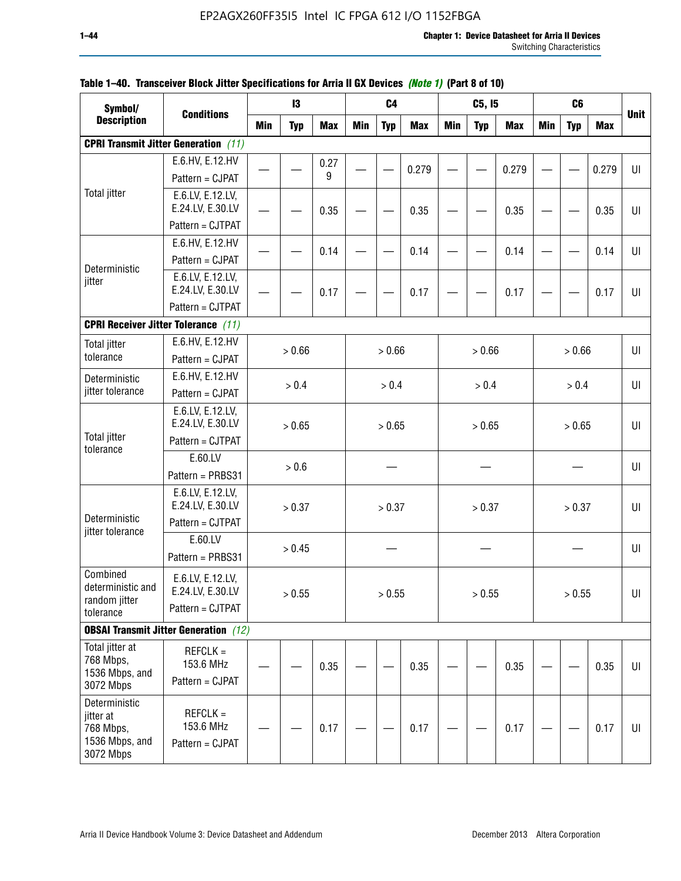| Symbol/                            |                                                               |            | 13         |            |     | C <sub>4</sub> |            |            | C5, I5     |            |            | C <sub>6</sub> |            |             |
|------------------------------------|---------------------------------------------------------------|------------|------------|------------|-----|----------------|------------|------------|------------|------------|------------|----------------|------------|-------------|
| <b>Description</b>                 | <b>Conditions</b>                                             | <b>Min</b> | <b>Typ</b> | <b>Max</b> | Min | <b>Typ</b>     | <b>Max</b> | <b>Min</b> | <b>Typ</b> | <b>Max</b> | <b>Min</b> | <b>Typ</b>     | <b>Max</b> | <b>Unit</b> |
|                                    | <b>CPRI Transmit Jitter Generation</b> (11)                   |            |            |            |     |                |            |            |            |            |            |                |            |             |
|                                    | E.6.HV, E.12.HV                                               |            |            | 0.27       |     |                |            |            |            |            |            |                |            |             |
|                                    | Pattern = CJPAT                                               |            |            | 9          |     |                | 0.279      |            |            | 0.279      |            |                | 0.279      | U           |
| <b>Total jitter</b>                | E.6.LV, E.12.LV,                                              |            |            |            |     |                |            |            |            |            |            |                |            |             |
|                                    | E.24.LV, E.30.LV                                              |            |            | 0.35       |     |                | 0.35       |            |            | 0.35       |            |                | 0.35       | UI          |
|                                    | Pattern = CJTPAT                                              |            |            |            |     |                |            |            |            |            |            |                |            |             |
|                                    | E.6.HV, E.12.HV                                               |            |            | 0.14       |     |                | 0.14       |            |            | 0.14       |            |                | 0.14       | UI          |
| Deterministic                      | Pattern = CJPAT                                               |            |            |            |     |                |            |            |            |            |            |                |            |             |
| jitter                             | E.6.LV, E.12.LV,                                              |            |            |            |     |                |            |            |            |            |            |                |            |             |
|                                    | E.24.LV, E.30.LV<br>Pattern = CJTPAT                          |            |            | 0.17       |     |                | 0.17       |            |            | 0.17       |            |                | 0.17       | UI          |
|                                    |                                                               |            |            |            |     |                |            |            |            |            |            |                |            |             |
|                                    | <b>CPRI Receiver Jitter Tolerance</b> (11)<br>E.6.HV, E.12.HV |            |            |            |     |                |            |            |            |            |            |                |            |             |
| <b>Total jitter</b><br>tolerance   | Pattern = CJPAT                                               |            | > 0.66     |            |     | > 0.66         |            |            | > 0.66     |            |            | > 0.66         |            | UI          |
|                                    | E.6.HV, E.12.HV                                               |            |            |            |     |                |            |            |            |            |            |                |            |             |
| Deterministic<br>jitter tolerance  | Pattern = CJPAT                                               |            | > 0.4      |            |     | > 0.4          |            |            | > 0.4      |            |            | > 0.4          |            | U           |
|                                    | E.6.LV, E.12.LV,                                              |            |            |            |     |                |            |            |            |            |            |                |            |             |
|                                    | E.24.LV, E.30.LV                                              |            | > 0.65     |            |     | > 0.65         |            |            | > 0.65     |            |            | > 0.65         |            | UI          |
| <b>Total jitter</b>                | Pattern = CJTPAT                                              |            |            |            |     |                |            |            |            |            |            |                |            |             |
| tolerance                          | E.60.LV                                                       |            |            |            |     |                |            |            |            |            |            |                |            |             |
|                                    | Pattern = PRBS31                                              |            | > 0.6      |            |     |                |            |            |            |            |            |                |            | UI          |
|                                    | E.6.LV, E.12.LV,                                              |            |            |            |     |                |            |            |            |            |            |                |            |             |
|                                    | E.24.LV, E.30.LV                                              |            | > 0.37     |            |     | > 0.37         |            |            | > 0.37     |            |            | > 0.37         |            | UI          |
| Deterministic<br>jitter tolerance  | Pattern = CJTPAT                                              |            |            |            |     |                |            |            |            |            |            |                |            |             |
|                                    | E.60.LV                                                       |            | > 0.45     |            |     |                |            |            |            |            |            |                |            | UI          |
|                                    | Pattern = PRBS31                                              |            |            |            |     |                |            |            |            |            |            |                |            |             |
| Combined                           | E.6.LV, E.12.LV,                                              |            |            |            |     |                |            |            |            |            |            |                |            |             |
| deterministic and<br>random jitter | E.24.LV, E.30.LV                                              |            | > 0.55     |            |     | > 0.55         |            |            | > 0.55     |            |            | > 0.55         |            | UI          |
| tolerance                          | Pattern = CJTPAT                                              |            |            |            |     |                |            |            |            |            |            |                |            |             |
|                                    | <b>OBSAI Transmit Jitter Generation</b> (12)                  |            |            |            |     |                |            |            |            |            |            |                |            |             |
| Total jitter at                    | $REFCLK =$                                                    |            |            |            |     |                |            |            |            |            |            |                |            |             |
| 768 Mbps,                          | 153.6 MHz                                                     |            |            | 0.35       |     |                | 0.35       |            |            | 0.35       |            |                | 0.35       | UI          |
| 1536 Mbps, and<br>3072 Mbps        | Pattern = CJPAT                                               |            |            |            |     |                |            |            |            |            |            |                |            |             |
| Deterministic                      |                                                               |            |            |            |     |                |            |            |            |            |            |                |            |             |
| jitter at                          | $REFCLK =$                                                    |            |            |            |     |                |            |            |            |            |            |                |            |             |
| 768 Mbps,<br>1536 Mbps, and        | 153.6 MHz                                                     |            |            | 0.17       |     |                | 0.17       |            |            | 0.17       |            |                | 0.17       | UI          |
| 3072 Mbps                          | Pattern = CJPAT                                               |            |            |            |     |                |            |            |            |            |            |                |            |             |

## **Table 1–40. Transceiver Block Jitter Specifications for Arria II GX Devices** *(Note 1)* **(Part 8 of 10)**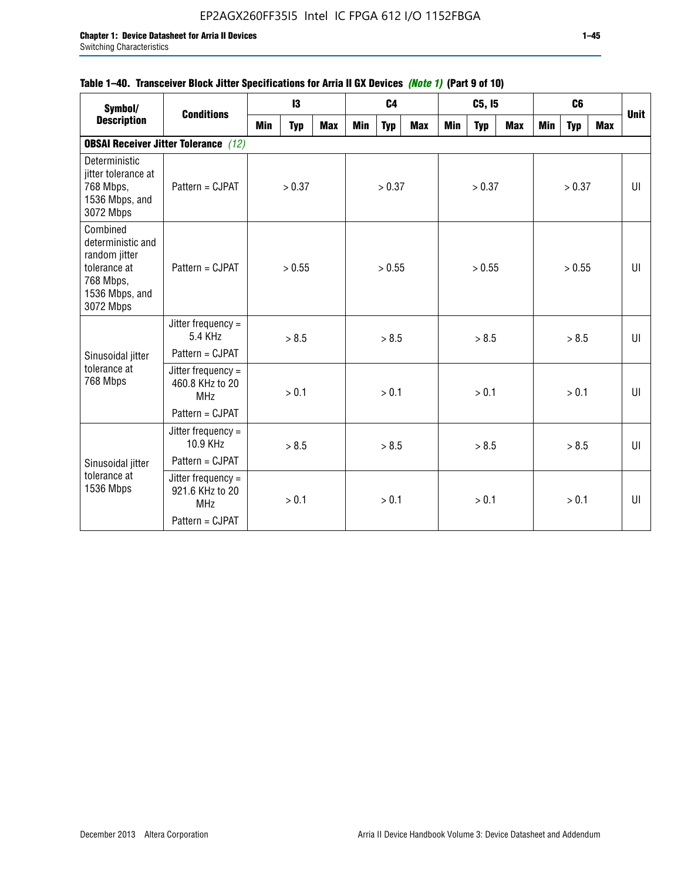## **Table 1–40. Transceiver Block Jitter Specifications for Arria II GX Devices** *(Note 1)* **(Part 9 of 10)**

| Symbol/                                                                                                    | <b>Conditions</b>                                   |     | $\mathbf{13}$ |            |     | C <sub>4</sub> |     |     | C5, I5     |     |     | C <sub>6</sub> |     | <b>Unit</b> |
|------------------------------------------------------------------------------------------------------------|-----------------------------------------------------|-----|---------------|------------|-----|----------------|-----|-----|------------|-----|-----|----------------|-----|-------------|
| <b>Description</b>                                                                                         |                                                     | Min | <b>Typ</b>    | <b>Max</b> | Min | <b>Typ</b>     | Max | Min | <b>Typ</b> | Max | Min | <b>Typ</b>     | Max |             |
|                                                                                                            | <b>OBSAI Receiver Jitter Tolerance</b> (12)         |     |               |            |     |                |     |     |            |     |     |                |     |             |
| Deterministic<br>jitter tolerance at<br>768 Mbps,<br>1536 Mbps, and<br>3072 Mbps                           | Pattern = CJPAT                                     |     | > 0.37        |            |     | > 0.37         |     |     | > 0.37     |     |     | > 0.37         |     | UI          |
| Combined<br>deterministic and<br>random jitter<br>tolerance at<br>768 Mbps,<br>1536 Mbps, and<br>3072 Mbps | Pattern = CJPAT                                     |     | > 0.55        |            |     | > 0.55         |     |     | > 0.55     |     |     | > 0.55         |     | UI          |
|                                                                                                            | Jitter frequency $=$<br>5.4 KHz                     |     | > 8.5         |            |     | > 8.5          |     |     | > 8.5      |     |     | > 8.5          |     | UI          |
| Sinusoidal jitter                                                                                          | Pattern = CJPAT                                     |     |               |            |     |                |     |     |            |     |     |                |     |             |
| tolerance at<br>768 Mbps                                                                                   | Jitter frequency =<br>460.8 KHz to 20<br><b>MHz</b> |     | > 0.1         |            |     | > 0.1          |     |     | > 0.1      |     |     | > 0.1          |     | UI          |
|                                                                                                            | Pattern = CJPAT                                     |     |               |            |     |                |     |     |            |     |     |                |     |             |
|                                                                                                            | Jitter frequency =<br>10.9 KHz                      |     | > 8.5         |            |     | > 8.5          |     |     | > 8.5      |     |     | > 8.5          |     | UI          |
| Sinusoidal jitter                                                                                          | Pattern = CJPAT                                     |     |               |            |     |                |     |     |            |     |     |                |     |             |
| tolerance at<br>1536 Mbps                                                                                  | Jitter frequency =<br>921.6 KHz to 20<br><b>MHz</b> |     | > 0.1         |            |     | > 0.1          |     |     | > 0.1      |     |     | > 0.1          |     | UI          |
|                                                                                                            | Pattern = CJPAT                                     |     |               |            |     |                |     |     |            |     |     |                |     |             |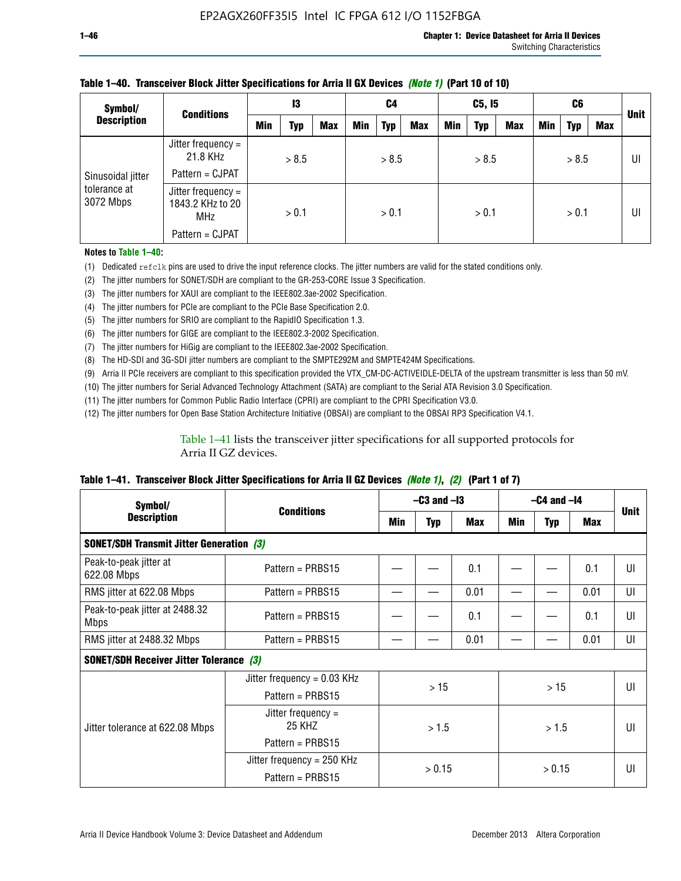| Symbol/                                        | <b>Conditions</b>                             | 13  |       | C4         |            | C5, I5     |            |     | C6         |     |     | <b>Unit</b> |     |    |
|------------------------------------------------|-----------------------------------------------|-----|-------|------------|------------|------------|------------|-----|------------|-----|-----|-------------|-----|----|
| <b>Description</b>                             |                                               | Min | Typ   | <b>Max</b> | <b>Min</b> | <b>Typ</b> | <b>Max</b> | Min | <b>Typ</b> | Max | Min | <b>Typ</b>  | Max |    |
| Sinusoidal jitter<br>tolerance at<br>3072 Mbps | Jitter frequency =<br>21.8 KHz                |     | > 8.5 |            |            | > 8.5      |            |     | > 8.5      |     |     | > 8.5       |     | UI |
|                                                | Pattern = CJPAT                               |     |       |            |            |            |            |     |            |     |     |             |     |    |
|                                                | Jitter frequency =<br>1843.2 KHz to 20<br>MHz |     | > 0.1 |            |            | > 0.1      |            |     | > 0.1      |     |     | > 0.1       |     | UI |
|                                                | Pattern = CJPAT                               |     |       |            |            |            |            |     |            |     |     |             |     |    |

### **Table 1–40. Transceiver Block Jitter Specifications for Arria II GX Devices** *(Note 1)* **(Part 10 of 10)**

**Notes to Table 1–40:**

(1) Dedicated refclk pins are used to drive the input reference clocks. The jitter numbers are valid for the stated conditions only.

(2) The jitter numbers for SONET/SDH are compliant to the GR-253-CORE Issue 3 Specification.

(3) The jitter numbers for XAUI are compliant to the IEEE802.3ae-2002 Specification.

(4) The jitter numbers for PCIe are compliant to the PCIe Base Specification 2.0.

(5) The jitter numbers for SRIO are compliant to the RapidIO Specification 1.3.

(6) The jitter numbers for GIGE are compliant to the IEEE802.3-2002 Specification.

(7) The jitter numbers for HiGig are compliant to the IEEE802.3ae-2002 Specification.

(8) The HD-SDI and 3G-SDI jitter numbers are compliant to the SMPTE292M and SMPTE424M Specifications.

(9) Arria II PCIe receivers are compliant to this specification provided the VTX\_CM-DC-ACTIVEIDLE-DELTA of the upstream transmitter is less than 50 mV.

(10) The jitter numbers for Serial Advanced Technology Attachment (SATA) are compliant to the Serial ATA Revision 3.0 Specification.

(11) The jitter numbers for Common Public Radio Interface (CPRI) are compliant to the CPRI Specification V3.0.

(12) The jitter numbers for Open Base Station Architecture Initiative (OBSAI) are compliant to the OBSAI RP3 Specification V4.1.

Table 1–41 lists the transceiver jitter specifications for all supported protocols for Arria II GZ devices.

### **Table 1–41. Transceiver Block Jitter Specifications for Arria II GZ Devices** *(Note 1)***,** *(2)* **(Part 1 of 7)**

| Symbol/                                         |                                |     | $-C3$ and $-I3$ |      | $-C4$ and $-I4$ |            |      |             |
|-------------------------------------------------|--------------------------------|-----|-----------------|------|-----------------|------------|------|-------------|
| <b>Description</b>                              | <b>Conditions</b>              | Min | <b>Typ</b>      | Max  | Min             | <b>Typ</b> | Max  | <b>Unit</b> |
| <b>SONET/SDH Transmit Jitter Generation (3)</b> |                                |     |                 |      |                 |            |      |             |
| Peak-to-peak jitter at<br>622.08 Mbps           | Pattern = $PRBS15$             |     |                 | 0.1  |                 |            | 0.1  | UI          |
| RMS jitter at 622.08 Mbps                       | Pattern = PRBS15               |     |                 | 0.01 |                 |            | 0.01 | UI          |
| Peak-to-peak jitter at 2488.32<br><b>Mbps</b>   | Pattern = $PRBS15$             |     |                 | 0.1  |                 |            | 0.1  | UI          |
| RMS jitter at 2488.32 Mbps                      | Pattern = PRBS15               |     |                 | 0.01 |                 |            | 0.01 | UI          |
| <b>SONET/SDH Receiver Jitter Tolerance (3)</b>  |                                |     |                 |      |                 |            |      |             |
|                                                 | Jitter frequency = $0.03$ KHz  |     | >15             |      | >15             |            |      | UI          |
|                                                 | Pattern = $PRBS15$             |     |                 |      |                 |            |      |             |
| Jitter tolerance at 622.08 Mbps                 | Jitter frequency $=$<br>25 KHZ |     | > 1.5           |      | > 1.5           |            |      | UI          |
|                                                 | Pattern = PRBS15               |     |                 |      |                 |            |      |             |
|                                                 | Jitter frequency = 250 KHz     |     | > 0.15          |      |                 |            |      | UI          |
|                                                 | Pattern = PRBS15               |     |                 |      |                 | > 0.15     |      |             |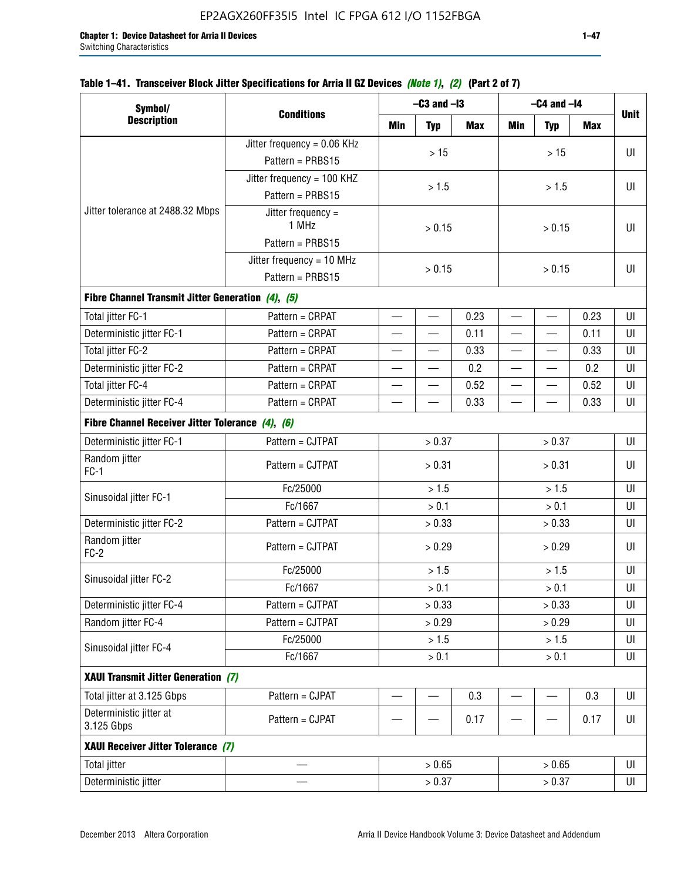| Symbol/                                           |                               |                | $-C3$ and $-I3$          |            | $-C4$ and $-I4$          | <b>Unit</b> |            |    |
|---------------------------------------------------|-------------------------------|----------------|--------------------------|------------|--------------------------|-------------|------------|----|
| <b>Description</b>                                | <b>Conditions</b>             | Min            | <b>Typ</b>               | <b>Max</b> | <b>Min</b>               | <b>Typ</b>  | <b>Max</b> |    |
|                                                   | Jitter frequency = $0.06$ KHz |                |                          |            |                          |             |            |    |
|                                                   | Pattern = PRBS15              |                | $>15$                    |            |                          | $>15$       |            | UI |
|                                                   | Jitter frequency = 100 KHZ    |                |                          |            |                          |             |            |    |
|                                                   | Pattern = PRBS15              |                | > 1.5                    |            |                          | > 1.5       |            | UI |
| Jitter tolerance at 2488.32 Mbps                  | Jitter frequency =            |                |                          |            |                          |             |            |    |
|                                                   | 1 MHz                         |                | > 0.15                   |            |                          | > 0.15      |            | UI |
|                                                   | Pattern = PRBS15              |                |                          |            |                          |             |            |    |
|                                                   | Jitter frequency = 10 MHz     | > 0.15         |                          |            |                          | > 0.15      |            | UI |
|                                                   | Pattern = PRBS15              |                |                          |            |                          |             |            |    |
| Fibre Channel Transmit Jitter Generation (4), (5) |                               |                |                          |            |                          |             |            |    |
| Total jitter FC-1                                 | Pattern = CRPAT               |                | $\equiv$                 | 0.23       |                          |             | 0.23       | UI |
| Deterministic jitter FC-1                         | Pattern = CRPAT               |                |                          | 0.11       |                          |             | 0.11       | UI |
| Total jitter FC-2                                 | Pattern = CRPAT               |                | $\qquad \qquad$          | 0.33       | $\overline{\phantom{0}}$ |             | 0.33       | UI |
| Deterministic jitter FC-2                         | Pattern = CRPAT               |                | $\overline{\phantom{0}}$ | 0.2        |                          |             | 0.2        | UI |
| Total jitter FC-4                                 | Pattern = CRPAT               |                | $\qquad \qquad$          | 0.52       | $\overline{\phantom{0}}$ |             | 0.52       | UI |
| Deterministic jitter FC-4                         | Pattern = CRPAT               |                |                          | 0.33       |                          |             | 0.33       | UI |
| Fibre Channel Receiver Jitter Tolerance (4), (6)  |                               |                |                          |            |                          |             |            |    |
| Deterministic jitter FC-1                         | Pattern = CJTPAT              |                | > 0.37                   |            |                          | > 0.37      |            | UI |
| Random jitter<br>$FC-1$                           | Pattern = CJTPAT              |                | > 0.31                   |            | > 0.31                   |             |            | UI |
|                                                   | Fc/25000                      |                | > 1.5                    | > 1.5      |                          |             | UI         |    |
| Sinusoidal jitter FC-1                            | Fc/1667                       |                | > 0.1                    |            |                          | > 0.1       |            | UI |
| Deterministic jitter FC-2                         | Pattern = CJTPAT              |                | > 0.33                   |            |                          | > 0.33      |            | UI |
| Random jitter<br>$FC-2$                           | Pattern = CJTPAT              |                | > 0.29                   |            |                          | > 0.29      |            | UI |
|                                                   | Fc/25000                      |                | > 1.5                    |            |                          | > 1.5       |            | U  |
| Sinusoidal jitter FC-2                            | Fc/1667                       |                | > 0.1                    |            |                          | > 0.1       |            | UI |
| Deterministic jitter FC-4                         | Pattern = CJTPAT              |                | > 0.33                   |            |                          | > 0.33      |            | UI |
| Random jitter FC-4                                | Pattern = CJTPAT              |                | > 0.29                   |            |                          | > 0.29      |            | UI |
|                                                   | Fc/25000                      |                | > 1.5                    |            |                          | > 1.5       |            | UI |
| Sinusoidal jitter FC-4                            | Fc/1667                       | > 0.1<br>> 0.1 |                          |            |                          | UI          |            |    |
| XAUI Transmit Jitter Generation (7)               |                               |                |                          |            |                          |             |            |    |
| Total jitter at 3.125 Gbps                        | Pattern = CJPAT               |                | $\overline{\phantom{0}}$ | 0.3        |                          |             | 0.3        | UI |
| Deterministic jitter at                           | Pattern = CJPAT               |                |                          | 0.17       |                          |             | 0.17       | UI |

Total jitter — > 0.65 > 0.65 UI Deterministic jitter  $> 0.37$   $> 0.37$  UI

### **Table 1–41. Transceiver Block Jitter Specifications for Arria II GZ Devices** *(Note 1)***,** *(2)* **(Part 2 of 7)**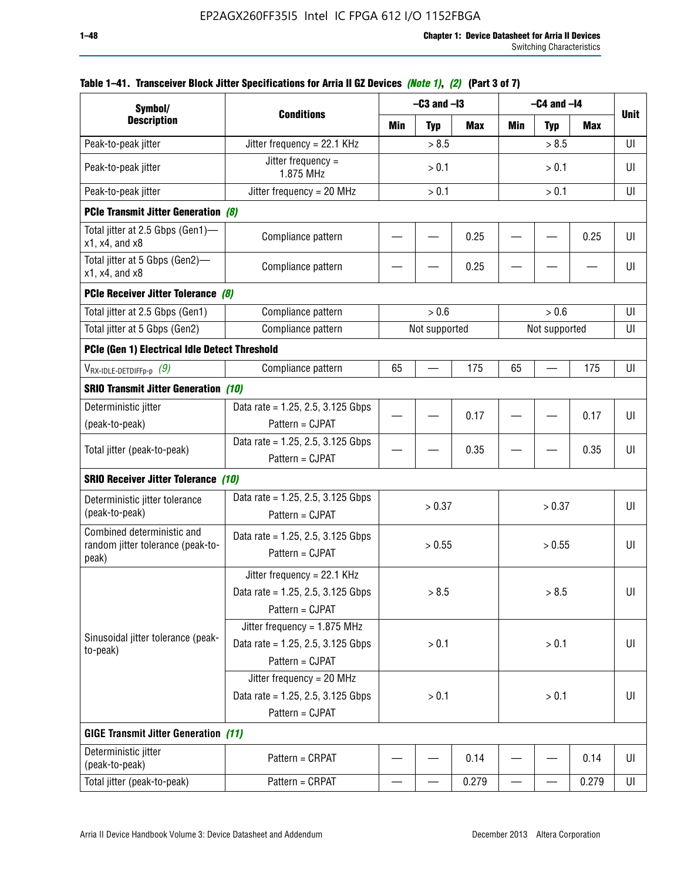| Symbol/                                                                  |                                                                                           |       | $-C3$ and $-I3$ |            | $-C4$ and $-I4$ |               |       |             |
|--------------------------------------------------------------------------|-------------------------------------------------------------------------------------------|-------|-----------------|------------|-----------------|---------------|-------|-------------|
| <b>Description</b>                                                       | <b>Conditions</b>                                                                         | Min   | <b>Typ</b>      | <b>Max</b> | Min             | <b>Typ</b>    | Max   | <b>Unit</b> |
| Peak-to-peak jitter                                                      | Jitter frequency = 22.1 KHz                                                               |       | > 8.5           |            |                 | > 8.5         |       | UI          |
| Peak-to-peak jitter                                                      | Jitter frequency =<br>1.875 MHz                                                           |       | > 0.1           |            |                 | > 0.1         |       | UI          |
| Peak-to-peak jitter                                                      | Jitter frequency = $20$ MHz                                                               |       | > 0.1           |            |                 | > 0.1         |       | UI          |
| <b>PCIe Transmit Jitter Generation (8)</b>                               |                                                                                           |       |                 |            |                 |               |       |             |
| Total jitter at 2.5 Gbps (Gen1)-<br>$x1$ , $x4$ , and $x8$               | Compliance pattern                                                                        |       |                 | 0.25       |                 |               | 0.25  | UI          |
| Total jitter at 5 Gbps (Gen2)-<br>x1, x4, and x8                         | Compliance pattern                                                                        |       |                 | 0.25       |                 |               |       | UI          |
| PCIe Receiver Jitter Tolerance (8)                                       |                                                                                           |       |                 |            |                 |               |       |             |
| Total jitter at 2.5 Gbps (Gen1)                                          | Compliance pattern                                                                        |       | > 0.6           |            |                 | > 0.6         |       | UI          |
| Total jitter at 5 Gbps (Gen2)                                            | Compliance pattern                                                                        |       | Not supported   |            |                 | Not supported |       | UI          |
| PCIe (Gen 1) Electrical Idle Detect Threshold                            |                                                                                           |       |                 |            |                 |               |       |             |
| $V_{\text{RX-IDLE-DEFp-p}}(9)$                                           | Compliance pattern                                                                        | 65    |                 | 175        | 65              |               | 175   | UI          |
| <b>SRIO Transmit Jitter Generation (10)</b>                              |                                                                                           |       |                 |            |                 |               |       |             |
| Deterministic jitter                                                     | Data rate = 1.25, 2.5, 3.125 Gbps                                                         |       |                 | 0.17       |                 |               | 0.17  | UI          |
| (peak-to-peak)                                                           | Pattern = CJPAT                                                                           |       |                 |            |                 |               |       |             |
| Total jitter (peak-to-peak)                                              | Data rate = $1.25$ , 2.5, 3.125 Gbps<br>Pattern = CJPAT                                   |       |                 | 0.35       |                 |               | 0.35  | UI          |
| <b>SRIO Receiver Jitter Tolerance (10)</b>                               |                                                                                           |       |                 |            |                 |               |       |             |
| Deterministic jitter tolerance<br>(peak-to-peak)                         | Data rate = $1.25$ , 2.5, 3.125 Gbps<br>Pattern = CJPAT                                   |       | > 0.37          |            |                 | > 0.37        |       | UI          |
| Combined deterministic and<br>random jitter tolerance (peak-to-<br>peak) | Data rate = $1.25$ , 2.5, 3.125 Gbps<br>Pattern = CJPAT                                   |       | > 0.55          |            |                 | > 0.55        |       | UI          |
|                                                                          | Jitter frequency = $22.1$ KHz<br>Data rate = 1.25, 2.5, 3.125 Gbps<br>Pattern = CJPAT     |       | > 8.5           |            |                 | > 8.5         |       | UI          |
| Sinusoidal jitter tolerance (peak-<br>to-peak)                           | Jitter frequency = $1.875$ MHz<br>Data rate = $1.25$ , 2.5, 3.125 Gbps<br>Pattern = CJPAT |       | > 0.1           |            |                 | > 0.1         |       | UI          |
|                                                                          | Jitter frequency = 20 MHz<br>Data rate = $1.25$ , 2.5, 3.125 Gbps<br>Pattern = CJPAT      | > 0.1 |                 |            | > 0.1           |               |       | UI          |
| <b>GIGE Transmit Jitter Generation (11)</b>                              |                                                                                           |       |                 |            |                 |               |       |             |
| Deterministic jitter<br>(peak-to-peak)                                   | Pattern = CRPAT                                                                           |       |                 | 0.14       |                 |               | 0.14  | UI          |
| Total jitter (peak-to-peak)                                              | Pattern = CRPAT                                                                           |       |                 | 0.279      |                 |               | 0.279 | UI          |

### **Table 1–41. Transceiver Block Jitter Specifications for Arria II GZ Devices** *(Note 1)***,** *(2)* **(Part 3 of 7)**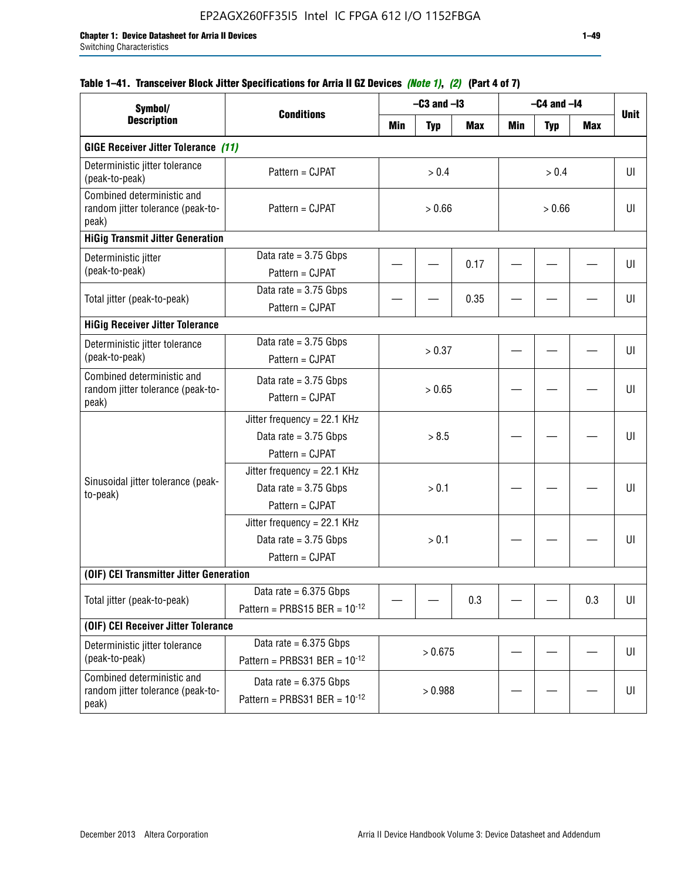## **Table 1–41. Transceiver Block Jitter Specifications for Arria II GZ Devices** *(Note 1)***,** *(2)* **(Part 4 of 7)**

| Symbol/                                                                  |                                                                             |        | $-C3$ and $-I3$ |            |        | $-C4$ and $-I4$ |     |             |
|--------------------------------------------------------------------------|-----------------------------------------------------------------------------|--------|-----------------|------------|--------|-----------------|-----|-------------|
| <b>Description</b>                                                       | <b>Conditions</b>                                                           | Min    | <b>Typ</b>      | <b>Max</b> | Min    | <b>Typ</b>      | Max | <b>Unit</b> |
| <b>GIGE Receiver Jitter Tolerance (11)</b>                               |                                                                             |        |                 |            |        |                 |     |             |
| Deterministic jitter tolerance<br>(peak-to-peak)                         | Pattern = CJPAT                                                             |        | > 0.4           |            |        | > 0.4           |     | UI          |
| Combined deterministic and<br>random jitter tolerance (peak-to-<br>peak) | Pattern = CJPAT                                                             | > 0.66 |                 |            | > 0.66 |                 |     | UI          |
| <b>HiGig Transmit Jitter Generation</b>                                  |                                                                             |        |                 |            |        |                 |     |             |
| Deterministic jitter<br>(peak-to-peak)                                   | Data rate = $3.75$ Gbps<br>Pattern = CJPAT                                  |        |                 | 0.17       |        |                 |     | UI          |
| Total jitter (peak-to-peak)                                              | Data rate = $3.75$ Gbps<br>Pattern = CJPAT                                  |        |                 | 0.35       |        |                 |     | UI          |
| <b>HiGig Receiver Jitter Tolerance</b>                                   |                                                                             |        |                 |            |        |                 |     |             |
| Deterministic jitter tolerance<br>(peak-to-peak)                         | Data rate = $3.75$ Gbps<br>Pattern = CJPAT                                  |        | > 0.37          |            |        |                 |     | UI          |
| Combined deterministic and<br>random jitter tolerance (peak-to-<br>peak) | Data rate = $3.75$ Gbps<br>Pattern = CJPAT                                  | > 0.65 |                 |            |        |                 |     | UI          |
|                                                                          | Jitter frequency = 22.1 KHz<br>Data rate = $3.75$ Gbps<br>Pattern = CJPAT   | > 8.5  |                 |            |        |                 |     | UI          |
| Sinusoidal jitter tolerance (peak-<br>to-peak)                           | Jitter frequency = $22.1$ KHz<br>Data rate = $3.75$ Gbps<br>Pattern = CJPAT |        | > 0.1           |            |        |                 |     | UI          |
|                                                                          | Jitter frequency = 22.1 KHz<br>Data rate = $3.75$ Gbps<br>Pattern = CJPAT   |        | > 0.1           |            |        |                 |     | UI          |
| (OIF) CEI Transmitter Jitter Generation                                  |                                                                             |        |                 |            |        |                 |     |             |
| Total jitter (peak-to-peak)                                              | Data rate $= 6.375$ Gbps<br>Pattern = PRBS15 BER = $10^{-12}$               |        |                 | 0.3        |        |                 | 0.3 | UI          |
| (OIF) CEI Receiver Jitter Tolerance                                      |                                                                             |        |                 |            |        |                 |     |             |
| Deterministic jitter tolerance<br>(peak-to-peak)                         | Data rate = $6.375$ Gbps<br>Pattern = PRBS31 BER = $10^{-12}$               |        | > 0.675         |            |        |                 |     | U           |
| Combined deterministic and<br>random jitter tolerance (peak-to-<br>peak) | Data rate = $6.375$ Gbps<br>Pattern = PRBS31 BER = $10^{-12}$               |        | > 0.988         |            |        |                 |     | U           |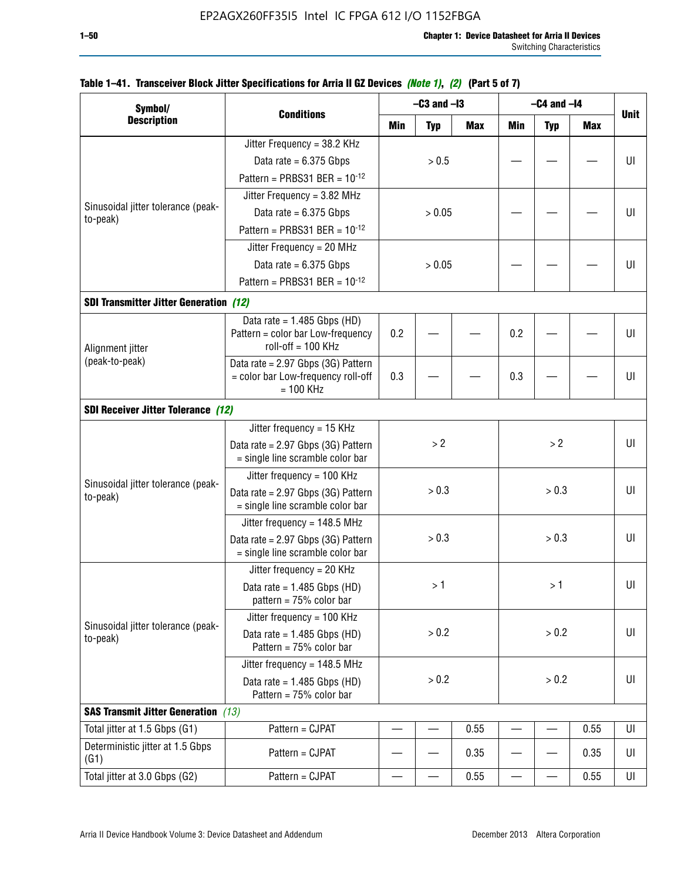| Symbol/                                        |                                                                        |        | $-C3$ and $-I3$ |            | $-C4$ and $-I4$ |            |            |             |
|------------------------------------------------|------------------------------------------------------------------------|--------|-----------------|------------|-----------------|------------|------------|-------------|
| <b>Description</b>                             | <b>Conditions</b>                                                      | Min    | <b>Typ</b>      | <b>Max</b> | <b>Min</b>      | <b>Typ</b> | <b>Max</b> | <b>Unit</b> |
|                                                | Jitter Frequency = 38.2 KHz                                            |        |                 |            |                 |            |            |             |
|                                                | Data rate = $6.375$ Gbps                                               |        | > 0.5           |            |                 |            |            | UI          |
|                                                | Pattern = PRBS31 BER = $10^{-12}$                                      |        |                 |            |                 |            |            |             |
|                                                | Jitter Frequency = $3.82$ MHz                                          |        |                 |            |                 |            |            |             |
| Sinusoidal jitter tolerance (peak-<br>to-peak) | Data rate = $6.375$ Gbps                                               |        | > 0.05          |            |                 |            |            | UI          |
|                                                | Pattern = PRBS31 BER = $10^{-12}$                                      |        |                 |            |                 |            |            |             |
|                                                | Jitter Frequency = 20 MHz                                              |        |                 |            |                 |            |            |             |
|                                                | Data rate = $6.375$ Gbps                                               | > 0.05 |                 |            |                 |            | UI         |             |
|                                                | Pattern = PRBS31 BER = $10^{-12}$                                      |        |                 |            |                 |            |            |             |
| <b>SDI Transmitter Jitter Generation (12)</b>  |                                                                        |        |                 |            |                 |            |            |             |
|                                                | Data rate = $1.485$ Gbps (HD)                                          |        |                 |            |                 |            |            |             |
| Alignment jitter                               | Pattern = color bar Low-frequency<br>roll-off $= 100$ KHz              | 0.2    |                 |            | 0.2             |            |            | UI          |
| (peak-to-peak)                                 | Data rate = 2.97 Gbps (3G) Pattern                                     |        |                 |            |                 |            |            |             |
|                                                | = color bar Low-frequency roll-off<br>$= 100$ KHz                      | 0.3    |                 |            | 0.3             |            |            | UI          |
| <b>SDI Receiver Jitter Tolerance (12)</b>      |                                                                        |        |                 |            |                 |            |            |             |
|                                                | Jitter frequency = 15 KHz                                              |        |                 |            |                 |            |            |             |
|                                                | Data rate = 2.97 Gbps (3G) Pattern<br>= single line scramble color bar | >2     |                 |            | >2              |            | UI         |             |
|                                                | Jitter frequency = $100$ KHz                                           |        |                 |            |                 |            |            |             |
| Sinusoidal jitter tolerance (peak-<br>to-peak) | Data rate = 2.97 Gbps (3G) Pattern<br>= single line scramble color bar |        | > 0.3           |            | > 0.3           |            |            | UI          |
|                                                | Jitter frequency = $148.5$ MHz                                         |        |                 |            |                 |            |            |             |
|                                                | Data rate = 2.97 Gbps (3G) Pattern<br>= single line scramble color bar |        | > 0.3           |            | > 0.3           | UI         |            |             |
|                                                | Jitter frequency = $20$ KHz                                            |        |                 |            |                 |            |            |             |
|                                                | Data rate = $1.485$ Gbps (HD)<br>pattern = $75%$ color bar             |        | >1              |            |                 | >1         |            | UI          |
|                                                | Jitter frequency = $100$ KHz                                           |        |                 |            |                 |            |            |             |
| Sinusoidal jitter tolerance (peak-<br>to-peak) | Data rate = $1.485$ Gbps (HD)<br>Pattern = $75%$ color bar             |        | > 0.2           |            |                 | > 0.2      |            | UI          |
|                                                | Jitter frequency = $148.5$ MHz                                         |        |                 |            |                 |            |            |             |
|                                                | Data rate = $1.485$ Gbps (HD)<br>Pattern = 75% color bar               | > 0.2  |                 | > 0.2      |                 |            | UI         |             |
| <b>SAS Transmit Jitter Generation</b> (13)     |                                                                        |        |                 |            |                 |            |            |             |
| Total jitter at 1.5 Gbps (G1)                  | Pattern = CJPAT                                                        |        |                 | 0.55       |                 |            | 0.55       | UI          |
| Deterministic jitter at 1.5 Gbps<br>(G1)       | Pattern = CJPAT                                                        |        |                 | 0.35       |                 |            | 0.35       | UI          |
| Total jitter at 3.0 Gbps (G2)                  | Pattern = CJPAT                                                        |        |                 | 0.55       |                 |            | 0.55       | UI          |

## **Table 1–41. Transceiver Block Jitter Specifications for Arria II GZ Devices** *(Note 1)***,** *(2)* **(Part 5 of 7)**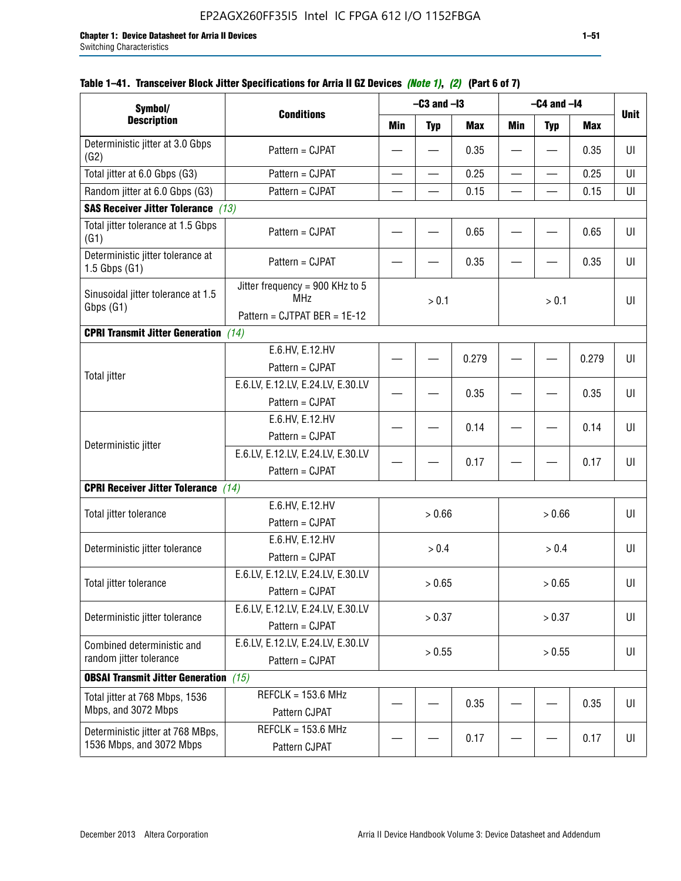| Symbol/                                                       |                                                                               |        | $-C3$ and $-I3$          |            | $-C4$ and $-I4$ |                          |            |             |
|---------------------------------------------------------------|-------------------------------------------------------------------------------|--------|--------------------------|------------|-----------------|--------------------------|------------|-------------|
| <b>Description</b>                                            | <b>Conditions</b>                                                             | Min    | <b>Typ</b>               | <b>Max</b> | Min             | <b>Typ</b>               | <b>Max</b> | <b>Unit</b> |
| Deterministic jitter at 3.0 Gbps<br>(G2)                      | Pattern = CJPAT                                                               |        |                          | 0.35       |                 |                          | 0.35       | UI          |
| Total jitter at 6.0 Gbps (G3)                                 | Pattern = CJPAT                                                               |        | $\overline{\phantom{0}}$ | 0.25       | $\qquad \qquad$ | $\overline{\phantom{0}}$ | 0.25       | UI          |
| Random jitter at 6.0 Gbps (G3)                                | Pattern = CJPAT                                                               |        |                          | 0.15       |                 |                          | 0.15       | UI          |
| <b>SAS Receiver Jitter Tolerance</b> (13)                     |                                                                               |        |                          |            |                 |                          |            |             |
| Total jitter tolerance at 1.5 Gbps<br>(G1)                    | Pattern = CJPAT                                                               |        |                          | 0.65       |                 |                          | 0.65       | UI          |
| Deterministic jitter tolerance at<br>$1.5$ Gbps $(G1)$        | Pattern = CJPAT                                                               |        |                          | 0.35       |                 |                          | 0.35       | UI          |
| Sinusoidal jitter tolerance at 1.5<br>Gbps (G1)               | Jitter frequency = 900 KHz to 5<br><b>MHz</b><br>Pattern = CJTPAT BER = 1E-12 |        | > 0.1                    |            |                 | > 0.1                    |            | UI          |
| <b>CPRI Transmit Jitter Generation</b> (14)                   |                                                                               |        |                          |            |                 |                          |            |             |
|                                                               | E.6.HV, E.12.HV<br>Pattern = CJPAT                                            |        |                          | 0.279      |                 |                          | 0.279      | UI          |
| <b>Total jitter</b>                                           | E.6.LV, E.12.LV, E.24.LV, E.30.LV<br>Pattern = CJPAT                          |        |                          | 0.35       |                 |                          | 0.35       | UI          |
|                                                               | E.6.HV, E.12.HV<br>Pattern = CJPAT                                            |        |                          | 0.14       |                 |                          | 0.14       | UI          |
| Deterministic jitter                                          | E.6.LV, E.12.LV, E.24.LV, E.30.LV<br>Pattern = CJPAT                          |        |                          | 0.17       |                 |                          | 0.17       | UI          |
| <b>CPRI Receiver Jitter Tolerance</b>                         | (14)                                                                          |        |                          |            |                 |                          |            |             |
| Total jitter tolerance                                        | E.6.HV, E.12.HV<br>Pattern = CJPAT                                            |        | > 0.66                   |            |                 | > 0.66                   |            | UI          |
| Deterministic jitter tolerance                                | E.6.HV, E.12.HV<br>Pattern = CJPAT                                            |        | > 0.4                    |            |                 | > 0.4                    |            | UI          |
| Total jitter tolerance                                        | E.6.LV, E.12.LV, E.24.LV, E.30.LV<br>Pattern = CJPAT                          |        | > 0.65                   |            |                 | > 0.65                   |            | U           |
| Deterministic jitter tolerance                                | E.6.LV, E.12.LV, E.24.LV, E.30.LV<br>Pattern = CJPAT                          |        | > 0.37                   |            |                 | > 0.37                   |            | UI          |
| Combined deterministic and<br>random jitter tolerance         | E.6.LV, E.12.LV, E.24.LV, E.30.LV<br>Pattern = CJPAT                          | > 0.55 |                          |            | > 0.55          |                          | UI         |             |
| <b>OBSAI Transmit Jitter Generation</b> (15)                  |                                                                               |        |                          |            |                 |                          |            |             |
| Total jitter at 768 Mbps, 1536<br>Mbps, and 3072 Mbps         | $REFCLK = 153.6 MHz$<br>Pattern CJPAT                                         |        |                          | 0.35       |                 |                          | 0.35       | UI          |
| Deterministic jitter at 768 MBps,<br>1536 Mbps, and 3072 Mbps | $REFCLK = 153.6 MHz$<br>Pattern CJPAT                                         |        |                          | 0.17       |                 |                          | 0.17       | UI          |

## **Table 1–41. Transceiver Block Jitter Specifications for Arria II GZ Devices** *(Note 1)***,** *(2)* **(Part 6 of 7)**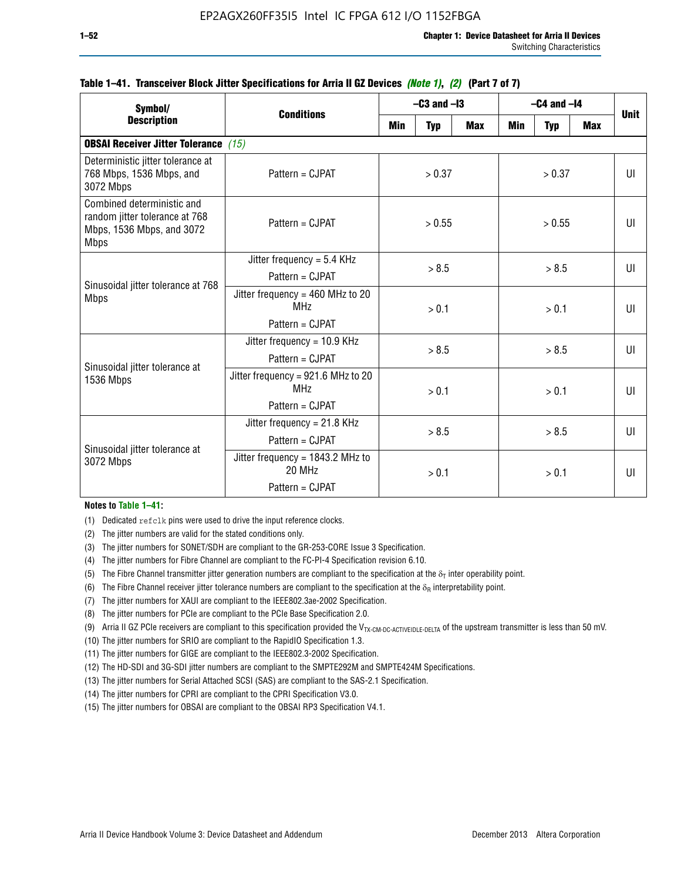| Symbol/                                                                                                  |                                                                          | $-C3$ and $-I3$ |                |            | $-C4$ and $-I4$ | <b>Unit</b>  |            |              |
|----------------------------------------------------------------------------------------------------------|--------------------------------------------------------------------------|-----------------|----------------|------------|-----------------|--------------|------------|--------------|
| <b>Description</b>                                                                                       | <b>Conditions</b>                                                        | Min             | <b>Typ</b>     | <b>Max</b> | <b>Min</b>      | <b>Typ</b>   | <b>Max</b> |              |
| <b>OBSAI Receiver Jitter Tolerance</b> (15)                                                              |                                                                          |                 |                |            |                 |              |            |              |
| Deterministic jitter tolerance at<br>768 Mbps, 1536 Mbps, and<br>3072 Mbps                               | Pattern = CJPAT                                                          | > 0.37          |                | > 0.37     |                 |              | UI         |              |
| Combined deterministic and<br>random jitter tolerance at 768<br>Mbps, 1536 Mbps, and 3072<br><b>Mbps</b> | $Pattern = CJPATH$                                                       | > 0.55          |                | > 0.55     |                 |              | UI         |              |
| Sinusoidal jitter tolerance at 768<br><b>Mbps</b>                                                        | Jitter frequency = $5.4$ KHz<br>Pattern = CJPAT                          | > 8.5           |                | > 8.5      |                 |              | UI         |              |
|                                                                                                          | Jitter frequency = $460$ MHz to 20<br>MH <sub>7</sub><br>Pattern = CJPAT |                 | > 0.1          |            |                 | > 0.1        |            | UI           |
| Sinusoidal jitter tolerance at                                                                           | Jitter frequency = $10.9$ KHz<br>Pattern = CJPAT                         | > 8.5           |                | > 8.5      |                 |              | UI         |              |
| 1536 Mbps                                                                                                | Jitter frequency = 921.6 MHz to 20<br>MH <sub>7</sub><br>Pattern = CJPAT |                 | > 0.1          |            | > 0.1           |              |            | $\mathbf{U}$ |
| Sinusoidal jitter tolerance at                                                                           | Jitter frequency = $21.8$ KHz<br>$Pattern = C.IPATH$                     |                 | > 8.5<br>> 8.5 |            |                 | $\mathbf{U}$ |            |              |
| 3072 Mbps                                                                                                | Jitter frequency = $1843.2$ MHz to<br>20 MHz<br>Pattern = CJPAT          |                 | > 0.1          |            | > 0.1           |              |            | UI           |

### **Table 1–41. Transceiver Block Jitter Specifications for Arria II GZ Devices** *(Note 1)***,** *(2)* **(Part 7 of 7)**

#### **Notes to Table 1–41:**

(1) Dedicated refclk pins were used to drive the input reference clocks.

- (2) The jitter numbers are valid for the stated conditions only.
- (3) The jitter numbers for SONET/SDH are compliant to the GR-253-CORE Issue 3 Specification.
- (4) The jitter numbers for Fibre Channel are compliant to the FC-PI-4 Specification revision 6.10.
- (5) The Fibre Channel transmitter jitter generation numbers are compliant to the specification at the  $\delta_T$  inter operability point.
- (6) The Fibre Channel receiver jitter tolerance numbers are compliant to the specification at the  $\delta_R$  interpretability point.
- (7) The jitter numbers for XAUI are compliant to the IEEE802.3ae-2002 Specification.
- (8) The jitter numbers for PCIe are compliant to the PCIe Base Specification 2.0.
- (9) Arria II GZ PCIe receivers are compliant to this specification provided the V<sub>TX-CM-DC-ACTIVEIDLE-DELTA</sub> of the upstream transmitter is less than 50 mV.
- (10) The jitter numbers for SRIO are compliant to the RapidIO Specification 1.3.
- (11) The jitter numbers for GIGE are compliant to the IEEE802.3-2002 Specification.
- (12) The HD-SDI and 3G-SDI jitter numbers are compliant to the SMPTE292M and SMPTE424M Specifications.
- (13) The jitter numbers for Serial Attached SCSI (SAS) are compliant to the SAS-2.1 Specification.
- (14) The jitter numbers for CPRI are compliant to the CPRI Specification V3.0.
- (15) The jitter numbers for OBSAI are compliant to the OBSAI RP3 Specification V4.1.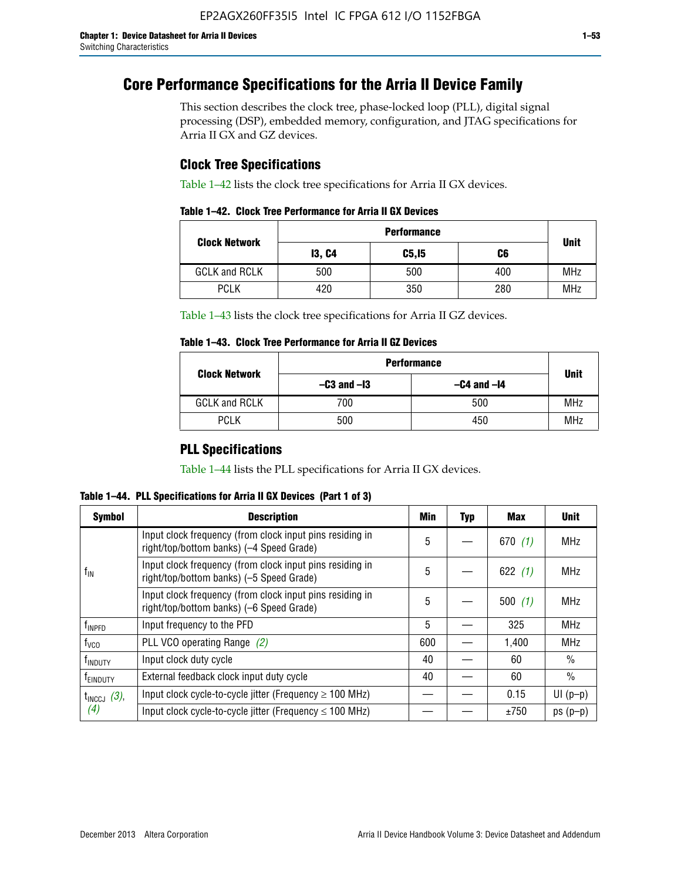# **Core Performance Specifications for the Arria II Device Family**

This section describes the clock tree, phase-locked loop (PLL), digital signal processing (DSP), embedded memory, configuration, and JTAG specifications for Arria II GX and GZ devices.

## **Clock Tree Specifications**

Table 1–42 lists the clock tree specifications for Arria II GX devices.

|                      | <b>Performance</b> |        |     |             |  |  |  |
|----------------------|--------------------|--------|-----|-------------|--|--|--|
| <b>Clock Network</b> | <b>13, C4</b>      | C5, I5 | C6  | <b>Unit</b> |  |  |  |
| <b>GCLK and RCLK</b> | 500                | 500    | 400 | <b>MHz</b>  |  |  |  |
| <b>PCLK</b>          | 420                | 350    | 280 | <b>MHz</b>  |  |  |  |

Table 1–43 lists the clock tree specifications for Arria II GZ devices.

### **Table 1–43. Clock Tree Performance for Arria II GZ Devices**

| <b>Clock Network</b> | <b>Performance</b> |                 |             |  |  |  |  |
|----------------------|--------------------|-----------------|-------------|--|--|--|--|
|                      | $-C3$ and $-I3$    | $-C4$ and $-I4$ | <b>Unit</b> |  |  |  |  |
| <b>GCLK and RCLK</b> | 700                | 500             | <b>MHz</b>  |  |  |  |  |
| <b>PCLK</b>          | 500                | 450             | <b>MHz</b>  |  |  |  |  |

## **PLL Specifications**

Table 1–44 lists the PLL specifications for Arria II GX devices.

**Table 1–44. PLL Specifications for Arria II GX Devices (Part 1 of 3)**

| <b>Symbol</b>           | <b>Description</b>                                                                                   | Min | <b>Typ</b> | Max       | <b>Unit</b>   |
|-------------------------|------------------------------------------------------------------------------------------------------|-----|------------|-----------|---------------|
|                         | Input clock frequency (from clock input pins residing in<br>right/top/bottom banks) (-4 Speed Grade) | 5   |            | 670(1)    | <b>MHz</b>    |
| $f_{\text{IN}}$         | Input clock frequency (from clock input pins residing in<br>right/top/bottom banks) (-5 Speed Grade) | 5   |            | 622 $(1)$ | <b>MHz</b>    |
|                         | Input clock frequency (from clock input pins residing in<br>right/top/bottom banks) (-6 Speed Grade) | 5   |            | 500(1)    | <b>MHz</b>    |
| f <sub>INPFD</sub>      | Input frequency to the PFD                                                                           | 5   |            | 325       | <b>MHz</b>    |
| $f_{\rm VCO}$           | PLL VCO operating Range (2)                                                                          | 600 |            | 1,400     | <b>MHz</b>    |
| <sup>t</sup> INDUTY     | Input clock duty cycle                                                                               | 40  |            | 60        | $\frac{0}{0}$ |
| f <sub>EINDUTY</sub>    | External feedback clock input duty cycle                                                             | 40  |            | 60        | $\frac{0}{0}$ |
| $t_{\text{INCCJ}}$ (3), | Input clock cycle-to-cycle jitter (Frequency $\geq$ 100 MHz)                                         |     |            | 0.15      | $UI(p-p)$     |
| (4)                     | Input clock cycle-to-cycle jitter (Frequency $\leq 100$ MHz)                                         |     |            | ±750      | $ps(p-p)$     |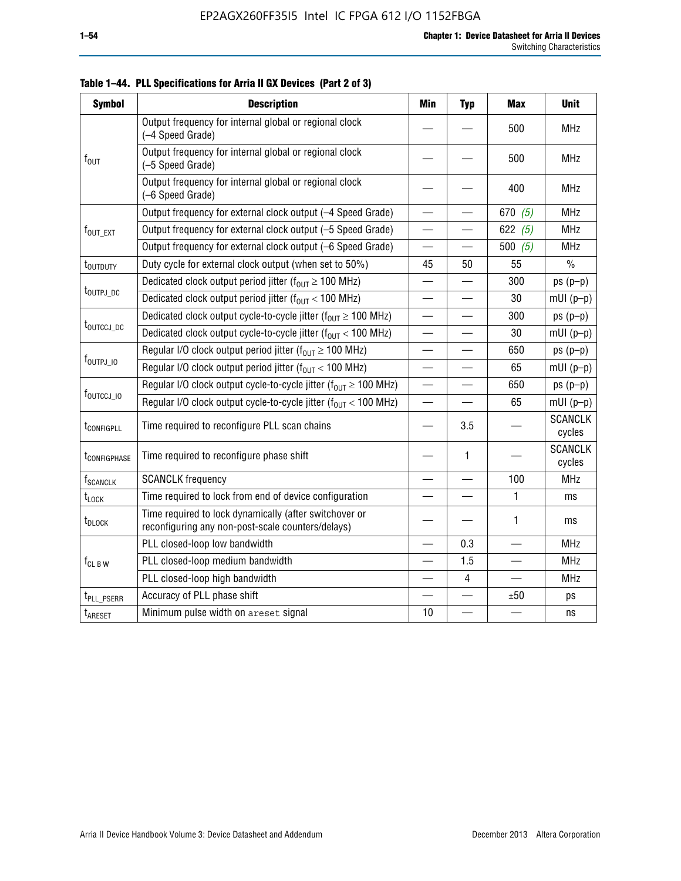| <b>Symbol</b>            | <b>Description</b>                                                                                          | <b>Min</b>                     | <b>Typ</b> | <b>Max</b> | <b>Unit</b>              |
|--------------------------|-------------------------------------------------------------------------------------------------------------|--------------------------------|------------|------------|--------------------------|
|                          | Output frequency for internal global or regional clock<br>(-4 Speed Grade)                                  |                                |            | 500        | <b>MHz</b>               |
| $f_{\text{OUT}}$         | Output frequency for internal global or regional clock<br>(-5 Speed Grade)                                  |                                |            | 500        | <b>MHz</b>               |
|                          | Output frequency for internal global or regional clock<br>(-6 Speed Grade)                                  |                                |            | 400        | <b>MHz</b>               |
|                          | Output frequency for external clock output (-4 Speed Grade)                                                 |                                |            | 670 $(5)$  | <b>MHz</b>               |
| $f_{\text{OUT\_EXT}}$    | Output frequency for external clock output (-5 Speed Grade)                                                 |                                |            | 622 $(5)$  | <b>MHz</b>               |
|                          | Output frequency for external clock output (-6 Speed Grade)                                                 |                                |            | 500 $(5)$  | <b>MHz</b>               |
| t <sub>outduty</sub>     | Duty cycle for external clock output (when set to 50%)                                                      | 45                             | 50         | 55         | $\%$                     |
|                          | Dedicated clock output period jitter ( $f_{OIII} \ge 100$ MHz)                                              |                                |            | 300        | $ps(p-p)$                |
| t <sub>outpj_dc</sub>    | Dedicated clock output period jitter ( $f_{OUT}$ < 100 MHz)                                                 |                                |            | 30         | $mUI(p-p)$               |
|                          | Dedicated clock output cycle-to-cycle jitter ( $f_{OIII} \ge 100$ MHz)                                      |                                |            | 300        | $ps(p-p)$                |
| t <sub>outccj_dc</sub>   | Dedicated clock output cycle-to-cycle jitter ( $f_{OIII}$ < 100 MHz)                                        | $\qquad \qquad \longleftarrow$ | —          | 30         | $mUI(p-p)$               |
|                          | Regular I/O clock output period jitter ( $f_{OUT} \ge 100$ MHz)                                             |                                |            | 650        | $ps(p-p)$                |
| $f_{\text{OUTPJ\_10}}$   | Regular I/O clock output period jitter ( $f_{OUT}$ < 100 MHz)                                               |                                |            | 65         | $mUI(p-p)$               |
|                          | Regular I/O clock output cycle-to-cycle jitter ( $f_{OUT} \ge 100$ MHz)                                     | $\equiv$                       |            | 650        | $ps(p-p)$                |
| f <sub>outccj_io</sub>   | Regular I/O clock output cycle-to-cycle jitter $(f_{OIII} < 100 \text{ MHz})$                               | $\overline{\phantom{0}}$       |            | 65         | $mUI(p-p)$               |
| t <sub>configpll</sub>   | Time required to reconfigure PLL scan chains                                                                |                                | 3.5        |            | <b>SCANCLK</b><br>cycles |
| t <sub>configphase</sub> | Time required to reconfigure phase shift                                                                    |                                | 1          |            | <b>SCANCLK</b><br>cycles |
| f <sub>SCANCLK</sub>     | <b>SCANCLK</b> frequency                                                                                    |                                |            | 100        | <b>MHz</b>               |
| $t_{\text{LOCK}}$        | Time required to lock from end of device configuration                                                      |                                |            | 1          | ms                       |
| t <sub>DLOCK</sub>       | Time required to lock dynamically (after switchover or<br>reconfiguring any non-post-scale counters/delays) |                                |            | 1          | ms                       |
|                          | PLL closed-loop low bandwidth                                                                               |                                | 0.3        |            | <b>MHz</b>               |
| $f_{CL~B~W}$             | PLL closed-loop medium bandwidth                                                                            |                                | 1.5        |            | <b>MHz</b>               |
|                          | PLL closed-loop high bandwidth                                                                              |                                | 4          |            | <b>MHz</b>               |
| t <sub>PLL_PSERR</sub>   | Accuracy of PLL phase shift                                                                                 |                                |            | ±50        | ps                       |
| t <sub>ARESET</sub>      | Minimum pulse width on areset signal                                                                        | 10                             |            |            | ns                       |

**Table 1–44. PLL Specifications for Arria II GX Devices (Part 2 of 3)**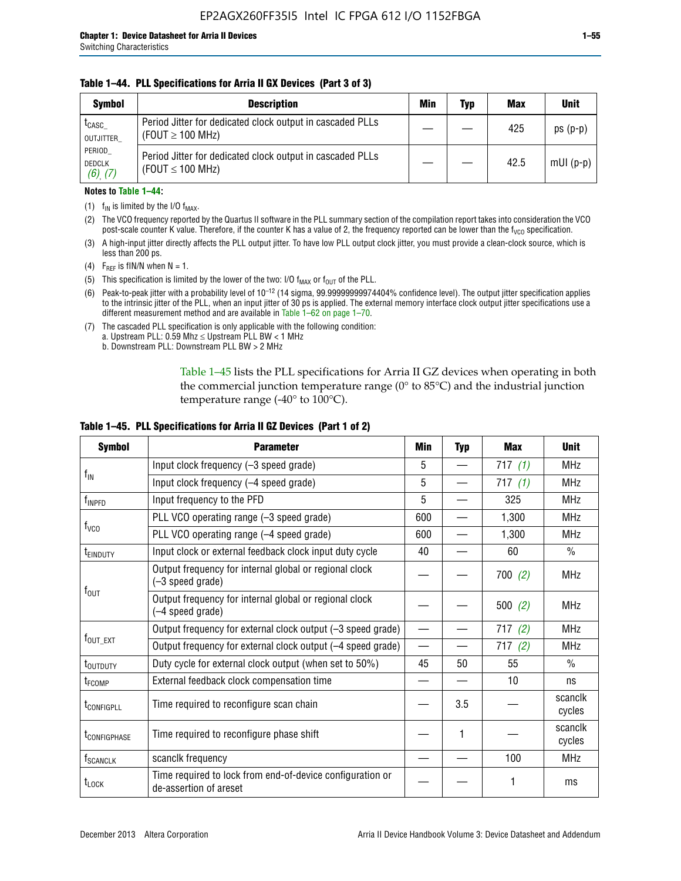### **Table 1–44. PLL Specifications for Arria II GX Devices (Part 3 of 3)**

| <b>Symbol</b>                            | <b>Description</b>                                                                 | Min | Typ | <b>Max</b> | <b>Unit</b> |
|------------------------------------------|------------------------------------------------------------------------------------|-----|-----|------------|-------------|
| t <sub>CASC</sub><br>OUTJITTER           | Period Jitter for dedicated clock output in cascaded PLLs<br>(FOUT $\geq$ 100 MHz) |     |     | 425        | $ps(p-p)$   |
| PERIOD<br><b>DEDCLK</b><br>$(6)$ , $(7)$ | Period Jitter for dedicated clock output in cascaded PLLs<br>(FOUT $\leq$ 100 MHz) |     |     | 42.5       | $mUI(p-p)$  |

#### **Notes to Table 1–44:**

- (1)  $f_{IN}$  is limited by the I/O  $f_{MAX}$ .
- (2) The VCO frequency reported by the Quartus II software in the PLL summary section of the compilation report takes into consideration the VCO post-scale counter K value. Therefore, if the counter K has a value of 2, the frequency reported can be lower than the f<sub>VCO</sub> specification.
- (3) A high-input jitter directly affects the PLL output jitter. To have low PLL output clock jitter, you must provide a clean-clock source, which is less than 200 ps.
- (4) F<sub>REF</sub> is fIN/N when N = 1.
- (5) This specification is limited by the lower of the two: I/O  $f_{MAX}$  or  $f_{OUT}$  of the PLL.
- (6) Peak-to-peak jitter with a probability level of 10–12 (14 sigma, 99.99999999974404% confidence level). The output jitter specification applies to the intrinsic jitter of the PLL, when an input jitter of 30 ps is applied. The external memory interface clock output jitter specifications use a different measurement method and are available in Table 1–62 on page 1–70.
- (7) The cascaded PLL specification is only applicable with the following condition: a. Upstream PLL:  $0.59$  Mhz  $\leq$  Upstream PLL BW  $<$  1 MHz
	- b. Downstream PLL: Downstream PLL BW > 2 MHz

Table 1–45 lists the PLL specifications for Arria II GZ devices when operating in both the commercial junction temperature range (0° to 85°C) and the industrial junction temperature range (-40 $\degree$  to 100 $\degree$ C).

| <b>Symbol</b>              | <b>Parameter</b>                                                                    | Min                      | <b>Typ</b> | <b>Max</b> | <b>Unit</b>       |
|----------------------------|-------------------------------------------------------------------------------------|--------------------------|------------|------------|-------------------|
|                            | Input clock frequency (-3 speed grade)                                              | 5                        |            | 717(1)     | <b>MHz</b>        |
| $f_{IN}$                   | Input clock frequency (-4 speed grade)                                              | 5                        |            | 717(1)     | <b>MHz</b>        |
| $f_{\mathsf{INPPD}}$       | Input frequency to the PFD                                                          | 5                        |            | 325        | <b>MHz</b>        |
|                            | PLL VCO operating range (-3 speed grade)                                            | 600                      |            | 1,300      | <b>MHz</b>        |
| $f_{\rm VCO}$              | PLL VCO operating range (-4 speed grade)                                            | 600                      |            | 1,300      | <b>MHz</b>        |
| <b>TEINDUTY</b>            | Input clock or external feedback clock input duty cycle                             | 40                       |            | 60         | $\frac{0}{0}$     |
|                            | Output frequency for internal global or regional clock<br>(-3 speed grade)          |                          |            | 700(2)     | <b>MHz</b>        |
| $f_{\text{OUT}}$           | Output frequency for internal global or regional clock<br>(-4 speed grade)          |                          |            | 500(2)     | <b>MHz</b>        |
|                            | Output frequency for external clock output (-3 speed grade)                         | $\overline{\phantom{0}}$ |            | 717(2)     | <b>MHz</b>        |
| $f_{\text{OUT\_EXT}}$      | Output frequency for external clock output (-4 speed grade)                         | $\overline{\phantom{0}}$ |            | 717(2)     | <b>MHz</b>        |
| t <sub>outduty</sub>       | Duty cycle for external clock output (when set to 50%)                              | 45                       | 50         | 55         | $\frac{0}{0}$     |
| t <sub>FCOMP</sub>         | External feedback clock compensation time                                           |                          |            | 10         | ns                |
| t <sub>configpll</sub>     | Time required to reconfigure scan chain                                             |                          | 3.5        |            | scanclk<br>cycles |
| <b><i>LCONFIGPHASE</i></b> | Time required to reconfigure phase shift                                            |                          | 1          |            | scanclk<br>cycles |
| f <sub>SCANCLK</sub>       | scanclk frequency                                                                   |                          |            | 100        | <b>MHz</b>        |
| $t_{\text{LOCK}}$          | Time required to lock from end-of-device configuration or<br>de-assertion of areset |                          |            |            | ms                |

#### **Table 1–45. PLL Specifications for Arria II GZ Devices (Part 1 of 2)**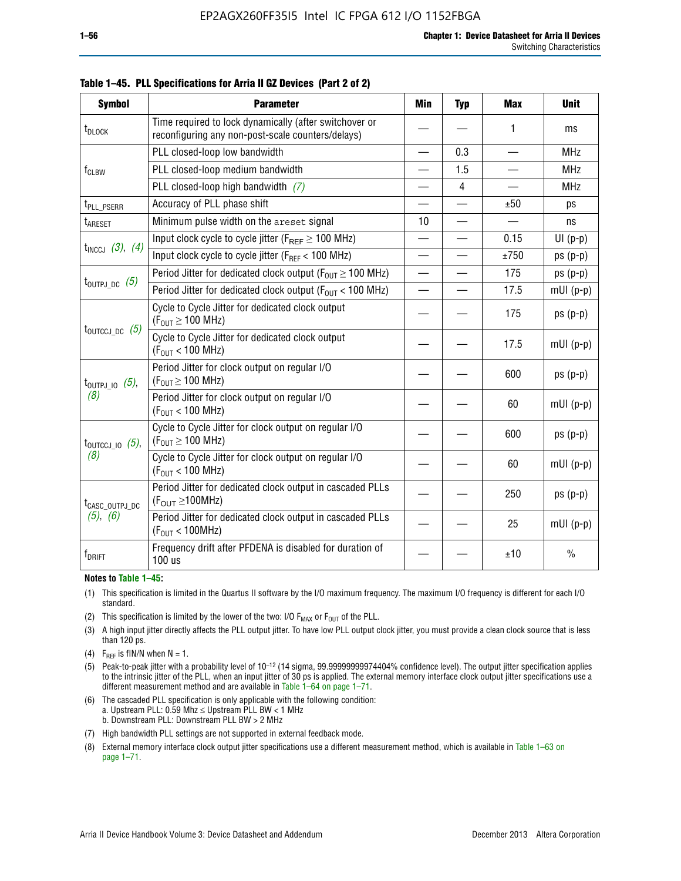| <b>Symbol</b>                  | <b>Parameter</b>                                                                                            | Min                      | <b>Typ</b>     | <b>Max</b>               | <b>Unit</b>   |
|--------------------------------|-------------------------------------------------------------------------------------------------------------|--------------------------|----------------|--------------------------|---------------|
| t <sub>DLOCK</sub>             | Time required to lock dynamically (after switchover or<br>reconfiguring any non-post-scale counters/delays) |                          |                | 1                        | ms            |
|                                | PLL closed-loop low bandwidth                                                                               |                          | 0.3            | $\overline{\phantom{0}}$ | <b>MHz</b>    |
| $f_{CLBW}$                     | PLL closed-loop medium bandwidth                                                                            |                          | 1.5            |                          | <b>MHz</b>    |
|                                | PLL closed-loop high bandwidth $(7)$                                                                        |                          | $\overline{4}$ |                          | <b>MHz</b>    |
| t <sub>PLL_PSERR</sub>         | Accuracy of PLL phase shift                                                                                 |                          |                | ±50                      | ps            |
| t <sub>ARESET</sub>            | Minimum pulse width on the areset signal                                                                    | 10                       |                | $\overline{\phantom{0}}$ | ns            |
|                                | Input clock cycle to cycle jitter ( $F_{REF} \geq 100$ MHz)                                                 |                          |                | 0.15                     | $UI(p-p)$     |
| $t_{INCCJ}$ (3), (4)           | Input clock cycle to cycle jitter ( $F_{REF}$ < 100 MHz)                                                    |                          |                | ±750                     | $ps(p-p)$     |
|                                | Period Jitter for dedicated clock output ( $F_{OUT} \ge 100$ MHz)                                           | $\overline{\phantom{0}}$ |                | 175                      | $ps(p-p)$     |
| $t_{\text{OUTPJ\_DC}}$ (5)     | Period Jitter for dedicated clock output ( $F_{OIII}$ < 100 MHz)                                            | $\overline{\phantom{0}}$ |                | 17.5                     | $mUI(p-p)$    |
|                                | Cycle to Cycle Jitter for dedicated clock output<br>$(F_{OUT} \ge 100$ MHz)                                 |                          |                | 175                      | $ps(p-p)$     |
| $t_{\text{OUTCCJ\_DC}}$ (5)    | Cycle to Cycle Jitter for dedicated clock output<br>$(F_{OUT}$ < 100 MHz)                                   |                          |                | 17.5                     | $mUI(p-p)$    |
| $t_{\text{OUTPJ\_IO}}$ (5),    | Period Jitter for clock output on regular I/O<br>$(F_{OUT} \ge 100$ MHz)                                    |                          |                | 600                      | $ps(p-p)$     |
| (8)                            | Period Jitter for clock output on regular I/O<br>$(F_{OUT}$ < 100 MHz)                                      |                          |                | 60                       | $mUI(p-p)$    |
| $t_{\text{OUTCCJ 10}}$ $(5)$ , | Cycle to Cycle Jitter for clock output on regular I/O<br>$(F_{OUT} \ge 100$ MHz)                            |                          |                | 600                      | $ps(p-p)$     |
| (8)                            | Cycle to Cycle Jitter for clock output on regular I/O<br>$(F_{OUT}$ < 100 MHz)                              |                          |                | 60                       | $mUI(p-p)$    |
| t <sub>CASC_OUTPJ_DC</sub>     | Period Jitter for dedicated clock output in cascaded PLLs<br>$(F_{\text{OUT}} \ge 100 \text{MHz})$          |                          |                | 250                      | $ps(p-p)$     |
| $(5)$ , $(6)$                  | Period Jitter for dedicated clock output in cascaded PLLs<br>(F <sub>OUT</sub> < 100MHz)                    |                          |                | 25                       | $mUI(p-p)$    |
| $\rm f_{\rm DRIFT}$            | Frequency drift after PFDENA is disabled for duration of<br>100 us                                          |                          |                | ±10                      | $\frac{0}{0}$ |

**Table 1–45. PLL Specifications for Arria II GZ Devices (Part 2 of 2)**

#### **Notes to Table 1–45:**

- (1) This specification is limited in the Quartus II software by the I/O maximum frequency. The maximum I/O frequency is different for each I/O standard.
- (2) This specification is limited by the lower of the two: I/O  $F_{MAX}$  or  $F_{OUT}$  of the PLL.
- (3) A high input jitter directly affects the PLL output jitter. To have low PLL output clock jitter, you must provide a clean clock source that is less than 120 ps.
- (4) F<sub>REF</sub> is fIN/N when  $N = 1$ .
- (5) Peak-to-peak jitter with a probability level of 10–12 (14 sigma, 99.99999999974404% confidence level). The output jitter specification applies to the intrinsic jitter of the PLL, when an input jitter of 30 ps is applied. The external memory interface clock output jitter specifications use a different measurement method and are available in Table 1–64 on page 1–71.
- (6) The cascaded PLL specification is only applicable with the following condition: a. Upstream PLL: 0.59 Mhz  $\leq$  Upstream PLL BW  $<$  1 MHz b. Downstream PLL: Downstream PLL BW > 2 MHz
- (7) High bandwidth PLL settings are not supported in external feedback mode.
- (8) External memory interface clock output jitter specifications use a different measurement method, which is available in Table 1–63 on page 1–71.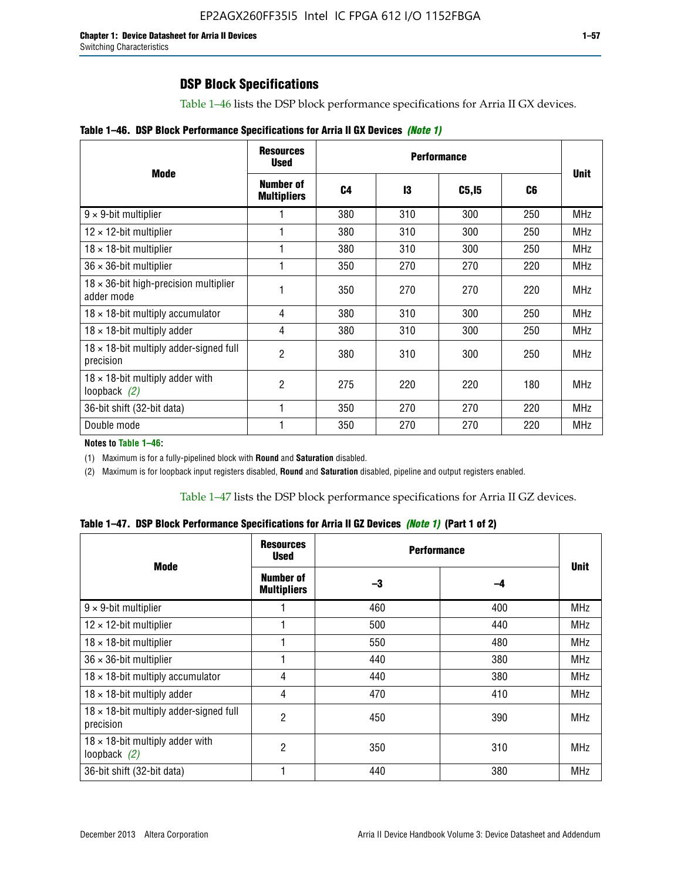## **DSP Block Specifications**

Table 1–46 lists the DSP block performance specifications for Arria II GX devices.

|  |  | Table 1–46. DSP Block Performance Specifications for Arria II GX Devices (Note 1) |  |  |  |  |  |
|--|--|-----------------------------------------------------------------------------------|--|--|--|--|--|
|--|--|-----------------------------------------------------------------------------------|--|--|--|--|--|

|                                                             | <b>Resources</b><br><b>Used</b>        |     |     |        |     |             |
|-------------------------------------------------------------|----------------------------------------|-----|-----|--------|-----|-------------|
| <b>Mode</b>                                                 | <b>Number of</b><br><b>Multipliers</b> | C4  | 13  | C5, I5 | C6  | <b>Unit</b> |
| $9 \times 9$ -bit multiplier                                |                                        | 380 | 310 | 300    | 250 | <b>MHz</b>  |
| $12 \times 12$ -bit multiplier                              |                                        | 380 | 310 | 300    | 250 | <b>MHz</b>  |
| $18 \times 18$ -bit multiplier                              |                                        | 380 | 310 | 300    | 250 | <b>MHz</b>  |
| $36 \times 36$ -bit multiplier                              |                                        | 350 | 270 | 270    | 220 | <b>MHz</b>  |
| $18 \times 36$ -bit high-precision multiplier<br>adder mode |                                        | 350 | 270 | 270    | 220 | <b>MHz</b>  |
| $18 \times 18$ -bit multiply accumulator                    | 4                                      | 380 | 310 | 300    | 250 | <b>MHz</b>  |
| $18 \times 18$ -bit multiply adder                          | 4                                      | 380 | 310 | 300    | 250 | <b>MHz</b>  |
| $18 \times 18$ -bit multiply adder-signed full<br>precision | 2                                      | 380 | 310 | 300    | 250 | <b>MHz</b>  |
| $18 \times 18$ -bit multiply adder with<br>loopback $(2)$   | 2                                      | 275 | 220 | 220    | 180 | <b>MHz</b>  |
| 36-bit shift (32-bit data)                                  |                                        | 350 | 270 | 270    | 220 | <b>MHz</b>  |
| Double mode                                                 |                                        | 350 | 270 | 270    | 220 | <b>MHz</b>  |

**Notes to Table 1–46:**

(1) Maximum is for a fully-pipelined block with **Round** and **Saturation** disabled.

(2) Maximum is for loopback input registers disabled, **Round** and **Saturation** disabled, pipeline and output registers enabled.

Table 1–47 lists the DSP block performance specifications for Arria II GZ devices.

**Table 1–47. DSP Block Performance Specifications for Arria II GZ Devices** *(Note 1)* **(Part 1 of 2)**

| <b>Mode</b>                                                 | <b>Resources</b><br>Used        | <b>Performance</b> |     |             |
|-------------------------------------------------------------|---------------------------------|--------------------|-----|-------------|
|                                                             | Number of<br><b>Multipliers</b> | -3                 | -4  | <b>Unit</b> |
| $9 \times 9$ -bit multiplier                                |                                 | 460                | 400 | <b>MHz</b>  |
| $12 \times 12$ -bit multiplier                              |                                 | 500                | 440 | <b>MHz</b>  |
| $18 \times 18$ -bit multiplier                              |                                 | 550                | 480 | <b>MHz</b>  |
| $36 \times 36$ -bit multiplier                              |                                 | 440                | 380 | MHz         |
| $18 \times 18$ -bit multiply accumulator                    | 4                               | 440                | 380 | <b>MHz</b>  |
| $18 \times 18$ -bit multiply adder                          | 4                               | 470                | 410 | <b>MHz</b>  |
| $18 \times 18$ -bit multiply adder-signed full<br>precision | 2                               | 450                | 390 | <b>MHz</b>  |
| $18 \times 18$ -bit multiply adder with<br>loopback $(2)$   | 2                               | 350                | 310 | <b>MHz</b>  |
| 36-bit shift (32-bit data)                                  |                                 | 440                | 380 | <b>MHz</b>  |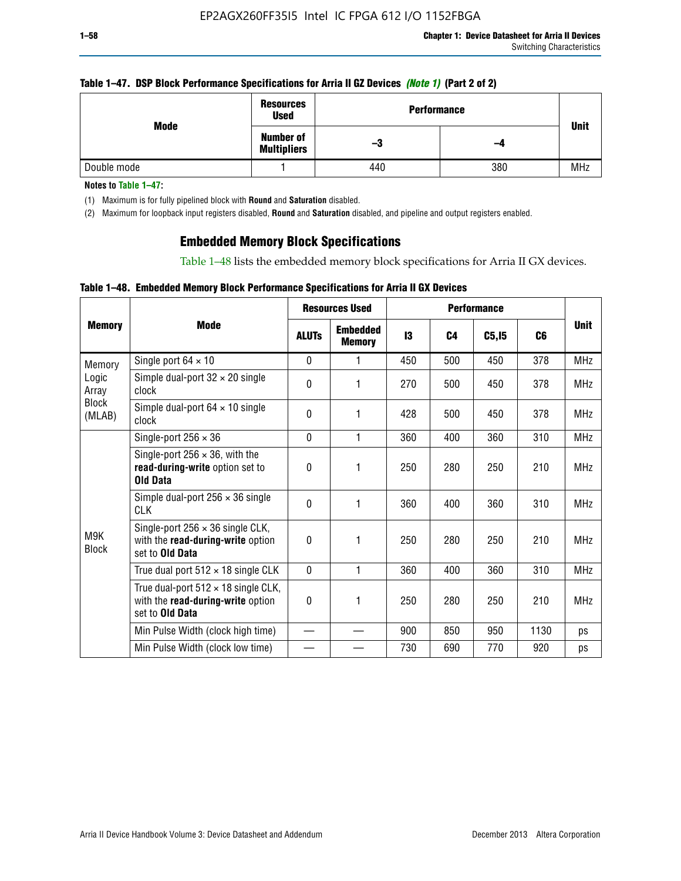### **Table 1–47. DSP Block Performance Specifications for Arria II GZ Devices** *(Note 1)* **(Part 2 of 2)**

| Mode        | <b>Resources</b><br><b>Used</b>        | <b>Performance</b> |     | <b>Unit</b> |
|-------------|----------------------------------------|--------------------|-----|-------------|
|             | <b>Number of</b><br><b>Multipliers</b> | -3                 | -4  |             |
| Double mode |                                        | 440                | 380 | <b>MHz</b>  |

**Notes to Table 1–47:**

(1) Maximum is for fully pipelined block with **Round** and **Saturation** disabled.

(2) Maximum for loopback input registers disabled, **Round** and **Saturation** disabled, and pipeline and output registers enabled.

## **Embedded Memory Block Specifications**

Table 1–48 lists the embedded memory block specifications for Arria II GX devices.

### **Table 1–48. Embedded Memory Block Performance Specifications for Arria II GX Devices**

|                        | <b>Resources Used</b>                                                                                     |              |                                  | <b>Performance</b> |                |        |      |             |
|------------------------|-----------------------------------------------------------------------------------------------------------|--------------|----------------------------------|--------------------|----------------|--------|------|-------------|
| <b>Memory</b>          | <b>Mode</b>                                                                                               | <b>ALUTS</b> | <b>Embedded</b><br><b>Memory</b> | 13                 | C <sub>4</sub> | C5, I5 | C6   | <b>Unit</b> |
| Memory                 | Single port $64 \times 10$                                                                                | $\Omega$     | 1                                | 450                | 500            | 450    | 378  | <b>MHz</b>  |
| Logic<br>Array         | Simple dual-port $32 \times 20$ single<br>clock                                                           | 0            | 1                                | 270                | 500            | 450    | 378  | <b>MHz</b>  |
| <b>Block</b><br>(MLAB) | Simple dual-port $64 \times 10$ single<br>clock                                                           | $\theta$     | 1                                | 428                | 500            | 450    | 378  | <b>MHz</b>  |
|                        | Single-port $256 \times 36$                                                                               | $\mathbf{0}$ | 1                                | 360                | 400            | 360    | 310  | <b>MHz</b>  |
|                        | Single-port $256 \times 36$ , with the<br>read-during-write option set to<br><b>Old Data</b>              | $\theta$     | 1                                | 250                | 280            | 250    | 210  | <b>MHz</b>  |
|                        | Simple dual-port $256 \times 36$ single<br><b>CLK</b>                                                     | $\theta$     | 1                                | 360                | 400            | 360    | 310  | <b>MHz</b>  |
| M9K<br><b>Block</b>    | Single-port $256 \times 36$ single CLK,<br>with the read-during-write option<br>set to Old Data           | $\theta$     | 1                                | 250                | 280            | 250    | 210  | <b>MHz</b>  |
|                        | True dual port $512 \times 18$ single CLK                                                                 | $\mathbf{0}$ | 1                                | 360                | 400            | 360    | 310  | <b>MHz</b>  |
|                        | True dual-port $512 \times 18$ single CLK,<br>with the read-during-write option<br>set to <b>Old Data</b> | 0            | 1                                | 250                | 280            | 250    | 210  | <b>MHz</b>  |
|                        | Min Pulse Width (clock high time)                                                                         |              |                                  | 900                | 850            | 950    | 1130 | ps          |
|                        | Min Pulse Width (clock low time)                                                                          |              |                                  | 730                | 690            | 770    | 920  | ps          |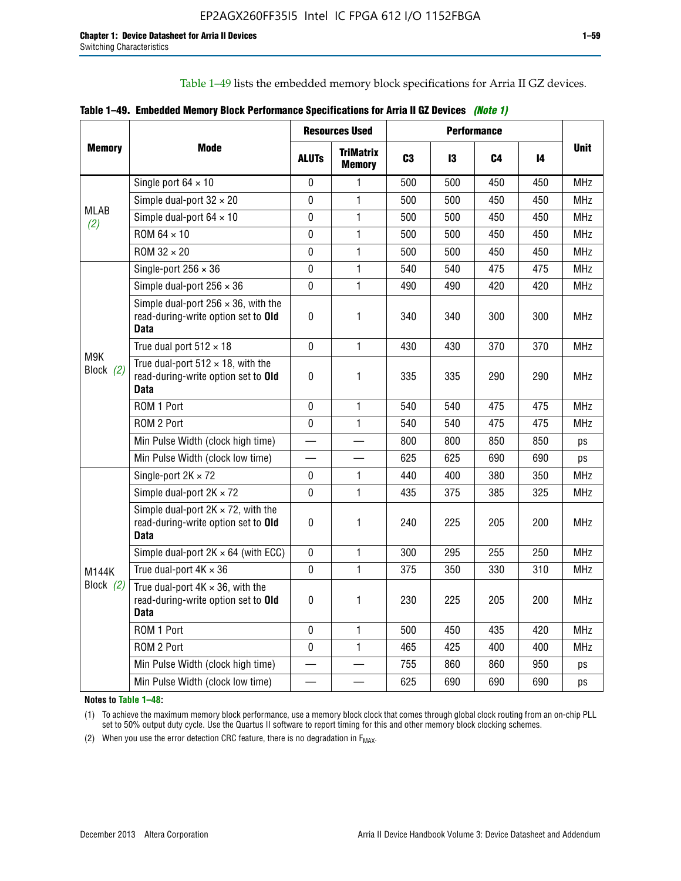Table 1–49 lists the embedded memory block specifications for Arria II GZ devices.

|  |  | Table 1–49. Embedded Memory Block Performance Specifications for Arria II GZ Devices (Note 1) |  |  |
|--|--|-----------------------------------------------------------------------------------------------|--|--|
|--|--|-----------------------------------------------------------------------------------------------|--|--|

|                    |                                                                                                   |              | <b>Resources Used</b>             | <b>Performance</b> |     |     |     |             |
|--------------------|---------------------------------------------------------------------------------------------------|--------------|-----------------------------------|--------------------|-----|-----|-----|-------------|
| <b>Memory</b>      | Mode                                                                                              | <b>ALUTS</b> | <b>TriMatrix</b><br><b>Memory</b> | C <sub>3</sub>     | 13  | C4  | 14  | <b>Unit</b> |
|                    | Single port $64 \times 10$                                                                        | 0            | 1                                 | 500                | 500 | 450 | 450 | MHz         |
|                    | Simple dual-port $32 \times 20$                                                                   | $\mathbf{0}$ | $\mathbf{1}$                      | 500                | 500 | 450 | 450 | <b>MHz</b>  |
| <b>MLAB</b><br>(2) | Simple dual-port $64 \times 10$                                                                   | 0            | 1                                 | 500                | 500 | 450 | 450 | <b>MHz</b>  |
|                    | ROM 64 × 10                                                                                       | $\mathbf 0$  | $\mathbf{1}$                      | 500                | 500 | 450 | 450 | <b>MHz</b>  |
|                    | $ROM 32 \times 20$                                                                                | $\Omega$     | $\mathbf{1}$                      | 500                | 500 | 450 | 450 | <b>MHz</b>  |
|                    | Single-port $256 \times 36$                                                                       | $\mathbf 0$  | $\mathbf{1}$                      | 540                | 540 | 475 | 475 | <b>MHz</b>  |
|                    | Simple dual-port $256 \times 36$                                                                  | $\Omega$     | $\mathbf{1}$                      | 490                | 490 | 420 | 420 | <b>MHz</b>  |
|                    | Simple dual-port $256 \times 36$ , with the<br>read-during-write option set to Old<br><b>Data</b> | $\pmb{0}$    | 1                                 | 340                | 340 | 300 | 300 | <b>MHz</b>  |
|                    | True dual port $512 \times 18$                                                                    | $\mathbf 0$  | 1                                 | 430                | 430 | 370 | 370 | <b>MHz</b>  |
| M9K<br>Block $(2)$ | True dual-port $512 \times 18$ , with the<br>read-during-write option set to Old<br><b>Data</b>   | $\mathbf 0$  | 1                                 | 335                | 335 | 290 | 290 | <b>MHz</b>  |
|                    | ROM 1 Port                                                                                        | $\mathbf 0$  | 1                                 | 540                | 540 | 475 | 475 | <b>MHz</b>  |
|                    | ROM 2 Port                                                                                        | $\mathbf 0$  | 1                                 | 540                | 540 | 475 | 475 | <b>MHz</b>  |
|                    | Min Pulse Width (clock high time)                                                                 |              |                                   | 800                | 800 | 850 | 850 | ps          |
|                    | Min Pulse Width (clock low time)                                                                  |              |                                   | 625                | 625 | 690 | 690 | ps          |
|                    | Single-port $2K \times 72$                                                                        | 0            | 1                                 | 440                | 400 | 380 | 350 | <b>MHz</b>  |
|                    | Simple dual-port $2K \times 72$                                                                   | $\mathbf 0$  | 1                                 | 435                | 375 | 385 | 325 | <b>MHz</b>  |
|                    | Simple dual-port $2K \times 72$ , with the<br>read-during-write option set to Old<br><b>Data</b>  | 0            | 1.                                | 240                | 225 | 205 | 200 | <b>MHz</b>  |
|                    | Simple dual-port $2K \times 64$ (with ECC)                                                        | $\mathbf 0$  | 1                                 | 300                | 295 | 255 | 250 | <b>MHz</b>  |
| M144K              | True dual-port $4K \times 36$                                                                     | $\mathbf 0$  | 1                                 | 375                | 350 | 330 | 310 | <b>MHz</b>  |
| Block (2)          | True dual-port $4K \times 36$ , with the<br>read-during-write option set to Old<br><b>Data</b>    | $\mathbf{0}$ | 1                                 | 230                | 225 | 205 | 200 | <b>MHz</b>  |
|                    | ROM 1 Port                                                                                        | $\mathbf 0$  | $\mathbf{1}$                      | 500                | 450 | 435 | 420 | <b>MHz</b>  |
|                    | ROM 2 Port                                                                                        | 0            | $\mathbf{1}$                      | 465                | 425 | 400 | 400 | <b>MHz</b>  |
|                    | Min Pulse Width (clock high time)                                                                 |              |                                   | 755                | 860 | 860 | 950 | ps          |
|                    | Min Pulse Width (clock low time)                                                                  |              |                                   | 625                | 690 | 690 | 690 | ps          |

**Notes to Table 1–48:**

(1) To achieve the maximum memory block performance, use a memory block clock that comes through global clock routing from an on-chip PLL set to 50% output duty cycle. Use the Quartus II software to report timing for this and other memory block clocking schemes.

(2) When you use the error detection CRC feature, there is no degradation in  $F_{MAX}$ .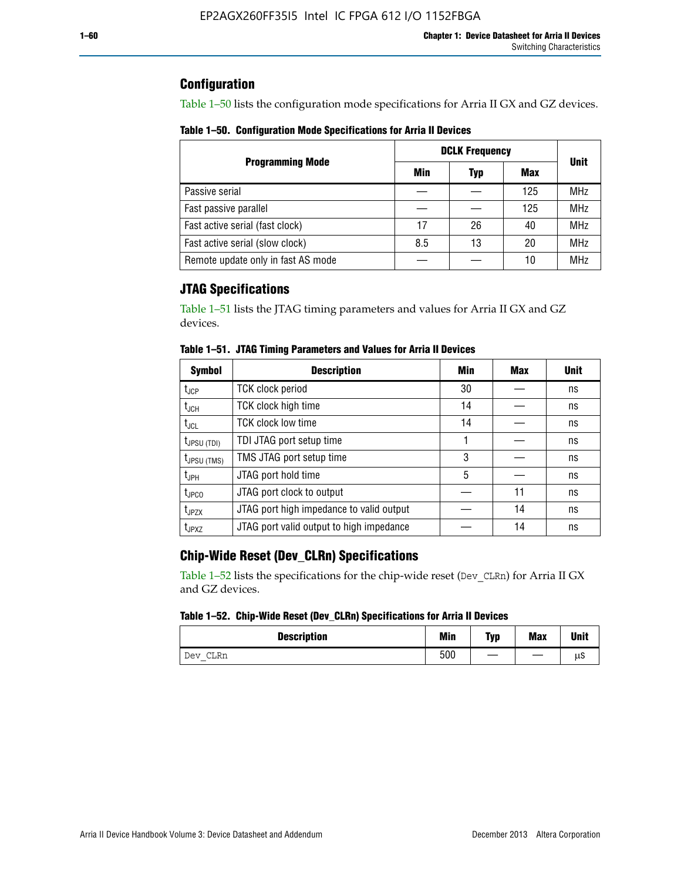## **Configuration**

Table 1–50 lists the configuration mode specifications for Arria II GX and GZ devices.

**Table 1–50. Configuration Mode Specifications for Arria II Devices**

|                                    | <b>DCLK Frequency</b> | <b>Unit</b> |            |            |
|------------------------------------|-----------------------|-------------|------------|------------|
| <b>Programming Mode</b>            | Min                   | Typ         | <b>Max</b> |            |
| Passive serial                     |                       |             | 125        | <b>MHz</b> |
| Fast passive parallel              |                       |             | 125        | <b>MHz</b> |
| Fast active serial (fast clock)    | 17                    | 26          | 40         | <b>MHz</b> |
| Fast active serial (slow clock)    | 8.5                   | 13          | 20         | <b>MHz</b> |
| Remote update only in fast AS mode |                       |             | 10         | <b>MHz</b> |

## **JTAG Specifications**

Table 1–51 lists the JTAG timing parameters and values for Arria II GX and GZ devices.

| <b>Symbol</b>     | <b>Description</b>                       | Min | Max | <b>Unit</b> |
|-------------------|------------------------------------------|-----|-----|-------------|
| $t_{JCP}$         | <b>TCK clock period</b>                  | 30  |     | ns          |
| $t_{JCH}$         | TCK clock high time                      | 14  |     | ns          |
| $t_{\text{JCL}}$  | <b>TCK clock low time</b>                | 14  |     | ns          |
| $t_{JPSU(TDI)}$   | TDI JTAG port setup time                 |     |     | ns          |
| $t_{JPSU\,(TMS)}$ | TMS JTAG port setup time                 | 3   |     | ns          |
| $t_{\sf JPH}$     | JTAG port hold time                      | 5   |     | ns          |
| $t_{\text{JPCO}}$ | JTAG port clock to output                |     | 11  | ns          |
| t <sub>JPZX</sub> | JTAG port high impedance to valid output |     | 14  | ns          |
| t <sub>JPXZ</sub> | JTAG port valid output to high impedance |     | 14  | ns          |

**Table 1–51. JTAG Timing Parameters and Values for Arria II Devices**

## **Chip-Wide Reset (Dev\_CLRn) Specifications**

Table 1–52 lists the specifications for the chip-wide reset (Dev\_CLRn) for Arria II GX and GZ devices.

#### **Table 1–52. Chip-Wide Reset (Dev\_CLRn) Specifications for Arria II Devices**

| <b>Description</b> | <b>Min</b> | Typ | <b>Max</b> | <b>Unit</b> |
|--------------------|------------|-----|------------|-------------|
| CLRn<br>Dev        | 500        | __  |            | μS          |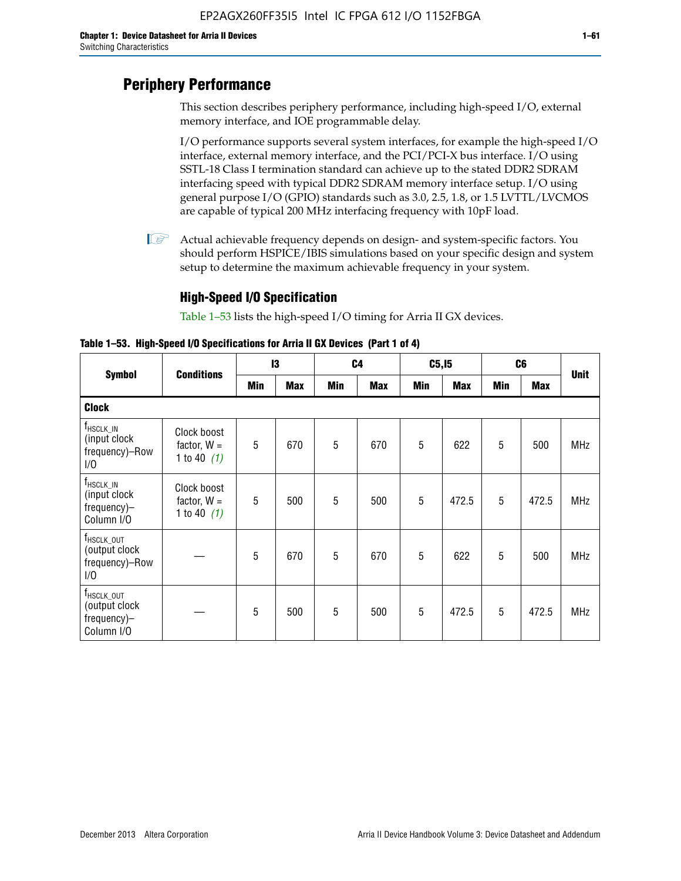# **Periphery Performance**

This section describes periphery performance, including high-speed I/O, external memory interface, and IOE programmable delay.

I/O performance supports several system interfaces, for example the high-speed I/O interface, external memory interface, and the PCI/PCI-X bus interface. I/O using SSTL-18 Class I termination standard can achieve up to the stated DDR2 SDRAM interfacing speed with typical DDR2 SDRAM memory interface setup. I/O using general purpose I/O (GPIO) standards such as 3.0, 2.5, 1.8, or 1.5 LVTTL/LVCMOS are capable of typical 200 MHz interfacing frequency with 10pF load.

 $\mathbb{I}$  Actual achievable frequency depends on design- and system-specific factors. You should perform HSPICE/IBIS simulations based on your specific design and system setup to determine the maximum achievable frequency in your system.

## **High-Speed I/O Specification**

Table 1–53 lists the high-speed I/O timing for Arria II GX devices.

**Table 1–53. High-Speed I/O Specifications for Arria II GX Devices (Part 1 of 4)**

|                                                                              |                                               | 13  |            | C <sub>4</sub> |            | C5, I5 |            | C <sub>6</sub> |            | <b>Unit</b> |
|------------------------------------------------------------------------------|-----------------------------------------------|-----|------------|----------------|------------|--------|------------|----------------|------------|-------------|
| <b>Symbol</b>                                                                | <b>Conditions</b>                             | Min | <b>Max</b> | Min            | <b>Max</b> | Min    | <b>Max</b> | Min            | <b>Max</b> |             |
| <b>Clock</b>                                                                 |                                               |     |            |                |            |        |            |                |            |             |
| $f_{HSCLK\_IN}$<br>(input clock<br>frequency)-Row<br>1/0                     | Clock boost<br>factor, $W =$<br>1 to 40 $(1)$ | 5   | 670        | 5              | 670        | 5      | 622        | 5              | 500        | <b>MHz</b>  |
| $f_{HSCLK\_IN}$<br>(input clock<br>frequency)-<br>Column I/O                 | Clock boost<br>factor, $W =$<br>1 to 40 $(1)$ | 5   | 500        | 5              | 500        | 5      | 472.5      | 5              | 472.5      | <b>MHz</b>  |
| T <sub>HSCLK_OUT</sub><br>(output clock<br>frequency)-Row<br>1/0             |                                               | 5   | 670        | 5              | 670        | 5      | 622        | 5              | 500        | <b>MHz</b>  |
| $f_{\text{HSCLK}\_\text{OUT}}$<br>(output clock<br>frequency)-<br>Column I/O |                                               | 5   | 500        | 5              | 500        | 5      | 472.5      | 5              | 472.5      | <b>MHz</b>  |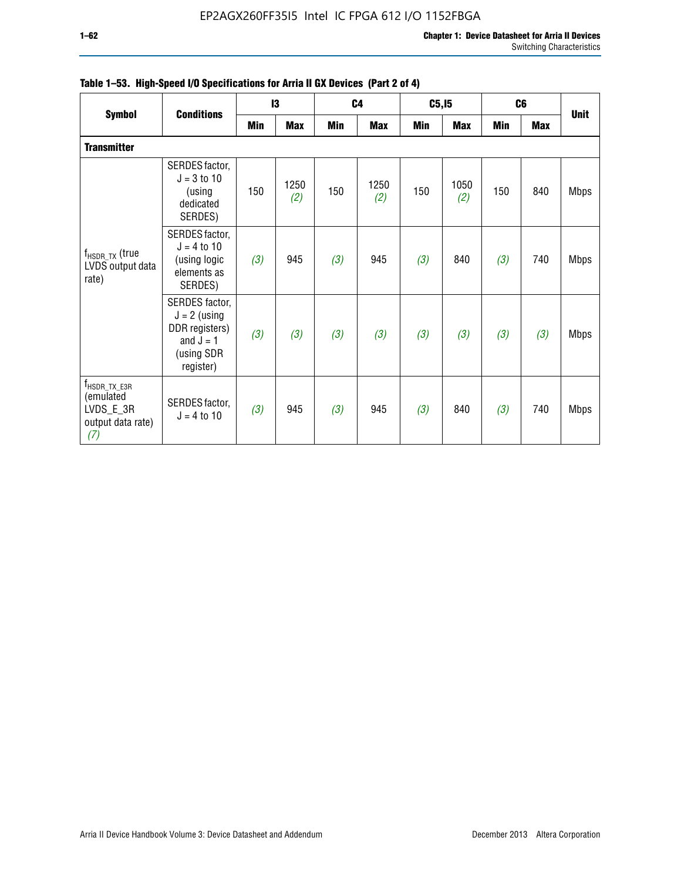|                                                                               |                                                                                              | 13  |             |            | C <sub>4</sub> |            | C5, I5      |     | C <sub>6</sub> |             |
|-------------------------------------------------------------------------------|----------------------------------------------------------------------------------------------|-----|-------------|------------|----------------|------------|-------------|-----|----------------|-------------|
| <b>Symbol</b>                                                                 | <b>Conditions</b>                                                                            | Min | <b>Max</b>  | <b>Min</b> | <b>Max</b>     | <b>Min</b> | <b>Max</b>  | Min | <b>Max</b>     | <b>Unit</b> |
| <b>Transmitter</b>                                                            |                                                                                              |     |             |            |                |            |             |     |                |             |
| $f_{\sf{HSDR\_TX}}$ (true<br>LVDS output data<br>rate)                        | SERDES factor,<br>$J = 3$ to 10<br>(using<br>dedicated<br>SERDES)                            | 150 | 1250<br>(2) | 150        | 1250<br>(2)    | 150        | 1050<br>(2) | 150 | 840            | <b>Mbps</b> |
|                                                                               | SERDES factor,<br>$J = 4$ to 10<br>(using logic<br>elements as<br>SERDES)                    | (3) | 945         | (3)        | 945            | (3)        | 840         | (3) | 740            | <b>Mbps</b> |
|                                                                               | SERDES factor,<br>$J = 2$ (using<br>DDR registers)<br>and $J = 1$<br>(using SDR<br>register) | (3) | (3)         | (3)        | (3)            | (3)        | (3)         | (3) | (3)            | <b>Mbps</b> |
| $f_{\sf HSDR\_TX\_E3R}$<br>(emulated<br>LVDS_E_3R<br>output data rate)<br>(7) | SERDES factor,<br>$J = 4$ to 10                                                              | (3) | 945         | (3)        | 945            | (3)        | 840         | (3) | 740            | <b>Mbps</b> |

|  |  | Table 1–53. High-Speed I/O Specifications for Arria II GX Devices (Part 2 of 4) |  |
|--|--|---------------------------------------------------------------------------------|--|
|--|--|---------------------------------------------------------------------------------|--|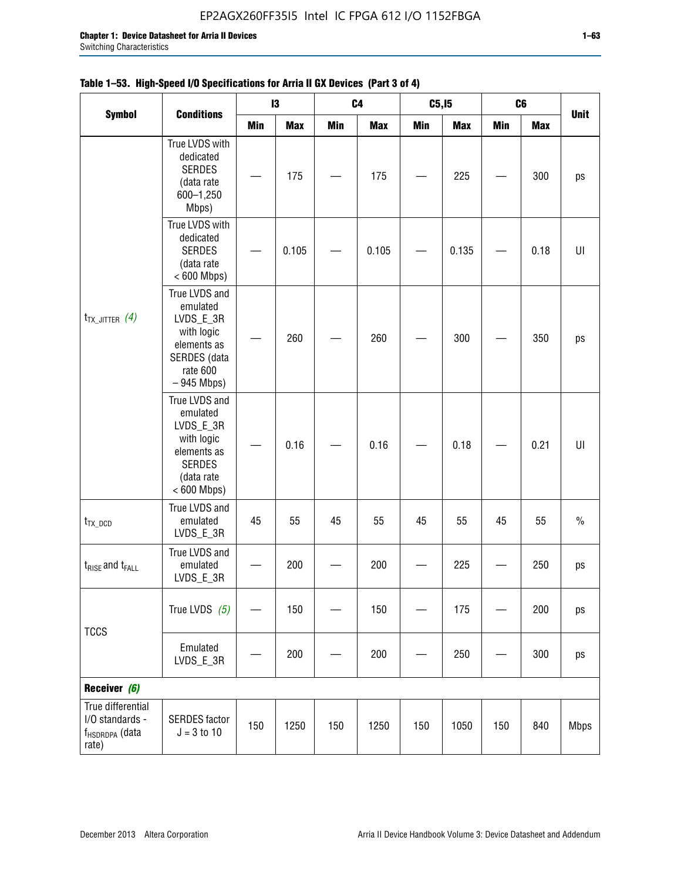|                                                                             | <b>Conditions</b>                                                                                                   |     | 13         | C <sub>4</sub> |            | C5, I5<br>C6<br><b>Unit</b><br><b>Min</b><br><b>Min</b><br><b>Max</b><br><b>Max</b> |       |     |      |             |
|-----------------------------------------------------------------------------|---------------------------------------------------------------------------------------------------------------------|-----|------------|----------------|------------|-------------------------------------------------------------------------------------|-------|-----|------|-------------|
| <b>Symbol</b>                                                               |                                                                                                                     | Min | <b>Max</b> | <b>Min</b>     | <b>Max</b> |                                                                                     |       |     |      |             |
|                                                                             | True LVDS with<br>dedicated<br><b>SERDES</b><br>(data rate<br>600-1,250<br>Mbps)                                    |     | 175        |                | 175        |                                                                                     | 225   |     | 300  | ps          |
| $t_{TX\_JITTER}$ (4)                                                        | True LVDS with<br>dedicated<br><b>SERDES</b><br>(data rate<br>$< 600$ Mbps)                                         |     | 0.105      |                | 0.105      |                                                                                     | 0.135 |     | 0.18 | UI          |
|                                                                             | True LVDS and<br>emulated<br>LVDS_E_3R<br>with logic<br>elements as<br>SERDES (data<br>rate 600<br>$-945$ Mbps)     |     | 260        |                | 260        |                                                                                     | 300   |     | 350  | ps          |
|                                                                             | True LVDS and<br>emulated<br>LVDS_E_3R<br>with logic<br>elements as<br><b>SERDES</b><br>(data rate<br>$< 600$ Mbps) |     | 0.16       |                | 0.16       |                                                                                     | 0.18  |     | 0.21 | U           |
| $t_{TX\_DCD}$                                                               | True LVDS and<br>emulated<br>LVDS_E_3R                                                                              | 45  | 55         | 45             | 55         | 45                                                                                  | 55    | 45  | 55   | $\%$        |
| $t_{RISE}$ and $t_{FALL}$                                                   | True LVDS and<br>emulated<br>LVDS_E_3R                                                                              |     | 200        |                | 200        |                                                                                     | 225   |     | 250  | ps          |
| <b>TCCS</b>                                                                 | True LVDS $(5)$                                                                                                     |     | 150        |                | 150        |                                                                                     | 175   |     | 200  | ps          |
|                                                                             | Emulated<br>LVDS_E_3R                                                                                               |     | 200        |                | 200        |                                                                                     | 250   |     | 300  | ps          |
| Receiver (6)                                                                |                                                                                                                     |     |            |                |            |                                                                                     |       |     |      |             |
| True differential<br>I/O standards -<br>f <sub>HSDRDPA</sub> (data<br>rate) | <b>SERDES</b> factor<br>$J = 3 to 10$                                                                               | 150 | 1250       | 150            | 1250       | 150                                                                                 | 1050  | 150 | 840  | <b>Mbps</b> |

## **Table 1–53. High-Speed I/O Specifications for Arria II GX Devices (Part 3 of 4)**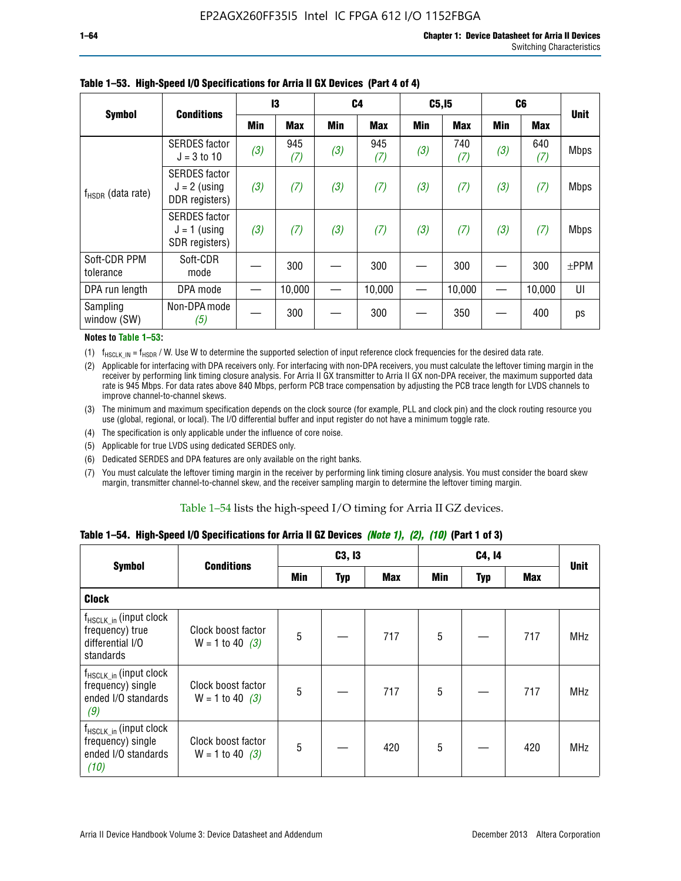|                           | <b>Conditions</b>                                        | 13  |            | C <sub>4</sub> |            | C5, I5     |            | C <sub>6</sub> |            |             |
|---------------------------|----------------------------------------------------------|-----|------------|----------------|------------|------------|------------|----------------|------------|-------------|
| <b>Symbol</b>             |                                                          | Min | <b>Max</b> | Min            | <b>Max</b> | <b>Min</b> | <b>Max</b> | <b>Min</b>     | <b>Max</b> | <b>Unit</b> |
|                           | <b>SERDES</b> factor<br>$J = 3$ to 10                    | (3) | 945<br>(7) | (3)            | 945<br>(7) | (3)        | 740<br>(7) | (3)            | 640<br>(7) | <b>Mbps</b> |
| $f_{HSDR}$ (data rate)    | <b>SERDES</b> factor<br>$J = 2$ (using<br>DDR registers) | (3) | (7)        | (3)            | (7)        | (3)        | (7)        | (3)            | (7)        | <b>Mbps</b> |
|                           | <b>SERDES</b> factor<br>$J = 1$ (using<br>SDR registers) | (3) | (7)        | (3)            | (7)        | (3)        | (7)        | (3)            | (7)        | <b>Mbps</b> |
| Soft-CDR PPM<br>tolerance | Soft-CDR<br>mode                                         |     | 300        |                | 300        |            | 300        |                | 300        | $\pm$ PPM   |
| DPA run length            | DPA mode                                                 |     | 10,000     |                | 10,000     |            | 10,000     |                | 10,000     | UI          |
| Sampling<br>window (SW)   | Non-DPA mode<br>(5)                                      |     | 300        |                | 300        |            | 350        |                | 400        | ps          |

### **Table 1–53. High-Speed I/O Specifications for Arria II GX Devices (Part 4 of 4)**

#### **Notes to Table 1–53:**

(1)  $f_{HSCLK\_IN} = f_{HSDR}$  / W. Use W to determine the supported selection of input reference clock frequencies for the desired data rate.

(2) Applicable for interfacing with DPA receivers only. For interfacing with non-DPA receivers, you must calculate the leftover timing margin in the receiver by performing link timing closure analysis. For Arria II GX transmitter to Arria II GX non-DPA receiver, the maximum supported data rate is 945 Mbps. For data rates above 840 Mbps, perform PCB trace compensation by adjusting the PCB trace length for LVDS channels to improve channel-to-channel skews.

- (3) The minimum and maximum specification depends on the clock source (for example, PLL and clock pin) and the clock routing resource you use (global, regional, or local). The I/O differential buffer and input register do not have a minimum toggle rate.
- (4) The specification is only applicable under the influence of core noise.
- (5) Applicable for true LVDS using dedicated SERDES only.
- (6) Dedicated SERDES and DPA features are only available on the right banks.
- (7) You must calculate the leftover timing margin in the receiver by performing link timing closure analysis. You must consider the board skew margin, transmitter channel-to-channel skew, and the receiver sampling margin to determine the leftover timing margin.

#### Table 1–54 lists the high-speed I/O timing for Arria II GZ devices.

### **Table 1–54. High-Speed I/O Specifications for Arria II GZ Devices** *(Note 1), (2), (10)* **(Part 1 of 3)**

| <b>Symbol</b>                                                                   | <b>Conditions</b>                       |     | C3, I3     |            |                 | C4, 14 |     |             |
|---------------------------------------------------------------------------------|-----------------------------------------|-----|------------|------------|-----------------|--------|-----|-------------|
|                                                                                 |                                         | Min | <b>Typ</b> | <b>Max</b> | Min             | Typ    | Max | <b>Unit</b> |
| <b>Clock</b>                                                                    |                                         |     |            |            |                 |        |     |             |
| $f_{HSCLK_in}$ (input clock<br>frequency) true<br>differential I/O<br>standards | Clock boost factor<br>$W = 1$ to 40 (3) | 5   |            | 717        | $5\phantom{.0}$ |        | 717 | <b>MHz</b>  |
| $f_{HSCLK_in}$ (input clock<br>frequency) single<br>ended I/O standards<br>(9)  | Clock boost factor<br>$W = 1$ to 40 (3) | 5   |            | 717        | $5\phantom{.0}$ |        | 717 | <b>MHz</b>  |
| $f_{HSCLK_in}$ (input clock<br>frequency) single<br>ended I/O standards<br>(10) | Clock boost factor<br>$W = 1$ to 40 (3) | 5   |            | 420        | $5\phantom{.0}$ |        | 420 | <b>MHz</b>  |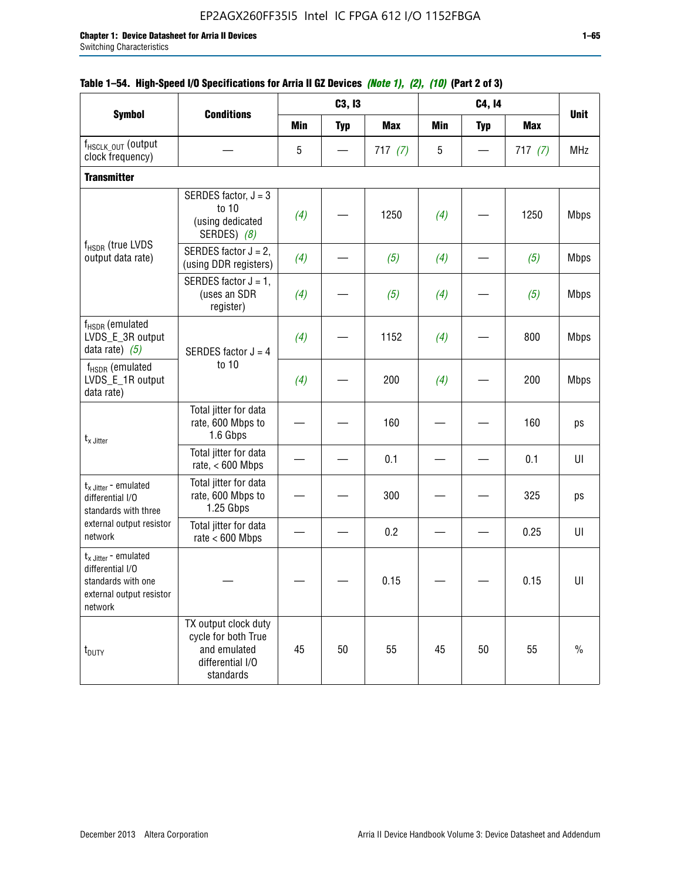| <b>Symbol</b>                                                                                            |                                                                                              |            | C3, I3     |            |            | C4, 14     |            |             |
|----------------------------------------------------------------------------------------------------------|----------------------------------------------------------------------------------------------|------------|------------|------------|------------|------------|------------|-------------|
|                                                                                                          | <b>Conditions</b>                                                                            | <b>Min</b> | <b>Typ</b> | <b>Max</b> | <b>Min</b> | <b>Typ</b> | <b>Max</b> | <b>Unit</b> |
| f <sub>HSCLK_OUT</sub> (output<br>clock frequency)                                                       |                                                                                              | 5          |            | 717(7)     | 5          |            | 717(7)     | <b>MHz</b>  |
| <b>Transmitter</b>                                                                                       |                                                                                              |            |            |            |            |            |            |             |
|                                                                                                          | SERDES factor, $J = 3$<br>to 10<br>(using dedicated<br>SERDES) (8)                           | (4)        |            | 1250       | (4)        |            | 1250       | <b>Mbps</b> |
| f <sub>HSDR</sub> (true LVDS<br>output data rate)                                                        | SERDES factor $J = 2$ ,<br>(using DDR registers)                                             | (4)        |            | (5)        | (4)        |            | (5)        | <b>Mbps</b> |
|                                                                                                          | SERDES factor $J = 1$ ,<br>(uses an SDR<br>register)                                         | (4)        |            | (5)        | (4)        |            | (5)        | <b>Mbps</b> |
| $f_{HSDR}$ (emulated<br>LVDS_E_3R output<br>data rate) $(5)$                                             | SERDES factor $J = 4$                                                                        | (4)        |            | 1152       | (4)        |            | 800        | <b>Mbps</b> |
| $f_{HSDR}$ (emulated<br>LVDS_E_1R output<br>data rate)                                                   | to 10                                                                                        | (4)        |            | 200        | (4)        |            | 200        | <b>Mbps</b> |
| $t_x$ Jitter                                                                                             | Total jitter for data<br>rate, 600 Mbps to<br>1.6 Gbps                                       |            |            | 160        |            |            | 160        | ps          |
|                                                                                                          | Total jitter for data<br>rate, $< 600$ Mbps                                                  |            |            | 0.1        |            |            | 0.1        | UI          |
| $t_x$ Jitter - emulated<br>differential I/O<br>standards with three                                      | Total jitter for data<br>rate, 600 Mbps to<br>1.25 Gbps                                      |            |            | 300        |            |            | 325        | ps          |
| external output resistor<br>network                                                                      | Total jitter for data<br>rate $< 600$ Mbps                                                   |            |            | 0.2        |            |            | 0.25       | UI          |
| $t_x$ Jitter - emulated<br>differential I/O<br>standards with one<br>external output resistor<br>network |                                                                                              |            |            | 0.15       |            |            | 0.15       | UI          |
| t <sub>DUTY</sub>                                                                                        | TX output clock duty<br>cycle for both True<br>and emulated<br>differential I/O<br>standards | 45         | 50         | 55         | 45         | 50         | 55         | $\%$        |

## **Table 1–54. High-Speed I/O Specifications for Arria II GZ Devices** *(Note 1), (2), (10)* **(Part 2 of 3)**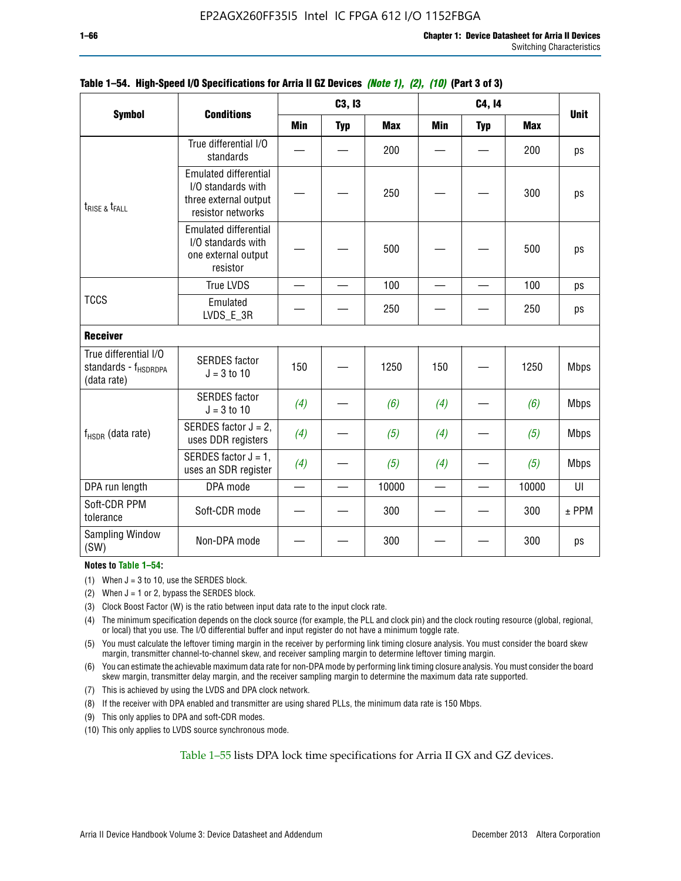|                                                                          |                                                                                                  |            | C3, I3     |            |                 | C4, 14     |            | <b>Unit</b> |
|--------------------------------------------------------------------------|--------------------------------------------------------------------------------------------------|------------|------------|------------|-----------------|------------|------------|-------------|
| <b>Symbol</b>                                                            | <b>Conditions</b>                                                                                | <b>Min</b> | <b>Typ</b> | <b>Max</b> | <b>Min</b>      | <b>Typ</b> | <b>Max</b> |             |
|                                                                          | True differential I/O<br>standards                                                               |            |            | 200        |                 |            | 200        | ps          |
| $t_{\text{RISE 8}}t_{\text{FALL}}$                                       | <b>Emulated differential</b><br>I/O standards with<br>three external output<br>resistor networks |            |            | 250        |                 |            | 300        | ps          |
| <b>TCCS</b>                                                              | <b>Emulated differential</b><br>I/O standards with<br>one external output<br>resistor            |            |            | 500        |                 |            | 500        | ps          |
|                                                                          | <b>True LVDS</b>                                                                                 |            |            | 100        |                 |            | 100        | ps          |
|                                                                          | Emulated<br>LVDS_E_3R                                                                            |            |            | 250        |                 |            | 250        | ps          |
| <b>Receiver</b>                                                          |                                                                                                  |            |            |            |                 |            |            |             |
| True differential I/O<br>standards - f <sub>HSDRDPA</sub><br>(data rate) | <b>SERDES</b> factor<br>$J = 3$ to 10                                                            | 150        |            | 1250       | 150             |            | 1250       | <b>Mbps</b> |
|                                                                          | <b>SERDES</b> factor<br>$J = 3$ to 10                                                            | (4)        |            | (6)        | (4)             |            | (6)        | <b>Mbps</b> |
| $f_{HSDR}$ (data rate)                                                   | SERDES factor $J = 2$ ,<br>uses DDR registers                                                    | (4)        |            | (5)        | (4)             |            | (5)        | <b>Mbps</b> |
|                                                                          | SERDES factor $J = 1$ ,<br>uses an SDR register                                                  | (4)        |            | (5)        | (4)             |            | (5)        | <b>Mbps</b> |
| DPA run length                                                           | DPA mode                                                                                         |            |            | 10000      | $\qquad \qquad$ |            | 10000      | UI          |
| Soft-CDR PPM<br>tolerance                                                | Soft-CDR mode                                                                                    |            |            | 300        |                 |            | 300        | $±$ PPM     |
| <b>Sampling Window</b><br>(SW)                                           | Non-DPA mode                                                                                     |            |            | 300        |                 |            | 300        | ps          |

### **Table 1–54. High-Speed I/O Specifications for Arria II GZ Devices** *(Note 1), (2), (10)* **(Part 3 of 3)**

#### **Notes to Table 1–54:**

(1) When  $J = 3$  to 10, use the SERDES block.

- (2) When  $J = 1$  or 2, bypass the SERDES block.
- (3) Clock Boost Factor (W) is the ratio between input data rate to the input clock rate.
- (4) The minimum specification depends on the clock source (for example, the PLL and clock pin) and the clock routing resource (global, regional, or local) that you use. The I/O differential buffer and input register do not have a minimum toggle rate.
- (5) You must calculate the leftover timing margin in the receiver by performing link timing closure analysis. You must consider the board skew margin, transmitter channel-to-channel skew, and receiver sampling margin to determine leftover timing margin.
- (6) You can estimate the achievable maximum data rate for non-DPA mode by performing link timing closure analysis. You must consider the board skew margin, transmitter delay margin, and the receiver sampling margin to determine the maximum data rate supported.
- (7) This is achieved by using the LVDS and DPA clock network.
- (8) If the receiver with DPA enabled and transmitter are using shared PLLs, the minimum data rate is 150 Mbps.
- (9) This only applies to DPA and soft-CDR modes.
- (10) This only applies to LVDS source synchronous mode.

Table 1–55 lists DPA lock time specifications for Arria II GX and GZ devices.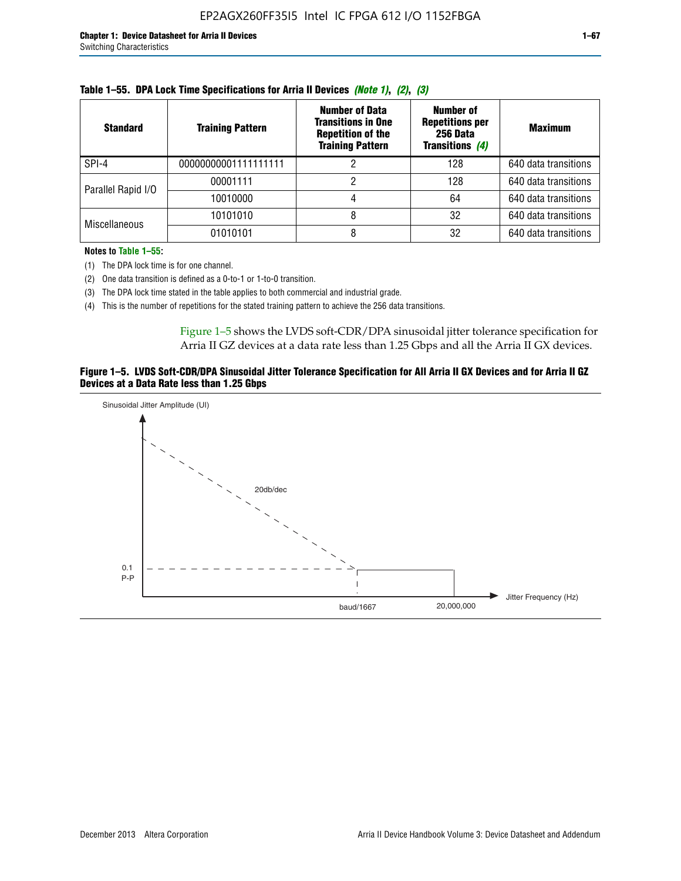| <b>Standard</b>      | <b>Training Pattern</b> | <b>Number of Data</b><br><b>Transitions in One</b><br><b>Repetition of the</b><br><b>Training Pattern</b> | <b>Number of</b><br><b>Repetitions per</b><br>256 Data<br><b>Transitions (4)</b> | <b>Maximum</b>       |
|----------------------|-------------------------|-----------------------------------------------------------------------------------------------------------|----------------------------------------------------------------------------------|----------------------|
| SPI-4                | 00000000001111111111    |                                                                                                           | 128                                                                              | 640 data transitions |
|                      | 00001111                |                                                                                                           | 128                                                                              | 640 data transitions |
| Parallel Rapid I/O   | 10010000                |                                                                                                           | 64                                                                               | 640 data transitions |
| <b>Miscellaneous</b> | 10101010                |                                                                                                           | 32                                                                               | 640 data transitions |
|                      | 01010101                |                                                                                                           | 32                                                                               | 640 data transitions |

|  | Table 1–55. DPA Lock Time Specifications for Arria II Devices (Note 1), (2), (3) |  |  |
|--|----------------------------------------------------------------------------------|--|--|
|  |                                                                                  |  |  |

**Notes to Table 1–55:**

(1) The DPA lock time is for one channel.

(2) One data transition is defined as a 0-to-1 or 1-to-0 transition.

(3) The DPA lock time stated in the table applies to both commercial and industrial grade.

(4) This is the number of repetitions for the stated training pattern to achieve the 256 data transitions.

Figure 1–5 shows the LVDS soft-CDR/DPA sinusoidal jitter tolerance specification for Arria II GZ devices at a data rate less than 1.25 Gbps and all the Arria II GX devices.

#### **Figure 1–5. LVDS Soft-CDR/DPA Sinusoidal Jitter Tolerance Specification for All Arria II GX Devices and for Arria II GZ Devices at a Data Rate less than 1.25 Gbps**

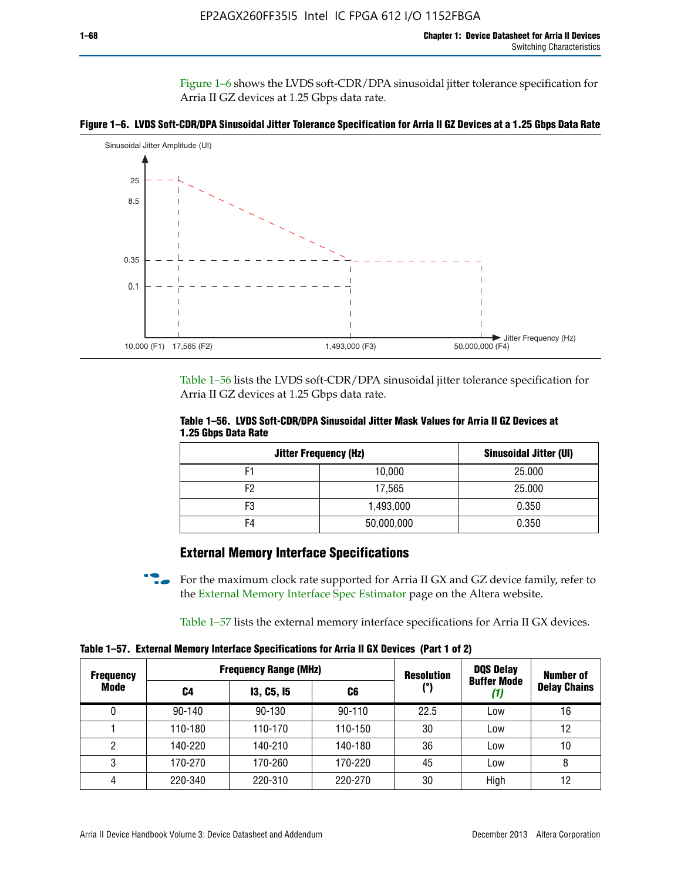Figure 1–6 shows the LVDS soft-CDR/DPA sinusoidal jitter tolerance specification for Arria II GZ devices at 1.25 Gbps data rate.





Table 1–56 lists the LVDS soft-CDR/DPA sinusoidal jitter tolerance specification for Arria II GZ devices at 1.25 Gbps data rate.

|                     | Table 1–56. LVDS Soft-CDR/DPA Sinusoidal Jitter Mask Values for Arria II GZ Devices at |  |  |
|---------------------|----------------------------------------------------------------------------------------|--|--|
| 1.25 Gbps Data Rate |                                                                                        |  |  |

| <b>Jitter Frequency (Hz)</b> |            | <b>Sinusoidal Jitter (UI)</b> |
|------------------------------|------------|-------------------------------|
| F1                           | 10,000     | 25.000                        |
| F <sub>2</sub>               | 17,565     | 25.000                        |
| F3                           | 1,493,000  | 0.350                         |
| F4                           | 50,000,000 | 0.350                         |

## **External Memory Interface Specifications**

For the maximum clock rate supported for Arria II GX and GZ device family, refer to the [External Memory Interface Spec Estimator](http://www.altera.com/technology/memory/estimator/mem-emif-index.html) page on the Altera website.

Table 1–57 lists the external memory interface specifications for Arria II GX devices.

**Table 1–57. External Memory Interface Specifications for Arria II GX Devices (Part 1 of 2)**

| <b>Frequency</b> |            | <b>Frequency Range (MHz)</b> |            | <b>Resolution</b> | <b>DQS Delay</b>   | <b>Number of</b>    |  |
|------------------|------------|------------------------------|------------|-------------------|--------------------|---------------------|--|
| Mode             | C4         | <b>13, C5, 15</b>            | C6         | (°)               | <b>Buffer Mode</b> | <b>Delay Chains</b> |  |
| 0                | $90 - 140$ | 90-130                       | $90 - 110$ | 22.5              | Low                | 16                  |  |
|                  | 110-180    | 110-170                      | 110-150    | 30                | Low                | 12                  |  |
| 2                | 140-220    | 140-210                      | 140-180    | 36                | Low                | 10                  |  |
| 3                | 170-270    | 170-260                      | 170-220    | 45                | Low                | 8                   |  |
| 4                | 220-340    | 220-310                      | 220-270    | 30                | High               | 12                  |  |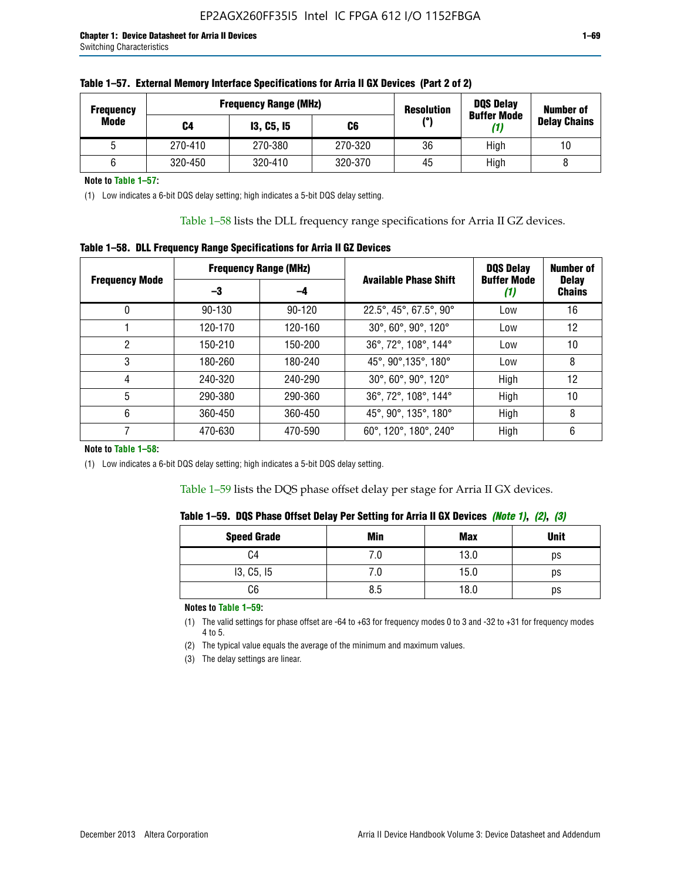| <b>Frequency</b> |         | <b>Frequency Range (MHz)</b> |         | <b>Resolution</b> | <b>DQS Delay</b><br><b>Buffer Mode</b> | <b>Number of</b>    |
|------------------|---------|------------------------------|---------|-------------------|----------------------------------------|---------------------|
| Mode             | C4      | <b>13, C5, 15</b>            | C6      | (°)               | (1)                                    | <b>Delay Chains</b> |
|                  | 270-410 | 270-380                      | 270-320 | 36                | High                                   | 10                  |
|                  | 320-450 | 320-410                      | 320-370 | 45                | High                                   |                     |

| Table 1–57. External Memory Interface Specifications for Arria II GX Devices (Part 2 of 2) |
|--------------------------------------------------------------------------------------------|
|--------------------------------------------------------------------------------------------|

**Note to Table 1–57:**

(1) Low indicates a 6-bit DQS delay setting; high indicates a 5-bit DQS delay setting.

Table 1–58 lists the DLL frequency range specifications for Arria II GZ devices.

### **Table 1–58. DLL Frequency Range Specifications for Arria II GZ Devices**

|                       | <b>Frequency Range (MHz)</b> |            |                              | <b>DOS Delay</b>          | <b>Number of</b>              |  |
|-----------------------|------------------------------|------------|------------------------------|---------------------------|-------------------------------|--|
| <b>Frequency Mode</b> | -3                           | -4         | <b>Available Phase Shift</b> | <b>Buffer Mode</b><br>(1) | <b>Delay</b><br><b>Chains</b> |  |
| 0                     | $90 - 130$                   | $90 - 120$ | 22.5°, 45°, 67.5°, 90°       | Low                       | 16                            |  |
|                       | 120-170                      | 120-160    | 30°, 60°, 90°, 120°          | Low                       | 12                            |  |
| 2                     | 150-210                      | 150-200    | 36°, 72°, 108°, 144°         | Low                       | 10                            |  |
| 3                     | 180-260                      | 180-240    | 45°, 90°, 135°, 180°         | Low                       | 8                             |  |
| 4                     | 240-320                      | 240-290    | 30°, 60°, 90°, 120°          | High                      | 12                            |  |
| 5                     | 290-380                      | 290-360    | 36°, 72°, 108°, 144°         | High                      | 10                            |  |
| 6                     | 360-450                      | 360-450    | 45°, 90°, 135°, 180°         | High                      | 8                             |  |
|                       | 470-630                      | 470-590    | 60°, 120°, 180°, 240°        | High                      | 6                             |  |

#### **Note to Table 1–58:**

(1) Low indicates a 6-bit DQS delay setting; high indicates a 5-bit DQS delay setting.

Table 1–59 lists the DQS phase offset delay per stage for Arria II GX devices.

|  | Table 1–59.  DQS Phase Offset Delay Per Setting for Arria II GX Devices <i>(Note 1), (2), (3)</i> |  |  |
|--|---------------------------------------------------------------------------------------------------|--|--|
|  |                                                                                                   |  |  |

| <b>Speed Grade</b> | Min  | <b>Max</b> | <b>Unit</b> |
|--------------------|------|------------|-------------|
| C4                 | ن. ا | 13.0       | ps          |
| 13, C5, I5         | 7.U  | 15.0       | ps          |
| C6                 | 8.5  | 18.0       | ps          |

**Notes to Table 1–59:**

(1) The valid settings for phase offset are -64 to +63 for frequency modes 0 to 3 and -32 to +31 for frequency modes 4 to 5.

(2) The typical value equals the average of the minimum and maximum values.

(3) The delay settings are linear.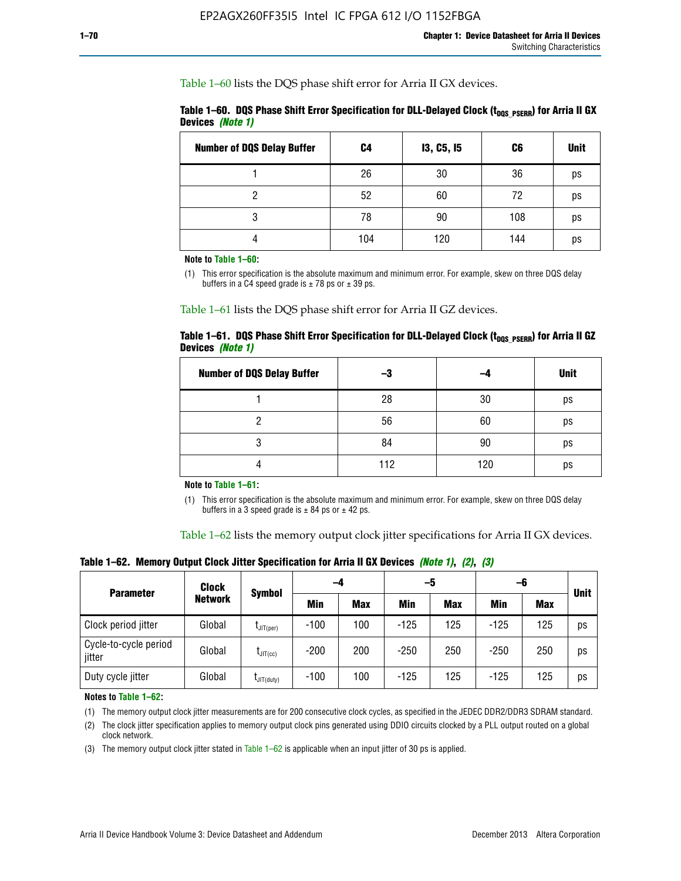Table 1–60 lists the DQS phase shift error for Arria II GX devices.

|                  | Table 1–60. DQS Phase Shift Error Specification for DLL-Delayed Clock ( $t_{\text{DOS PSERR}}$ ) for Arria II GX |  |
|------------------|------------------------------------------------------------------------------------------------------------------|--|
| Devices (Note 1) |                                                                                                                  |  |

| <b>Number of DQS Delay Buffer</b> | C <sub>4</sub> | <b>13, C5, 15</b> | C6  | <b>Unit</b> |
|-----------------------------------|----------------|-------------------|-----|-------------|
|                                   | 26             | 30                | 36  | ps          |
| റ                                 | 52             | 60                | 72  | ps          |
| 3                                 | 78             | 90                | 108 | ps          |
|                                   | 104            | 120               | 144 | ps          |

**Note to Table 1–60:**

(1) This error specification is the absolute maximum and minimum error. For example, skew on three DQS delay buffers in a C4 speed grade is  $\pm$  78 ps or  $\pm$  39 ps.

Table 1–61 lists the DQS phase shift error for Arria II GZ devices.

|                         |  | Table 1–61.DQS Phase Shift Error Specification for DLL-Delayed Clock (t <sub>oos PsERR</sub> ) for Arria II GZ |
|-------------------------|--|----------------------------------------------------------------------------------------------------------------|
| Devices <i>(Note 1)</i> |  |                                                                                                                |

| <b>Number of DQS Delay Buffer</b> | -3  |     | <b>Unit</b> |
|-----------------------------------|-----|-----|-------------|
|                                   | 28  | 30  | ps          |
|                                   | 56  | 60  | ps          |
| Q                                 | 84  | 90  | ps          |
|                                   | 112 | 120 | ps          |

**Note to Table 1–61:**

(1) This error specification is the absolute maximum and minimum error. For example, skew on three DQS delay buffers in a 3 speed grade is  $\pm$  84 ps or  $\pm$  42 ps.

Table 1–62 lists the memory output clock jitter specifications for Arria II GX devices.

**Table 1–62. Memory Output Clock Jitter Specification for Arria II GX Devices** *(Note 1)***,** *(2)***,** *(3)*

| <b>Parameter</b>                | Clock<br><b>Network</b> | <b>Symbol</b>        | -4     |            | -5     |            | -6         |            |             |
|---------------------------------|-------------------------|----------------------|--------|------------|--------|------------|------------|------------|-------------|
|                                 |                         |                      | Min    | <b>Max</b> | Min    | <b>Max</b> | <b>Min</b> | <b>Max</b> | <b>Unit</b> |
| Clock period jitter             | Global                  | $L$ JIT(per)         | $-100$ | 100        | $-125$ | 125        | $-125$     | 125        | ps          |
| Cycle-to-cycle period<br>jitter | Global                  | $L_{\text{JIT(cc)}}$ | $-200$ | 200        | $-250$ | 250        | $-250$     | 250        | ps          |
| Duty cycle jitter               | Global                  | $L$ JIT $(du$ ty $)$ | $-100$ | 100        | $-125$ | 125        | $-125$     | 125        | ps          |

**Notes to Table 1–62:**

(1) The memory output clock jitter measurements are for 200 consecutive clock cycles, as specified in the JEDEC DDR2/DDR3 SDRAM standard.

(2) The clock jitter specification applies to memory output clock pins generated using DDIO circuits clocked by a PLL output routed on a global clock network.

(3) The memory output clock jitter stated in Table  $1-62$  is applicable when an input jitter of 30 ps is applied.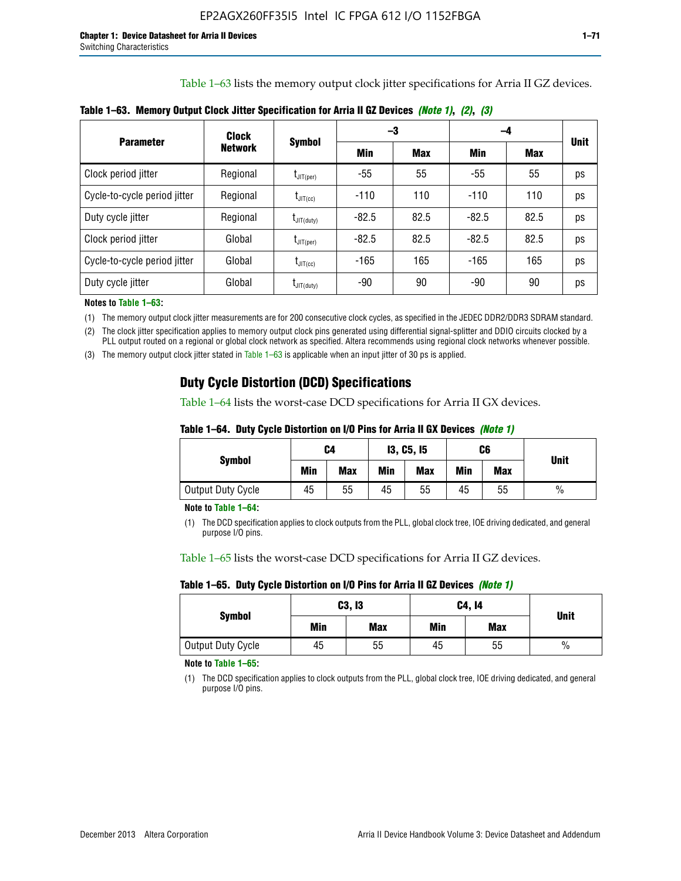Table 1–63 lists the memory output clock jitter specifications for Arria II GZ devices.

|                              | <b>Clock</b>   | <b>Symbol</b>                            |         | -3         | -4      |      |             |
|------------------------------|----------------|------------------------------------------|---------|------------|---------|------|-------------|
| <b>Parameter</b>             | <b>Network</b> |                                          | Min     | <b>Max</b> | Min     | Max  | <b>Unit</b> |
| Clock period jitter          | Regional       | $\mathsf{t}_{\mathsf{JIT}(per)}$         | -55     | 55         | -55     | 55   | ps          |
| Cycle-to-cycle period jitter | Regional       | $\mathrm{I}_{\mathsf{JIT}(\mathsf{cc})}$ | $-110$  | 110        | $-110$  | 110  | ps          |
| Duty cycle jitter            | Regional       | $t_{\text{JIT(duty)}}$                   | $-82.5$ | 82.5       | $-82.5$ | 82.5 | ps          |
| Clock period jitter          | Global         | $\mathsf{t}_{\mathsf{JIT}(per)}$         | $-82.5$ | 82.5       | $-82.5$ | 82.5 | ps          |
| Cycle-to-cycle period jitter | Global         | $t_{\text{JIT(cc)}}$                     | $-165$  | 165        | $-165$  | 165  | ps          |
| Duty cycle jitter            | Global         | $I_{\mathsf{JIT}(\mathsf{duty})}$        | -90     | 90         | -90     | 90   | ps          |

**Table 1–63. Memory Output Clock Jitter Specification for Arria II GZ Devices** *(Note 1)***,** *(2)***,** *(3)*

**Notes to Table 1–63:**

(1) The memory output clock jitter measurements are for 200 consecutive clock cycles, as specified in the JEDEC DDR2/DDR3 SDRAM standard.

(2) The clock jitter specification applies to memory output clock pins generated using differential signal-splitter and DDIO circuits clocked by a PLL output routed on a regional or global clock network as specified. Altera recommends using regional clock networks whenever possible.

(3) The memory output clock jitter stated in Table 1–63 is applicable when an input jitter of 30 ps is applied.

## **Duty Cycle Distortion (DCD) Specifications**

Table 1–64 lists the worst-case DCD specifications for Arria II GX devices.

| Table 1–64.  Duty Cycle Distortion on I/O Pins for Arria II GX Devices <i>(Note 1)</i> |  |  |
|----------------------------------------------------------------------------------------|--|--|
|----------------------------------------------------------------------------------------|--|--|

| <b>Symbol</b>     | C4  |            |     | <b>13, C5, 15</b> |     | C6         | <b>Unit</b>   |  |
|-------------------|-----|------------|-----|-------------------|-----|------------|---------------|--|
|                   | Min | <b>Max</b> | Min | <b>Max</b>        | Min | <b>Max</b> |               |  |
| Output Duty Cycle | 45  | 55         | 45  | 55                | 45  | 55         | $\frac{0}{0}$ |  |

**Note to Table 1–64:**

(1) The DCD specification applies to clock outputs from the PLL, global clock tree, IOE driving dedicated, and general purpose I/O pins.

Table 1–65 lists the worst-case DCD specifications for Arria II GZ devices.

**Table 1–65. Duty Cycle Distortion on I/O Pins for Arria II GZ Devices** *(Note 1)*

| <b>Symbol</b>     |     | C3, I3     | C4, 14 | <b>Unit</b> |      |
|-------------------|-----|------------|--------|-------------|------|
|                   | Min | <b>Max</b> | Min    | <b>Max</b>  |      |
| Output Duty Cycle | 45  | 55         | 45     | 55          | $\%$ |

**Note to Table 1–65:**

(1) The DCD specification applies to clock outputs from the PLL, global clock tree, IOE driving dedicated, and general purpose I/O pins.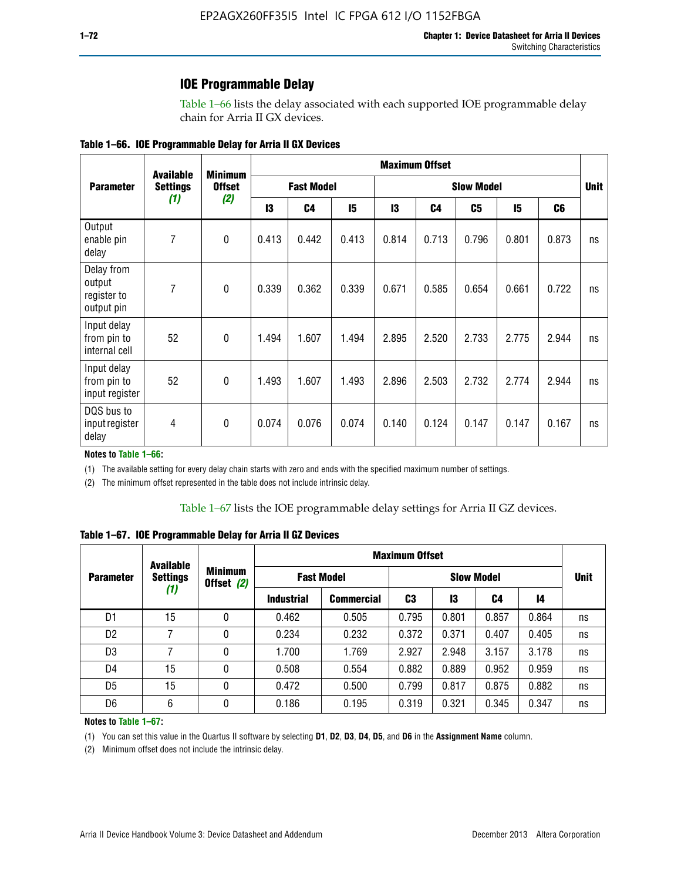### **IOE Programmable Delay**

Table 1–66 lists the delay associated with each supported IOE programmable delay chain for Arria II GX devices.

| Table 1–66. IOE Programmable Delay for Arria II GX Devices |
|------------------------------------------------------------|
|------------------------------------------------------------|

|                                                   | <b>Available</b> | <b>Minimum</b> | <b>Maximum Offset</b> |                |                   |       |                |       |       |                |    |
|---------------------------------------------------|------------------|----------------|-----------------------|----------------|-------------------|-------|----------------|-------|-------|----------------|----|
| <b>Parameter</b>                                  | <b>Settings</b>  | <b>Offset</b>  | <b>Fast Model</b>     |                | <b>Slow Model</b> |       |                |       |       | <b>Unit</b>    |    |
|                                                   | (1)              | (2)            | 13                    | C <sub>4</sub> | 15                | 13    | C <sub>4</sub> | C5    | 15    | C <sub>6</sub> |    |
| Output<br>enable pin<br>delay                     | 7                | $\mathbf 0$    | 0.413                 | 0.442          | 0.413             | 0.814 | 0.713          | 0.796 | 0.801 | 0.873          | ns |
| Delay from<br>output<br>register to<br>output pin | 7                | $\mathbf 0$    | 0.339                 | 0.362          | 0.339             | 0.671 | 0.585          | 0.654 | 0.661 | 0.722          | ns |
| Input delay<br>from pin to<br>internal cell       | 52               | $\mathbf{0}$   | 1.494                 | 1.607          | 1.494             | 2.895 | 2.520          | 2.733 | 2.775 | 2.944          | ns |
| Input delay<br>from pin to<br>input register      | 52               | $\mathbf{0}$   | 1.493                 | 1.607          | 1.493             | 2.896 | 2.503          | 2.732 | 2.774 | 2.944          | ns |
| DQS bus to<br>input register<br>delay             | 4                | $\mathbf 0$    | 0.074                 | 0.076          | 0.074             | 0.140 | 0.124          | 0.147 | 0.147 | 0.167          | ns |

**Notes to Table 1–66:**

(1) The available setting for every delay chain starts with zero and ends with the specified maximum number of settings.

(2) The minimum offset represented in the table does not include intrinsic delay.

**Table 1–67. IOE Programmable Delay for Arria II GZ Devices**

|                  | <b>Available</b><br><b>Settings</b> |   | <b>Maximum Offset</b>        |                   |                   |       |       |       |             |
|------------------|-------------------------------------|---|------------------------------|-------------------|-------------------|-------|-------|-------|-------------|
| <b>Parameter</b> |                                     |   | <b>Minimum</b><br>Offset (2) | <b>Fast Model</b> | <b>Slow Model</b> |       |       |       | <b>Unit</b> |
|                  | (1)                                 |   | <b>Industrial</b>            | <b>Commercial</b> | C3                | 13    | C4    | 14    |             |
| D1               | 15                                  | 0 | 0.462                        | 0.505             | 0.795             | 0.801 | 0.857 | 0.864 | ns          |
| D <sub>2</sub>   | 7                                   | 0 | 0.234                        | 0.232             | 0.372             | 0.371 | 0.407 | 0.405 | ns          |
| D <sub>3</sub>   | 7                                   | 0 | 1.700                        | 1.769             | 2.927             | 2.948 | 3.157 | 3.178 | ns          |
| D4               | 15                                  | 0 | 0.508                        | 0.554             | 0.882             | 0.889 | 0.952 | 0.959 | ns          |
| D <sub>5</sub>   | 15                                  | 0 | 0.472                        | 0.500             | 0.799             | 0.817 | 0.875 | 0.882 | ns          |
| D <sub>6</sub>   | 6                                   | 0 | 0.186                        | 0.195             | 0.319             | 0.321 | 0.345 | 0.347 | ns          |

#### **Notes to Table 1–67:**

(1) You can set this value in the Quartus II software by selecting **D1**, **D2**, **D3**, **D4**, **D5**, and **D6** in the **Assignment Name** column.

(2) Minimum offset does not include the intrinsic delay.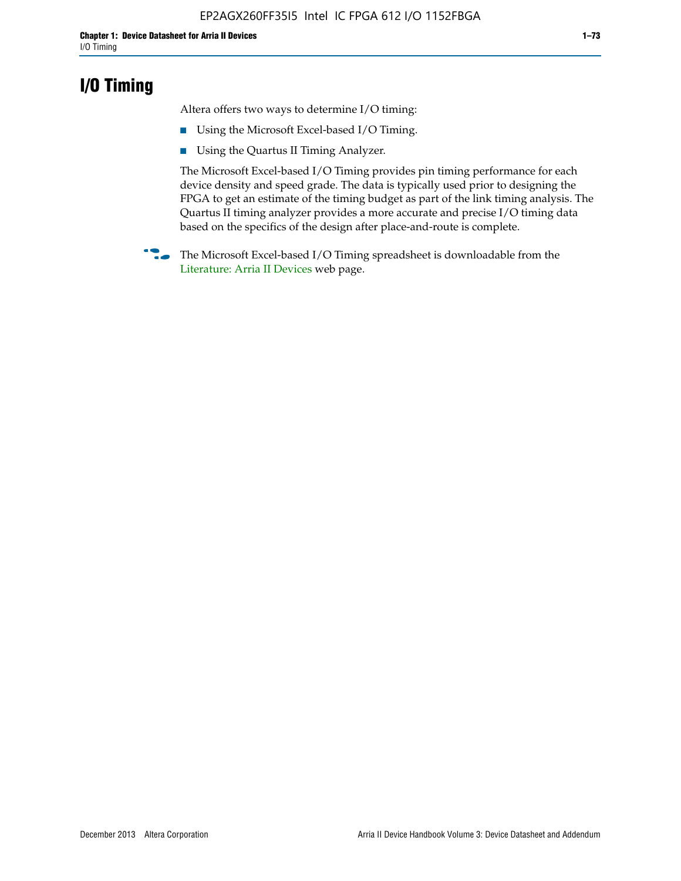### **I/O Timing**

Altera offers two ways to determine I/O timing:

- Using the Microsoft Excel-based I/O Timing.
- Using the Quartus II Timing Analyzer.

The Microsoft Excel-based I/O Timing provides pin timing performance for each device density and speed grade. The data is typically used prior to designing the FPGA to get an estimate of the timing budget as part of the link timing analysis. The Quartus II timing analyzer provides a more accurate and precise I/O timing data based on the specifics of the design after place-and-route is complete.

**f The Microsoft Excel-based I/O Timing spreadsheet is downloadable from the** [Literature: Arria II Devices](http://www.altera.com/literature/lit-arria-ii-gx.jsp) web page.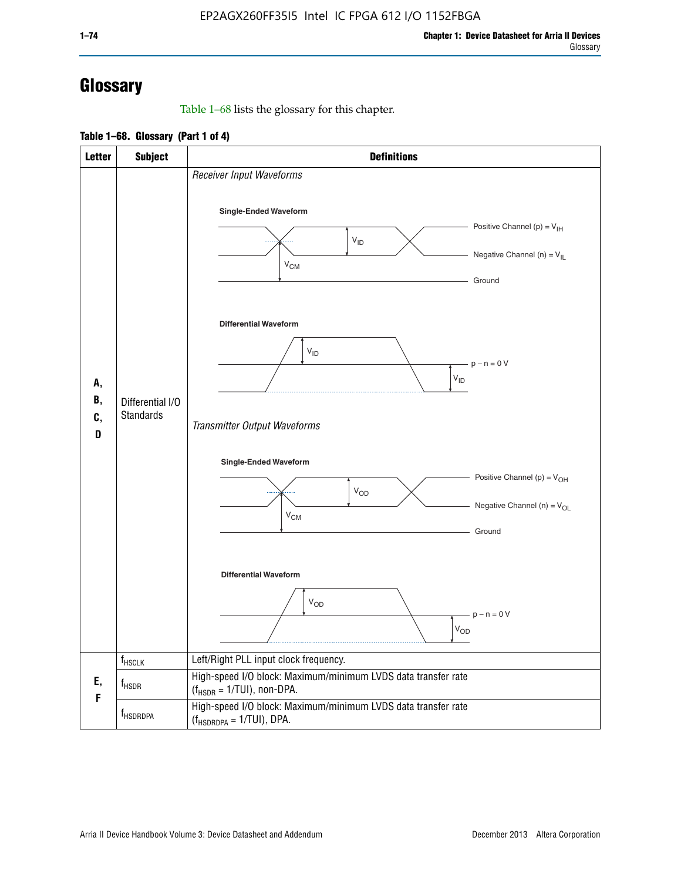# **Glossary**

Table 1–68 lists the glossary for this chapter.

**Table 1–68. Glossary (Part 1 of 4)**

| <b>Letter</b>       | <b>Subject</b>                       | <b>Definitions</b>                                                                                                                         |
|---------------------|--------------------------------------|--------------------------------------------------------------------------------------------------------------------------------------------|
|                     |                                      | Receiver Input Waveforms<br>Single-Ended Waveform<br>Positive Channel (p) = $V_{\text{IH}}$<br>$V_{ID}$<br>Negative Channel (n) = $V_{IL}$ |
|                     |                                      | $V_{CM}$<br>Ground<br><b>Differential Waveform</b><br>$V_{ID}$<br>$-p - n = 0 V$                                                           |
| А,<br>В,<br>C,<br>D | Differential I/O<br><b>Standards</b> | $\rm V_{ID}$<br>Transmitter Output Waveforms                                                                                               |
|                     |                                      | Single-Ended Waveform<br>Positive Channel (p) = $V_{OH}$<br>$V_{OD}$<br>Negative Channel (n) = $V_{OL}$<br>$V_{CM}$<br>Ground              |
|                     |                                      | <b>Differential Waveform</b><br><b>V<sub>OD</sub></b><br>$p - n = 0 V$<br>$\mathsf{V}_{\mathsf{OD}}$                                       |
|                     | f <sub>HSCLK</sub>                   | Left/Right PLL input clock frequency.                                                                                                      |
| Ε,<br>F             | $f_{HSDR}$                           | High-speed I/O block: Maximum/minimum LVDS data transfer rate<br>$(f_{\text{HSDR}} = 1/\text{TUI})$ , non-DPA.                             |
|                     | f <sub>HSDRDPA</sub>                 | High-speed I/O block: Maximum/minimum LVDS data transfer rate<br>$(f_{HSDRDPA} = 1/TUI)$ , DPA.                                            |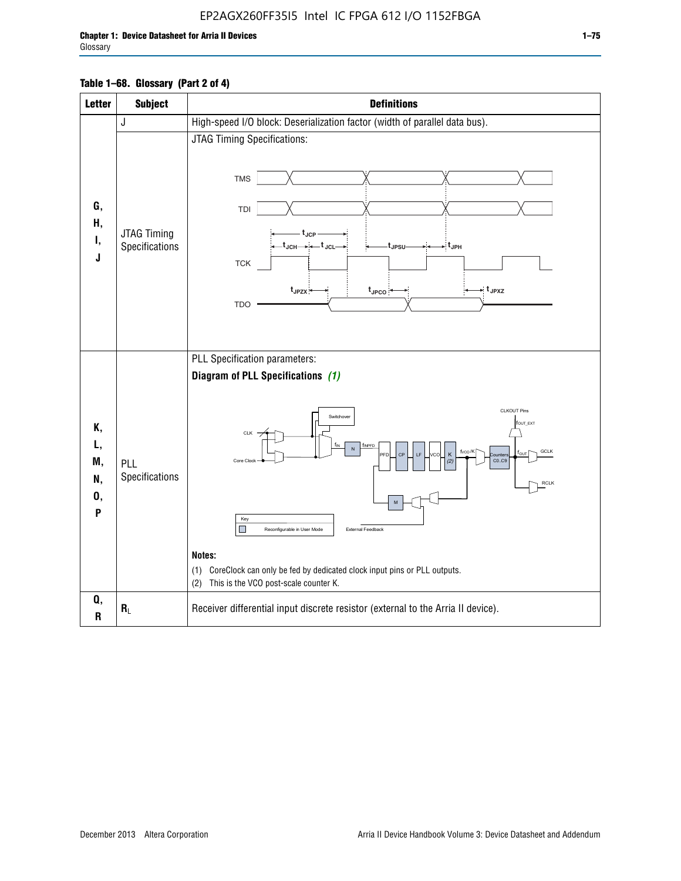### EP2AGX260FF35I5 Intel IC FPGA 612 I/O 1152FBGA

Г

| <b>Letter</b>                   | <b>Subject</b>                | <b>Definitions</b>                                                                                                                                                                                                                                                                                                                                                                                                                                                        |
|---------------------------------|-------------------------------|---------------------------------------------------------------------------------------------------------------------------------------------------------------------------------------------------------------------------------------------------------------------------------------------------------------------------------------------------------------------------------------------------------------------------------------------------------------------------|
|                                 | J                             | High-speed I/O block: Deserialization factor (width of parallel data bus).                                                                                                                                                                                                                                                                                                                                                                                                |
| G,<br>Н,<br>Ι,<br>J             | JTAG Timing<br>Specifications | JTAG Timing Specifications:<br><b>TMS</b><br>TDI<br>t <sub>JCP</sub><br>-t <sub>JCH</sub> → ← t <sub>JCL</sub><br>-∶t <sub>JPH</sub><br>t <sub>JPSU</sub><br>TCK<br>→ t <sub>JPXZ</sub><br>t <sub>JPZX</sub><br>$t_{\text{JPCO}}$<br><b>TDO</b>                                                                                                                                                                                                                           |
| Κ,<br>L,<br>M,<br>N,<br>0,<br>P | PLL<br>Specifications         | PLL Specification parameters:<br>Diagram of PLL Specifications (1)<br><b>CLKOUT Pins</b><br>Switchover<br>fout_ext<br>CLK<br>f <sub>INPFD</sub><br>fvco/K<br><b>GCLK</b><br>LF<br>CP<br>κ<br><b>PFD</b><br>vca<br>CO.C9<br>Core Clock<br>(2)<br><b>RCLK</b><br>M<br>Key<br>П<br>External Feedback<br>Reconfigurable in User Mode<br>Notes:<br>(1) CoreClock can only be fed by dedicated clock input pins or PLL outputs.<br>This is the VCO post-scale counter K.<br>(2) |
| Q,<br>${\bf R}$                 | $R_L$                         | Receiver differential input discrete resistor (external to the Arria II device).                                                                                                                                                                                                                                                                                                                                                                                          |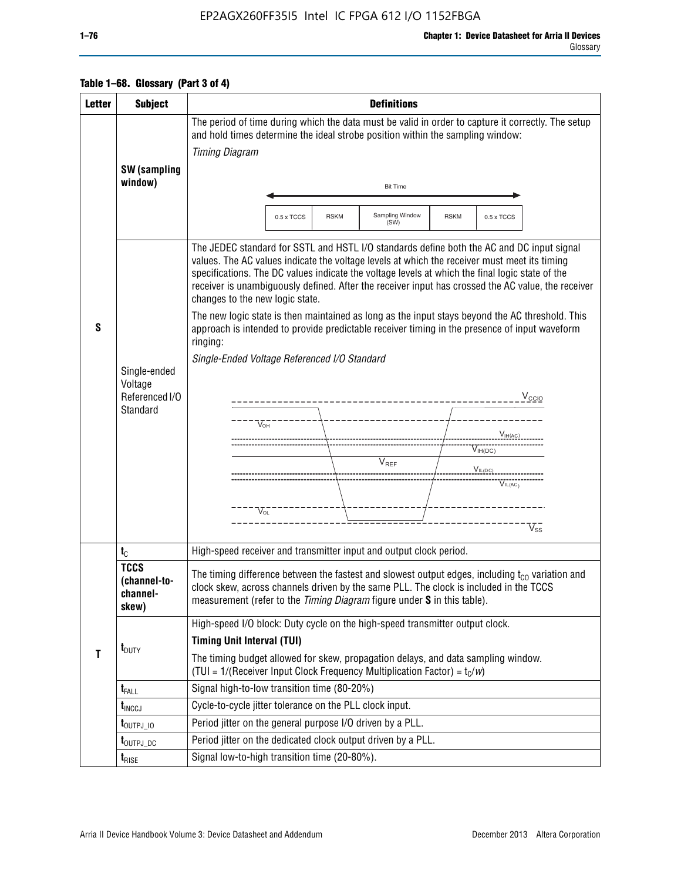### EP2AGX260FF35I5 Intel IC FPGA 612 I/O 1152FBGA

| <b>Letter</b> | <b>Subject</b>                                        | <b>Definitions</b>                                                                                                                                                                                                                                                                                                                                                                                                                                                                                                                                                                                                                                                                                                                                                                                                                                                                |
|---------------|-------------------------------------------------------|-----------------------------------------------------------------------------------------------------------------------------------------------------------------------------------------------------------------------------------------------------------------------------------------------------------------------------------------------------------------------------------------------------------------------------------------------------------------------------------------------------------------------------------------------------------------------------------------------------------------------------------------------------------------------------------------------------------------------------------------------------------------------------------------------------------------------------------------------------------------------------------|
|               |                                                       | The period of time during which the data must be valid in order to capture it correctly. The setup<br>and hold times determine the ideal strobe position within the sampling window:                                                                                                                                                                                                                                                                                                                                                                                                                                                                                                                                                                                                                                                                                              |
|               |                                                       | <b>Timing Diagram</b>                                                                                                                                                                                                                                                                                                                                                                                                                                                                                                                                                                                                                                                                                                                                                                                                                                                             |
|               | SW (sampling                                          |                                                                                                                                                                                                                                                                                                                                                                                                                                                                                                                                                                                                                                                                                                                                                                                                                                                                                   |
|               | window)                                               | <b>Bit Time</b>                                                                                                                                                                                                                                                                                                                                                                                                                                                                                                                                                                                                                                                                                                                                                                                                                                                                   |
|               |                                                       |                                                                                                                                                                                                                                                                                                                                                                                                                                                                                                                                                                                                                                                                                                                                                                                                                                                                                   |
|               |                                                       | Sampling Window<br>$0.5 \times TCCS$<br>0.5 x TCCS<br><b>RSKM</b><br><b>RSKM</b><br>(SW)                                                                                                                                                                                                                                                                                                                                                                                                                                                                                                                                                                                                                                                                                                                                                                                          |
| S             | Single-ended<br>Voltage<br>Referenced I/O<br>Standard | The JEDEC standard for SSTL and HSTL I/O standards define both the AC and DC input signal<br>values. The AC values indicate the voltage levels at which the receiver must meet its timing<br>specifications. The DC values indicate the voltage levels at which the final logic state of the<br>receiver is unambiguously defined. After the receiver input has crossed the AC value, the receiver<br>changes to the new logic state.<br>The new logic state is then maintained as long as the input stays beyond the AC threshold. This<br>approach is intended to provide predictable receiver timing in the presence of input waveform<br>ringing:<br>Single-Ended Voltage Referenced I/O Standard<br>$V_{\text{CCIO}}$<br>$V_{\text{OH}}$<br>$V_{\text{IH}(AC)}$<br>$V_{IH(DC)}$<br>$V_{REF}$<br>$V_{IL(DC)_{---}}$<br>$\overline{V_{\text{IL}(AC)}}$<br>$V_{OL}$<br>$V_{ss}$ |
|               | $t_{\rm C}$                                           | High-speed receiver and transmitter input and output clock period.                                                                                                                                                                                                                                                                                                                                                                                                                                                                                                                                                                                                                                                                                                                                                                                                                |
|               | <b>TCCS</b><br>(channel-to-<br>channel-<br>skew)      | The timing difference between the fastest and slowest output edges, including $t_{c0}$ variation and<br>clock skew, across channels driven by the same PLL. The clock is included in the TCCS<br>measurement (refer to the Timing Diagram figure under S in this table).                                                                                                                                                                                                                                                                                                                                                                                                                                                                                                                                                                                                          |
|               |                                                       | High-speed I/O block: Duty cycle on the high-speed transmitter output clock.                                                                                                                                                                                                                                                                                                                                                                                                                                                                                                                                                                                                                                                                                                                                                                                                      |
|               | $t_{\text{DUTY}}$                                     | <b>Timing Unit Interval (TUI)</b>                                                                                                                                                                                                                                                                                                                                                                                                                                                                                                                                                                                                                                                                                                                                                                                                                                                 |
| T             |                                                       | The timing budget allowed for skew, propagation delays, and data sampling window.<br>(TUI = $1/($ Receiver Input Clock Frequency Multiplication Factor) = $t_c/w$ )                                                                                                                                                                                                                                                                                                                                                                                                                                                                                                                                                                                                                                                                                                               |
|               | $t_{\text{FALL}}$                                     | Signal high-to-low transition time (80-20%)                                                                                                                                                                                                                                                                                                                                                                                                                                                                                                                                                                                                                                                                                                                                                                                                                                       |
|               | $t_{\text{INCCJ}}$                                    | Cycle-to-cycle jitter tolerance on the PLL clock input.                                                                                                                                                                                                                                                                                                                                                                                                                                                                                                                                                                                                                                                                                                                                                                                                                           |
|               | $t_{\text{OUTPJ\_10}}$                                | Period jitter on the general purpose I/O driven by a PLL.                                                                                                                                                                                                                                                                                                                                                                                                                                                                                                                                                                                                                                                                                                                                                                                                                         |
|               | t <sub>outpj_dc</sub>                                 | Period jitter on the dedicated clock output driven by a PLL.                                                                                                                                                                                                                                                                                                                                                                                                                                                                                                                                                                                                                                                                                                                                                                                                                      |
|               | $t_{RISE}$                                            | Signal low-to-high transition time (20-80%).                                                                                                                                                                                                                                                                                                                                                                                                                                                                                                                                                                                                                                                                                                                                                                                                                                      |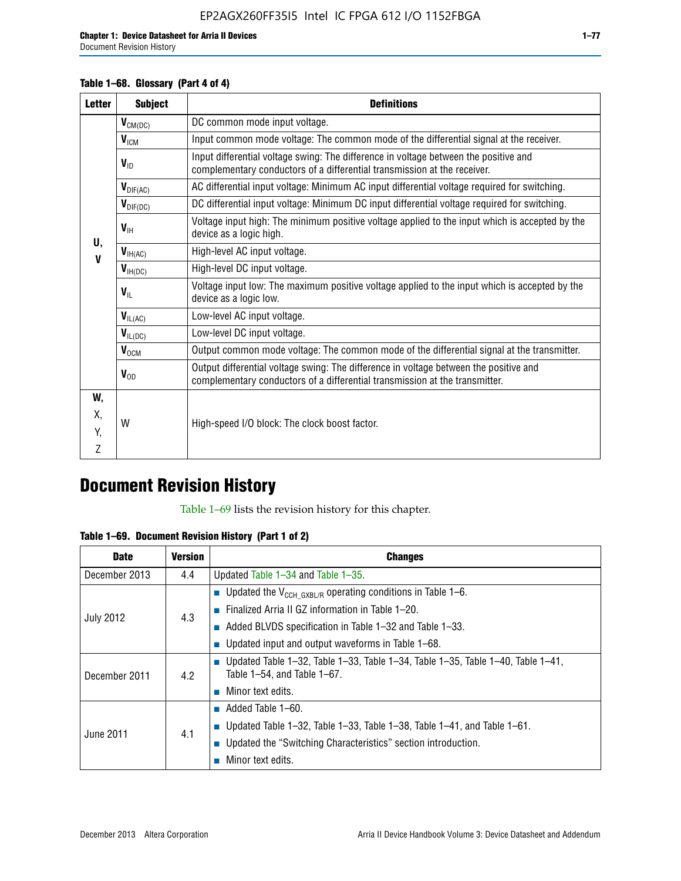Document Revision History

#### **Table 1–68. Glossary (Part 4 of 4)**

| <b>Letter</b> | <b>Subject</b>       | <b>Definitions</b>                                                                                                                                                   |
|---------------|----------------------|----------------------------------------------------------------------------------------------------------------------------------------------------------------------|
|               | $V_{CM(DC)}$         | DC common mode input voltage.                                                                                                                                        |
|               | $V_{IGM}$            | Input common mode voltage: The common mode of the differential signal at the receiver.                                                                               |
|               | $V_{ID}$             | Input differential voltage swing: The difference in voltage between the positive and<br>complementary conductors of a differential transmission at the receiver.     |
|               | $V_{\text{DIF(AC)}}$ | AC differential input voltage: Minimum AC input differential voltage required for switching.                                                                         |
|               | $V_{\text{DIF(DC)}}$ | DC differential input voltage: Minimum DC input differential voltage required for switching.                                                                         |
| U,            | $V_{\text{IH}}$      | Voltage input high: The minimum positive voltage applied to the input which is accepted by the<br>device as a logic high.                                            |
| $\mathbf v$   | $V_{IH(AC)}$         | High-level AC input voltage.                                                                                                                                         |
|               | $V_{H(DC)}$          | High-level DC input voltage.                                                                                                                                         |
|               | $V_{\text{IL}}$      | Voltage input low: The maximum positive voltage applied to the input which is accepted by the<br>device as a logic low.                                              |
|               | $V_{IL(AC)}$         | Low-level AC input voltage.                                                                                                                                          |
|               | $V_{IL(DC)}$         | Low-level DC input voltage.                                                                                                                                          |
|               | $V_{OCM}$            | Output common mode voltage: The common mode of the differential signal at the transmitter.                                                                           |
|               | $V_{OD}$             | Output differential voltage swing: The difference in voltage between the positive and<br>complementary conductors of a differential transmission at the transmitter. |
| W,            |                      |                                                                                                                                                                      |
| Χ,            | W                    | High-speed I/O block: The clock boost factor.                                                                                                                        |
| Y.            |                      |                                                                                                                                                                      |
| Z             |                      |                                                                                                                                                                      |

# **Document Revision History**

Table 1–69 lists the revision history for this chapter.

**Table 1–69. Document Revision History (Part 1 of 2)**

| <b>Date</b>      | <b>Version</b> | <b>Changes</b>                                                                                                        |
|------------------|----------------|-----------------------------------------------------------------------------------------------------------------------|
| December 2013    | 4.4            | Updated Table $1-34$ and Table $1-35$ .                                                                               |
|                  |                | <b>U</b> Updated the $V_{\text{CCH GXBL/R}}$ operating conditions in Table 1–6.                                       |
|                  | 4.3            | $\blacksquare$ Finalized Arria II GZ information in Table 1–20.                                                       |
| <b>July 2012</b> |                | $\blacksquare$ Added BLVDS specification in Table 1-32 and Table 1-33.                                                |
|                  |                | <b>Updated input and output waveforms in Table 1–68.</b>                                                              |
| December 2011    | 4.2            | <b>Updated Table 1–32, Table 1–33, Table 1–34, Table 1–35, Table 1–40, Table 1–41,</b><br>Table 1-54, and Table 1-67. |
|                  |                | Minor text edits.                                                                                                     |
|                  |                | $\blacksquare$ Added Table 1–60.                                                                                      |
| June 2011        | 4.1            | <b>Updated Table 1–32, Table 1–33, Table 1–38, Table 1–41, and Table 1–61.</b>                                        |
|                  |                | ■ Updated the "Switching Characteristics" section introduction.                                                       |
|                  |                | Minor text edits.                                                                                                     |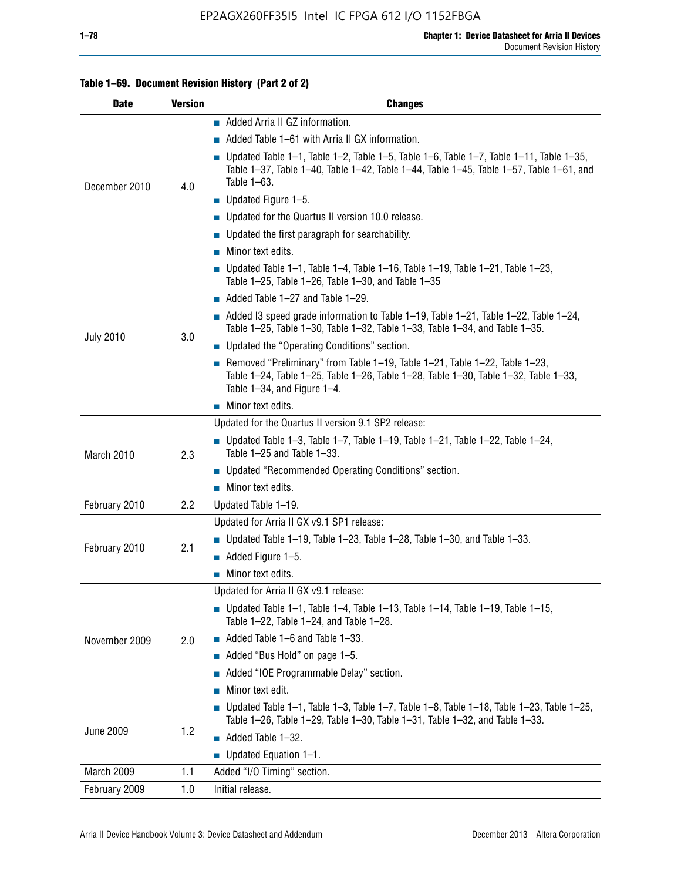#### **Table 1–69. Document Revision History (Part 2 of 2)**

| <b>Date</b>      | <b>Version</b> | <b>Changes</b>                                                                                                                                                                                                  |
|------------------|----------------|-----------------------------------------------------------------------------------------------------------------------------------------------------------------------------------------------------------------|
|                  |                | Added Arria II GZ information.                                                                                                                                                                                  |
|                  |                | $\blacksquare$ Added Table 1–61 with Arria II GX information.                                                                                                                                                   |
| December 2010    | 4.0            | $\blacksquare$ Updated Table 1-1, Table 1-2, Table 1-5, Table 1-6, Table 1-7, Table 1-11, Table 1-35,<br>Table 1-37, Table 1-40, Table 1-42, Table 1-44, Table 1-45, Table 1-57, Table 1-61, and<br>Table 1-63. |
|                  |                | $\blacksquare$ Updated Figure 1-5.                                                                                                                                                                              |
|                  |                | • Updated for the Quartus II version 10.0 release.                                                                                                                                                              |
|                  |                | $\blacksquare$ Updated the first paragraph for searchability.                                                                                                                                                   |
|                  |                | $\blacksquare$ Minor text edits.                                                                                                                                                                                |
|                  |                | Updated Table 1-1, Table 1-4, Table 1-16, Table 1-19, Table 1-21, Table 1-23,<br>Table $1-25$ , Table $1-26$ , Table $1-30$ , and Table $1-35$                                                                  |
|                  |                | $\blacksquare$ Added Table 1-27 and Table 1-29.                                                                                                                                                                 |
|                  |                | $\blacksquare$ Added I3 speed grade information to Table 1-19, Table 1-21, Table 1-22, Table 1-24,<br>Table 1-25, Table 1-30, Table 1-32, Table 1-33, Table 1-34, and Table 1-35.                               |
| <b>July 2010</b> | 3.0            | • Updated the "Operating Conditions" section.                                                                                                                                                                   |
|                  |                | Removed "Preliminary" from Table $1-19$ , Table $1-21$ , Table $1-22$ , Table $1-23$ ,<br>Table 1-24, Table 1-25, Table 1-26, Table 1-28, Table 1-30, Table 1-32, Table 1-33,<br>Table 1-34, and Figure 1-4.    |
|                  |                | Minor text edits.                                                                                                                                                                                               |
|                  | 2.3            | Updated for the Quartus II version 9.1 SP2 release:                                                                                                                                                             |
| March 2010       |                | Updated Table 1–3, Table 1–7, Table 1–19, Table 1–21, Table 1–22, Table 1–24,<br>Table 1-25 and Table 1-33.                                                                                                     |
|                  |                | ■ Updated "Recommended Operating Conditions" section.                                                                                                                                                           |
|                  |                | $\blacksquare$ Minor text edits.                                                                                                                                                                                |
| February 2010    | 2.2            | Updated Table 1-19.                                                                                                                                                                                             |
|                  |                | Updated for Arria II GX v9.1 SP1 release:                                                                                                                                                                       |
| February 2010    | 2.1            | Updated Table 1–19, Table 1–23, Table 1–28, Table 1–30, and Table 1–33.                                                                                                                                         |
|                  |                | Added Figure 1-5.                                                                                                                                                                                               |
|                  |                | $\blacksquare$ Minor text edits.                                                                                                                                                                                |
|                  |                | Updated for Arria II GX v9.1 release:                                                                                                                                                                           |
|                  |                | Updated Table 1–1, Table 1–4, Table 1–13, Table 1–14, Table 1–19, Table 1–15,<br>Table 1-22, Table 1-24, and Table 1-28.                                                                                        |
| November 2009    | 2.0            | $\blacksquare$ Added Table 1-6 and Table 1-33.                                                                                                                                                                  |
|                  |                | Added "Bus Hold" on page 1-5.                                                                                                                                                                                   |
|                  |                | Added "IOE Programmable Delay" section.<br>П                                                                                                                                                                    |
|                  |                | Minor text edit.                                                                                                                                                                                                |
| <b>June 2009</b> | 1.2            | <b>Updated Table 1–1, Table 1–3, Table 1–7, Table 1–8, Table 1–18, Table 1–23, Table 1–25,</b><br>Table 1-26, Table 1-29, Table 1-30, Table 1-31, Table 1-32, and Table 1-33.                                   |
|                  |                | Added Table 1-32.                                                                                                                                                                                               |
|                  |                | Updated Equation 1-1.<br>$\mathcal{L}_{\mathcal{A}}$                                                                                                                                                            |
| March 2009       | 1.1            | Added "I/O Timing" section.                                                                                                                                                                                     |
| February 2009    | 1.0            | Initial release.                                                                                                                                                                                                |